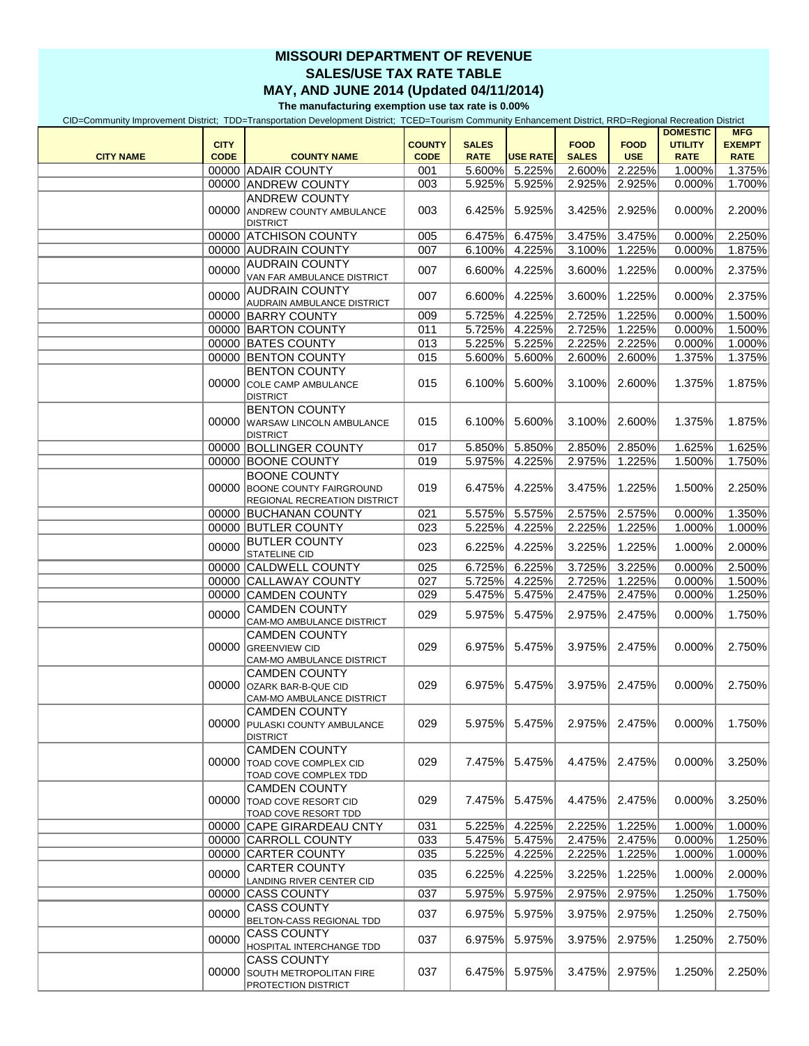## **MISSOURI DEPARTMENT OF REVENUE SALES/USE TAX RATE TABLE MAY, AND JUNE 2014 (Updated 04/11/2014)**

**The manufacturing exemption use tax rate is 0.00%**

CID=Community Improvement District; TDD=Transportation Development District; TCED=Tourism Community Enhancement District, RRD=Regional Recreation District

|                  |             |                                                                                             |               |              |                 |              |               | <b>DOMESTIC</b> | <b>MFG</b>    |
|------------------|-------------|---------------------------------------------------------------------------------------------|---------------|--------------|-----------------|--------------|---------------|-----------------|---------------|
|                  | <b>CITY</b> |                                                                                             | <b>COUNTY</b> | <b>SALES</b> |                 | <b>FOOD</b>  | <b>FOOD</b>   | <b>UTILITY</b>  | <b>EXEMPT</b> |
| <b>CITY NAME</b> | <b>CODE</b> | <b>COUNTY NAME</b>                                                                          | <b>CODE</b>   | <b>RATE</b>  | <b>USE RATE</b> | <b>SALES</b> | <b>USE</b>    | <b>RATE</b>     | <b>RATE</b>   |
|                  |             | 00000 ADAIR COUNTY                                                                          | 001           |              | 5.600% 5.225%   | 2.600%       | 2.225%        | 1.000%          | 1.375%        |
|                  |             | 00000 ANDREW COUNTY                                                                         | 003           | 5.925%       | 5.925%          | 2.925%       | 2.925%        | 0.000%          | 1.700%        |
|                  |             | <b>ANDREW COUNTY</b><br>00000 ANDREW COUNTY AMBULANCE<br><b>DISTRICT</b>                    | 003           | 6.425%       | 5.925%          | 3.425%       | 2.925%        | 0.000%          | 2.200%        |
|                  |             | 00000 ATCHISON COUNTY                                                                       | 005           | 6.475%       | 6.475%          | 3.475%       | 3.475%        | 0.000%          | 2.250%        |
|                  |             | 00000 AUDRAIN COUNTY                                                                        | 007           | 6.100%       | 4.225%          | 3.100%       | 1.225%        | 0.000%          | 1.875%        |
|                  |             | <b>AUDRAIN COUNTY</b>                                                                       |               |              |                 |              |               |                 |               |
|                  | 00000       | VAN FAR AMBULANCE DISTRICT<br><b>AUDRAIN COUNTY</b>                                         | 007           | 6.600%       | 4.225%          | 3.600%       | 1.225%        | 0.000%          | 2.375%        |
|                  | 00000       | AUDRAIN AMBULANCE DISTRICT                                                                  | 007           | 6.600%       | 4.225%          | 3.600%       | 1.225%        | 0.000%          | 2.375%        |
|                  |             | 00000 BARRY COUNTY                                                                          | 009           | 5.725%       | 4.225%          | 2.725%       | 1.225%        | 0.000%          | 1.500%        |
|                  |             | 00000 BARTON COUNTY                                                                         | 011           | 5.725%       | 4.225%          | 2.725%       | 1.225%        | 0.000%          | 1.500%        |
|                  |             | 00000 BATES COUNTY                                                                          | 013           | 5.225%       | 5.225%          | 2.225%       | 2.225%        | 0.000%          | 1.000%        |
|                  |             | 00000 BENTON COUNTY                                                                         | 015           | 5.600%       | 5.600%          | 2.600%       | 2.600%        | 1.375%          | 1.375%        |
|                  |             | <b>BENTON COUNTY</b><br>00000 COLE CAMP AMBULANCE<br><b>DISTRICT</b>                        | 015           | 6.100%       | 5.600%          | 3.100%       | 2.600%        | 1.375%          | 1.875%        |
|                  |             | <b>BENTON COUNTY</b><br>00000 WARSAW LINCOLN AMBULANCE<br><b>DISTRICT</b>                   | 015           | 6.100%       | 5.600%          | 3.100%       | 2.600%        | 1.375%          | 1.875%        |
|                  |             | 00000 BOLLINGER COUNTY                                                                      | 017           | 5.850%       | 5.850%          | 2.850%       | 2.850%        | 1.625%          | 1.625%        |
|                  |             | 00000 BOONE COUNTY                                                                          | 019           | 5.975%       | 4.225%          | 2.975%       | 1.225%        | 1.500%          | 1.750%        |
|                  |             | <b>BOONE COUNTY</b><br>00000 BOONE COUNTY FAIRGROUND<br><b>REGIONAL RECREATION DISTRICT</b> | 019           | 6.475%       | 4.225%          | 3.475%       | 1.225%        | 1.500%          | 2.250%        |
|                  |             | 00000 BUCHANAN COUNTY                                                                       | 021           | 5.575%       | 5.575%          | 2.575%       | 2.575%        | 0.000%          | 1.350%        |
|                  |             | 00000 BUTLER COUNTY                                                                         | 023           | 5.225%       | 4.225%          | 2.225%       | 1.225%        | 1.000%          | 1.000%        |
|                  | 00000       | <b>BUTLER COUNTY</b><br><b>STATELINE CID</b>                                                | 023           | 6.225%       | 4.225%          | 3.225%       | 1.225%        | 1.000%          | 2.000%        |
|                  |             | 00000 CALDWELL COUNTY                                                                       | 025           | 6.725%       | 6.225%          | 3.725%       | 3.225%        | 0.000%          | 2.500%        |
|                  |             | 00000 CALLAWAY COUNTY                                                                       | 027           | 5.725%       | 4.225%          | 2.725%       | 1.225%        | 0.000%          | 1.500%        |
|                  |             | 00000 CAMDEN COUNTY                                                                         | 029           | 5.475%       | 5.475%          | 2.475%       | 2.475%        | 0.000%          | 1.250%        |
|                  | 00000       | <b>CAMDEN COUNTY</b><br>CAM-MO AMBULANCE DISTRICT                                           | 029           | 5.975%       | 5.475%          | 2.975%       | 2.475%        | 0.000%          | 1.750%        |
|                  |             | <b>CAMDEN COUNTY</b><br>00000 GREENVIEW CID<br>CAM-MO AMBULANCE DISTRICT                    | 029           | 6.975%       | 5.475%          |              | 3.975% 2.475% | 0.000%          | 2.750%        |
|                  |             | <b>CAMDEN COUNTY</b><br>00000 OZARK BAR-B-QUE CID<br>CAM-MO AMBULANCE DISTRICT              | 029           | 6.975%       | 5.475%          | 3.975%       | 2.475%        | 0.000%          | 2.750%        |
|                  |             | <b>CAMDEN COUNTY</b><br>00000 PULASKI COUNTY AMBULANCE<br><b>DISTRICT</b>                   | 029           | 5.975%       | 5.475%          | 2.975%       | 2.475%        | 0.000%          | 1.750%        |
|                  |             | <b>CAMDEN COUNTY</b><br>00000 TOAD COVE COMPLEX CID<br>TOAD COVE COMPLEX TDD                | 029           | 7.475%       | 5.475%          |              | 4.475% 2.475% | 0.000%          | 3.250%        |
|                  |             | <b>CAMDEN COUNTY</b><br>00000 TOAD COVE RESORT CID<br><b>TOAD COVE RESORT TDD</b>           | 029           | 7.475%       | 5.475%          | 4.475%       | 2.475%        | 0.000%          | 3.250%        |
|                  |             | 00000 CAPE GIRARDEAU CNTY                                                                   | 031           | 5.225%       | 4.225%          | 2.225%       | 1.225%        | 1.000%          | 1.000%        |
|                  |             | 00000 CARROLL COUNTY                                                                        | 033           | 5.475%       | 5.475%          | 2.475%       | 2.475%        | 0.000%          | 1.250%        |
|                  |             | 00000 CARTER COUNTY                                                                         | 035           | 5.225%       | 4.225%          | 2.225%       | 1.225%        | 1.000%          | 1.000%        |
|                  | 00000       | <b>CARTER COUNTY</b><br>LANDING RIVER CENTER CID                                            | 035           | 6.225%       | 4.225%          | 3.225%       | 1.225%        | 1.000%          | 2.000%        |
|                  |             | 00000 CASS COUNTY                                                                           | 037           | 5.975%       | 5.975%          | 2.975%       | 2.975%        | 1.250%          | 1.750%        |
|                  | 00000       | <b>CASS COUNTY</b><br>BELTON-CASS REGIONAL TDD                                              | 037           | 6.975%       | 5.975%          | 3.975%       | 2.975%        | 1.250%          | 2.750%        |
|                  | 00000       | <b>CASS COUNTY</b><br>HOSPITAL INTERCHANGE TDD                                              | 037           | 6.975%       | 5.975%          | 3.975%       | 2.975%        | 1.250%          | 2.750%        |
|                  |             | <b>CASS COUNTY</b><br>00000 SOUTH METROPOLITAN FIRE<br><b>PROTECTION DISTRICT</b>           | 037           | 6.475%       | 5.975%          | 3.475%       | 2.975%        | 1.250%          | 2.250%        |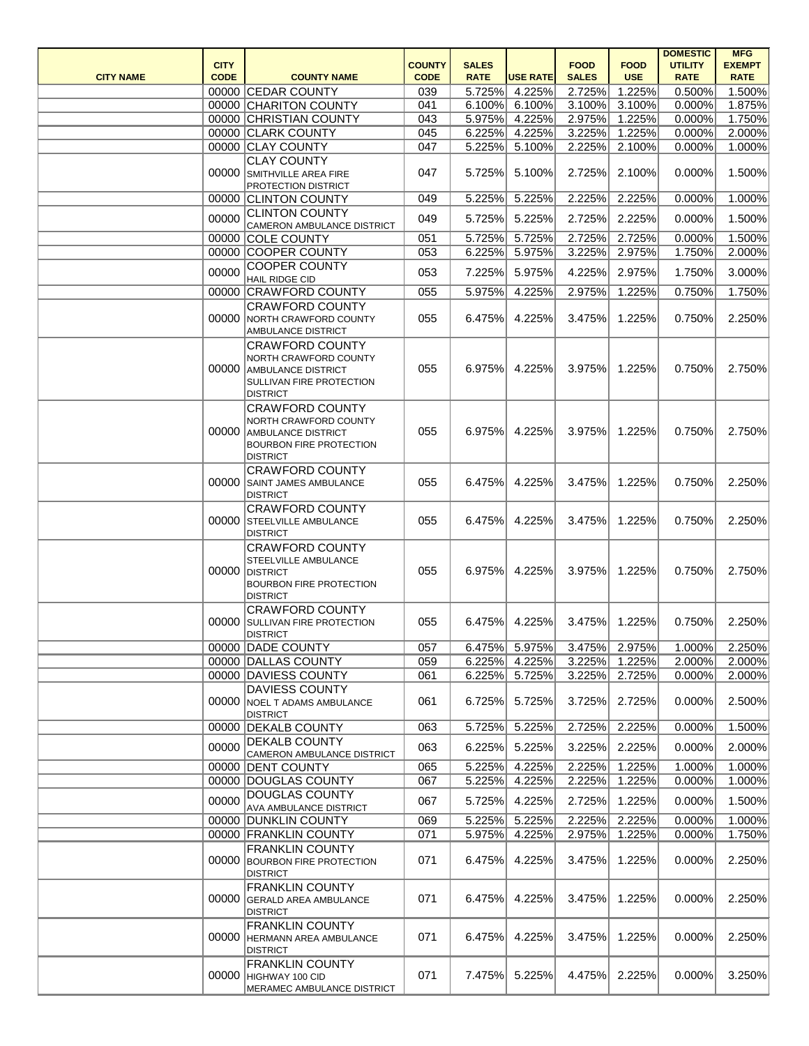|                  |             |                                                                                                                                                      |               |                  |                  |                  |                  | <b>DOMESTIC</b>  | <b>MFG</b>       |
|------------------|-------------|------------------------------------------------------------------------------------------------------------------------------------------------------|---------------|------------------|------------------|------------------|------------------|------------------|------------------|
|                  | <b>CITY</b> |                                                                                                                                                      | <b>COUNTY</b> | <b>SALES</b>     |                  | <b>FOOD</b>      | <b>FOOD</b>      | <b>UTILITY</b>   | <b>EXEMPT</b>    |
| <b>CITY NAME</b> | <b>CODE</b> | <b>COUNTY NAME</b>                                                                                                                                   | <b>CODE</b>   | <b>RATE</b>      | <b>USE RATE</b>  | <b>SALES</b>     | <b>USE</b>       | <b>RATE</b>      | <b>RATE</b>      |
|                  |             | 00000 CEDAR COUNTY                                                                                                                                   | 039           | 5.725%           | 4.225%           | 2.725%           | 1.225%           | 0.500%           | 1.500%           |
|                  |             | 00000 CHARITON COUNTY                                                                                                                                | 041           | 6.100%           | 6.100%           | 3.100%           | 3.100%           | 0.000%           | 1.875%           |
|                  |             | 00000 CHRISTIAN COUNTY                                                                                                                               | 043           | 5.975%           | 4.225%           | 2.975%           | 1.225%           | 0.000%           | 1.750%           |
|                  |             | 00000 CLARK COUNTY                                                                                                                                   | 045           | 6.225%           | 4.225%           | 3.225%           | 1.225%           | 0.000%           | 2.000%           |
|                  |             | 00000 CLAY COUNTY                                                                                                                                    | 047           | 5.225%           | 5.100%           | 2.225%           | 2.100%           | 0.000%           | 1.000%           |
|                  | 00000       | <b>CLAY COUNTY</b><br>SMITHVILLE AREA FIRE<br>PROTECTION DISTRICT                                                                                    | 047           | 5.725%           | 5.100%           | 2.725%           | 2.100%           | 0.000%           | 1.500%           |
|                  |             | 00000 CLINTON COUNTY                                                                                                                                 | 049           | 5.225%           | 5.225%           | 2.225%           | 2.225%           | 0.000%           | 1.000%           |
|                  | 00000       | <b>CLINTON COUNTY</b><br>CAMERON AMBULANCE DISTRICT                                                                                                  | 049           | 5.725%           | 5.225%           | 2.725%           | 2.225%           | 0.000%           | 1.500%           |
|                  |             | 00000 COLE COUNTY                                                                                                                                    | 051           | 5.725%           | 5.725%           | 2.725%           | 2.725%           | 0.000%           | 1.500%           |
|                  |             | 00000 COOPER COUNTY                                                                                                                                  | 053           | 6.225%           | 5.975%           | 3.225%           | 2.975%           | 1.750%           | 2.000%           |
|                  | 00000       | <b>COOPER COUNTY</b><br><b>HAIL RIDGE CID</b>                                                                                                        | 053           | 7.225%           | 5.975%           | 4.225%           | 2.975%           | 1.750%           | 3.000%           |
|                  |             | 00000 CRAWFORD COUNTY                                                                                                                                | 055           | 5.975%           | 4.225%           | 2.975%           | 1.225%           | 0.750%           | 1.750%           |
|                  | 00000       | <b>CRAWFORD COUNTY</b><br>NORTH CRAWFORD COUNTY<br>AMBULANCE DISTRICT                                                                                | 055           | 6.475%           | 4.225%           | 3.475%           | 1.225%           | 0.750%           | 2.250%           |
|                  | 00000       | <b>CRAWFORD COUNTY</b><br>NORTH CRAWFORD COUNTY<br><b>AMBULANCE DISTRICT</b><br>SULLIVAN FIRE PROTECTION                                             | 055           | 6.975%           | 4.225%           | 3.975%           | 1.225%           | 0.750%           | 2.750%           |
|                  | 00000       | <b>DISTRICT</b><br><b>CRAWFORD COUNTY</b><br>NORTH CRAWFORD COUNTY<br><b>AMBULANCE DISTRICT</b><br><b>BOURBON FIRE PROTECTION</b><br><b>DISTRICT</b> | 055           | 6.975%           | 4.225%           | 3.975%           | 1.225%           | 0.750%           | 2.750%           |
|                  | 00000       | <b>CRAWFORD COUNTY</b><br>SAINT JAMES AMBULANCE<br><b>DISTRICT</b>                                                                                   | 055           | 6.475%           | 4.225%           | 3.475%           | 1.225%           | 0.750%           | 2.250%           |
|                  | 00000       | <b>CRAWFORD COUNTY</b><br><b>STEELVILLE AMBULANCE</b><br><b>DISTRICT</b>                                                                             | 055           | 6.475%           | 4.225%           | 3.475%           | 1.225%           | 0.750%           | 2.250%           |
|                  | 00000       | <b>CRAWFORD COUNTY</b><br><b>STEELVILLE AMBULANCE</b><br><b>DISTRICT</b><br><b>BOURBON FIRE PROTECTION</b><br><b>DISTRICT</b>                        | 055           | 6.975%           | 4.225%           | 3.975%           | 1.225%           | 0.750%           | 2.750%           |
|                  | 00000       | <b>CRAWFORD COUNTY</b><br><b>SULLIVAN FIRE PROTECTION</b><br><b>DISTRICT</b>                                                                         | 055           | 6.475%           | 4.225%           | 3.475%           | 1.225%           | 0.750%           | 2.250%           |
|                  |             | 00000 DADE COUNTY                                                                                                                                    | 057           | 6.475%           | 5.975%           | 3.475%           | 2.975%           | 1.000%           | 2.250%           |
|                  |             | 00000 DALLAS COUNTY                                                                                                                                  | 059           | 6.225%           | 4.225%           | 3.225%           | 1.225%           | 2.000%           | 2.000%           |
|                  |             | 00000 DAVIESS COUNTY<br><b>DAVIESS COUNTY</b><br>00000 NOEL T ADAMS AMBULANCE<br><b>DISTRICT</b>                                                     | 061<br>061    | 6.225%<br>6.725% | 5.725%<br>5.725% | 3.225%<br>3.725% | 2.725%<br>2.725% | 0.000%<br>0.000% | 2.000%<br>2.500% |
|                  |             | 00000 DEKALB COUNTY                                                                                                                                  | 063           | 5.725%           | 5.225%           | 2.725%           | 2.225%           | 0.000%           | 1.500%           |
|                  | 00000       | <b>DEKALB COUNTY</b><br>CAMERON AMBULANCE DISTRICT                                                                                                   | 063           | 6.225%           | 5.225%           | 3.225%           | 2.225%           | 0.000%           | 2.000%           |
|                  |             | 00000 DENT COUNTY                                                                                                                                    | 065           | 5.225%           | 4.225%           | 2.225%           | 1.225%           | 1.000%           | 1.000%           |
|                  |             | 00000 DOUGLAS COUNTY                                                                                                                                 | 067           | 5.225%           | 4.225%           | 2.225%           | 1.225%           | 0.000%           | 1.000%           |
|                  | 00000       | <b>DOUGLAS COUNTY</b><br>AVA AMBULANCE DISTRICT                                                                                                      | 067           | 5.725%           | 4.225%           | 2.725%           | 1.225%           | 0.000%           | 1.500%           |
|                  |             | 00000 DUNKLIN COUNTY                                                                                                                                 | 069           | 5.225%           | 5.225%           | 2.225%           | 2.225%           | 0.000%           | 1.000%           |
|                  |             | 00000 FRANKLIN COUNTY                                                                                                                                | 071           | 5.975%           | 4.225%           | 2.975%           | 1.225%           | 0.000%           | 1.750%           |
|                  |             | <b>FRANKLIN COUNTY</b><br>00000 BOURBON FIRE PROTECTION<br><b>DISTRICT</b>                                                                           | 071           | 6.475%           | 4.225%           | 3.475%           | 1.225%           | 0.000%           | 2.250%           |
|                  | 00000       | <b>FRANKLIN COUNTY</b><br><b>GERALD AREA AMBULANCE</b><br><b>DISTRICT</b>                                                                            | 071           | 6.475%           | 4.225%           | 3.475%           | 1.225%           | 0.000%           | 2.250%           |
|                  |             | <b>FRANKLIN COUNTY</b><br>00000 HERMANN AREA AMBULANCE<br><b>DISTRICT</b>                                                                            | 071           | 6.475%           | 4.225%           | 3.475%           | 1.225%           | 0.000%           | 2.250%           |
|                  |             | <b>FRANKLIN COUNTY</b><br>00000 HIGHWAY 100 CID<br>MERAMEC AMBULANCE DISTRICT                                                                        | 071           | 7.475%           | 5.225%           | 4.475%           | 2.225%           | 0.000%           | 3.250%           |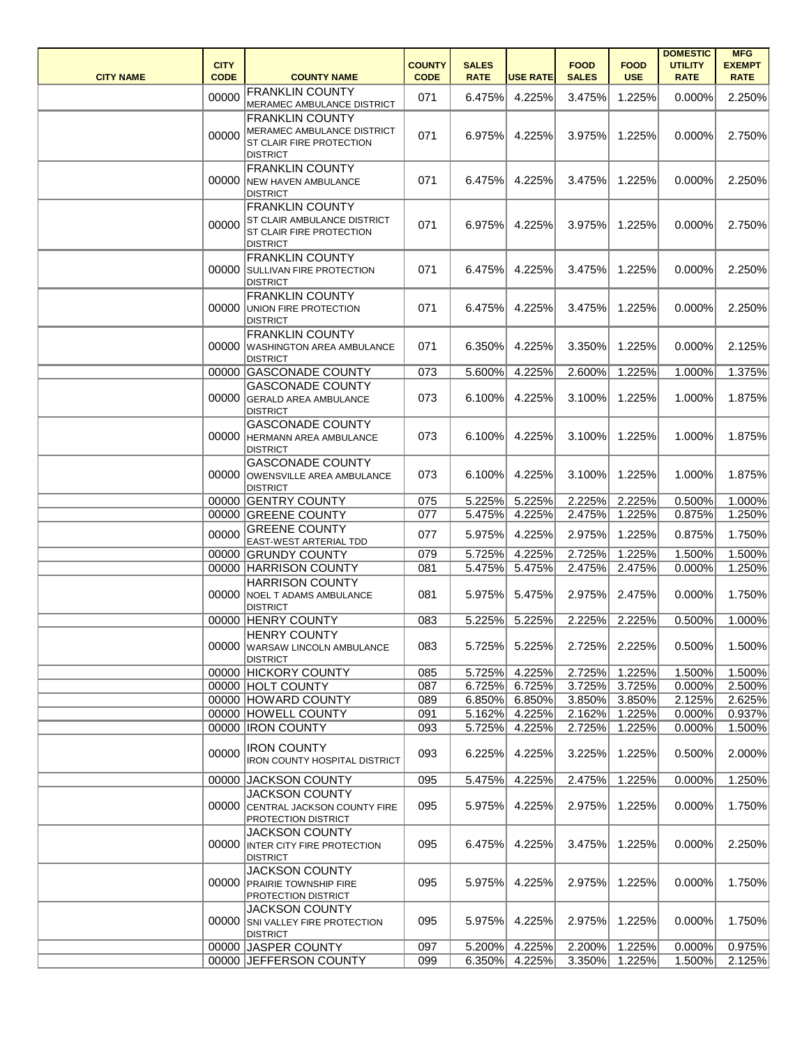| <b>CITY NAME</b> | <b>CITY</b><br><b>CODE</b> | <b>COUNTY NAME</b>                                                                                                 | <b>COUNTY</b><br><b>CODE</b> | <b>SALES</b><br><b>RATE</b> | <b>USE RATE</b>  | <b>FOOD</b><br><b>SALES</b> | <b>FOOD</b><br><b>USE</b> | <b>DOMESTIC</b><br><b>UTILITY</b><br><b>RATE</b> | <b>MFG</b><br><b>EXEMPT</b><br><b>RATE</b> |
|------------------|----------------------------|--------------------------------------------------------------------------------------------------------------------|------------------------------|-----------------------------|------------------|-----------------------------|---------------------------|--------------------------------------------------|--------------------------------------------|
|                  | 00000                      | <b>FRANKLIN COUNTY</b><br>MERAMEC AMBULANCE DISTRICT                                                               | 071                          | 6.475%                      | 4.225%           | 3.475%                      | 1.225%                    | 0.000%                                           | 2.250%                                     |
|                  | 00000                      | <b>FRANKLIN COUNTY</b><br>MERAMEC AMBULANCE DISTRICT<br><b>ST CLAIR FIRE PROTECTION</b><br><b>DISTRICT</b>         | 071                          | 6.975%                      | 4.225%           | 3.975%                      | 1.225%                    | 0.000%                                           | 2.750%                                     |
|                  | 00000                      | <b>FRANKLIN COUNTY</b><br><b>NEW HAVEN AMBULANCE</b><br><b>DISTRICT</b>                                            | 071                          | 6.475%                      | 4.225%           | 3.475%                      | 1.225%                    | 0.000%                                           | 2.250%                                     |
|                  | 00000                      | <b>FRANKLIN COUNTY</b><br><b>ST CLAIR AMBULANCE DISTRICT</b><br><b>ST CLAIR FIRE PROTECTION</b><br><b>DISTRICT</b> | 071                          | 6.975%                      | 4.225%           | 3.975%                      | 1.225%                    | 0.000%                                           | 2.750%                                     |
|                  |                            | <b>FRANKLIN COUNTY</b><br>00000 SULLIVAN FIRE PROTECTION<br><b>DISTRICT</b>                                        | 071                          | 6.475%                      | 4.225%           | 3.475%                      | 1.225%                    | 0.000%                                           | 2.250%                                     |
|                  | 00000                      | <b>FRANKLIN COUNTY</b><br><b>UNION FIRE PROTECTION</b><br><b>DISTRICT</b>                                          | 071                          | 6.475%                      | 4.225%           | 3.475%                      | 1.225%                    | 0.000%                                           | 2.250%                                     |
|                  | 00000                      | <b>FRANKLIN COUNTY</b><br><b>WASHINGTON AREA AMBULANCE</b><br><b>DISTRICT</b>                                      | 071                          | 6.350%                      | 4.225%           | 3.350%                      | 1.225%                    | 0.000%                                           | 2.125%                                     |
|                  | 00000                      | <b>GASCONADE COUNTY</b>                                                                                            | 073                          | 5.600%                      | 4.225%           | 2.600%                      | 1.225%                    | 1.000%                                           | 1.375%                                     |
|                  | 00000                      | <b>GASCONADE COUNTY</b><br><b>GERALD AREA AMBULANCE</b><br><b>DISTRICT</b>                                         | 073                          | 6.100%                      | 4.225%           | 3.100%                      | 1.225%                    | 1.000%                                           | 1.875%                                     |
|                  | 00000                      | <b>GASCONADE COUNTY</b><br>HERMANN AREA AMBULANCE<br><b>DISTRICT</b>                                               | 073                          | 6.100%                      | 4.225%           | 3.100%                      | 1.225%                    | 1.000%                                           | 1.875%                                     |
|                  | 00000                      | <b>GASCONADE COUNTY</b><br>OWENSVILLE AREA AMBULANCE<br><b>DISTRICT</b>                                            | 073                          | 6.100%                      | 4.225%           | 3.100%                      | 1.225%                    | 1.000%                                           | 1.875%                                     |
|                  |                            | 00000 GENTRY COUNTY                                                                                                | 075                          | 5.225%                      | 5.225%           | 2.225%                      | 2.225%                    | 0.500%                                           | 1.000%                                     |
|                  |                            | 00000 GREENE COUNTY                                                                                                | 077                          | 5.475%                      | 4.225%           | 2.475%                      | 1.225%                    | 0.875%                                           | 1.250%                                     |
|                  | 00000                      | <b>GREENE COUNTY</b><br><b>EAST-WEST ARTERIAL TDD</b>                                                              | 077                          | 5.975%                      | 4.225%           | 2.975%                      | 1.225%                    | 0.875%                                           | 1.750%                                     |
|                  |                            | 00000 GRUNDY COUNTY                                                                                                | 079                          |                             | 5.725% 4.225%    |                             | 2.725% 1.225%             | 1.500%                                           | 1.500%                                     |
|                  |                            | 00000 HARRISON COUNTY                                                                                              | 081                          | 5.475%                      | 5.475%           | 2.475%                      | 2.475%                    | 0.000%                                           | 1.250%                                     |
|                  |                            | <b>HARRISON COUNTY</b><br>00000 NOEL T ADAMS AMBULANCE<br><b>DISTRICT</b>                                          | 081                          | 5.975%                      | 5.475%           | 2.975%                      | 2.475%                    | 0.000%                                           | 1.750%                                     |
|                  |                            | 00000 HENRY COUNTY                                                                                                 | 083                          | 5.225%                      | 5.225%           | 2.225%                      | 2.225%                    | 0.500%                                           | 1.000%                                     |
|                  | 00000                      | <b>HENRY COUNTY</b><br><b>WARSAW LINCOLN AMBULANCE</b><br><b>DISTRICT</b>                                          | 083                          | 5.725%                      | 5.225%           | 2.725%                      | 2.225%                    | 0.500%                                           | 1.500%                                     |
|                  |                            | 00000 HICKORY COUNTY                                                                                               | 085                          | 5.725%                      | 4.225%           | 2.725%                      | 1.225%                    | 1.500%                                           | 1.500%                                     |
|                  |                            | 00000 HOLT COUNTY                                                                                                  | 087                          | 6.725%                      | 6.725%           | 3.725%                      | 3.725%                    | 0.000%                                           | 2.500%                                     |
|                  |                            | 00000 HOWARD COUNTY<br>00000 HOWELL COUNTY                                                                         | 089<br>091                   | 6.850%<br>5.162%            | 6.850%<br>4.225% | 3.850%<br>2.162%            | 3.850%<br>1.225%          | 2.125%<br>0.000%                                 | 2.625%<br>0.937%                           |
|                  |                            | 00000 IRON COUNTY                                                                                                  | 093                          | 5.725%                      | 4.225%           | 2.725%                      | 1.225%                    | 0.000%                                           | 1.500%                                     |
|                  | 00000                      | <b>IRON COUNTY</b><br><b>IRON COUNTY HOSPITAL DISTRICT</b>                                                         | 093                          | 6.225%                      | 4.225%           | 3.225%                      | 1.225%                    | 0.500%                                           | 2.000%                                     |
|                  |                            | 00000 JACKSON COUNTY                                                                                               | 095                          | 5.475%                      | 4.225%           | 2.475%                      | 1.225%                    | 0.000%                                           | 1.250%                                     |
|                  | 00000                      | <b>JACKSON COUNTY</b><br>CENTRAL JACKSON COUNTY FIRE<br><b>PROTECTION DISTRICT</b>                                 | 095                          | 5.975%                      | 4.225%           | 2.975%                      | 1.225%                    | 0.000%                                           | 1.750%                                     |
|                  | 00000                      | <b>JACKSON COUNTY</b><br>INTER CITY FIRE PROTECTION<br><b>DISTRICT</b>                                             | 095                          | 6.475%                      | 4.225%           | 3.475%                      | 1.225%                    | 0.000%                                           | 2.250%                                     |
|                  |                            | <b>JACKSON COUNTY</b><br>00000 PRAIRIE TOWNSHIP FIRE<br><b>PROTECTION DISTRICT</b>                                 | 095                          | 5.975%                      | 4.225%           | 2.975%                      | 1.225%                    | 0.000%                                           | 1.750%                                     |
|                  | 00000                      | <b>JACKSON COUNTY</b><br>SNI VALLEY FIRE PROTECTION<br><b>DISTRICT</b>                                             | 095                          | 5.975%                      | 4.225%           | 2.975%                      | 1.225%                    | 0.000%                                           | 1.750%                                     |
|                  |                            | 00000 JASPER COUNTY                                                                                                | 097                          | 5.200%                      | 4.225%           | 2.200%                      | 1.225%                    | 0.000%                                           | $\overline{0.975\%}$                       |
|                  |                            | 00000 JEFFERSON COUNTY                                                                                             | 099                          | 6.350%                      | 4.225%           | 3.350%                      | 1.225%                    | 1.500%                                           | 2.125%                                     |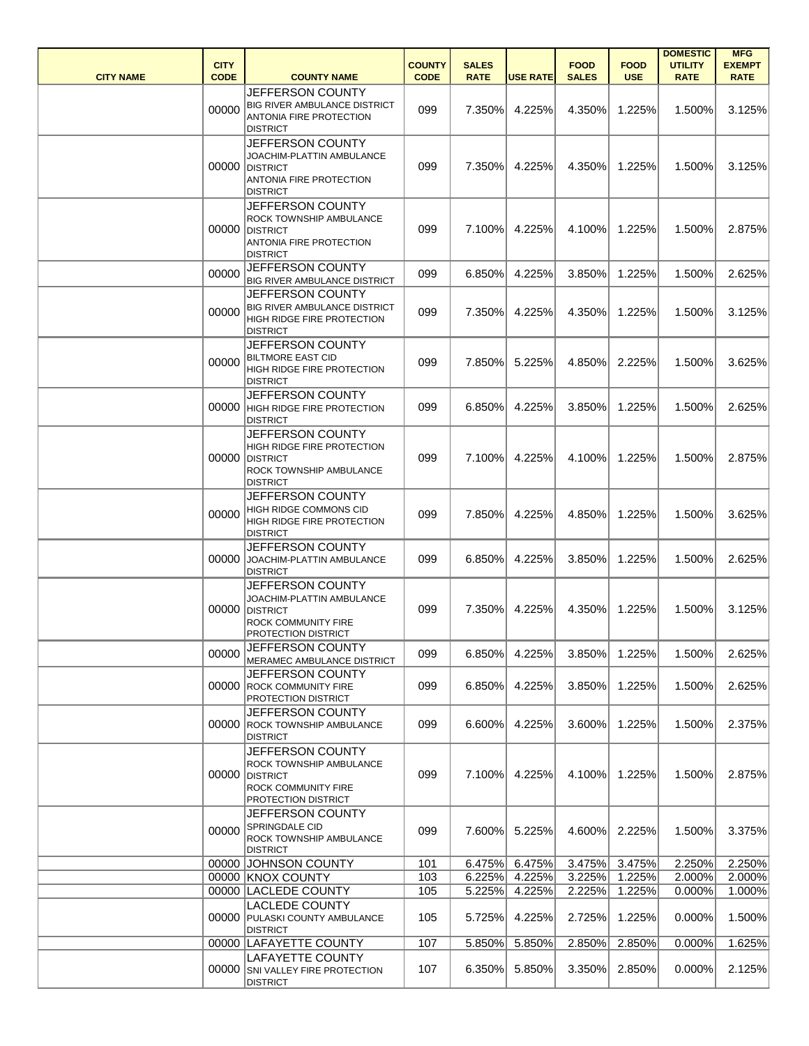| <b>CITY NAME</b> | <b>CITY</b><br><b>CODE</b> | <b>COUNTY NAME</b>                                                                                                          | <b>COUNTY</b><br><b>CODE</b> | <b>SALES</b><br><b>RATE</b> | <b>USE RATE</b>  | <b>FOOD</b><br><b>SALES</b> | <b>FOOD</b><br><b>USE</b> | <b>DOMESTIC</b><br><b>UTILITY</b><br><b>RATE</b> | <b>MFG</b><br><b>EXEMPT</b><br><b>RATE</b> |
|------------------|----------------------------|-----------------------------------------------------------------------------------------------------------------------------|------------------------------|-----------------------------|------------------|-----------------------------|---------------------------|--------------------------------------------------|--------------------------------------------|
|                  | 00000                      | <b>JEFFERSON COUNTY</b><br>BIG RIVER AMBULANCE DISTRICT<br><b>ANTONIA FIRE PROTECTION</b><br><b>DISTRICT</b>                | 099                          | 7.350%                      | 4.225%           | 4.350%                      | 1.225%                    | 1.500%                                           | 3.125%                                     |
|                  |                            | JEFFERSON COUNTY<br>JOACHIM-PLATTIN AMBULANCE<br>00000 DISTRICT<br><b>ANTONIA FIRE PROTECTION</b><br><b>DISTRICT</b>        | 099                          | 7.350%                      | 4.225%           | 4.350%                      | 1.225%                    | 1.500%                                           | 3.125%                                     |
|                  |                            | JEFFERSON COUNTY<br>ROCK TOWNSHIP AMBULANCE<br>00000 DISTRICT<br>ANTONIA FIRE PROTECTION<br><b>DISTRICT</b>                 | 099                          | 7.100%                      | 4.225%           | 4.100%                      | 1.225%                    | 1.500%                                           | 2.875%                                     |
|                  | 00000                      | JEFFERSON COUNTY<br><b>BIG RIVER AMBULANCE DISTRICT</b>                                                                     | 099                          | 6.850%                      | 4.225%           | 3.850%                      | 1.225%                    | 1.500%                                           | 2.625%                                     |
|                  | 00000                      | <b>JEFFERSON COUNTY</b><br><b>BIG RIVER AMBULANCE DISTRICT</b><br><b>HIGH RIDGE FIRE PROTECTION</b><br><b>DISTRICT</b>      | 099                          | 7.350%                      | 4.225%           | 4.350%                      | 1.225%                    | 1.500%                                           | 3.125%                                     |
|                  | 00000                      | JEFFERSON COUNTY<br><b>BILTMORE EAST CID</b><br>HIGH RIDGE FIRE PROTECTION<br><b>DISTRICT</b>                               | 099                          | 7.850%                      | 5.225%           | 4.850%                      | 2.225%                    | 1.500%                                           | 3.625%                                     |
|                  | 00000                      | JEFFERSON COUNTY<br><b>HIGH RIDGE FIRE PROTECTION</b><br><b>DISTRICT</b>                                                    | 099                          | 6.850%                      | 4.225%           | 3.850%                      | 1.225%                    | 1.500%                                           | 2.625%                                     |
|                  |                            | JEFFERSON COUNTY<br>HIGH RIDGE FIRE PROTECTION<br>00000 DISTRICT<br>ROCK TOWNSHIP AMBULANCE<br><b>DISTRICT</b>              | 099                          | 7.100%                      | 4.225%           | 4.100%                      | 1.225%                    | 1.500%                                           | 2.875%                                     |
|                  | 00000                      | <b>JEFFERSON COUNTY</b><br>HIGH RIDGE COMMONS CID<br>HIGH RIDGE FIRE PROTECTION<br><b>DISTRICT</b>                          | 099                          | 7.850%                      | 4.225%           | 4.850%                      | 1.225%                    | 1.500%                                           | 3.625%                                     |
|                  |                            | JEFFERSON COUNTY<br>00000 JOACHIM-PLATTIN AMBULANCE<br><b>DISTRICT</b>                                                      | 099                          | $6.850\%$                   | 4.225%           |                             | 3.850% 1.225%             | $1.500\%$                                        | 2.625%                                     |
|                  |                            | JEFFERSON COUNTY<br>JOACHIM-PLATTIN AMBULANCE<br>00000 DISTRICT<br><b>ROCK COMMUNITY FIRE</b><br><b>PROTECTION DISTRICT</b> | 099                          | 7.350%                      | 4.225%           | 4.350%                      | 1.225%                    | 1.500%                                           | 3.125%                                     |
|                  | 00000                      | JEFFERSON COUNTY<br>MERAMEC AMBULANCE DISTRICT                                                                              | 099                          | 6.850%                      | 4.225%           | 3.850%                      | 1.225%                    | 1.500%                                           | 2.625%                                     |
|                  |                            | JEFFERSON COUNTY<br>00000 ROCK COMMUNITY FIRE<br><b>PROTECTION DISTRICT</b>                                                 | 099                          | 6.850%                      | 4.225%           | 3.850%                      | 1.225%                    | 1.500%                                           | 2.625%                                     |
|                  |                            | JEFFERSON COUNTY<br>00000 ROCK TOWNSHIP AMBULANCE<br><b>DISTRICT</b>                                                        | 099                          | 6.600%                      | 4.225%           | 3.600%                      | 1.225%                    | 1.500%                                           | 2.375%                                     |
|                  |                            | JEFFERSON COUNTY<br>ROCK TOWNSHIP AMBULANCE<br>00000 DISTRICT<br><b>ROCK COMMUNITY FIRE</b><br>PROTECTION DISTRICT          | 099                          | 7.100%                      | 4.225%           | 4.100%                      | 1.225%                    | 1.500%                                           | 2.875%                                     |
|                  | 00000                      | JEFFERSON COUNTY<br>SPRINGDALE CID<br>ROCK TOWNSHIP AMBULANCE<br><b>DISTRICT</b>                                            | 099                          | 7.600%                      | 5.225%           | 4.600%                      | 2.225%                    | 1.500%                                           | 3.375%                                     |
|                  |                            | 00000 JOHNSON COUNTY                                                                                                        | 101                          | 6.475%                      | 6.475%           | 3.475%                      | 3.475%                    | 2.250%                                           | 2.250%                                     |
|                  |                            | 00000 KNOX COUNTY<br>00000 LACLEDE COUNTY                                                                                   | 103<br>105                   | 6.225%<br>5.225%            | 4.225%<br>4.225% | 3.225%<br>2.225%            | 1.225%<br>1.225%          | 2.000%<br>0.000%                                 | 2.000%<br>1.000%                           |
|                  |                            | <b>LACLEDE COUNTY</b><br>00000 PULASKI COUNTY AMBULANCE<br><b>DISTRICT</b>                                                  | 105                          | 5.725%                      | 4.225%           | 2.725%                      | 1.225%                    | 0.000%                                           | 1.500%                                     |
|                  |                            | 00000 LAFAYETTE COUNTY                                                                                                      | 107                          | 5.850%                      | 5.850%           | 2.850%                      | 2.850%                    | 0.000%                                           | 1.625%                                     |
|                  |                            | <b>LAFAYETTE COUNTY</b><br>00000 SNI VALLEY FIRE PROTECTION<br><b>DISTRICT</b>                                              | 107                          | 6.350%                      | 5.850%           | 3.350%                      | 2.850%                    | 0.000%                                           | 2.125%                                     |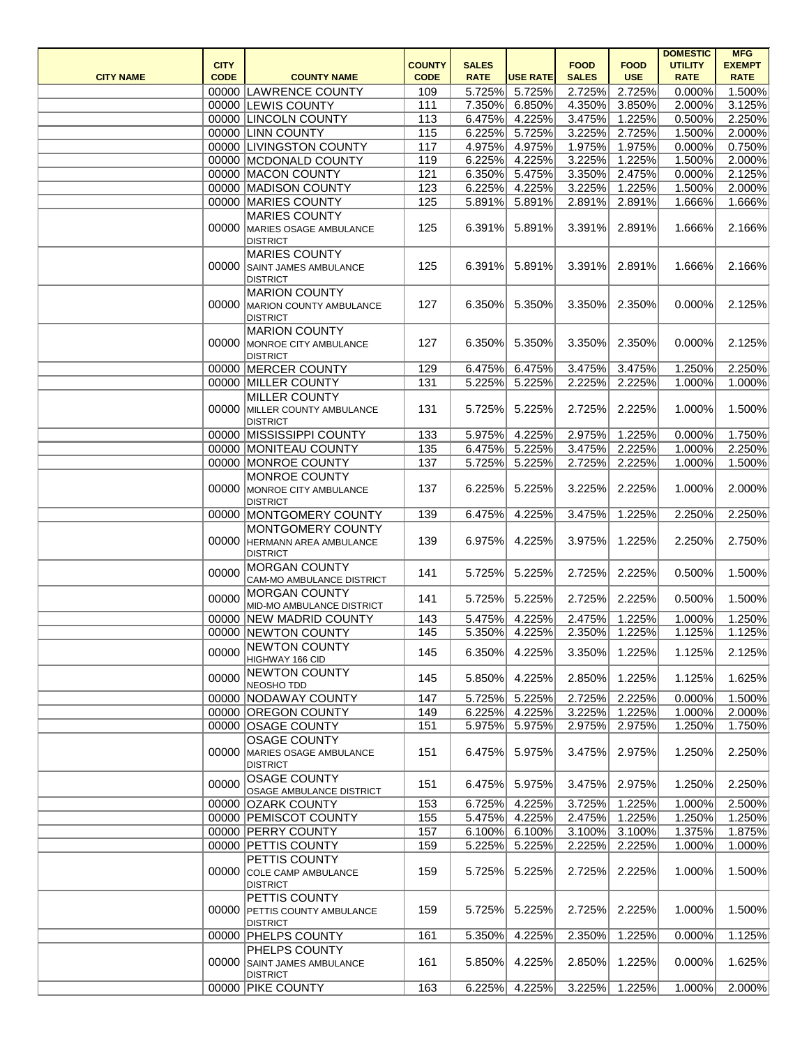| <b>CITY NAME</b> | <b>CITY</b><br><b>CODE</b> | <b>COUNTY NAME</b>                                                       | <b>COUNTY</b><br><b>CODE</b> | <b>SALES</b><br><b>RATE</b> | <b>USE RATE</b> | <b>FOOD</b><br><b>SALES</b> | <b>FOOD</b><br><b>USE</b> | <b>DOMESTIC</b><br><b>UTILITY</b><br><b>RATE</b> | <b>MFG</b><br><b>EXEMPT</b><br><b>RATE</b> |
|------------------|----------------------------|--------------------------------------------------------------------------|------------------------------|-----------------------------|-----------------|-----------------------------|---------------------------|--------------------------------------------------|--------------------------------------------|
|                  |                            | 00000 LAWRENCE COUNTY                                                    | 109                          | 5.725%                      | 5.725%          | 2.725%                      | 2.725%                    | 0.000%                                           | 1.500%                                     |
|                  |                            | 00000 LEWIS COUNTY                                                       | 111                          | 7.350%                      | 6.850%          | 4.350%                      | 3.850%                    | 2.000%                                           | 3.125%                                     |
|                  |                            | 00000 LINCOLN COUNTY                                                     | 113                          | 6.475%                      | 4.225%          | 3.475%                      | 1.225%                    | 0.500%                                           | 2.250%                                     |
|                  |                            | 00000 LINN COUNTY                                                        | 115                          | 6.225%                      | 5.725%          | 3.225%                      | 2.725%                    | 1.500%                                           | 2.000%                                     |
|                  |                            | 00000 LIVINGSTON COUNTY                                                  | 117                          | 4.975%                      | 4.975%          | 1.975%                      | 1.975%                    | 0.000%                                           | 0.750%                                     |
|                  |                            | 00000 MCDONALD COUNTY                                                    | 119                          | 6.225%                      | 4.225%          | 3.225%                      | 1.225%                    | 1.500%                                           | 2.000%                                     |
|                  |                            | 00000 MACON COUNTY                                                       | 121                          | 6.350%                      | 5.475%          | 3.350%                      | 2.475%                    | 0.000%                                           | 2.125%                                     |
|                  |                            | 00000 MADISON COUNTY                                                     | 123                          | 6.225%                      | 4.225%          | 3.225%                      | 1.225%                    | 1.500%                                           | 2.000%                                     |
|                  |                            | 00000 MARIES COUNTY                                                      | 125                          | 5.891%                      | 5.891%          | 2.891%                      | 2.891%                    | 1.666%                                           | 1.666%                                     |
|                  |                            | <b>MARIES COUNTY</b><br>00000 MARIES OSAGE AMBULANCE<br><b>DISTRICT</b>  | 125                          | 6.391%                      | 5.891%          | 3.391%                      | 2.891%                    | 1.666%                                           | 2.166%                                     |
|                  |                            | <b>MARIES COUNTY</b><br>00000 SAINT JAMES AMBULANCE<br><b>DISTRICT</b>   | 125                          | 6.391%                      | 5.891%          | 3.391%                      | 2.891%                    | 1.666%                                           | 2.166%                                     |
|                  |                            | <b>MARION COUNTY</b><br>00000 MARION COUNTY AMBULANCE<br><b>DISTRICT</b> | 127                          | 6.350%                      | 5.350%          | 3.350%                      | 2.350%                    | 0.000%                                           | 2.125%                                     |
|                  |                            | <b>MARION COUNTY</b><br>00000 MONROE CITY AMBULANCE<br><b>DISTRICT</b>   | 127                          | 6.350%                      | 5.350%          | 3.350%                      | 2.350%                    | 0.000%                                           | 2.125%                                     |
|                  |                            | 00000 MERCER COUNTY                                                      | 129                          | 6.475%                      | 6.475%          | 3.475%                      | 3.475%                    | 1.250%                                           | 2.250%                                     |
|                  |                            | 00000 MILLER COUNTY                                                      | 131                          | 5.225%                      | 5.225%          | 2.225%                      | 2.225%                    | 1.000%                                           | 1.000%                                     |
|                  |                            | <b>MILLER COUNTY</b><br>00000 MILLER COUNTY AMBULANCE<br><b>DISTRICT</b> | 131                          | 5.725%                      | 5.225%          | 2.725%                      | 2.225%                    | 1.000%                                           | 1.500%                                     |
|                  |                            | 00000 MISSISSIPPI COUNTY                                                 | 133                          | 5.975%                      | 4.225%          | 2.975%                      | 1.225%                    | 0.000%                                           | 1.750%                                     |
|                  |                            | 00000 MONITEAU COUNTY                                                    | 135                          | 6.475%                      | 5.225%          | 3.475%                      | 2.225%                    | 1.000%                                           | 2.250%                                     |
|                  |                            | 00000 MONROE COUNTY                                                      | 137                          | 5.725%                      | 5.225%          | 2.725%                      | 2.225%                    | 1.000%                                           | 1.500%                                     |
|                  |                            | MONROE COUNTY<br>00000 MONROE CITY AMBULANCE<br><b>DISTRICT</b>          | 137                          | 6.225%                      | 5.225%          | 3.225%                      | 2.225%                    | 1.000%                                           | 2.000%                                     |
|                  |                            | 00000 MONTGOMERY COUNTY                                                  | 139                          | 6.475%                      | 4.225%          | 3.475%                      | 1.225%                    | 2.250%                                           | 2.250%                                     |
|                  |                            | MONTGOMERY COUNTY<br>00000 HERMANN AREA AMBULANCE<br><b>DISTRICT</b>     | 139                          | 6.975%                      | 4.225%          | 3.975%                      | 1.225%                    | 2.250%                                           | 2.750%                                     |
|                  | 00000                      | <b>MORGAN COUNTY</b><br>CAM-MO AMBULANCE DISTRICT                        | 141                          | 5.725%                      | 5.225%          | 2.725%                      | 2.225%                    | 0.500%                                           | 1.500%                                     |
|                  | 00000                      | <b>MORGAN COUNTY</b><br>MID-MO AMBULANCE DISTRICT                        | 141                          | 5.725%                      | 5.225%          | 2.725%                      | 2.225%                    | 0.500%                                           | 1.500%                                     |
|                  |                            | 00000 NEW MADRID COUNTY                                                  | 143                          | 5.475%                      | 4.225%          | 2.475%                      | 1.225%                    | 1.000%                                           | 1.250%                                     |
|                  |                            | 00000 NEWTON COUNTY                                                      | 145                          | 5.350%                      | 4.225%          | 2.350%                      | 1.225%                    | 1.125%                                           | 1.125%                                     |
|                  | 00000                      | <b>NEWTON COUNTY</b><br>HIGHWAY 166 CID<br><b>NEWTON COUNTY</b>          | 145                          | 6.350%                      | 4.225%          | 3.350%                      | 1.225%                    | 1.125%                                           | 2.125%                                     |
|                  | 00000                      | NEOSHO TDD                                                               | 145                          | 5.850%                      | 4.225%          | 2.850%                      | 1.225%                    | 1.125%                                           | 1.625%                                     |
|                  |                            | 00000 NODAWAY COUNTY                                                     | 147                          | 5.725%                      | 5.225%          | 2.725%                      | 2.225%                    | 0.000%                                           | 1.500%                                     |
|                  |                            | 00000 OREGON COUNTY                                                      | 149                          | 6.225%                      | 4.225%          | 3.225%                      | 1.225%                    | 1.000%                                           | 2.000%                                     |
|                  |                            | 00000 OSAGE COUNTY                                                       | 151                          | 5.975%                      | 5.975%          | 2.975%                      | 2.975%                    | 1.250%                                           | 1.750%                                     |
|                  |                            | <b>OSAGE COUNTY</b><br>00000 MARIES OSAGE AMBULANCE<br><b>DISTRICT</b>   | 151                          | 6.475%                      | 5.975%          | 3.475%                      | 2.975%                    | 1.250%                                           | 2.250%                                     |
|                  | 00000                      | <b>OSAGE COUNTY</b><br>OSAGE AMBULANCE DISTRICT                          | 151                          | 6.475%                      | 5.975%          | 3.475%                      | 2.975%                    | 1.250%                                           | 2.250%                                     |
|                  |                            | 00000 OZARK COUNTY                                                       | 153                          | 6.725%                      | 4.225%          | 3.725%                      | 1.225%                    | 1.000%                                           | 2.500%                                     |
|                  |                            | 00000 PEMISCOT COUNTY                                                    | 155                          | 5.475%                      | 4.225%          | 2.475%                      | 1.225%                    | 1.250%                                           | 1.250%                                     |
|                  |                            | 00000 PERRY COUNTY                                                       | 157                          | $6.100\%$                   | 6.100%          | 3.100%                      | 3.100%                    | 1.375%                                           | 1.875%                                     |
|                  |                            | 00000 PETTIS COUNTY                                                      | 159                          | 5.225%                      | 5.225%          | 2.225%                      | 2.225%                    | 1.000%                                           | 1.000%                                     |
|                  |                            | PETTIS COUNTY<br>00000 COLE CAMP AMBULANCE<br><b>DISTRICT</b>            | 159                          | 5.725%                      | 5.225%          | 2.725%                      | 2.225%                    | 1.000%                                           | 1.500%                                     |
|                  |                            | PETTIS COUNTY<br>00000 PETTIS COUNTY AMBULANCE<br><b>DISTRICT</b>        | 159                          | 5.725%                      | 5.225%          | 2.725%                      | 2.225%                    | 1.000%                                           | 1.500%                                     |
|                  |                            | 00000 PHELPS COUNTY                                                      | 161                          | 5.350%                      | 4.225%          | 2.350%                      | 1.225%                    | 0.000%                                           | 1.125%                                     |
|                  | 00000                      | PHELPS COUNTY<br>SAINT JAMES AMBULANCE<br><b>DISTRICT</b>                | 161                          | 5.850%                      | 4.225%          | 2.850%                      | 1.225%                    | 0.000%                                           | 1.625%                                     |
|                  |                            | 00000 PIKE COUNTY                                                        | 163                          |                             | 6.225% 4.225%   | 3.225%                      | 1.225%                    | 1.000%                                           | 2.000%                                     |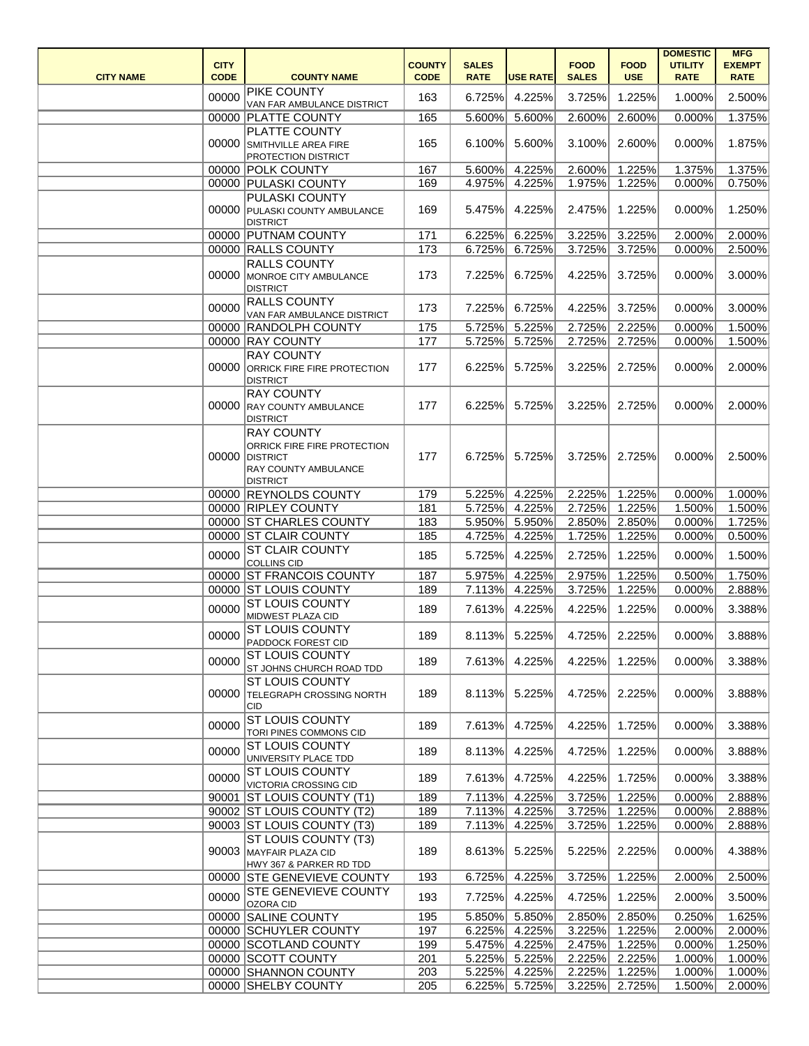| <b>CITY NAME</b> | <b>CITY</b><br><b>CODE</b> | <b>COUNTY NAME</b>                                                                                                     | <b>COUNTY</b><br><b>CODE</b> | <b>SALES</b><br><b>RATE</b> | <b>USE RATE</b> | <b>FOOD</b><br><b>SALES</b> | <b>FOOD</b><br><b>USE</b> | <b>DOMESTIC</b><br><b>UTILITY</b><br><b>RATE</b> | <b>MFG</b><br><b>EXEMPT</b><br><b>RATE</b> |
|------------------|----------------------------|------------------------------------------------------------------------------------------------------------------------|------------------------------|-----------------------------|-----------------|-----------------------------|---------------------------|--------------------------------------------------|--------------------------------------------|
|                  | 00000                      | <b>PIKE COUNTY</b><br>VAN FAR AMBULANCE DISTRICT                                                                       | 163                          | 6.725%                      | 4.225%          | 3.725%                      | 1.225%                    | 1.000%                                           | 2.500%                                     |
|                  |                            | 00000 PLATTE COUNTY                                                                                                    | 165                          | 5.600%                      | 5.600%          | 2.600%                      | 2.600%                    | 0.000%                                           | 1.375%                                     |
|                  | 00000                      | PLATTE COUNTY<br>SMITHVILLE AREA FIRE<br><b>PROTECTION DISTRICT</b>                                                    | 165                          | 6.100%                      | 5.600%          | 3.100%                      | 2.600%                    | 0.000%                                           | 1.875%                                     |
|                  |                            | 00000 POLK COUNTY                                                                                                      | 167                          | 5.600%                      | 4.225%          | 2.600%                      | 1.225%                    | 1.375%                                           | 1.375%                                     |
|                  |                            | 00000 PULASKI COUNTY                                                                                                   | 169                          | 4.975%                      | 4.225%          | 1.975%                      | 1.225%                    | 0.000%                                           | 0.750%                                     |
|                  | 00000                      | <b>PULASKI COUNTY</b><br><b>PULASKI COUNTY AMBULANCE</b><br><b>DISTRICT</b>                                            | 169                          | 5.475%                      | 4.225%          | 2.475%                      | 1.225%                    | 0.000%                                           | 1.250%                                     |
|                  |                            | 00000 PUTNAM COUNTY                                                                                                    | 171                          | 6.225%                      | 6.225%          | 3.225%                      | 3.225%                    | 2.000%                                           | 2.000%                                     |
|                  |                            | 00000 RALLS COUNTY                                                                                                     | 173                          | 6.725%                      | 6.725%          | 3.725%                      | 3.725%                    | 0.000%                                           | 2.500%                                     |
|                  |                            | <b>RALLS COUNTY</b><br>00000 MONROE CITY AMBULANCE<br><b>DISTRICT</b>                                                  | 173                          | 7.225%                      | 6.725%          | 4.225%                      | 3.725%                    | 0.000%                                           | 3.000%                                     |
|                  | 00000                      | <b>RALLS COUNTY</b>                                                                                                    | 173                          | 7.225%                      | 6.725%          | 4.225%                      | 3.725%                    | 0.000%                                           | 3.000%                                     |
|                  |                            | VAN FAR AMBULANCE DISTRICT                                                                                             |                              |                             |                 |                             |                           |                                                  |                                            |
|                  |                            | 00000 RANDOLPH COUNTY                                                                                                  | 175                          | 5.725%                      | 5.225%          | 2.725%                      | 2.225%                    | 0.000%                                           | 1.500%                                     |
|                  |                            | 00000 RAY COUNTY                                                                                                       | 177                          | 5.725%                      | 5.725%          | 2.725%                      | 2.725%                    | 0.000%                                           | 1.500%                                     |
|                  | 00000                      | <b>RAY COUNTY</b><br><b>ORRICK FIRE FIRE PROTECTION</b><br><b>DISTRICT</b>                                             | 177                          | 6.225%                      | 5.725%          | 3.225%                      | 2.725%                    | 0.000%                                           | 2.000%                                     |
|                  |                            | <b>RAY COUNTY</b><br>00000 RAY COUNTY AMBULANCE<br><b>DISTRICT</b>                                                     | 177                          | 6.225%                      | 5.725%          | 3.225%                      | 2.725%                    | 0.000%                                           | 2.000%                                     |
|                  | 00000                      | <b>RAY COUNTY</b><br>ORRICK FIRE FIRE PROTECTION<br><b>IDISTRICT</b><br><b>RAY COUNTY AMBULANCE</b><br><b>DISTRICT</b> | 177                          | 6.725%                      | 5.725%          | 3.725%                      | 2.725%                    | 0.000%                                           | 2.500%                                     |
|                  |                            | 00000 REYNOLDS COUNTY                                                                                                  | 179                          | 5.225%                      | 4.225%          | 2.225%                      | 1.225%                    | 0.000%                                           | 1.000%                                     |
|                  |                            | 00000 RIPLEY COUNTY                                                                                                    | 181                          | 5.725%                      | 4.225%          | 2.725%                      | 1.225%                    | 1.500%                                           | 1.500%                                     |
|                  |                            | 00000 ST CHARLES COUNTY                                                                                                | 183                          | 5.950%                      | 5.950%          | 2.850%                      | 2.850%                    | 0.000%                                           | 1.725%                                     |
|                  |                            | 00000 ST CLAIR COUNTY                                                                                                  | 185                          | 4.725%                      | 4.225%          | 1.725%                      | 1.225%                    | 0.000%                                           | 0.500%                                     |
|                  |                            | 00000 ST CLAIR COUNTY<br>COLLINS CID                                                                                   | 185                          | 5.725%                      | 4.225%          | 2.725%                      | 1.225%                    | 0.000%                                           | 1.500%                                     |
|                  | 00000                      | <b>ST FRANCOIS COUNTY</b>                                                                                              | 187                          | 5.975%                      | 4.225%          | 2.975%                      | 1.225%                    | 0.500%                                           | 1.750%                                     |
|                  |                            | 00000 ST LOUIS COUNTY                                                                                                  | 189                          | 7.113%                      | 4.225%          | 3.725%                      | 1.225%                    | 0.000%                                           | 2.888%                                     |
|                  | 00000                      | <b>ST LOUIS COUNTY</b><br>MIDWEST PLAZA CID                                                                            | 189                          | 7.613%                      | 4.225%          | 4.225%                      | 1.225%                    | 0.000%                                           | 3.388%                                     |
|                  | 00000                      | <b>ST LOUIS COUNTY</b><br>PADDOCK FOREST CID                                                                           | 189                          | 8.113%                      | 5.225%          | 4.725%                      | 2.225%                    | 0.000%                                           | 3.888%                                     |
|                  | 00000                      | <b>ST LOUIS COUNTY</b><br>ST JOHNS CHURCH ROAD TDD                                                                     | 189                          | 7.613%                      | 4.225%          | 4.225%                      | 1.225%                    | 0.000%                                           | 3.388%                                     |
|                  | 00000                      | <b>ST LOUIS COUNTY</b><br><b>TELEGRAPH CROSSING NORTH</b><br><b>CID</b>                                                | 189                          | 8.113%                      | 5.225%          | 4.725%                      | 2.225%                    | 0.000%                                           | 3.888%                                     |
|                  | 00000                      | <b>ST LOUIS COUNTY</b><br>TORI PINES COMMONS CID                                                                       | 189                          | 7.613%                      | 4.725%          | 4.225%                      | 1.725%                    | 0.000%                                           | 3.388%                                     |
|                  | 00000                      | <b>ST LOUIS COUNTY</b><br>UNIVERSITY PLACE TDD                                                                         | 189                          | 8.113%                      | 4.225%          | 4.725%                      | 1.225%                    | 0.000%                                           | 3.888%                                     |
|                  | 00000                      | <b>ST LOUIS COUNTY</b><br>VICTORIA CROSSING CID                                                                        | 189                          | 7.613%                      | 4.725%          | 4.225%                      | 1.725%                    | 0.000%                                           | 3.388%                                     |
|                  |                            | 90001 ST LOUIS COUNTY (T1)                                                                                             | 189                          | 7.113%                      | 4.225%          | 3.725%                      | 1.225%                    | 0.000%                                           | 2.888%                                     |
|                  |                            | 90002 ST LOUIS COUNTY (T2)                                                                                             | 189                          | 7.113%                      | 4.225%          | 3.725%                      | 1.225%                    | 0.000%                                           | 2.888%                                     |
|                  |                            | 90003 ST LOUIS COUNTY (T3)                                                                                             | 189                          | 7.113%                      | 4.225%          | 3.725%                      | 1.225%                    | 0.000%                                           | 2.888%                                     |
|                  |                            | <b>ST LOUIS COUNTY (T3)</b><br>90003 MAYFAIR PLAZA CID<br>HWY 367 & PARKER RD TDD                                      | 189                          | 8.613%                      | 5.225%          | 5.225%                      | 2.225%                    | 0.000%                                           | 4.388%                                     |
|                  |                            | 00000 STE GENEVIEVE COUNTY                                                                                             | 193                          | 6.725%                      | 4.225%          | 3.725%                      | 1.225%                    | 2.000%                                           | 2.500%                                     |
|                  | 00000                      | <b>STE GENEVIEVE COUNTY</b><br>OZORA CID                                                                               | 193                          | 7.725%                      | 4.225%          | 4.725%                      | 1.225%                    | 2.000%                                           | 3.500%                                     |
|                  |                            | 00000 SALINE COUNTY                                                                                                    | 195                          | 5.850%                      | 5.850%          | 2.850%                      | 2.850%                    | 0.250%                                           | 1.625%                                     |
|                  |                            | 00000 SCHUYLER COUNTY                                                                                                  | 197                          | 6.225%                      | 4.225%          | 3.225%                      | 1.225%                    | 2.000%                                           | 2.000%                                     |
|                  |                            | 00000 SCOTLAND COUNTY                                                                                                  | 199                          | 5.475%                      | 4.225%          | 2.475%                      | 1.225%                    | 0.000%                                           | 1.250%                                     |
|                  |                            | 00000 SCOTT COUNTY                                                                                                     | 201                          | 5.225%                      | 5.225%          | 2.225%                      | 2.225%                    | 1.000%                                           | 1.000%                                     |
|                  |                            | 00000 SHANNON COUNTY                                                                                                   | 203                          | 5.225%                      | 4.225%          | 2.225%                      | 1.225%                    | 1.000%                                           | 1.000%                                     |
|                  |                            | 00000 SHELBY COUNTY                                                                                                    | 205                          | 6.225%                      | 5.725%          | 3.225%                      | 2.725%                    | 1.500%                                           | 2.000%                                     |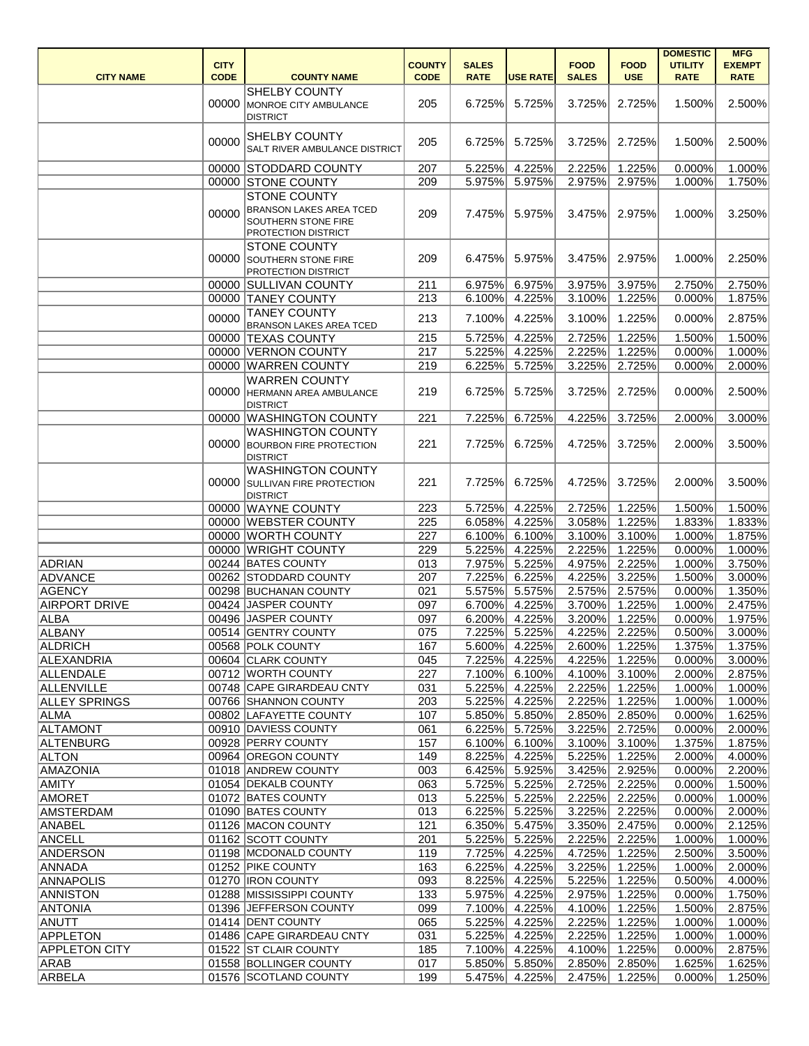|                                   |                            |                                                                                                     |                              |                             |                  |                             |                           | <b>DOMESTIC</b>               | <b>MFG</b>                   |
|-----------------------------------|----------------------------|-----------------------------------------------------------------------------------------------------|------------------------------|-----------------------------|------------------|-----------------------------|---------------------------|-------------------------------|------------------------------|
| <b>CITY NAME</b>                  | <b>CITY</b><br><b>CODE</b> | <b>COUNTY NAME</b>                                                                                  | <b>COUNTY</b><br><b>CODE</b> | <b>SALES</b><br><b>RATE</b> | <b>USE RATE</b>  | <b>FOOD</b><br><b>SALES</b> | <b>FOOD</b><br><b>USE</b> | <b>UTILITY</b><br><b>RATE</b> | <b>EXEMPT</b><br><b>RATE</b> |
|                                   | 00000                      | <b>SHELBY COUNTY</b><br>MONROE CITY AMBULANCE<br><b>DISTRICT</b>                                    | 205                          | 6.725%                      | 5.725%           | 3.725%                      | 2.725%                    | 1.500%                        | 2.500%                       |
|                                   | 00000                      | <b>SHELBY COUNTY</b><br><b>SALT RIVER AMBULANCE DISTRICT</b>                                        | 205                          | 6.725%                      | 5.725%           | 3.725%                      | 2.725%                    | 1.500%                        | 2.500%                       |
|                                   |                            | 00000 STODDARD COUNTY                                                                               | 207                          | 5.225%                      | 4.225%           | 2.225%                      | 1.225%                    | 0.000%                        | 1.000%                       |
|                                   |                            | 00000 STONE COUNTY                                                                                  | 209                          | 5.975%                      | 5.975%           | 2.975%                      | 2.975%                    | 1.000%                        | 1.750%                       |
|                                   | 00000                      | <b>STONE COUNTY</b><br><b>BRANSON LAKES AREA TCED</b><br>SOUTHERN STONE FIRE<br>PROTECTION DISTRICT | 209                          | 7.475%                      | 5.975%           | 3.475%                      | 2.975%                    | $1.000\%$                     | 3.250%                       |
|                                   | 00000                      | <b>STONE COUNTY</b><br><b>SOUTHERN STONE FIRE</b><br><b>PROTECTION DISTRICT</b>                     | 209                          | 6.475%                      | 5.975%           | 3.475%                      | 2.975%                    | 1.000%                        | 2.250%                       |
|                                   | 00000                      | <b>SULLIVAN COUNTY</b>                                                                              | 211                          | 6.975%                      | 6.975%           | 3.975%                      | 3.975%                    | 2.750%                        | 2.750%                       |
|                                   |                            | 00000 TANEY COUNTY                                                                                  | 213                          | 6.100%                      | 4.225%           | 3.100%                      | 1.225%                    | 0.000%                        | 1.875%                       |
|                                   | 00000                      | <b>TANEY COUNTY</b><br><b>BRANSON LAKES AREA TCED</b>                                               | 213                          | 7.100%                      | 4.225%           | 3.100%                      | 1.225%                    | 0.000%                        | 2.875%                       |
|                                   |                            | 00000 TEXAS COUNTY                                                                                  | 215                          | 5.725%                      | 4.225%           | 2.725%                      | 1.225%                    | 1.500%                        | 1.500%                       |
|                                   |                            | 00000 VERNON COUNTY                                                                                 | 217                          | 5.225%                      | 4.225%           | 2.225%                      | 1.225%                    | 0.000%                        | 1.000%                       |
|                                   |                            | 00000 WARREN COUNTY                                                                                 | 219                          | 6.225%                      | 5.725%           | 3.225%                      | 2.725%                    | 0.000%                        | 2.000%                       |
|                                   |                            | <b>WARREN COUNTY</b><br>00000 HERMANN AREA AMBULANCE<br><b>DISTRICT</b>                             | 219                          | 6.725%                      | 5.725%           | 3.725%                      | 2.725%                    | 0.000%                        | 2.500%                       |
|                                   |                            | 00000 WASHINGTON COUNTY                                                                             | 221                          | 7.225%                      | 6.725%           | 4.225%                      | 3.725%                    | 2.000%                        | 3.000%                       |
|                                   |                            | <b>WASHINGTON COUNTY</b><br>00000 BOURBON FIRE PROTECTION<br><b>DISTRICT</b>                        | 221                          | 7.725%                      | 6.725%           | 4.725%                      | 3.725%                    | 2.000%                        | 3.500%                       |
|                                   | 00000                      | <b>WASHINGTON COUNTY</b><br><b>SULLIVAN FIRE PROTECTION</b><br><b>DISTRICT</b>                      | 221                          | 7.725%                      | 6.725%           | 4.725%                      | 3.725%                    | 2.000%                        | 3.500%                       |
|                                   |                            | 00000 WAYNE COUNTY                                                                                  | 223                          | 5.725%                      | 4.225%           | 2.725%                      | 1.225%                    | 1.500%                        | 1.500%                       |
|                                   |                            | 00000 WEBSTER COUNTY                                                                                | 225                          | 6.058%                      | 4.225%           | 3.058%                      | 1.225%                    | 1.833%                        | 1.833%                       |
|                                   |                            | 00000 WORTH COUNTY                                                                                  | 227                          | 6.100%                      | 6.100%           | 3.100%                      | 3.100%                    | 1.000%                        | 1.875%                       |
|                                   |                            | 00000 WRIGHT COUNTY                                                                                 | 229                          |                             | 5.225% 4.225%    | 2.225%                      | 1.225%                    | 0.000%                        | 1.000%                       |
| <b>ADRIAN</b>                     |                            | 00244 BATES COUNTY                                                                                  | 013                          | 7.975%                      | 5.225%           | 4.975%                      | 2.225%                    | 1.000%                        | 3.750%                       |
| <b>ADVANCE</b>                    |                            | 00262 STODDARD COUNTY                                                                               | 207                          | 7.225%                      | 6.225%           | 4.225%                      | 3.225%                    | 1.500%                        | 3.000%                       |
| AGENCY                            |                            | 00298 BUCHANAN COUNTY                                                                               | 021                          | 5.575%                      | 5.575%           | 2.575%                      | 2.575%                    | 0.000%                        | 1.350%                       |
| <b>AIRPORT DRIVE</b><br>ALBA      |                            | 00424 JASPER COUNTY<br>00496 JASPER COUNTY                                                          | 097<br>097                   | 6.700%<br>6.200%            | 4.225%<br>4.225% | 3.700%<br>3.200%            | 1.225%<br>1.225%          | 1.000%<br>0.000%              | 2.475%<br>1.975%             |
| ALBANY                            |                            | 00514 GENTRY COUNTY                                                                                 | 075                          | 7.225%                      | 5.225%           | 4.225%                      | 2.225%                    | 0.500%                        | 3.000%                       |
| <b>ALDRICH</b>                    |                            | 00568 POLK COUNTY                                                                                   | 167                          | 5.600%                      | 4.225%           | 2.600%                      | 1.225%                    | 1.375%                        | 1.375%                       |
| ALEXANDRIA                        |                            | 00604 CLARK COUNTY                                                                                  | 045                          | 7.225%                      | 4.225%           | 4.225%                      | 1.225%                    | 0.000%                        | 3.000%                       |
| ALLENDALE                         |                            | 00712 WORTH COUNTY                                                                                  | 227                          | 7.100%                      | 6.100%           | 4.100%                      | 3.100%                    | 2.000%                        | 2.875%                       |
| ALLENVILLE                        |                            | 00748 CAPE GIRARDEAU CNTY                                                                           | 031                          | 5.225%                      | 4.225%           | 2.225%                      | 1.225%                    | 1.000%                        | 1.000%                       |
| <b>ALLEY SPRINGS</b>              |                            | 00766 SHANNON COUNTY                                                                                | 203                          | 5.225%                      | 4.225%           | 2.225%                      | 1.225%                    | 1.000%                        | 1.000%                       |
| ALMA                              |                            | 00802 LAFAYETTE COUNTY                                                                              | 107                          | 5.850%                      | 5.850%           | 2.850%                      | 2.850%                    | 0.000%                        | 1.625%                       |
| <b>ALTAMONT</b>                   |                            | 00910 DAVIESS COUNTY                                                                                | 061                          | 6.225%                      | 5.725%           | 3.225%                      | 2.725%                    | 0.000%                        | 2.000%                       |
| ALTENBURG                         |                            | 00928 PERRY COUNTY                                                                                  | 157                          | $6.100\%$                   | 6.100%           | 3.100%                      | 3.100%                    | 1.375%                        | 1.875%                       |
| <b>ALTON</b>                      |                            | 00964 OREGON COUNTY                                                                                 | 149                          | 8.225%                      | 4.225%           | 5.225%                      | 1.225%                    | 2.000%                        | 4.000%                       |
| AMAZONIA                          |                            | 01018 ANDREW COUNTY                                                                                 | 003                          | 6.425%                      | 5.925%           | 3.425%                      | 2.925%                    | 0.000%                        | 2.200%                       |
| <b>AMITY</b>                      |                            | 01054 DEKALB COUNTY                                                                                 | 063                          | 5.725%                      | 5.225%           | 2.725%                      | 2.225%                    | 0.000%                        | 1.500%                       |
| <b>AMORET</b><br><b>AMSTERDAM</b> |                            | 01072 BATES COUNTY<br>01090 BATES COUNTY                                                            | 013                          | 5.225%                      | 5.225%           | 2.225%                      | 2.225%                    | 0.000%                        | 1.000%                       |
| ANABEL                            |                            | 01126 MACON COUNTY                                                                                  | 013<br>121                   | 6.225%<br>6.350%            | 5.225%<br>5.475% | 3.225%<br>3.350%            | 2.225%<br>2.475%          | 0.000%<br>0.000%              | 2.000%<br>2.125%             |
| <b>ANCELL</b>                     |                            | 01162 SCOTT COUNTY                                                                                  | 201                          | 5.225%                      | 5.225%           | 2.225%                      | 2.225%                    | 1.000%                        | 1.000%                       |
| <b>ANDERSON</b>                   |                            | 01198 MCDONALD COUNTY                                                                               | 119                          | 7.725%                      | 4.225%           | 4.725%                      | 1.225%                    | 2.500%                        | 3.500%                       |
| ANNADA                            |                            | 01252 PIKE COUNTY                                                                                   | 163                          | 6.225%                      | 4.225%           | 3.225%                      | 1.225%                    | $1.000\%$                     | 2.000%                       |
| <b>ANNAPOLIS</b>                  |                            | 01270   IRON COUNTY                                                                                 | 093                          | 8.225%                      | 4.225%           | 5.225%                      | 1.225%                    | 0.500%                        | 4.000%                       |
| <b>ANNISTON</b>                   |                            | 01288 MISSISSIPPI COUNTY                                                                            | 133                          | 5.975%                      | 4.225%           | 2.975%                      | 1.225%                    | 0.000%                        | 1.750%                       |
| <b>ANTONIA</b>                    |                            | 01396 JEFFERSON COUNTY                                                                              | 099                          | 7.100%                      | 4.225%           | 4.100%                      | 1.225%                    | 1.500%                        | 2.875%                       |
| ANUTT                             |                            | 01414 DENT COUNTY                                                                                   | 065                          | 5.225%                      | 4.225%           | 2.225%                      | 1.225%                    | 1.000%                        | 1.000%                       |
| <b>APPLETON</b>                   |                            | 01486 CAPE GIRARDEAU CNTY                                                                           | 031                          | 5.225%                      | 4.225%           | 2.225%                      | 1.225%                    | 1.000%                        | 1.000%                       |
| <b>APPLETON CITY</b>              |                            | 01522 ST CLAIR COUNTY                                                                               | 185                          | 7.100%                      | 4.225%           | 4.100%                      | 1.225%                    | 0.000%                        | 2.875%                       |
| <b>ARAB</b>                       |                            | 01558 BOLLINGER COUNTY                                                                              | 017                          | 5.850%                      | 5.850%           | 2.850%                      | 2.850%                    | 1.625%                        | 1.625%                       |
| ARBELA                            |                            | 01576 SCOTLAND COUNTY                                                                               | 199                          | 5.475%                      | 4.225%           | 2.475%                      | 1.225%                    | 0.000%                        | 1.250%                       |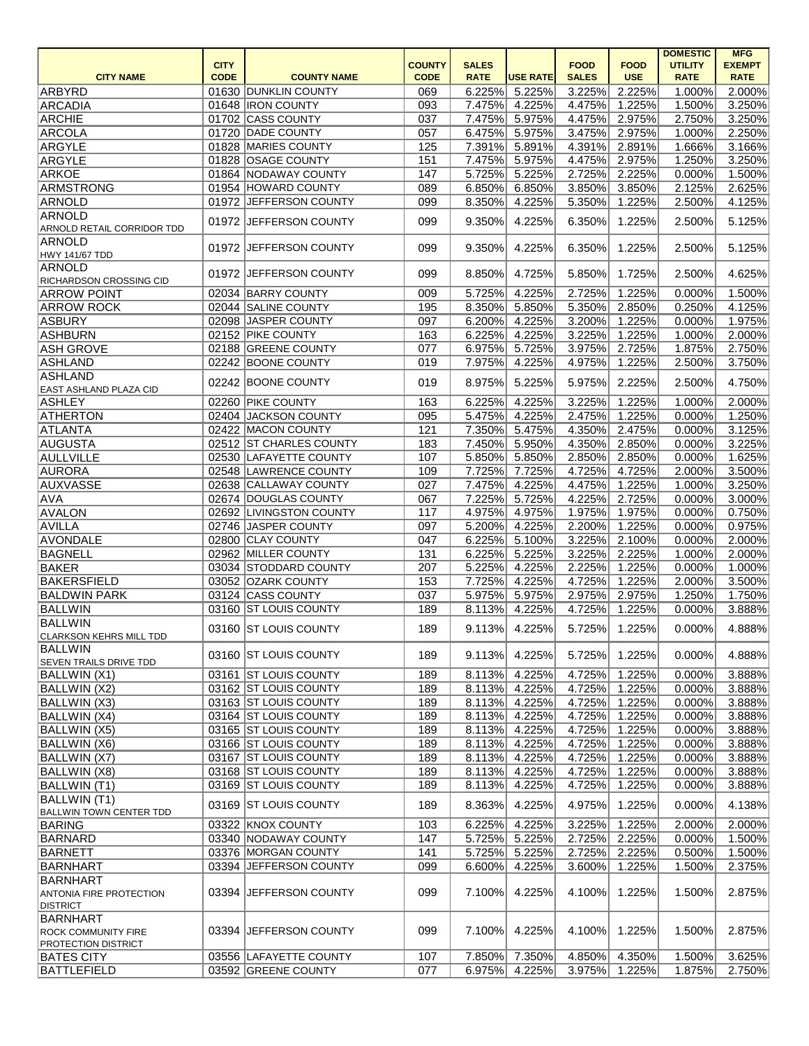|                                                       |             |                         |               |              |                  |              |               | <b>DOMESTIC</b> | <b>MFG</b>    |
|-------------------------------------------------------|-------------|-------------------------|---------------|--------------|------------------|--------------|---------------|-----------------|---------------|
|                                                       | <b>CITY</b> |                         | <b>COUNTY</b> | <b>SALES</b> |                  | <b>FOOD</b>  | <b>FOOD</b>   | <b>UTILITY</b>  | <b>EXEMPT</b> |
| <b>CITY NAME</b>                                      | <b>CODE</b> | <b>COUNTY NAME</b>      | <b>CODE</b>   | <b>RATE</b>  | <b>USE RATE</b>  | <b>SALES</b> | <b>USE</b>    | <b>RATE</b>     | <b>RATE</b>   |
| ARBYRD                                                |             | 01630 DUNKLIN COUNTY    | 069           | 6.225%       | 5.225%           | 3.225%       | 2.225%        | 1.000%          | 2.000%        |
| ARCADIA                                               |             | 01648  IRON COUNTY      | 093           | 7.475%       | 4.225%           | 4.475%       | 1.225%        | 1.500%          | 3.250%        |
| <b>ARCHIE</b>                                         |             | 01702 CASS COUNTY       | 037           | 7.475%       | 5.975%           | 4.475%       | 2.975%        | 2.750%          | 3.250%        |
| ARCOLA                                                |             | 01720 DADE COUNTY       | 057           | 6.475%       | 5.975%           | 3.475%       | 2.975%        | 1.000%          | 2.250%        |
| ARGYLE                                                |             | 01828 MARIES COUNTY     | 125           | 7.391%       | 5.891%           | 4.391%       | 2.891%        | 1.666%          | 3.166%        |
| ARGYLE                                                |             | 01828 OSAGE COUNTY      | 151           | 7.475%       | 5.975%           | 4.475%       | 2.975%        | 1.250%          | 3.250%        |
|                                                       |             | 01864 NODAWAY COUNTY    | 147           |              | 5.225%           |              | 2.225%        |                 |               |
| <b>ARKOE</b>                                          |             |                         |               | 5.725%       |                  | 2.725%       |               | 0.000%          | 1.500%        |
| ARMSTRONG                                             |             | 01954 HOWARD COUNTY     | 089           | 6.850%       | 6.850%           | 3.850%       | 3.850%        | 2.125%          | 2.625%        |
| ARNOLD                                                |             | 01972 JEFFERSON COUNTY  | 099           | 8.350%       | 4.225%           | 5.350%       | 1.225%        | 2.500%          | 4.125%        |
| ARNOLD<br>ARNOLD RETAIL CORRIDOR TDD                  |             | 01972 JEFFERSON COUNTY  | 099           | 9.350%       | 4.225%           | 6.350%       | 1.225%        | 2.500%          | 5.125%        |
| ARNOLD<br>HWY 141/67 TDD                              |             | 01972 JEFFERSON COUNTY  | 099           | 9.350%       | 4.225%           | 6.350%       | 1.225%        | 2.500%          | 5.125%        |
| ARNOLD<br>RICHARDSON CROSSING CID                     |             | 01972 JEFFERSON COUNTY  | 099           | 8.850%       | 4.725%           | 5.850%       | 1.725%        | 2.500%          | 4.625%        |
| <b>ARROW POINT</b>                                    |             | 02034 BARRY COUNTY      | 009           | 5.725%       | 4.225%           | 2.725%       | 1.225%        | 0.000%          | 1.500%        |
| <b>ARROW ROCK</b>                                     |             | 02044 SALINE COUNTY     | 195           | 8.350%       | 5.850%           | 5.350%       | 2.850%        | 0.250%          | 4.125%        |
| ASBURY                                                |             | 02098 JASPER COUNTY     | 097           | 6.200%       | 4.225%           | 3.200%       | 1.225%        | 0.000%          | 1.975%        |
| ASHBURN                                               |             | 02152 PIKE COUNTY       | 163           | 6.225%       | 4.225%           | 3.225%       | 1.225%        | 1.000%          | 2.000%        |
| <b>ASH GROVE</b>                                      |             | 02188 GREENE COUNTY     | 077           | 6.975%       | 5.725%           | 3.975%       | 2.725%        | 1.875%          | 2.750%        |
| ASHLAND                                               |             | 02242 BOONE COUNTY      | 019           | 7.975%       | 4.225%           | 4.975%       | 1.225%        | 2.500%          | 3.750%        |
| ASHLAND                                               |             |                         |               |              |                  |              |               |                 |               |
| <b>EAST ASHLAND PLAZA CID</b>                         |             | 02242 BOONE COUNTY      | 019           | 8.975%       | 5.225%           | 5.975%       | 2.225%        | 2.500%          | 4.750%        |
| ASHLEY                                                |             | 02260 PIKE COUNTY       | 163           | 6.225%       | 4.225%           | 3.225%       | 1.225%        | 1.000%          | 2.000%        |
| <b>ATHERTON</b>                                       |             | 02404 JACKSON COUNTY    | 095           | 5.475%       | 4.225%           | 2.475%       | 1.225%        | 0.000%          | 1.250%        |
| ATLANTA                                               |             | 02422 MACON COUNTY      | 121           | 7.350%       | 5.475%           | 4.350%       | 2.475%        | 0.000%          | 3.125%        |
|                                                       |             | 02512 ST CHARLES COUNTY |               |              |                  |              |               |                 |               |
| <b>AUGUSTA</b>                                        |             |                         | 183           | 7.450%       | 5.950%           | 4.350%       | 2.850%        | 0.000%          | 3.225%        |
| AULLVILLE                                             |             | 02530 LAFAYETTE COUNTY  | 107           | 5.850%       | 5.850%           | 2.850%       | 2.850%        | 0.000%          | 1.625%        |
| AURORA                                                |             | 02548 LAWRENCE COUNTY   | 109           | 7.725%       | 7.725%           | 4.725%       | 4.725%        | 2.000%          | 3.500%        |
| AUXVASSE                                              |             | 02638 CALLAWAY COUNTY   | 027           | 7.475%       | 4.225%           | 4.475%       | 1.225%        | 1.000%          | 3.250%        |
| <b>AVA</b>                                            |             | 02674 DOUGLAS COUNTY    | 067           | 7.225%       | 5.725%           | 4.225%       | 2.725%        | 0.000%          | 3.000%        |
| <b>AVALON</b>                                         |             | 02692 LIVINGSTON COUNTY | 117           | 4.975%       | 4.975%           | 1.975%       | 1.975%        | 0.000%          | 0.750%        |
| AVILLA                                                |             | 02746 JASPER COUNTY     | 097           | 5.200%       | 4.225%           | 2.200%       | 1.225%        | 0.000%          | 0.975%        |
| AVONDALE                                              |             | 02800 CLAY COUNTY       | 047           | 6.225%       | 5.100%           | 3.225%       | 2.100%        | 0.000%          | 2.000%        |
| BAGNELL                                               |             | 02962 MILLER COUNTY     | 131           |              | $6.225\%$ 5.225% |              | 3.225% 2.225% | $1.000\%$       | 2.000%        |
| BAKER                                                 |             | 03034 STODDARD COUNTY   | 207           | 5.225%       | 4.225%           | 2.225%       | 1.225%        | 0.000%          | 1.000%        |
| BAKERSFIELD                                           |             | 03052 OZARK COUNTY      | 153           | 7.725%       | 4.225%           |              | 1.225%        | 2.000%          | 3.500%        |
|                                                       |             |                         |               |              |                  | 4.725%       |               |                 |               |
| <b>BALDWIN PARK</b>                                   |             | 03124 CASS COUNTY       | 037           | 5.975%       | 5.975%           | 2.975%       | 2.975%        | 1.250%          | 1.750%        |
| <b>BALLWIN</b>                                        |             | 03160 ST LOUIS COUNTY   | 189           | 8.113%       | 4.225%           | 4.725%       | 1.225%        | 0.000%          | 3.888%        |
| BALLWIN<br><b>CLARKSON KEHRS MILL TDD</b>             |             | 03160 ST LOUIS COUNTY   | 189           | 9.113%       | 4.225%           | 5.725%       | 1.225%        | 0.000%          | 4.888%        |
| BALLWIN<br><b>SEVEN TRAILS DRIVE TDD</b>              |             | 03160 ST LOUIS COUNTY   | 189           | 9.113%       | 4.225%           | 5.725%       | 1.225%        | 0.000%          | 4.888%        |
| BALLWIN (X1)                                          |             | 03161 ST LOUIS COUNTY   | 189           | 8.113%       | 4.225%           | 4.725%       | 1.225%        | 0.000%          | 3.888%        |
| BALLWIN (X2)                                          |             | 03162 ST LOUIS COUNTY   | 189           | 8.113%       | 4.225%           | 4.725%       | 1.225%        | 0.000%          | 3.888%        |
| BALLWIN (X3)                                          |             | 03163 ST LOUIS COUNTY   | 189           | 8.113%       | 4.225%           | 4.725%       | 1.225%        | 0.000%          | 3.888%        |
| BALLWIN (X4)                                          |             | 03164 ST LOUIS COUNTY   | 189           | 8.113%       | 4.225%           | 4.725%       | 1.225%        | 0.000%          | 3.888%        |
| BALLWIN (X5)                                          |             | 03165 ST LOUIS COUNTY   | 189           | 8.113%       | 4.225%           | 4.725%       | 1.225%        | 0.000%          | 3.888%        |
| BALLWIN (X6)                                          |             | 03166 ST LOUIS COUNTY   | 189           | 8.113%       | 4.225%           | 4.725%       | 1.225%        | 0.000%          | 3.888%        |
|                                                       |             |                         |               |              |                  |              |               |                 |               |
| BALLWIN (X7)                                          |             | 03167 ST LOUIS COUNTY   | 189           | 8.113%       | 4.225%           | 4.725%       | 1.225%        | 0.000%          | 3.888%        |
| BALLWIN (X8)                                          |             | 03168 ST LOUIS COUNTY   | 189           | 8.113%       | 4.225%           | 4.725%       | 1.225%        | 0.000%          | 3.888%        |
| BALLWIN (T1)                                          |             | 03169 ST LOUIS COUNTY   | 189           | 8.113%       | 4.225%           | 4.725%       | 1.225%        | 0.000%          | 3.888%        |
| <b>BALLWIN</b> (T1)<br><b>BALLWIN TOWN CENTER TDD</b> |             | 03169 ST LOUIS COUNTY   | 189           | 8.363%       | 4.225%           | 4.975%       | 1.225%        | 0.000%          | 4.138%        |
| <b>BARING</b>                                         |             | 03322 KNOX COUNTY       | 103           | 6.225%       | 4.225%           | 3.225%       | 1.225%        | 2.000%          | 2.000%        |
| BARNARD                                               |             | 03340 NODAWAY COUNTY    | 147           | 5.725%       | 5.225%           | 2.725%       | 2.225%        | 0.000%          | 1.500%        |
| BARNETT                                               |             | 03376 MORGAN COUNTY     | 141           | 5.725%       | 5.225%           | 2.725%       | 2.225%        | 0.500%          | 1.500%        |
| BARNHART                                              |             | 03394 JEFFERSON COUNTY  | 099           | 6.600%       | 4.225%           | 3.600%       | 1.225%        | 1.500%          | 2.375%        |
| BARNHART                                              |             |                         |               |              |                  |              |               |                 |               |
| <b>ANTONIA FIRE PROTECTION</b><br><b>DISTRICT</b>     |             | 03394 JEFFERSON COUNTY  | 099           | 7.100%       | 4.225%           | 4.100%       | 1.225%        | 1.500%          | 2.875%        |
| <b>BARNHART</b><br><b>ROCK COMMUNITY FIRE</b>         |             | 03394 JEFFERSON COUNTY  | 099           | 7.100%       | 4.225%           | 4.100%       | 1.225%        | 1.500%          | 2.875%        |
| <b>PROTECTION DISTRICT</b><br><b>BATES CITY</b>       |             | 03556 LAFAYETTE COUNTY  | 107           |              | 7.850% 7.350%    |              | 4.850% 4.350% | 1.500%          | 3.625%        |
| <b>BATTLEFIELD</b>                                    |             | 03592 GREENE COUNTY     |               |              | 6.975% 4.225%    |              |               |                 |               |
|                                                       |             |                         | 077           |              |                  |              | 3.975% 1.225% | 1.875%          | 2.750%        |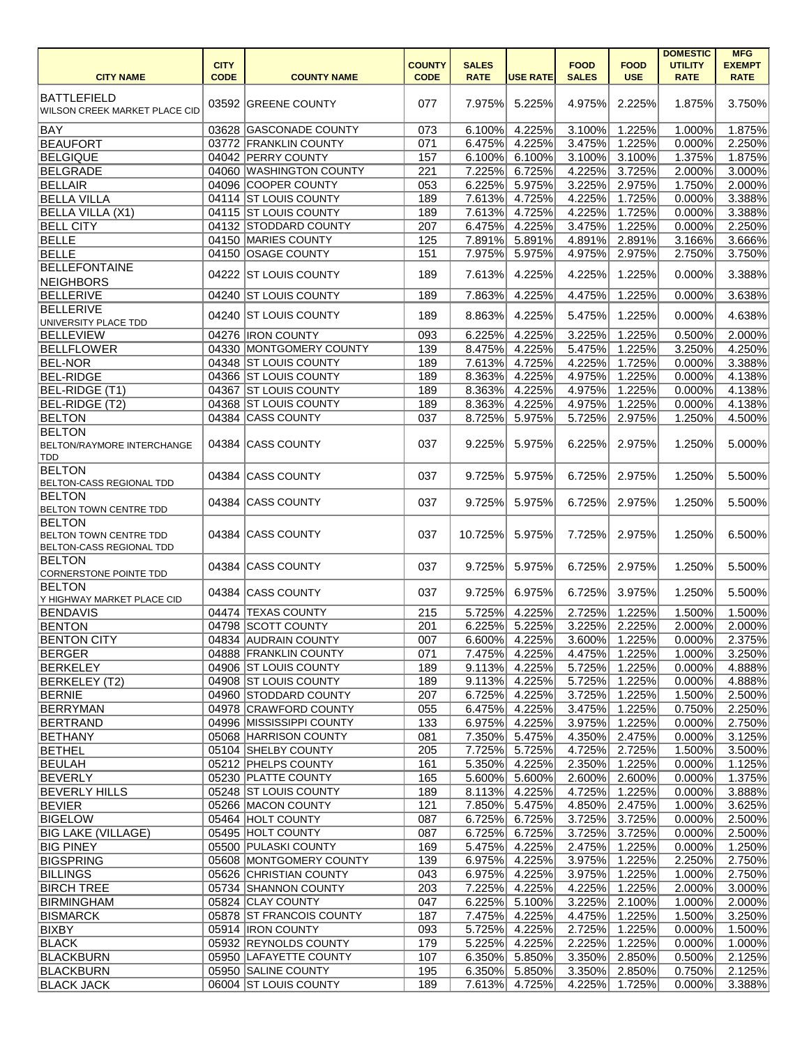|                                                                                   | <b>CITY</b> |                                           | <b>COUNTY</b> | <b>SALES</b>     |                  | <b>FOOD</b>      | <b>FOOD</b>      | <b>DOMESTIC</b><br><b>UTILITY</b> | <b>MFG</b><br><b>EXEMPT</b> |
|-----------------------------------------------------------------------------------|-------------|-------------------------------------------|---------------|------------------|------------------|------------------|------------------|-----------------------------------|-----------------------------|
| <b>CITY NAME</b>                                                                  | <b>CODE</b> | <b>COUNTY NAME</b>                        | <b>CODE</b>   | <b>RATE</b>      | <b>USE RATE</b>  | <b>SALES</b>     | <b>USE</b>       | <b>RATE</b>                       | <b>RATE</b>                 |
| <b>BATTLEFIELD</b><br>WILSON CREEK MARKET PLACE CID                               |             | 03592 GREENE COUNTY                       | 077           | 7.975%           | 5.225%           | 4.975%           | 2.225%           | 1.875%                            | 3.750%                      |
| BAY                                                                               |             | 03628 GASCONADE COUNTY                    | 073           | 6.100%           | 4.225%           | 3.100%           | 1.225%           | 1.000%                            | 1.875%                      |
| <b>BEAUFORT</b>                                                                   |             | 03772 FRANKLIN COUNTY                     | 071           | 6.475%           | 4.225%           | 3.475%           | 1.225%           | 0.000%                            | 2.250%                      |
| <b>BELGIQUE</b>                                                                   |             | 04042 PERRY COUNTY                        | 157           | 6.100%           | 6.100%           | 3.100%           | 3.100%           | 1.375%                            | 1.875%                      |
| <b>BELGRADE</b>                                                                   |             | 04060 WASHINGTON COUNTY                   | 221           | 7.225%           | 6.725%           | 4.225%           | 3.725%           | 2.000%                            | 3.000%                      |
| <b>BELLAIR</b>                                                                    |             | 04096 COOPER COUNTY                       | 053           | 6.225%           | 5.975%           | 3.225%           | 2.975%           | 1.750%                            | 2.000%                      |
| <b>BELLA VILLA</b>                                                                |             | 04114 ST LOUIS COUNTY                     | 189           | 7.613%           | 4.725%           | 4.225%           | 1.725%           | 0.000%                            | 3.388%                      |
| <b>BELLA VILLA (X1)</b>                                                           |             | 04115 ST LOUIS COUNTY                     | 189           | 7.613%           | 4.725%           | 4.225%           | 1.725%           | 0.000%                            | 3.388%                      |
| <b>BELL CITY</b>                                                                  |             | 04132 STODDARD COUNTY                     | 207           | 6.475%           | 4.225%           | 3.475%           | 1.225%           | 0.000%                            | 2.250%                      |
| <b>BELLE</b>                                                                      |             | 04150 MARIES COUNTY                       | 125           | 7.891%           | 5.891%           | 4.891%           | 2.891%           | 3.166%                            | 3.666%                      |
| BELLE                                                                             |             | 04150 OSAGE COUNTY                        | 151           | 7.975%           | 5.975%           | 4.975%           | 2.975%           | 2.750%                            | 3.750%                      |
| <b>BELLEFONTAINE</b><br>NEIGHBORS                                                 |             | 04222 ST LOUIS COUNTY                     | 189           | 7.613%           | 4.225%           | 4.225%           | 1.225%           | 0.000%                            | 3.388%                      |
| <b>BELLERIVE</b>                                                                  | 04240       | <b>ST LOUIS COUNTY</b>                    | 189           | 7.863%           | 4.225%           | 4.475%           | 1.225%           | 0.000%                            | 3.638%                      |
| <b>BELLERIVE</b><br>UNIVERSITY PLACE TDD                                          | 04240       | <b>ST LOUIS COUNTY</b>                    | 189           | 8.863%           | 4.225%           | 5.475%           | 1.225%           | 0.000%                            | 4.638%                      |
| <b>BELLEVIEW</b>                                                                  |             | 04276 IRON COUNTY                         | 093           | 6.225%           | 4.225%           | 3.225%           | 1.225%           | 0.500%                            | 2.000%                      |
| <b>BELLFLOWER</b>                                                                 |             | 04330 MONTGOMERY COUNTY                   | 139           | 8.475%           | 4.225%           | 5.475%           | 1.225%           | 3.250%                            | 4.250%                      |
| <b>BEL-NOR</b>                                                                    |             | 04348 ST LOUIS COUNTY                     | 189           | 7.613%           | 4.725%           | 4.225%           | 1.725%           | 0.000%                            | 3.388%                      |
| <b>BEL-RIDGE</b>                                                                  |             | 04366 ST LOUIS COUNTY                     | 189           | 8.363%           | 4.225%           | 4.975%           | 1.225%           | 0.000%                            | 4.138%                      |
| <b>BEL-RIDGE (T1)</b>                                                             |             | 04367 ST LOUIS COUNTY                     | 189           | 8.363%           | 4.225%           | 4.975%           | 1.225%           | 0.000%                            | 4.138%                      |
| BEL-RIDGE (T2)                                                                    |             | 04368 ST LOUIS COUNTY                     | 189           | 8.363%           | 4.225%           | 4.975%           | 1.225%           | 0.000%                            | 4.138%                      |
| <b>BELTON</b>                                                                     |             | 04384 CASS COUNTY                         | 037           | 8.725%           | 5.975%           | 5.725%           | 2.975%           | 1.250%                            | 4.500%                      |
| <b>BELTON</b><br><b>BELTON/RAYMORE INTERCHANGE</b><br><b>TDD</b>                  |             | 04384 CASS COUNTY                         | 037           | 9.225%           | 5.975%           | 6.225%           | 2.975%           | 1.250%                            | 5.000%                      |
| <b>BELTON</b><br>BELTON-CASS REGIONAL TDD                                         | 04384       | <b>CASS COUNTY</b>                        | 037           | 9.725%           | 5.975%           | 6.725%           | 2.975%           | 1.250%                            | 5.500%                      |
| <b>BELTON</b><br><b>BELTON TOWN CENTRE TDD</b>                                    |             | 04384 CASS COUNTY                         | 037           | 9.725%           | 5.975%           | 6.725%           | 2.975%           | 1.250%                            | 5.500%                      |
| <b>BELTON</b><br><b>BELTON TOWN CENTRE TDD</b><br><b>BELTON-CASS REGIONAL TDD</b> | 04384       | <b>CASS COUNTY</b>                        | 037           | 10.725%          | 5.975%           | 7.725%           | 2.975%           | 1.250%                            | 6.500%                      |
| <b>BELTON</b><br>CORNERSTONE POINTE TDD                                           |             | 04384 CASS COUNTY                         | 037           | 9.725%           | 5.975%           | 6.725%           | 2.975%           | 1.250%                            | 5.500%                      |
| <b>BELTON</b><br>Y HIGHWAY MARKET PLACE CID                                       |             | 04384 CASS COUNTY                         | 037           | 9.725%           | 6.975%           | 6.725%           | 3.975%           | 1.250%                            | 5.500%                      |
| <b>BENDAVIS</b>                                                                   |             | 04474 TEXAS COUNTY                        | 215           | 5.725%           | 4.225%           | 2.725%           | 1.225%           | 1.500%                            | 1.500%                      |
| <b>BENTON</b>                                                                     |             | 04798 SCOTT COUNTY                        | 201           | 6.225%           | 5.225%           | 3.225%           | 2.225%           | 2.000%                            | 2.000%                      |
| <b>BENTON CITY</b>                                                                |             | 04834 AUDRAIN COUNTY                      | 007           | 6.600%           | 4.225%           | 3.600%           | 1.225%           | 0.000%                            | 2.375%                      |
| <b>BERGER</b>                                                                     |             | 04888 FRANKLIN COUNTY                     | 071           | 7.475%           | 4.225%           | 4.475%           | 1.225%           | 1.000%                            | 3.250%                      |
| <b>BERKELEY</b>                                                                   |             | 04906 ST LOUIS COUNTY                     | 189           | 9.113%           | 4.225%           | 5.725%           | 1.225%           | 0.000%                            | 4.888%                      |
| <b>BERKELEY (T2)</b>                                                              |             | 04908 ST LOUIS COUNTY                     | 189           | 9.113%           | 4.225%           | 5.725%           | 1.225%           | 0.000%                            | 4.888%                      |
| <b>BERNIE</b>                                                                     |             | 04960 STODDARD COUNTY                     | 207           | 6.725%           | 4.225%           | 3.725%           | 1.225%           | 1.500%                            | 2.500%                      |
| BERRYMAN                                                                          |             | 04978 CRAWFORD COUNTY                     | 055           | 6.475%           | 4.225%           | 3.475%           | 1.225%           | 0.750%                            | 2.250%                      |
| BERTRAND                                                                          |             | 04996 MISSISSIPPI COUNTY                  | 133           | 6.975%           | 4.225%           | 3.975%           | 1.225%           | 0.000%                            | 2.750%                      |
| <b>BETHANY</b>                                                                    |             | 05068 HARRISON COUNTY                     | 081           | 7.350%           | 5.475%           | 4.350%           | 2.475%           | 0.000%                            | 3.125%                      |
| BETHEL                                                                            |             | 05104 SHELBY COUNTY                       | 205           | 7.725%           | 5.725%           | 4.725%           | 2.725%           | 1.500%                            | 3.500%                      |
| <b>BEULAH</b>                                                                     |             | 05212 PHELPS COUNTY                       | 161           | 5.350%           | 4.225%           | 2.350%           | 1.225%           | 0.000%                            | 1.125%                      |
| BEVERLY                                                                           |             | 05230 PLATTE COUNTY                       | 165           | 5.600%           | 5.600%           | $2.600\%$        | 2.600%           | 0.000%                            | 1.375%                      |
| <b>BEVERLY HILLS</b>                                                              |             | 05248 ST LOUIS COUNTY                     | 189           | 8.113%           | 4.225%           | 4.725%           | 1.225%           | 0.000%                            | 3.888%                      |
| <b>BEVIER</b>                                                                     |             | 05266 MACON COUNTY                        | 121           | 7.850%           | 5.475%           | 4.850%           | 2.475%           | 1.000%                            | 3.625%                      |
| <b>BIGELOW</b>                                                                    |             | 05464 HOLT COUNTY                         | 087           | 6.725%           | 6.725%           | 3.725%           | 3.725%           | 0.000%                            | 2.500%                      |
| <b>BIG LAKE (VILLAGE)</b>                                                         |             | 05495 HOLT COUNTY                         | 087           | 6.725%           | 6.725%           | 3.725%           | 3.725%           | 0.000%                            | 2.500%                      |
| <b>BIG PINEY</b>                                                                  |             | 05500 PULASKI COUNTY                      | 169           | 5.475%           | 4.225%           | 2.475%           | 1.225%           | 0.000%                            | 1.250%                      |
| <b>BIGSPRING</b>                                                                  |             | 05608 MONTGOMERY COUNTY                   | 139           | 6.975%           | 4.225%           | 3.975%           | 1.225%           | 2.250%                            | 2.750%                      |
| <b>BILLINGS</b>                                                                   |             | 05626 CHRISTIAN COUNTY                    | 043           | 6.975%           | 4.225%           | 3.975%           | 1.225%           | 1.000%                            | 2.750%                      |
| <b>BIRCH TREE</b>                                                                 |             | 05734 SHANNON COUNTY<br>05824 CLAY COUNTY | 203<br>047    | 7.225%           | 4.225%           | 4.225%           | 1.225%           | 2.000%                            | 3.000%                      |
| <b>BIRMINGHAM</b><br><b>BISMARCK</b>                                              |             | 05878 ST FRANCOIS COUNTY                  | 187           | 6.225%<br>7.475% | 5.100%<br>4.225% | 3.225%           | 2.100%<br>1.225% | 1.000%                            | 2.000%<br>3.250%            |
| <b>BIXBY</b>                                                                      |             | 05914  IRON COUNTY                        | 093           | 5.725%           | 4.225%           | 4.475%<br>2.725% | 1.225%           | 1.500%<br>0.000%                  | 1.500%                      |
| <b>BLACK</b>                                                                      |             | 05932 REYNOLDS COUNTY                     | 179           | 5.225%           | 4.225%           | 2.225%           | 1.225%           | 0.000%                            | 1.000%                      |
| BLACKBURN                                                                         |             | 05950 LAFAYETTE COUNTY                    | 107           | 6.350%           | 5.850%           | 3.350%           | 2.850%           | 0.500%                            | 2.125%                      |
| BLACKBURN                                                                         |             | 05950 SALINE COUNTY                       | 195           | 6.350%           | 5.850%           | 3.350%           | 2.850%           | 0.750%                            | 2.125%                      |
| <b>BLACK JACK</b>                                                                 |             | 06004 ST LOUIS COUNTY                     | 189           | 7.613%           | 4.725%           | 4.225%           | 1.725%           | 0.000%                            | 3.388%                      |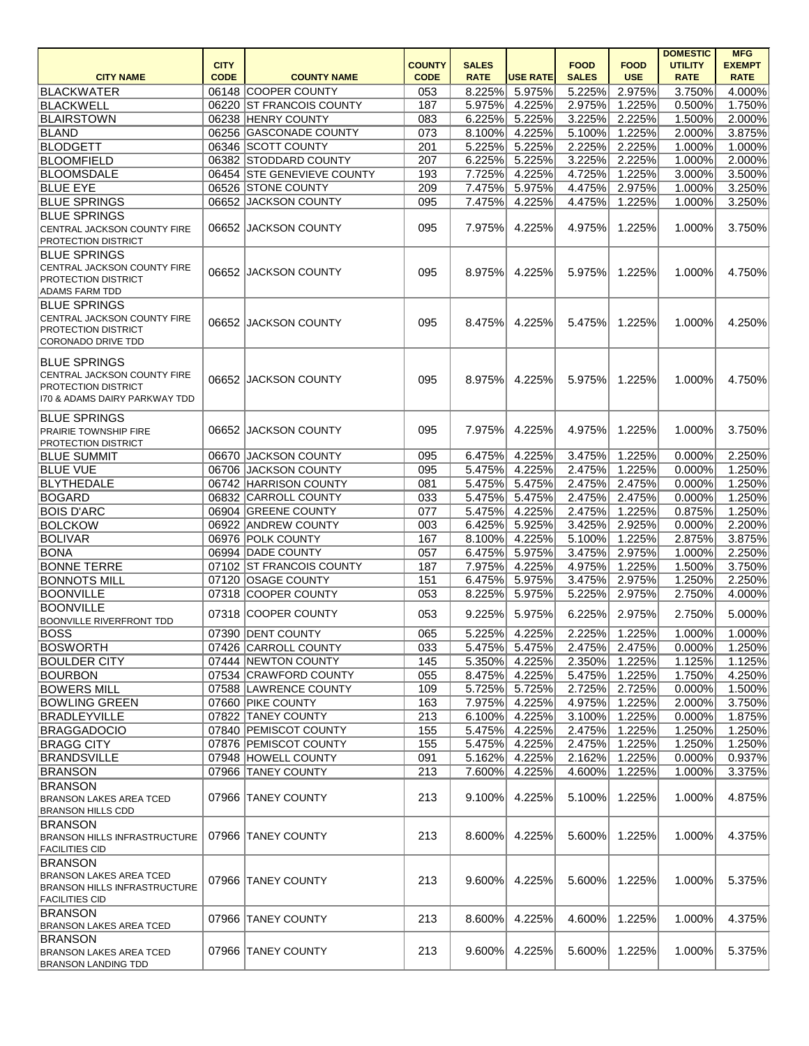|                                                                                                                          | <b>CITY</b> |                            | <b>COUNTY</b> | <b>SALES</b> |                 | <b>FOOD</b>  | <b>FOOD</b>          | <b>DOMESTIC</b><br><b>UTILITY</b> | <b>MFG</b><br><b>EXEMPT</b> |
|--------------------------------------------------------------------------------------------------------------------------|-------------|----------------------------|---------------|--------------|-----------------|--------------|----------------------|-----------------------------------|-----------------------------|
| <b>CITY NAME</b>                                                                                                         | <b>CODE</b> | <b>COUNTY NAME</b>         | <b>CODE</b>   | <b>RATE</b>  | <b>USE RATE</b> | <b>SALES</b> | <b>USE</b>           | <b>RATE</b>                       | <b>RATE</b>                 |
| <b>BLACKWATER</b>                                                                                                        |             | 06148 COOPER COUNTY        | 053           | 8.225%       | 5.975%          | 5.225%       | 2.975%               | 3.750%                            | 4.000%                      |
| BLACKWELL                                                                                                                |             | 06220 ST FRANCOIS COUNTY   | 187           | 5.975%       | 4.225%          | 2.975%       | $\overline{1.225\%}$ | 0.500%                            | $\overline{1.750\%}$        |
| <b>BLAIRSTOWN</b>                                                                                                        |             | 06238 HENRY COUNTY         | 083           | 6.225%       | 5.225%          | 3.225%       | 2.225%               | 1.500%                            | 2.000%                      |
| <b>BLAND</b>                                                                                                             |             | 06256 GASCONADE COUNTY     | 073           | 8.100%       | 4.225%          | 5.100%       | $\overline{1.225\%}$ | 2.000%                            | 3.875%                      |
| <b>BLODGETT</b>                                                                                                          |             | 06346 SCOTT COUNTY         | 201           | 5.225%       | 5.225%          | 2.225%       | 2.225%               | 1.000%                            | 1.000%                      |
| <b>BLOOMFIELD</b>                                                                                                        |             | 06382 STODDARD COUNTY      | 207           | 6.225%       | 5.225%          | 3.225%       | 2.225%               | 1.000%                            | 2.000%                      |
| <b>BLOOMSDALE</b>                                                                                                        |             | 06454 STE GENEVIEVE COUNTY | 193           | 7.725%       | 4.225%          | 4.725%       | 1.225%               | 3.000%                            | 3.500%                      |
| <b>BLUE EYE</b>                                                                                                          |             | 06526 STONE COUNTY         | 209           | 7.475%       | 5.975%          | 4.475%       | 2.975%               | 1.000%                            | 3.250%                      |
| <b>BLUE SPRINGS</b>                                                                                                      |             | 06652 JACKSON COUNTY       | 095           | 7.475%       | 4.225%          | 4.475%       | 1.225%               | 1.000%                            | 3.250%                      |
| <b>BLUE SPRINGS</b>                                                                                                      |             |                            |               |              |                 |              |                      |                                   |                             |
| <b>CENTRAL JACKSON COUNTY FIRE</b><br><b>PROTECTION DISTRICT</b>                                                         |             | 06652 JACKSON COUNTY       | 095           | 7.975%       | 4.225%          | 4.975%       | 1.225%               | 1.000%                            | 3.750%                      |
| <b>BLUE SPRINGS</b><br><b>CENTRAL JACKSON COUNTY FIRE</b><br><b>PROTECTION DISTRICT</b><br>ADAMS FARM TDD                | 06652       | <b>JACKSON COUNTY</b>      | 095           | 8.975%       | 4.225%          | 5.975%       | 1.225%               | 1.000%                            | 4.750%                      |
| <b>BLUE SPRINGS</b><br><b>CENTRAL JACKSON COUNTY FIRE</b><br><b>PROTECTION DISTRICT</b><br>CORONADO DRIVE TDD            | 06652       | <b>JACKSON COUNTY</b>      | 095           | 8.475%       | 4.225%          | 5.475%       | 1.225%               | 1.000%                            | 4.250%                      |
| <b>BLUE SPRINGS</b><br><b>CENTRAL JACKSON COUNTY FIRE</b><br><b>PROTECTION DISTRICT</b><br>170 & ADAMS DAIRY PARKWAY TDD |             | 06652 JACKSON COUNTY       | 095           | 8.975%       | 4.225%          | 5.975%       | 1.225%               | 1.000%                            | 4.750%                      |
| <b>BLUE SPRINGS</b><br><b>PRAIRIE TOWNSHIP FIRE</b><br><b>PROTECTION DISTRICT</b>                                        |             | 06652 JACKSON COUNTY       | 095           | 7.975%       | 4.225%          | 4.975%       | 1.225%               | 1.000%                            | 3.750%                      |
| <b>BLUE SUMMIT</b>                                                                                                       |             | 06670 JACKSON COUNTY       | 095           | 6.475%       | 4.225%          | 3.475%       | 1.225%               | 0.000%                            | 2.250%                      |
| <b>BLUE VUE</b>                                                                                                          | 06706       | JACKSON COUNTY             | 095           | 5.475%       | 4.225%          | 2.475%       | 1.225%               | 0.000%                            | 1.250%                      |
| BLYTHEDALE                                                                                                               |             | 06742 HARRISON COUNTY      | 081           | 5.475%       | 5.475%          | 2.475%       | 2.475%               | 0.000%                            | 1.250%                      |
| <b>BOGARD</b>                                                                                                            |             | 06832 CARROLL COUNTY       | 033           | 5.475%       | 5.475%          | 2.475%       | 2.475%               | 0.000%                            | 1.250%                      |
| <b>BOIS D'ARC</b>                                                                                                        | 06904       | <b>GREENE COUNTY</b>       | 077           | 5.475%       | 4.225%          | 2.475%       | 1.225%               | 0.875%                            | 1.250%                      |
| <b>BOLCKOW</b>                                                                                                           |             | 06922 ANDREW COUNTY        | 003           | 6.425%       | 5.925%          | 3.425%       | 2.925%               | 0.000%                            | 2.200%                      |
| <b>BOLIVAR</b>                                                                                                           |             | 06976 POLK COUNTY          | 167           | 8.100%       | 4.225%          | 5.100%       | 1.225%               | 2.875%                            | 3.875%                      |
| <b>BONA</b>                                                                                                              |             | 06994 DADE COUNTY          | 057           |              | 6.475% 5.975%   |              | 3.475% 2.975%        | 1.000%                            | 2.250%                      |
| <b>BONNE TERRE</b>                                                                                                       |             | 07102 ST FRANCOIS COUNTY   | 187           | 7.975%       | 4.225%          | 4.975%       | 1.225%               | 1.500%                            | 3.750%                      |
| <b>BONNOTS MILL</b>                                                                                                      |             | 07120 OSAGE COUNTY         | 151           | 6.475%       | 5.975%          | 3.475%       | 2.975%               | 1.250%                            | 2.250%                      |
| <b>BOONVILLE</b>                                                                                                         |             | 07318 COOPER COUNTY        | 053           | 8.225%       | 5.975%          | 5.225%       | 2.975%               | 2.750%                            | 4.000%                      |
| <b>BOONVILLE</b>                                                                                                         |             |                            |               |              |                 |              |                      |                                   |                             |
| <b>BOONVILLE RIVERFRONT TDD</b>                                                                                          |             | 07318 COOPER COUNTY        | 053           | 9.225%       | 5.975%          | 6.225%       | 2.975%               | 2.750%                            | 5.000%                      |
| BOSS                                                                                                                     |             | 07390 DENT COUNTY          | 065           | 5.225%       | 4.225%          | 2.225%       | 1.225%               | 1.000%                            | 1.000%                      |
| <b>BOSWORTH</b>                                                                                                          |             | 07426 CARROLL COUNTY       | 033           | 5.475%       | 5.475%          | 2.475%       | 2.475%               | 0.000%                            | 1.250%                      |
| <b>BOULDER CITY</b>                                                                                                      |             | 07444 NEWTON COUNTY        | 145           | 5.350%       | 4.225%          | 2.350%       | 1.225%               | 1.125%                            | 1.125%                      |
| <b>BOURBON</b>                                                                                                           |             | 07534 CRAWFORD COUNTY      | 055           | 8.475%       | 4.225%          | 5.475%       | 1.225%               | 1.750%                            | 4.250%                      |
| <b>BOWERS MILL</b>                                                                                                       |             | 07588 LAWRENCE COUNTY      | 109           | 5.725%       | 5.725%          | 2.725%       | 2.725%               | 0.000%                            | 1.500%                      |
| <b>BOWLING GREEN</b>                                                                                                     |             | 07660 PIKE COUNTY          | 163           | 7.975%       | 4.225%          | 4.975%       | 1.225%               | 2.000%                            | 3.750%                      |
| <b>BRADLEYVILLE</b>                                                                                                      |             | 07822 TANEY COUNTY         | 213           | 6.100%       | 4.225%          | 3.100%       | 1.225%               | 0.000%                            | 1.875%                      |
| <b>BRAGGADOCIO</b>                                                                                                       |             | 07840 PEMISCOT COUNTY      | 155           | 5.475%       | 4.225%          | 2.475%       | 1.225%               | 1.250%                            | 1.250%                      |
| <b>BRAGG CITY</b>                                                                                                        |             | 07876 PEMISCOT COUNTY      | 155           | 5.475%       | 4.225%          | 2.475%       | 1.225%               | 1.250%                            | 1.250%                      |
| <b>BRANDSVILLE</b>                                                                                                       |             | 07948 HOWELL COUNTY        | 091           | 5.162%       | 4.225%          | 2.162%       | 1.225%               | 0.000%                            | 0.937%                      |
| <b>BRANSON</b>                                                                                                           |             | 07966 TANEY COUNTY         | 213           | 7.600%       | 4.225%          | 4.600%       | 1.225%               | 1.000%                            | 3.375%                      |
| <b>BRANSON</b><br><b>BRANSON LAKES AREA TCED</b><br><b>BRANSON HILLS CDD</b>                                             |             | 07966 TANEY COUNTY         | 213           | 9.100%       | 4.225%          | 5.100%       | 1.225%               | 1.000%                            | 4.875%                      |
| <b>BRANSON</b><br><b>BRANSON HILLS INFRASTRUCTURE</b><br><b>FACILITIES CID</b>                                           |             | 07966 TANEY COUNTY         | 213           | 8.600%       | 4.225%          | 5.600%       | 1.225%               | 1.000%                            | 4.375%                      |
| <b>BRANSON</b><br><b>BRANSON LAKES AREA TCED</b><br>BRANSON HILLS INFRASTRUCTURE<br><b>FACILITIES CID</b>                |             | 07966 TANEY COUNTY         | 213           | $9.600\%$    | 4.225%          | 5.600%       | 1.225%               | 1.000%                            | 5.375%                      |
| <b>BRANSON</b><br><b>BRANSON LAKES AREA TCED</b>                                                                         |             | 07966 TANEY COUNTY         | 213           | 8.600%       | 4.225%          | 4.600%       | 1.225%               | 1.000%                            | 4.375%                      |
| <b>BRANSON</b><br><b>BRANSON LAKES AREA TCED</b><br><b>BRANSON LANDING TDD</b>                                           |             | 07966 TANEY COUNTY         | 213           | 9.600%       | 4.225%          | 5.600%       | 1.225%               | $1.000\%$                         | 5.375%                      |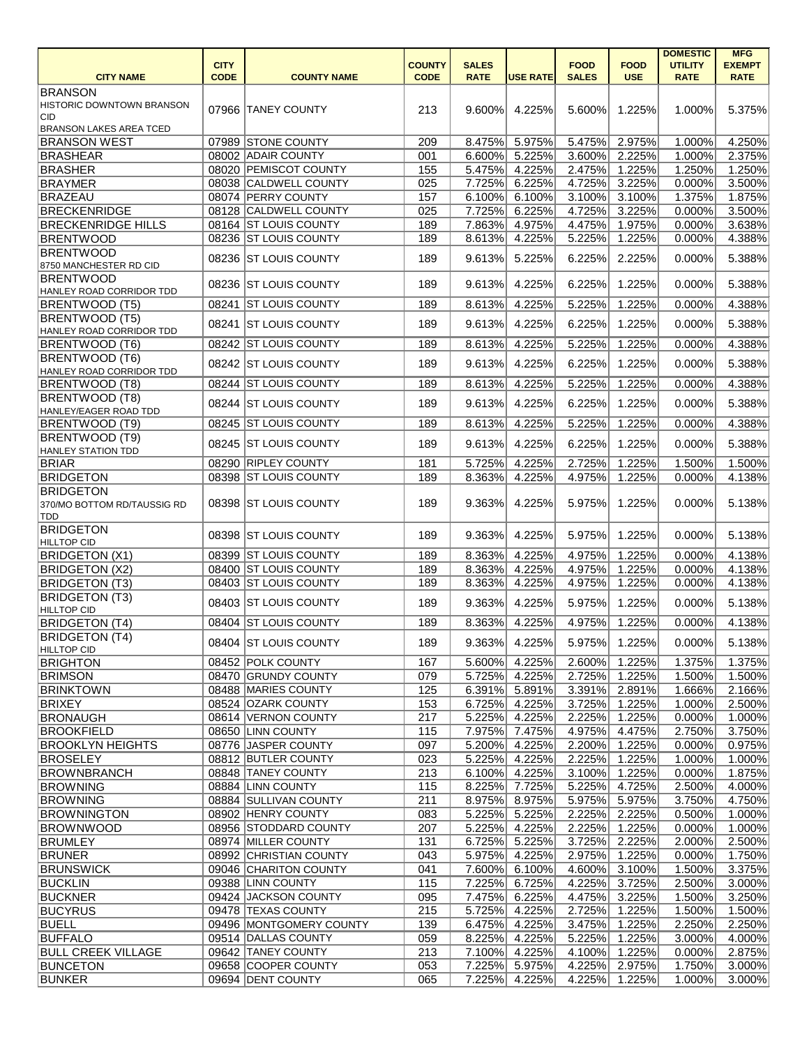|                                  |             |                         |               |              |                 |               |             | <b>DOMESTIC</b> | <b>MFG</b>           |
|----------------------------------|-------------|-------------------------|---------------|--------------|-----------------|---------------|-------------|-----------------|----------------------|
|                                  | <b>CITY</b> |                         | <b>COUNTY</b> | <b>SALES</b> |                 | <b>FOOD</b>   | <b>FOOD</b> | <b>UTILITY</b>  | <b>EXEMPT</b>        |
| <b>CITY NAME</b>                 | <b>CODE</b> | <b>COUNTY NAME</b>      | <b>CODE</b>   | <b>RATE</b>  | <b>USE RATE</b> | <b>SALES</b>  | <b>USE</b>  | <b>RATE</b>     | <b>RATE</b>          |
| BRANSON                          |             |                         |               |              |                 |               |             |                 |                      |
| <b>HISTORIC DOWNTOWN BRANSON</b> |             | 07966 TANEY COUNTY      | 213           | $9.600\%$    | 4.225%          | 5.600%        | 1.225%      | 1.000%          | 5.375%               |
| <b>CID</b>                       |             |                         |               |              |                 |               |             |                 |                      |
| <b>BRANSON LAKES AREA TCED</b>   |             |                         |               |              |                 |               |             |                 |                      |
| <b>BRANSON WEST</b>              |             | 07989 STONE COUNTY      | 209           | 8.475%       | 5.975%          | 5.475%        | 2.975%      | 1.000%          | 4.250%               |
| <b>BRASHEAR</b>                  |             | 08002 ADAIR COUNTY      | 001           | 6.600%       | 5.225%          | 3.600%        | 2.225%      | 1.000%          | 2.375%               |
| <b>BRASHER</b>                   |             | 08020 PEMISCOT COUNTY   | 155           | 5.475%       | 4.225%          | 2.475%        | 1.225%      | 1.250%          | 1.250%               |
| <b>BRAYMER</b>                   |             | 08038 CALDWELL COUNTY   | 025           | 7.725%       | 6.225%          | 4.725%        | 3.225%      | 0.000%          | 3.500%               |
| <b>BRAZEAU</b>                   |             | 08074 PERRY COUNTY      | 157           | 6.100%       |                 |               | 3.100%      |                 |                      |
|                                  |             |                         |               |              | 6.100%          | 3.100%        |             | 1.375%          | 1.875%               |
| <b>BRECKENRIDGE</b>              |             | 08128 CALDWELL COUNTY   | 025           | 7.725%       | 6.225%          | 4.725%        | 3.225%      | 0.000%          | 3.500%               |
| <b>BRECKENRIDGE HILLS</b>        |             | 08164 ST LOUIS COUNTY   | 189           | 7.863%       | 4.975%          | 4.475%        | 1.975%      | 0.000%          | 3.638%               |
| <b>BRENTWOOD</b>                 |             | 08236 ST LOUIS COUNTY   | 189           | 8.613%       | 4.225%          | 5.225%        | 1.225%      | 0.000%          | 4.388%               |
| <b>BRENTWOOD</b>                 |             | 08236 ST LOUIS COUNTY   | 189           | 9.613%       | 5.225%          | 6.225%        | 2.225%      | 0.000%          | 5.388%               |
| 8750 MANCHESTER RD CID           |             |                         |               |              |                 |               |             |                 |                      |
| <b>BRENTWOOD</b>                 |             | 08236 ST LOUIS COUNTY   |               |              | 4.225%          |               | 1.225%      | 0.000%          | 5.388%               |
| HANLEY ROAD CORRIDOR TDD         |             |                         | 189           | 9.613%       |                 | 6.225%        |             |                 |                      |
| <b>BRENTWOOD (T5)</b>            |             | 08241 ST LOUIS COUNTY   | 189           | 8.613%       | 4.225%          | 5.225%        | 1.225%      | 0.000%          | 4.388%               |
| <b>BRENTWOOD (T5)</b>            |             |                         |               |              |                 |               |             |                 |                      |
| HANLEY ROAD CORRIDOR TDD         |             | 08241 ST LOUIS COUNTY   | 189           | 9.613%       | 4.225%          | 6.225%        | 1.225%      | 0.000%          | 5.388%               |
| <b>BRENTWOOD (T6)</b>            |             | 08242 ST LOUIS COUNTY   | 189           | 8.613%       | 4.225%          | 5.225%        | 1.225%      | 0.000%          | 4.388%               |
| <b>BRENTWOOD (T6)</b>            |             |                         |               |              |                 |               |             |                 |                      |
| HANLEY ROAD CORRIDOR TDD         |             | 08242 ST LOUIS COUNTY   | 189           | 9.613%       | 4.225%          | 6.225%        | 1.225%      | 0.000%          | 5.388%               |
|                                  |             | 08244 ST LOUIS COUNTY   | 189           | 8.613%       | 4.225%          | 5.225%        | 1.225%      | 0.000%          | 4.388%               |
| <b>BRENTWOOD (T8)</b>            |             |                         |               |              |                 |               |             |                 |                      |
| <b>BRENTWOOD (T8)</b>            |             | 08244 ST LOUIS COUNTY   | 189           | 9.613%       | 4.225%          | 6.225%        | 1.225%      | 0.000%          | 5.388%               |
| HANLEY/EAGER ROAD TDD            |             |                         |               |              |                 |               |             |                 |                      |
| <b>BRENTWOOD (T9)</b>            |             | 08245 ST LOUIS COUNTY   | 189           | 8.613%       | 4.225%          | 5.225%        | 1.225%      | 0.000%          | 4.388%               |
| <b>BRENTWOOD (T9)</b>            |             | 08245 ST LOUIS COUNTY   | 189           | 9.613%       | 4.225%          | 6.225%        | 1.225%      | 0.000%          | 5.388%               |
| HANLEY STATION TDD               |             |                         |               |              |                 |               |             |                 |                      |
| <b>BRIAR</b>                     |             | 08290 RIPLEY COUNTY     | 181           | 5.725%       | 4.225%          | 2.725%        | 1.225%      | 1.500%          | 1.500%               |
| <b>BRIDGETON</b>                 |             | 08398 ST LOUIS COUNTY   | 189           | 8.363%       | 4.225%          | 4.975%        | 1.225%      | 0.000%          | 4.138%               |
| <b>BRIDGETON</b>                 |             |                         |               |              |                 |               |             |                 |                      |
| 370/MO BOTTOM RD/TAUSSIG RD      |             | 08398 ST LOUIS COUNTY   | 189           | 9.363%       | 4.225%          | 5.975%        | 1.225%      | 0.000%          | 5.138%               |
| <b>TDD</b>                       |             |                         |               |              |                 |               |             |                 |                      |
| <b>BRIDGETON</b>                 |             |                         |               |              |                 |               |             |                 |                      |
| <b>HILLTOP CID</b>               |             | 08398 ST LOUIS COUNTY   | 189           | 9.363%       | 4.225%          | 5.975%        | 1.225%      | 0.000%          | 5.138%               |
| <b>BRIDGETON (X1)</b>            |             | 08399 ST LOUIS COUNTY   | 189           |              | 8.363% 4.225%   | 4.975% 1.225% |             | 0.000%          | 4.138%               |
| <b>BRIDGETON (X2)</b>            |             | 08400 ST LOUIS COUNTY   | 189           | 8.363%       | 4.225%          | 4.975%        | 1.225%      | $0.000\%$       | 4.138%               |
| <b>BRIDGETON (T3)</b>            |             | 08403 ST LOUIS COUNTY   | 189           | 8.363%       |                 |               | 1.225%      | 0.000%          | 4.138%               |
|                                  |             |                         |               |              | 4.225%          | 4.975%        |             |                 |                      |
| <b>BRIDGETON (T3)</b>            |             | 08403 ST LOUIS COUNTY   | 189           | 9.363%       | 4.225%          | 5.975%        | 1.225%      | 0.000%          | 5.138%               |
| <b>HILLTOP CID</b>               |             |                         |               |              |                 |               |             |                 |                      |
| <b>BRIDGETON (T4)</b>            |             | 08404 ST LOUIS COUNTY   | 189           | 8.363%       | 4.225%          | 4.975%        | 1.225%      | 0.000%          | 4.138%               |
| <b>BRIDGETON (T4)</b>            |             | 08404 ST LOUIS COUNTY   | 189           | 9.363%       | 4.225%          | 5.975%        | 1.225%      | 0.000%          | 5.138%               |
| <b>HILLTOP CID</b>               |             |                         |               |              |                 |               |             |                 |                      |
| <b>BRIGHTON</b>                  |             | 08452 POLK COUNTY       | 167           | 5.600%       | 4.225%          | 2.600%        | 1.225%      | 1.375%          | 1.375%               |
| <b>BRIMSON</b>                   |             | 08470 GRUNDY COUNTY     | 079           | 5.725%       | 4.225%          | 2.725%        | 1.225%      | 1.500%          | 1.500%               |
| <b>BRINKTOWN</b>                 |             | 08488 MARIES COUNTY     | 125           | 6.391%       | 5.891%          | 3.391%        | 2.891%      | 1.666%          | 2.166%               |
| <b>BRIXEY</b>                    |             | 08524 OZARK COUNTY      | 153           | 6.725%       | 4.225%          | 3.725%        | 1.225%      | 1.000%          | 2.500%               |
| BRONAUGH                         |             | 08614 VERNON COUNTY     | 217           | 5.225%       | 4.225%          | 2.225%        | 1.225%      | 0.000%          | 1.000%               |
| <b>BROOKFIELD</b>                |             | 08650 LINN COUNTY       | 115           | 7.975%       | 7.475%          | 4.975%        | 4.475%      | 2.750%          | 3.750%               |
| <b>BROOKLYN HEIGHTS</b>          |             | 08776 JASPER COUNTY     | 097           | 5.200%       | 4.225%          | 2.200%        | 1.225%      | 0.000%          | $\overline{0.975\%}$ |
|                                  |             |                         |               |              |                 |               |             |                 |                      |
| <b>BROSELEY</b>                  |             | 08812 BUTLER COUNTY     | 023           | 5.225%       | 4.225%          | 2.225%        | 1.225%      | 1.000%          | 1.000%               |
| BROWNBRANCH                      |             | 08848 TANEY COUNTY      | 213           | $6.100\%$    | 4.225%          | 3.100%        | 1.225%      | 0.000%          | 1.875%               |
| <b>BROWNING</b>                  |             | 08884 LINN COUNTY       | 115           | 8.225%       | 7.725%          | 5.225%        | 4.725%      | 2.500%          | 4.000%               |
| <b>BROWNING</b>                  |             | 08884 SULLIVAN COUNTY   | 211           | 8.975%       | 8.975%          | 5.975%        | 5.975%      | 3.750%          | 4.750%               |
| <b>BROWNINGTON</b>               |             | 08902 HENRY COUNTY      | 083           | 5.225%       | 5.225%          | 2.225%        | 2.225%      | 0.500%          | 1.000%               |
| <b>BROWNWOOD</b>                 |             | 08956 STODDARD COUNTY   | 207           | 5.225%       | 4.225%          | 2.225%        | 1.225%      | 0.000%          | 1.000%               |
| <b>BRUMLEY</b>                   |             | 08974 MILLER COUNTY     | 131           | 6.725%       | 5.225%          | 3.725%        | 2.225%      | 2.000%          | 2.500%               |
| <b>BRUNER</b>                    |             | 08992 CHRISTIAN COUNTY  | 043           | 5.975%       | 4.225%          | 2.975%        | 1.225%      | 0.000%          | 1.750%               |
| <b>BRUNSWICK</b>                 |             | 09046 CHARITON COUNTY   | 041           | 7.600%       | 6.100%          | 4.600%        | 3.100%      | 1.500%          | 3.375%               |
|                                  |             |                         | 115           |              |                 |               |             |                 |                      |
| <b>BUCKLIN</b>                   |             | 09388 LINN COUNTY       |               | 7.225%       | 6.725%          | 4.225%        | 3.725%      | 2.500%          | 3.000%               |
| <b>BUCKNER</b>                   |             | 09424 JACKSON COUNTY    | 095           | 7.475%       | 6.225%          | 4.475%        | 3.225%      | 1.500%          | 3.250%               |
| <b>BUCYRUS</b>                   |             | 09478 TEXAS COUNTY      | 215           | 5.725%       | 4.225%          | 2.725%        | 1.225%      | 1.500%          | 1.500%               |
| BUELL                            |             | 09496 MONTGOMERY COUNTY | 139           | 6.475%       | 4.225%          | 3.475%        | 1.225%      | 2.250%          | 2.250%               |
| <b>BUFFALO</b>                   |             | 09514 DALLAS COUNTY     | 059           | 8.225%       | 4.225%          | 5.225%        | 1.225%      | 3.000%          | 4.000%               |
| <b>BULL CREEK VILLAGE</b>        |             | 09642 TANEY COUNTY      | 213           | 7.100%       | 4.225%          | 4.100%        | 1.225%      | 0.000%          | 2.875%               |
| <b>BUNCETON</b>                  |             | 09658 COOPER COUNTY     | 053           | 7.225%       | 5.975%          | 4.225%        | 2.975%      | 1.750%          | 3.000%               |
| <b>BUNKER</b>                    |             | 09694 DENT COUNTY       | 065           | 7.225%       | 4.225%          | 4.225%        | 1.225%      | 1.000%          | 3.000%               |
|                                  |             |                         |               |              |                 |               |             |                 |                      |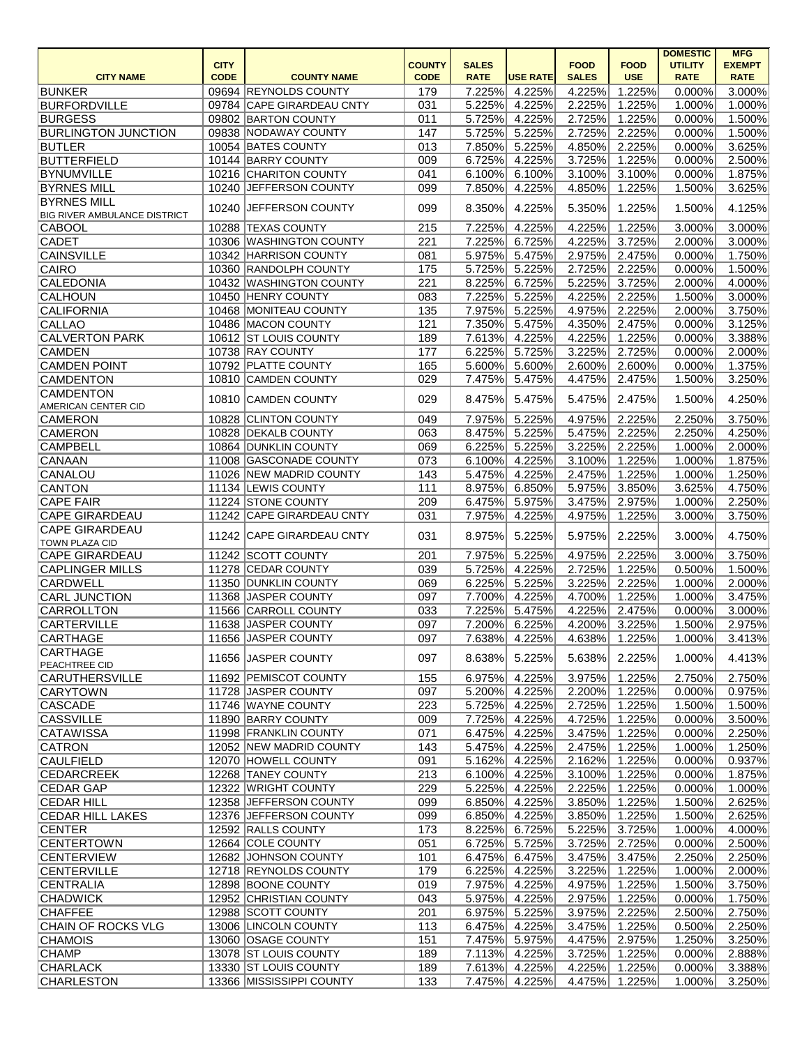|                                       |                            |                                                  |                              |                             |                  |                             |                           | <b>DOMESTIC</b>               | <b>MFG</b>                   |
|---------------------------------------|----------------------------|--------------------------------------------------|------------------------------|-----------------------------|------------------|-----------------------------|---------------------------|-------------------------------|------------------------------|
| <b>CITY NAME</b>                      | <b>CITY</b><br><b>CODE</b> | <b>COUNTY NAME</b>                               | <b>COUNTY</b><br><b>CODE</b> | <b>SALES</b><br><b>RATE</b> | <b>USE RATE</b>  | <b>FOOD</b><br><b>SALES</b> | <b>FOOD</b><br><b>USE</b> | <b>UTILITY</b><br><b>RATE</b> | <b>EXEMPT</b><br><b>RATE</b> |
| <b>BUNKER</b>                         |                            | 09694 REYNOLDS COUNTY                            | 179                          | 7.225%                      | 4.225%           | 4.225%                      | 1.225%                    | 0.000%                        | 3.000%                       |
| <b>BURFORDVILLE</b>                   |                            | 09784 CAPE GIRARDEAU CNTY                        | 031                          | 5.225%                      | 4.225%           | 2.225%                      | 1.225%                    | 1.000%                        | 1.000%                       |
| <b>BURGESS</b>                        |                            | 09802 BARTON COUNTY                              | 011                          | 5.725%                      | 4.225%           | 2.725%                      | 1.225%                    | 0.000%                        | 1.500%                       |
| <b>BURLINGTON JUNCTION</b>            |                            | 09838 NODAWAY COUNTY                             | 147                          | 5.725%                      | 5.225%           | 2.725%                      | 2.225%                    | 0.000%                        | 1.500%                       |
| <b>BUTLER</b>                         |                            | 10054 BATES COUNTY                               | 013                          | 7.850%                      | 5.225%           | 4.850%                      | 2.225%                    | 0.000%                        | 3.625%                       |
| <b>BUTTERFIELD</b>                    |                            | 10144 BARRY COUNTY                               | 009                          | 6.725%                      | 4.225%           | 3.725%                      | 1.225%                    | 0.000%                        | 2.500%                       |
| <b>BYNUMVILLE</b>                     |                            | 10216 CHARITON COUNTY                            | 041                          | 6.100%                      | 6.100%           | 3.100%                      | 3.100%                    | 0.000%                        | 1.875%                       |
| <b>BYRNES MILL</b>                    |                            | 10240 JEFFERSON COUNTY                           | 099                          | 7.850%                      | 4.225%           | 4.850%                      | 1.225%                    | 1.500%                        | 3.625%                       |
| <b>BYRNES MILL</b>                    |                            |                                                  |                              |                             |                  |                             |                           |                               |                              |
| <b>BIG RIVER AMBULANCE DISTRICT</b>   |                            | 10240 JEFFERSON COUNTY                           | 099                          | 8.350%                      | 4.225%           | 5.350%                      | 1.225%                    | 1.500%                        | 4.125%                       |
| CABOOL                                |                            | 10288 TEXAS COUNTY                               | 215                          | 7.225%                      | 4.225%           | 4.225%                      | 1.225%                    | 3.000%                        | 3.000%                       |
| <b>CADET</b>                          |                            | 10306 WASHINGTON COUNTY                          | 221                          | 7.225%                      | 6.725%           | 4.225%                      | 3.725%                    | 2.000%                        | 3.000%                       |
| <b>CAINSVILLE</b>                     |                            | 10342 HARRISON COUNTY                            | 081                          | 5.975%                      | 5.475%           | 2.975%                      | 2.475%                    | 0.000%                        | 1.750%                       |
| CAIRO                                 |                            | 10360 RANDOLPH COUNTY                            | 175                          | 5.725%                      | 5.225%           | 2.725%                      | 2.225%                    | 0.000%                        | 1.500%                       |
| <b>CALEDONIA</b>                      |                            | 10432 WASHINGTON COUNTY                          | 221                          | 8.225%                      | 6.725%           | 5.225%                      | 3.725%                    | 2.000%                        | 4.000%                       |
| CALHOUN                               |                            | 10450 HENRY COUNTY                               | 083                          | 7.225%                      | 5.225%           | 4.225%                      | 2.225%                    | 1.500%                        | 3.000%                       |
| <b>CALIFORNIA</b>                     |                            | 10468 MONITEAU COUNTY                            | 135                          | 7.975%                      | 5.225%           | 4.975%                      | 2.225%                    | 2.000%                        | 3.750%                       |
| CALLAO                                |                            | 10486 MACON COUNTY                               | 121                          | 7.350%                      | 5.475%           | 4.350%                      | 2.475%                    | 0.000%                        | 3.125%                       |
| <b>CALVERTON PARK</b>                 |                            | 10612 ST LOUIS COUNTY                            | 189                          | 7.613%                      | 4.225%           | 4.225%                      | 1.225%                    | 0.000%                        | 3.388%                       |
| <b>CAMDEN</b>                         |                            | 10738 RAY COUNTY                                 | 177                          | 6.225%                      | 5.725%           | 3.225%                      | 2.725%                    | 0.000%                        | 2.000%                       |
| <b>CAMDEN POINT</b>                   |                            | 10792 PLATTE COUNTY                              | 165                          | 5.600%                      | 5.600%           | 2.600%                      | 2.600%                    | 0.000%                        | 1.375%                       |
| <b>CAMDENTON</b>                      |                            | 10810 CAMDEN COUNTY                              | 029                          | 7.475%                      | 5.475%           | 4.475%                      | 2.475%                    | 1.500%                        | 3.250%                       |
| <b>CAMDENTON</b>                      |                            | 10810 CAMDEN COUNTY                              | 029                          | 8.475%                      | 5.475%           | 5.475%                      | 2.475%                    | 1.500%                        | 4.250%                       |
| AMERICAN CENTER CID<br><b>CAMERON</b> |                            | 10828 CLINTON COUNTY                             | 049                          | 7.975%                      | 5.225%           | 4.975%                      | 2.225%                    | 2.250%                        | 3.750%                       |
| <b>CAMERON</b>                        |                            | 10828 DEKALB COUNTY                              | 063                          | 8.475%                      | 5.225%           | 5.475%                      | 2.225%                    | 2.250%                        | 4.250%                       |
| <b>CAMPBELL</b>                       |                            | 10864 DUNKLIN COUNTY                             | 069                          | 6.225%                      | 5.225%           | 3.225%                      | 2.225%                    | 1.000%                        | 2.000%                       |
| CANAAN                                |                            | 11008 GASCONADE COUNTY                           | 073                          | 6.100%                      | 4.225%           | 3.100%                      | 1.225%                    | 1.000%                        | 1.875%                       |
| CANALOU                               |                            | 11026 NEW MADRID COUNTY                          | 143                          | 5.475%                      | 4.225%           | 2.475%                      | 1.225%                    | 1.000%                        | 1.250%                       |
| <b>CANTON</b>                         |                            | 11134 LEWIS COUNTY                               | 111                          | 8.975%                      | 6.850%           | 5.975%                      | 3.850%                    | 3.625%                        | 4.750%                       |
| <b>CAPE FAIR</b>                      |                            | 11224 STONE COUNTY                               | 209                          | 6.475%                      | 5.975%           | 3.475%                      | 2.975%                    | 1.000%                        | 2.250%                       |
| <b>CAPE GIRARDEAU</b>                 |                            | 11242 CAPE GIRARDEAU CNTY                        | 031                          | 7.975%                      | 4.225%           | 4.975%                      | 1.225%                    | 3.000%                        | 3.750%                       |
| <b>CAPE GIRARDEAU</b>                 |                            |                                                  |                              |                             |                  |                             |                           |                               |                              |
| <b>TOWN PLAZA CID</b>                 |                            | 11242 CAPE GIRARDEAU CNTY                        | 031                          | 8.975%                      | 5.225%           | 5.975%                      | 2.225%                    | 3.000%                        | 4.750%                       |
| <b>CAPE GIRARDEAU</b>                 |                            | 11242 SCOTT COUNTY                               | 201                          |                             | 7.975% 5.225%    |                             | 4.975% 2.225%             | 3.000%                        | 3.750%                       |
| <b>CAPLINGER MILLS</b>                |                            | 11278 CEDAR COUNTY                               | 039                          | 5.725%                      | 4.225%           | 2.725%                      | 1.225%                    | 0.500%                        | 1.500%                       |
| <b>CARDWELL</b>                       |                            | 11350 DUNKLIN COUNTY                             | 069                          | 6.225%                      | 5.225%           | 3.225%                      | 2.225%                    | 1.000%                        | 2.000%                       |
| <b>CARL JUNCTION</b>                  |                            | 11368 JASPER COUNTY                              | 097                          | 7.700%                      | 4.225%           | 4.700%                      | 1.225%                    | 1.000%                        | 3.475%                       |
| <b>CARROLLTON</b>                     |                            | 11566 CARROLL COUNTY                             | 033                          | 7.225%                      | 5.475%           | 4.225%                      | 2.475%                    | 0.000%                        | 3.000%                       |
| <b>CARTERVILLE</b>                    |                            | 11638 JASPER COUNTY                              | 097                          | 7.200%                      | 6.225%           | 4.200%                      | 3.225%                    | 1.500%                        | 2.975%                       |
| CARTHAGE                              |                            | 11656 JASPER COUNTY                              | 097                          | 7.638%                      | 4.225%           | 4.638%                      | 1.225%                    | 1.000%                        | 3.413%                       |
| CARTHAGE                              |                            | 11656 JASPER COUNTY                              | 097                          | 8.638%                      | 5.225%           | 5.638%                      | 2.225%                    | 1.000%                        | 4.413%                       |
| <b>PEACHTREE CID</b>                  |                            |                                                  |                              |                             |                  |                             |                           |                               |                              |
| <b>CARUTHERSVILLE</b>                 |                            | 11692 PEMISCOT COUNTY                            | 155                          | 6.975%                      | 4.225%           | 3.975%                      | 1.225%                    | 2.750%                        | 2.750%                       |
| <b>CARYTOWN</b>                       |                            | 11728 JASPER COUNTY                              | 097                          | 5.200%                      | 4.225%           | 2.200%                      | 1.225%                    | 0.000%                        | 0.975%                       |
| <b>CASCADE</b>                        |                            | 11746 WAYNE COUNTY<br>11890 BARRY COUNTY         | 223                          | 5.725%                      | 4.225%           | 2.725%                      | 1.225%                    | 1.500%                        | 1.500%                       |
| <b>CASSVILLE</b>                      |                            |                                                  | 009                          | 7.725%                      | 4.225%<br>4.225% | 4.725%                      | 1.225%                    | 0.000%                        | 3.500%                       |
| CATAWISSA<br><b>CATRON</b>            |                            | 11998 FRANKLIN COUNTY<br>12052 NEW MADRID COUNTY | 071<br>143                   | 6.475%<br>5.475%            | 4.225%           | 3.475%<br>2.475%            | 1.225%<br>1.225%          | 0.000%<br>1.000%              | 2.250%<br>1.250%             |
| <b>CAULFIELD</b>                      |                            | 12070 HOWELL COUNTY                              | 091                          | 5.162%                      | 4.225%           | 2.162%                      | 1.225%                    | 0.000%                        | 0.937%                       |
| <b>CEDARCREEK</b>                     |                            | 12268 TANEY COUNTY                               | 213                          | 6.100%                      | 4.225%           | 3.100%                      | 1.225%                    | 0.000%                        | 1.875%                       |
| CEDAR GAP                             |                            | 12322 WRIGHT COUNTY                              | 229                          | 5.225%                      | 4.225%           | 2.225%                      | 1.225%                    | 0.000%                        | 1.000%                       |
| <b>CEDAR HILL</b>                     |                            | 12358 JEFFERSON COUNTY                           | 099                          | 6.850%                      | 4.225%           | 3.850%                      | 1.225%                    | 1.500%                        | 2.625%                       |
| <b>CEDAR HILL LAKES</b>               |                            | 12376 JEFFERSON COUNTY                           | 099                          | 6.850%                      | 4.225%           | 3.850%                      | 1.225%                    | 1.500%                        | 2.625%                       |
| <b>CENTER</b>                         |                            | 12592 RALLS COUNTY                               | 173                          | 8.225%                      | 6.725%           | 5.225%                      | 3.725%                    | 1.000%                        | 4.000%                       |
| <b>CENTERTOWN</b>                     |                            | 12664 COLE COUNTY                                | 051                          | 6.725%                      | 5.725%           | 3.725%                      | 2.725%                    | 0.000%                        | 2.500%                       |
| <b>CENTERVIEW</b>                     |                            | 12682 JOHNSON COUNTY                             | 101                          | 6.475%                      | 6.475%           | 3.475%                      | 3.475%                    | 2.250%                        | 2.250%                       |
| <b>CENTERVILLE</b>                    |                            | 12718 REYNOLDS COUNTY                            | 179                          | 6.225%                      | 4.225%           | 3.225%                      | 1.225%                    | 1.000%                        | 2.000%                       |
| CENTRALIA                             |                            | 12898 BOONE COUNTY                               | 019                          | 7.975%                      | 4.225%           | 4.975%                      | 1.225%                    | 1.500%                        | 3.750%                       |
| <b>CHADWICK</b>                       |                            | 12952 CHRISTIAN COUNTY                           | 043                          | 5.975%                      | 4.225%           | 2.975%                      | 1.225%                    | 0.000%                        | 1.750%                       |
| <b>CHAFFEE</b>                        |                            | 12988 SCOTT COUNTY                               | 201                          | 6.975%                      | 5.225%           | 3.975%                      | 2.225%                    | 2.500%                        | 2.750%                       |
| <b>CHAIN OF ROCKS VLG</b>             |                            | 13006 LINCOLN COUNTY                             | 113                          | 6.475%                      | 4.225%           | 3.475%                      | 1.225%                    | 0.500%                        | 2.250%                       |
| <b>CHAMOIS</b>                        |                            | 13060 OSAGE COUNTY                               | 151                          | 7.475%                      | 5.975%           | 4.475%                      | 2.975%                    | 1.250%                        | 3.250%                       |
| <b>CHAMP</b>                          |                            | 13078 ST LOUIS COUNTY                            | 189                          | 7.113%                      | 4.225%           | 3.725%                      | 1.225%                    | 0.000%                        | 2.888%                       |
| <b>CHARLACK</b>                       |                            | 13330 ST LOUIS COUNTY                            | 189                          | 7.613%                      | 4.225%           | 4.225%                      | 1.225%                    | 0.000%                        | 3.388%                       |
| <b>CHARLESTON</b>                     |                            | 13366 MISSISSIPPI COUNTY                         | 133                          | 7.475%                      | 4.225%           | 4.475%                      | 1.225%                    | 1.000%                        | 3.250%                       |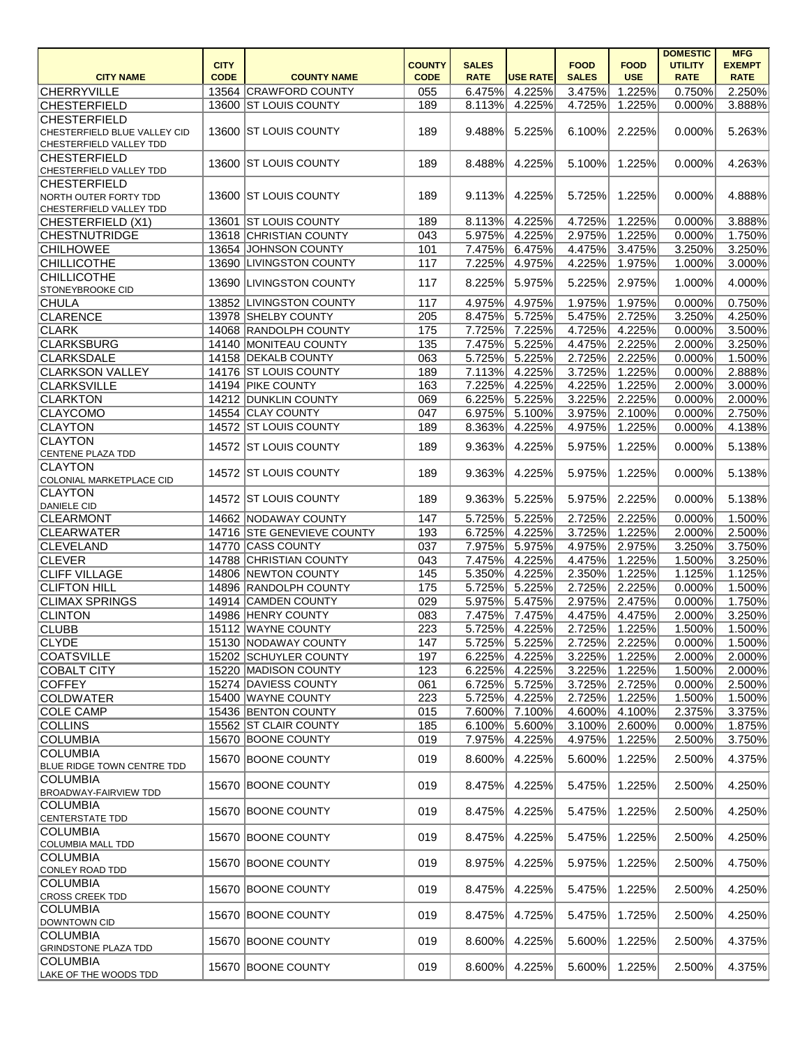|                                               |             |                            |               |              |                 |              |             | <b>DOMESTIC</b> | <b>MFG</b>           |
|-----------------------------------------------|-------------|----------------------------|---------------|--------------|-----------------|--------------|-------------|-----------------|----------------------|
|                                               | <b>CITY</b> |                            | <b>COUNTY</b> | <b>SALES</b> |                 | <b>FOOD</b>  | <b>FOOD</b> | <b>UTILITY</b>  | <b>EXEMPT</b>        |
| <b>CITY NAME</b>                              | <b>CODE</b> | <b>COUNTY NAME</b>         | <b>CODE</b>   | <b>RATE</b>  | <b>USE RATE</b> | <b>SALES</b> | <b>USE</b>  | <b>RATE</b>     | <b>RATE</b>          |
| <b>CHERRYVILLE</b>                            |             | 13564 CRAWFORD COUNTY      | 055           | 6.475%       | 4.225%          | 3.475%       | 1.225%      | 0.750%          | 2.250%               |
| <b>CHESTERFIELD</b>                           |             | 13600 ST LOUIS COUNTY      | 189           | 8.113%       | 4.225%          | 4.725%       | 1.225%      | 0.000%          | 3.888%               |
| <b>CHESTERFIELD</b>                           |             |                            |               |              |                 |              |             |                 |                      |
| CHESTERFIELD BLUE VALLEY CID                  |             | 13600 ST LOUIS COUNTY      | 189           | 9.488%       | 5.225%          | 6.100%       | 2.225%      | 0.000%          | 5.263%               |
| CHESTERFIELD VALLEY TDD                       |             |                            |               |              |                 |              |             |                 |                      |
| <b>CHESTERFIELD</b>                           |             | 13600 ST LOUIS COUNTY      | 189           | 8.488%       | 4.225%          | 5.100%       | 1.225%      | 0.000%          | 4.263%               |
| CHESTERFIELD VALLEY TDD                       |             |                            |               |              |                 |              |             |                 |                      |
| <b>CHESTERFIELD</b>                           |             |                            |               |              |                 |              |             |                 |                      |
| NORTH OUTER FORTY TDD                         |             | 13600 ST LOUIS COUNTY      | 189           | 9.113%       | 4.225%          | 5.725%       | 1.225%      | 0.000%          | 4.888%               |
| CHESTERFIELD VALLEY TDD                       |             | 13601 ST LOUIS COUNTY      | 189           | 8.113%       | 4.225%          | 4.725%       | 1.225%      | 0.000%          | 3.888%               |
| CHESTERFIELD (X1)                             |             |                            |               |              |                 |              |             |                 |                      |
| <b>CHESTNUTRIDGE</b>                          |             | 13618 CHRISTIAN COUNTY     | 043           | 5.975%       | 4.225%          | 2.975%       | 1.225%      | 0.000%          | $\overline{1.750\%}$ |
| <b>CHILHOWEE</b>                              |             | 13654 JOHNSON COUNTY       | 101           | 7.475%       | 6.475%          | 4.475%       | 3.475%      | 3.250%          | 3.250%               |
| <b>CHILLICOTHE</b>                            |             | 13690 LIVINGSTON COUNTY    | 117           | 7.225%       | 4.975%          | 4.225%       | 1.975%      | 1.000%          | 3.000%               |
| <b>CHILLICOTHE</b>                            |             | 13690 LIVINGSTON COUNTY    | 117           | 8.225%       | 5.975%          | 5.225%       | 2.975%      | 1.000%          | 4.000%               |
| <b>STONEYBROOKE CID</b>                       |             |                            |               |              |                 |              |             |                 |                      |
| <b>CHULA</b>                                  |             | 13852 LIVINGSTON COUNTY    | 117           | 4.975%       | 4.975%          | 1.975%       | 1.975%      | 0.000%          | 0.750%               |
| <b>CLARENCE</b>                               |             | 13978 SHELBY COUNTY        | 205           | 8.475%       | 5.725%          | 5.475%       | 2.725%      | 3.250%          | 4.250%               |
| <b>CLARK</b>                                  |             | 14068 RANDOLPH COUNTY      | 175           | 7.725%       | 7.225%          | 4.725%       | 4.225%      | 0.000%          | 3.500%               |
| <b>CLARKSBURG</b>                             |             | 14140 MONITEAU COUNTY      | 135           | 7.475%       | 5.225%          | 4.475%       | 2.225%      | 2.000%          | 3.250%               |
| <b>CLARKSDALE</b>                             |             | 14158 DEKALB COUNTY        | 063           | 5.725%       | 5.225%          | 2.725%       | 2.225%      | 0.000%          | 1.500%               |
| <b>CLARKSON VALLEY</b>                        |             | 14176 ST LOUIS COUNTY      | 189           | 7.113%       | 4.225%          | 3.725%       | 1.225%      | 0.000%          | 2.888%               |
| <b>CLARKSVILLE</b>                            |             | 14194 PIKE COUNTY          | 163           | 7.225%       | 4.225%          | 4.225%       | 1.225%      | 2.000%          | 3.000%               |
| <b>CLARKTON</b>                               |             | 14212 DUNKLIN COUNTY       | 069           | 6.225%       | 5.225%          | 3.225%       | 2.225%      | 0.000%          | 2.000%               |
| <b>CLAYCOMO</b>                               |             | 14554 CLAY COUNTY          | 047           | 6.975%       | 5.100%          | 3.975%       | 2.100%      | 0.000%          | 2.750%               |
| <b>CLAYTON</b>                                |             | 14572 ST LOUIS COUNTY      | 189           | 8.363%       | 4.225%          | 4.975%       | 1.225%      | 0.000%          | 4.138%               |
| <b>CLAYTON</b>                                |             | 14572 ST LOUIS COUNTY      |               |              |                 |              |             |                 |                      |
| <b>CENTENE PLAZA TDD</b>                      |             |                            | 189           | 9.363%       | 4.225%          | 5.975%       | 1.225%      | 0.000%          | 5.138%               |
| <b>CLAYTON</b>                                |             | 14572 ST LOUIS COUNTY      | 189           | 9.363%       | 4.225%          | 5.975%       | 1.225%      | 0.000%          | 5.138%               |
| COLONIAL MARKETPLACE CID                      |             |                            |               |              |                 |              |             |                 |                      |
| <b>CLAYTON</b>                                |             | 14572 ST LOUIS COUNTY      | 189           | 9.363%       | 5.225%          | 5.975%       | 2.225%      | 0.000%          | 5.138%               |
| <b>DANIELE CID</b>                            |             |                            |               |              |                 |              |             |                 |                      |
| <b>CLEARMONT</b>                              |             | 14662 NODAWAY COUNTY       | 147           | 5.725%       | 5.225%          | 2.725%       | 2.225%      | 0.000%          | 1.500%               |
| <b>CLEARWATER</b>                             |             | 14716 STE GENEVIEVE COUNTY | 193           | 6.725%       | 4.225%          | 3.725%       | 1.225%      | 2.000%          | 2.500%               |
| <b>CLEVELAND</b>                              |             | 14770 CASS COUNTY          | 037           | 7.975%       | 5.975%          | 4.975%       | 2.975%      | 3.250%          | 3.750%               |
| <b>CLEVER</b>                                 |             | 14788 CHRISTIAN COUNTY     | 043           | 7.475%       | 4.225%          | 4.475%       | 1.225%      | 1.500%          | 3.250%               |
| <b>CLIFF VILLAGE</b>                          |             | 14806 NEWTON COUNTY        | 145           | 5.350%       | 4.225%          | 2.350%       | 1.225%      | 1.125%          | 1.125%               |
| <b>CLIFTON HILL</b>                           |             | 14896 RANDOLPH COUNTY      | 175           | 5.725%       | 5.225%          | 2.725%       | 2.225%      | 0.000%          | 1.500%               |
| <b>CLIMAX SPRINGS</b>                         |             | 14914 CAMDEN COUNTY        | 029           | 5.975%       | 5.475%          | 2.975%       | 2.475%      | 0.000%          | 1.750%               |
| <b>CLINTON</b>                                |             | 14986 HENRY COUNTY         | 083           | 7.475%       | 7.475%          | 4.475%       | 4.475%      | 2.000%          | 3.250%               |
| <b>CLUBB</b>                                  |             | 15112 WAYNE COUNTY         | 223           | 5.725%       | 4.225%          | 2.725%       | 1.225%      | 1.500%          | 1.500%               |
| <b>CLYDE</b>                                  |             | 15130 NODAWAY COUNTY       | 147           | 5.725%       | 5.225%          | 2.725%       | 2.225%      | 0.000%          | 1.500%               |
| <b>COATSVILLE</b>                             |             | 15202 SCHUYLER COUNTY      | 197           | 6.225%       | 4.225%          | 3.225%       | 1.225%      | 2.000%          | 2.000%               |
| <b>COBALT CITY</b>                            |             | 15220 MADISON COUNTY       | 123           | 6.225%       | 4.225%          | 3.225%       | 1.225%      | 1.500%          | 2.000%               |
| <b>COFFEY</b>                                 |             | 15274 DAVIESS COUNTY       | 061           | 6.725%       | 5.725%          | 3.725%       | 2.725%      | 0.000%          | 2.500%               |
| <b>COLDWATER</b>                              |             | 15400 WAYNE COUNTY         | 223           | 5.725%       | 4.225%          | 2.725%       | 1.225%      | 1.500%          | 1.500%               |
| <b>COLE CAMP</b>                              |             | 15436 BENTON COUNTY        | 015           | 7.600%       | 7.100%          | 4.600%       | 4.100%      | 2.375%          | 3.375%               |
| <b>COLLINS</b>                                |             | 15562 ST CLAIR COUNTY      | 185           | 6.100%       | 5.600%          | 3.100%       | 2.600%      | 0.000%          | 1.875%               |
| <b>COLUMBIA</b>                               |             | 15670 BOONE COUNTY         | 019           | 7.975%       | 4.225%          | 4.975%       | 1.225%      | 2.500%          | 3.750%               |
|                                               |             |                            |               |              |                 |              |             |                 |                      |
| <b>COLUMBIA</b><br>BLUE RIDGE TOWN CENTRE TDD |             | 15670 BOONE COUNTY         | 019           | 8.600%       | 4.225%          | 5.600%       | 1.225%      | 2.500%          | 4.375%               |
| <b>COLUMBIA</b>                               |             |                            |               |              |                 |              |             |                 |                      |
| <b>BROADWAY-FAIRVIEW TDD</b>                  |             | 15670 BOONE COUNTY         | 019           | 8.475%       | 4.225%          | 5.475%       | 1.225%      | 2.500%          | 4.250%               |
| COLUMBIA                                      |             |                            |               |              |                 |              |             |                 |                      |
| <b>CENTERSTATE TDD</b>                        |             | 15670 BOONE COUNTY         | 019           | 8.475%       | 4.225%          | 5.475%       | 1.225%      | 2.500%          | 4.250%               |
| <b>COLUMBIA</b>                               |             |                            |               |              |                 |              |             |                 |                      |
| <b>COLUMBIA MALL TDD</b>                      |             | 15670 BOONE COUNTY         | 019           | 8.475%       | 4.225%          | 5.475%       | 1.225%      | 2.500%          | 4.250%               |
| <b>COLUMBIA</b>                               |             |                            |               |              |                 |              |             |                 |                      |
| CONLEY ROAD TDD                               |             | 15670 BOONE COUNTY         | 019           | 8.975%       | 4.225%          | 5.975%       | 1.225%      | 2.500%          | 4.750%               |
| <b>COLUMBIA</b>                               |             |                            |               |              |                 |              |             |                 |                      |
| <b>CROSS CREEK TDD</b>                        |             | 15670 BOONE COUNTY         | 019           | 8.475%       | 4.225%          | 5.475%       | 1.225%      | 2.500%          | 4.250%               |
| <b>COLUMBIA</b>                               |             |                            |               |              |                 |              |             |                 |                      |
| DOWNTOWN CID                                  |             | 15670 BOONE COUNTY         | 019           | 8.475%       | 4.725%          | 5.475%       | 1.725%      | 2.500%          | 4.250%               |
| <b>COLUMBIA</b>                               |             |                            |               |              |                 |              |             |                 |                      |
| <b>GRINDSTONE PLAZA TDD</b>                   |             | 15670 BOONE COUNTY         | 019           | 8.600%       | 4.225%          | 5.600%       | 1.225%      | 2.500%          | 4.375%               |
| <b>COLUMBIA</b>                               |             |                            |               |              |                 |              |             |                 |                      |
| LAKE OF THE WOODS TDD                         |             | 15670 BOONE COUNTY         | 019           | 8.600%       | 4.225%          | 5.600%       | 1.225%      | 2.500%          | 4.375%               |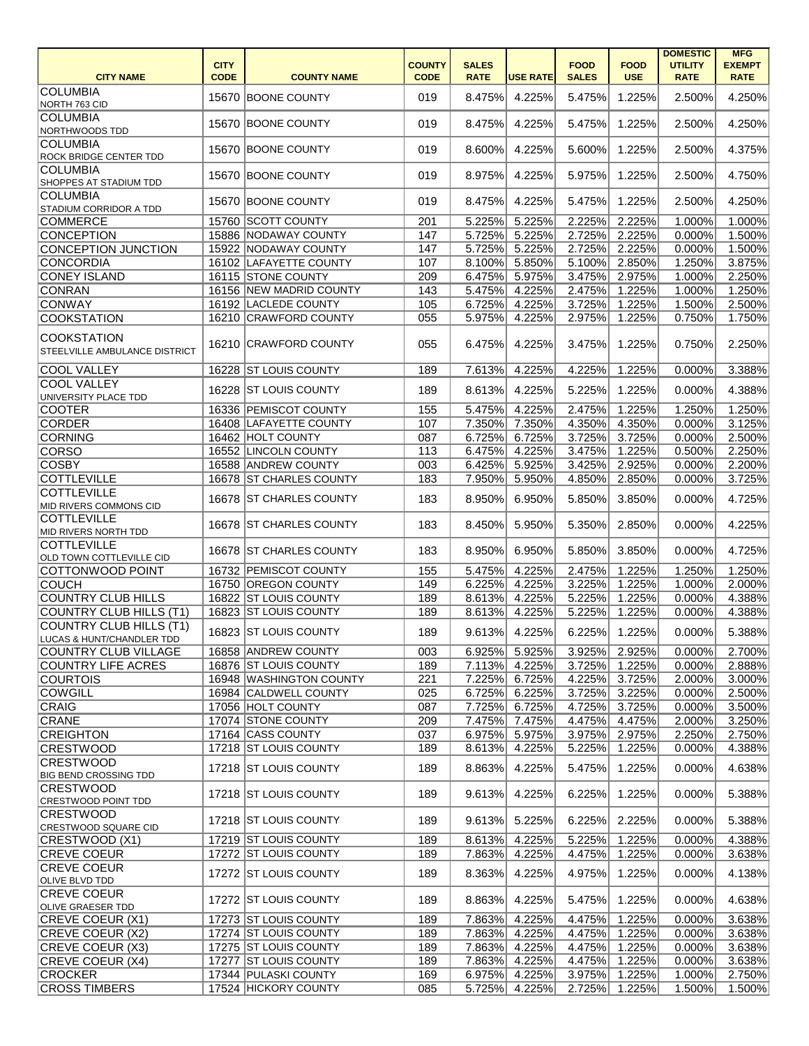|                               |             |                          |               |              |                 |              |             | <b>DOMESTIC</b> | <b>MFG</b>    |
|-------------------------------|-------------|--------------------------|---------------|--------------|-----------------|--------------|-------------|-----------------|---------------|
|                               | <b>CITY</b> |                          | <b>COUNTY</b> | <b>SALES</b> |                 | <b>FOOD</b>  | <b>FOOD</b> | <b>UTILITY</b>  | <b>EXEMPT</b> |
| <b>CITY NAME</b>              | <b>CODE</b> | <b>COUNTY NAME</b>       | <b>CODE</b>   | <b>RATE</b>  | <b>USE RATE</b> | <b>SALES</b> | <b>USE</b>  | <b>RATE</b>     | <b>RATE</b>   |
| <b>COLUMBIA</b>               |             | 15670 BOONE COUNTY       | 019           | 8.475%       | 4.225%          | 5.475%       | 1.225%      | 2.500%          | 4.250%        |
| NORTH 763 CID                 |             |                          |               |              |                 |              |             |                 |               |
| <b>COLUMBIA</b>               |             | 15670 BOONE COUNTY       | 019           | 8.475%       | 4.225%          | 5.475%       | 1.225%      | 2.500%          | 4.250%        |
| NORTHWOODS TDD                |             |                          |               |              |                 |              |             |                 |               |
| <b>COLUMBIA</b>               |             | 15670 BOONE COUNTY       | 019           | 8.600%       | 4.225%          | 5.600%       | 1.225%      | 2.500%          | 4.375%        |
| <b>ROCK BRIDGE CENTER TDD</b> |             |                          |               |              |                 |              |             |                 |               |
| <b>COLUMBIA</b>               |             | 15670 BOONE COUNTY       | 019           | 8.975%       | 4.225%          | 5.975%       | 1.225%      | 2.500%          | 4.750%        |
| SHOPPES AT STADIUM TDD        |             |                          |               |              |                 |              |             |                 |               |
| <b>COLUMBIA</b>               |             | 15670 BOONE COUNTY       | 019           | 8.475%       | 4.225%          | 5.475%       | 1.225%      | 2.500%          | 4.250%        |
| STADIUM CORRIDOR A TDD        |             |                          |               |              |                 |              |             |                 |               |
| <b>COMMERCE</b>               |             | 15760 SCOTT COUNTY       | 201           | 5.225%       | 5.225%          | 2.225%       | 2.225%      | 1.000%          | 1.000%        |
| <b>CONCEPTION</b>             |             | 15886 NODAWAY COUNTY     | 147           | 5.725%       | 5.225%          | 2.725%       | 2.225%      | 0.000%          | 1.500%        |
| <b>CONCEPTION JUNCTION</b>    |             | 15922 NODAWAY COUNTY     | 147           | 5.725%       | 5.225%          | 2.725%       | 2.225%      | 0.000%          | 1.500%        |
| <b>CONCORDIA</b>              |             | 16102 LAFAYETTE COUNTY   | 107           | 8.100%       | 5.850%          | 5.100%       | 2.850%      | 1.250%          | 3.875%        |
| <b>CONEY ISLAND</b>           |             | 16115 STONE COUNTY       | 209           | 6.475%       | 5.975%          | 3.475%       | 2.975%      | 1.000%          | 2.250%        |
| <b>CONRAN</b>                 |             | 16156 NEW MADRID COUNTY  | 143           | 5.475%       | 4.225%          | 2.475%       | 1.225%      | 1.000%          | 1.250%        |
| <b>CONWAY</b>                 |             | 16192 LACLEDE COUNTY     | 105           | 6.725%       | 4.225%          | 3.725%       | 1.225%      | 1.500%          | 2.500%        |
| <b>COOKSTATION</b>            |             | 16210 CRAWFORD COUNTY    | 055           | 5.975%       | 4.225%          | 2.975%       | 1.225%      | 0.750%          | 1.750%        |
| <b>COOKSTATION</b>            |             |                          |               |              |                 |              |             |                 |               |
| STEELVILLE AMBULANCE DISTRICT |             | 16210 CRAWFORD COUNTY    | 055           | 6.475%       | 4.225%          | 3.475%       | 1.225%      | 0.750%          | 2.250%        |
|                               |             |                          |               |              |                 |              |             |                 |               |
| <b>COOL VALLEY</b>            |             | 16228 ST LOUIS COUNTY    | 189           | 7.613%       | 4.225%          | 4.225%       | 1.225%      | 0.000%          | 3.388%        |
| <b>COOL VALLEY</b>            |             | 16228 ST LOUIS COUNTY    | 189           | 8.613%       | 4.225%          | 5.225%       | 1.225%      | 0.000%          | 4.388%        |
| UNIVERSITY PLACE TDD          |             |                          |               |              |                 |              |             |                 |               |
| <b>COOTER</b>                 |             | 16336 PEMISCOT COUNTY    | 155           | 5.475%       | 4.225%          | 2.475%       | 1.225%      | 1.250%          | 1.250%        |
| <b>CORDER</b>                 |             | 16408 LAFAYETTE COUNTY   | 107           | 7.350%       | 7.350%          | 4.350%       | 4.350%      | 0.000%          | 3.125%        |
| <b>CORNING</b>                |             | 16462 HOLT COUNTY        | 087           | 6.725%       | 6.725%          | 3.725%       | 3.725%      | 0.000%          | 2.500%        |
| <b>CORSO</b>                  |             | 16552 LINCOLN COUNTY     | 113           | 6.475%       | 4.225%          | 3.475%       | 1.225%      | 0.500%          | 2.250%        |
| <b>COSBY</b>                  |             | 16588 ANDREW COUNTY      | 003           | 6.425%       | 5.925%          | 3.425%       | 2.925%      | 0.000%          | 2.200%        |
| <b>COTTLEVILLE</b>            |             | 16678 ST CHARLES COUNTY  | 183           | 7.950%       | 5.950%          | 4.850%       | 2.850%      | 0.000%          | 3.725%        |
| <b>COTTLEVILLE</b>            |             |                          |               |              |                 |              |             |                 |               |
| MID RIVERS COMMONS CID        |             | 16678 ST CHARLES COUNTY  | 183           | 8.950%       | 6.950%          | 5.850%       | 3.850%      | 0.000%          | 4.725%        |
| <b>COTTLEVILLE</b>            |             |                          |               |              |                 |              |             |                 |               |
| MID RIVERS NORTH TDD          |             | 16678 IST CHARLES COUNTY | 183           | 8.450%       | 5.950%          | 5.350%       | 2.850%      | 0.000%          | 4.225%        |
| <b>COTTLEVILLE</b>            |             |                          |               |              |                 |              |             |                 |               |
| OLD TOWN COTTLEVILLE CID      |             | 16678 ST CHARLES COUNTY  | 183           |              | 8.950% 6.950%   | 5.850%       | 3.850%      | 0.000%          | 4.725%        |
| COTTONWOOD POINT              |             | 16732 PEMISCOT COUNTY    | 155           | 5.475%       | 4.225%          | 2.475%       | 1.225%      | 1.250%          | 1.250%        |
| <b>COUCH</b>                  |             | 16750 OREGON COUNTY      | 149           | 6.225%       | 4.225%          | 3.225%       | 1.225%      | 1.000%          | 2.000%        |
| COUNTRY CLUB HILLS            |             | 16822 ST LOUIS COUNTY    | 189           | 8.613%       | 4.225%          | 5.225%       | 1.225%      | 0.000%          | 4.388%        |
| COUNTRY CLUB HILLS (T1)       |             | 16823 ST LOUIS COUNTY    | 189           | 8.613%       | 4.225%          | 5.225%       | 1.225%      | 0.000%          | 4.388%        |
| COUNTRY CLUB HILLS (T1)       |             |                          |               |              |                 |              |             |                 |               |
| LUCAS & HUNT/CHANDLER TDD     |             | 16823 ST LOUIS COUNTY    | 189           | 9.613%       | 4.225%          | 6.225%       | 1.225%      | 0.000%          | 5.388%        |
| <b>COUNTRY CLUB VILLAGE</b>   |             | 16858 ANDREW COUNTY      | 003           | 6.925%       | 5.925%          | 3.925%       | 2.925%      | 0.000%          | 2.700%        |
| <b>COUNTRY LIFE ACRES</b>     |             | 16876 ST LOUIS COUNTY    | 189           | 7.113%       | 4.225%          | 3.725%       | 1.225%      | 0.000%          | 2.888%        |
|                               |             |                          |               |              |                 |              |             |                 |               |
| <b>COURTOIS</b>               |             | 16948 WASHINGTON COUNTY  | 221           | 7.225%       | 6.725%          | 4.225%       | 3.725%      | 2.000%          | 3.000%        |
| <b>COWGILL</b>                |             | 16984 CALDWELL COUNTY    | 025           | 6.725%       | 6.225%          | 3.725%       | 3.225%      | 0.000%          | 2.500%        |
| CRAIG                         |             | 17056 HOLT COUNTY        | 087           | 7.725%       | 6.725%          | 4.725%       | 3.725%      | 0.000%          | 3.500%        |
| <b>CRANE</b>                  |             | 17074 STONE COUNTY       | 209           | 7.475%       | 7.475%          | 4.475%       | 4.475%      | 2.000%          | 3.250%        |
| <b>CREIGHTON</b>              |             | 17164 CASS COUNTY        | 037           | 6.975%       | 5.975%          | 3.975%       | 2.975%      | 2.250%          | 2.750%        |
| <b>CRESTWOOD</b>              |             | 17218 ST LOUIS COUNTY    | 189           | 8.613%       | 4.225%          | 5.225%       | 1.225%      | 0.000%          | 4.388%        |
| <b>CRESTWOOD</b>              |             | 17218 ST LOUIS COUNTY    | 189           | 8.863%       | 4.225%          | 5.475%       | 1.225%      | 0.000%          | 4.638%        |
| <b>BIG BEND CROSSING TDD</b>  |             |                          |               |              |                 |              |             |                 |               |
| <b>CRESTWOOD</b>              |             | 17218 ST LOUIS COUNTY    | 189           | 9.613%       | 4.225%          | 6.225%       | 1.225%      | 0.000%          | 5.388%        |
| CRESTWOOD POINT TDD           |             |                          |               |              |                 |              |             |                 |               |
| <b>CRESTWOOD</b>              |             | 17218 ST LOUIS COUNTY    | 189           | 9.613%       | 5.225%          | 6.225%       | 2.225%      | 0.000%          | 5.388%        |
| CRESTWOOD SQUARE CID          |             |                          |               |              |                 |              |             |                 |               |
| CRESTWOOD (X1)                |             | 17219 ST LOUIS COUNTY    | 189           | 8.613%       | 4.225%          | 5.225%       | 1.225%      | 0.000%          | 4.388%        |
| <b>CREVE COEUR</b>            |             | 17272 ST LOUIS COUNTY    | 189           | 7.863%       | 4.225%          | 4.475%       | 1.225%      | 0.000%          | 3.638%        |
| <b>CREVE COEUR</b>            |             | 17272 ST LOUIS COUNTY    | 189           | 8.363%       | 4.225%          | 4.975%       | 1.225%      | 0.000%          | 4.138%        |
| <b>OLIVE BLVD TDD</b>         |             |                          |               |              |                 |              |             |                 |               |
| <b>CREVE COEUR</b>            |             | 17272 ST LOUIS COUNTY    | 189           | 8.863%       | 4.225%          | 5.475%       | 1.225%      | 0.000%          | 4.638%        |
| <b>OLIVE GRAESER TDD</b>      |             |                          |               |              |                 |              |             |                 |               |
| CREVE COEUR (X1)              |             | 17273 ST LOUIS COUNTY    | 189           | 7.863%       | 4.225%          | 4.475%       | 1.225%      | 0.000%          | 3.638%        |
| CREVE COEUR (X2)              |             | 17274 ST LOUIS COUNTY    | 189           | 7.863%       | 4.225%          | 4.475%       | 1.225%      | 0.000%          | 3.638%        |
| CREVE COEUR (X3)              |             | 17275 ST LOUIS COUNTY    | 189           | 7.863%       | 4.225%          | 4.475%       | 1.225%      | 0.000%          | 3.638%        |
| CREVE COEUR (X4)              |             | 17277 ST LOUIS COUNTY    | 189           | 7.863%       | 4.225%          | 4.475%       | 1.225%      | 0.000%          | 3.638%        |
| <b>CROCKER</b>                |             | 17344 PULASKI COUNTY     | 169           | 6.975%       | 4.225%          | 3.975%       | 1.225%      | 1.000%          | 2.750%        |
| <b>CROSS TIMBERS</b>          |             | 17524 HICKORY COUNTY     | 085           | 5.725%       | 4.225%          | 2.725%       | 1.225%      | 1.500%          | 1.500%        |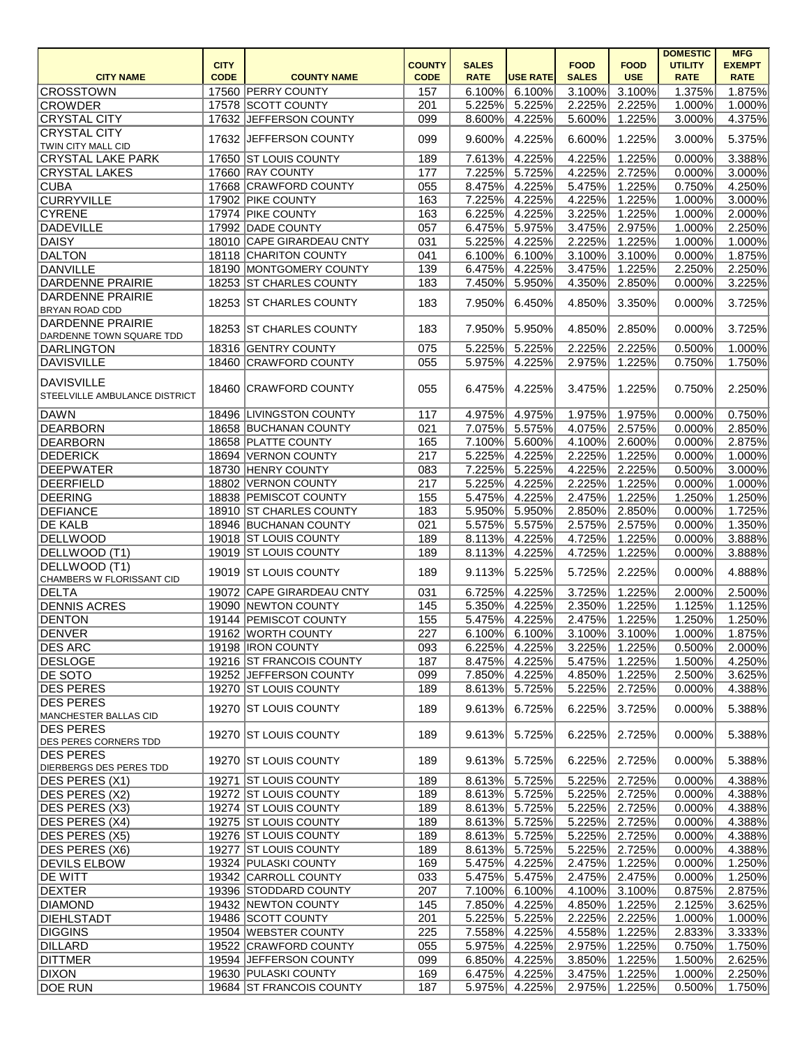|                                                     |             |                           |               |              |                 |              |               | <b>DOMESTIC</b> | <b>MFG</b>       |
|-----------------------------------------------------|-------------|---------------------------|---------------|--------------|-----------------|--------------|---------------|-----------------|------------------|
|                                                     | <b>CITY</b> |                           | <b>COUNTY</b> | <b>SALES</b> |                 | <b>FOOD</b>  | <b>FOOD</b>   | <b>UTILITY</b>  | <b>EXEMPT</b>    |
| <b>CITY NAME</b>                                    | <b>CODE</b> | <b>COUNTY NAME</b>        | <b>CODE</b>   | <b>RATE</b>  | <b>USE RATE</b> | <b>SALES</b> | <b>USE</b>    | <b>RATE</b>     | <b>RATE</b>      |
| <b>CROSSTOWN</b>                                    |             | 17560 PERRY COUNTY        | 157           | 6.100%       | 6.100%          | 3.100%       | 3.100%        | 1.375%          | 1.875%           |
| <b>CROWDER</b>                                      |             | 17578 SCOTT COUNTY        | 201           | 5.225%       | 5.225%          | 2.225%       | 2.225%        | 1.000%          | $1.000\%$        |
| <b>CRYSTAL CITY</b>                                 |             | 17632 JEFFERSON COUNTY    | 099           | 8.600%       | 4.225%          | 5.600%       | 1.225%        | 3.000%          | 4.375%           |
| <b>CRYSTAL CITY</b><br>TWIN CITY MALL CID           | 17632       | <b>JEFFERSON COUNTY</b>   | 099           | 9.600%       | 4.225%          | 6.600%       | 1.225%        | 3.000%          | 5.375%           |
| <b>CRYSTAL LAKE PARK</b>                            |             | 17650 ST LOUIS COUNTY     | 189           | 7.613%       | 4.225%          | 4.225%       | 1.225%        | 0.000%          | 3.388%           |
| <b>CRYSTAL LAKES</b>                                |             | 17660 RAY COUNTY          | 177           | 7.225%       | 5.725%          | 4.225%       | 2.725%        | 0.000%          | 3.000%           |
| <b>CUBA</b>                                         |             | 17668 CRAWFORD COUNTY     | 055           | 8.475%       | 4.225%          | 5.475%       | 1.225%        | 0.750%          | 4.250%           |
| <b>CURRYVILLE</b>                                   |             | 17902 PIKE COUNTY         | 163           | 7.225%       | 4.225%          | 4.225%       | 1.225%        | 1.000%          | 3.000%           |
| <b>CYRENE</b>                                       |             | 17974 PIKE COUNTY         | 163           | 6.225%       | 4.225%          | 3.225%       | 1.225%        | 1.000%          | 2.000%           |
| DADEVILLE                                           |             | 17992 DADE COUNTY         | 057           | 6.475%       | 5.975%          | 3.475%       | 2.975%        | 1.000%          | 2.250%           |
| DAISY                                               |             | 18010 CAPE GIRARDEAU CNTY | 031           | 5.225%       | 4.225%          | 2.225%       | 1.225%        | 1.000%          | 1.000%           |
| <b>DALTON</b>                                       |             | 18118 CHARITON COUNTY     | 041           | 6.100%       | 6.100%          | 3.100%       | 3.100%        | 0.000%          | 1.875%           |
| DANVILLE                                            |             | 18190 MONTGOMERY COUNTY   | 139           | 6.475%       | 4.225%          | 3.475%       | 1.225%        | 2.250%          | 2.250%           |
| <b>DARDENNE PRAIRIE</b>                             |             | 18253 ST CHARLES COUNTY   | 183           | 7.450%       | 5.950%          | 4.350%       | 2.850%        | 0.000%          | 3.225%           |
| <b>DARDENNE PRAIRIE</b>                             |             |                           |               |              |                 |              |               |                 |                  |
| <b>BRYAN ROAD CDD</b>                               |             | 18253 ST CHARLES COUNTY   | 183           | 7.950%       | 6.450%          | 4.850%       | 3.350%        | 0.000%          | 3.725%           |
| <b>DARDENNE PRAIRIE</b><br>DARDENNE TOWN SQUARE TDD |             | 18253 ST CHARLES COUNTY   | 183           | 7.950%       | 5.950%          | 4.850%       | 2.850%        | 0.000%          | 3.725%           |
| DARLINGTON                                          |             | 18316 GENTRY COUNTY       | 075           | 5.225%       | 5.225%          | 2.225%       | 2.225%        | 0.500%          | 1.000%           |
| <b>DAVISVILLE</b>                                   |             | 18460 CRAWFORD COUNTY     | 055           | 5.975%       | 4.225%          | 2.975%       | 1.225%        | 0.750%          | 1.750%           |
| <b>DAVISVILLE</b><br>STEELVILLE AMBULANCE DISTRICT  |             | 18460 CRAWFORD COUNTY     | 055           | 6.475%       | 4.225%          | 3.475%       | 1.225%        | 0.750%          | 2.250%           |
| <b>DAWN</b>                                         |             | 18496 LIVINGSTON COUNTY   | 117           | 4.975%       | 4.975%          | 1.975%       | 1.975%        | 0.000%          | 0.750%           |
| <b>DEARBORN</b>                                     |             | 18658 BUCHANAN COUNTY     | 021           | 7.075%       | 5.575%          | 4.075%       | 2.575%        | 0.000%          | 2.850%           |
| <b>DEARBORN</b>                                     |             | 18658 PLATTE COUNTY       | 165           | 7.100%       | 5.600%          | 4.100%       | 2.600%        | 0.000%          | 2.875%           |
| <b>DEDERICK</b>                                     |             | 18694 VERNON COUNTY       | 217           | 5.225%       | 4.225%          | 2.225%       | 1.225%        | 0.000%          | 1.000%           |
| <b>DEEPWATER</b>                                    |             | 18730 HENRY COUNTY        | 083           | 7.225%       | 5.225%          | 4.225%       | 2.225%        | 0.500%          | $3.000\%$        |
| <b>DEERFIELD</b>                                    |             | 18802 VERNON COUNTY       | 217           | 5.225%       | 4.225%          | 2.225%       | 1.225%        | 0.000%          | 1.000%           |
| <b>DEERING</b>                                      |             | 18838 PEMISCOT COUNTY     | 155           | 5.475%       | 4.225%          | 2.475%       | 1.225%        | 1.250%          | 1.250%           |
| <b>DEFIANCE</b>                                     |             | 18910 ST CHARLES COUNTY   | 183           | 5.950%       | 5.950%          | 2.850%       | 2.850%        | 0.000%          | 1.725%           |
|                                                     |             |                           | 021           |              | 5.575%          |              |               |                 |                  |
| <b>DE KALB</b><br><b>DELLWOOD</b>                   |             | 18946 BUCHANAN COUNTY     |               | 5.575%       |                 | 2.575%       | 2.575%        | 0.000%          | 1.350%<br>3.888% |
|                                                     |             | 19018 ST LOUIS COUNTY     | 189           | 8.113%       | 4.225%          | 4.725%       | 1.225%        | 0.000%          |                  |
| DELLWOOD (T1)                                       |             | 19019 ST LOUIS COUNTY     | 189           |              | 8.113% 4.225%   |              | 4.725% 1.225% | $0.000\%$       | 3.888%           |
| DELLWOOD (T1)<br>CHAMBERS W FLORISSANT CID          |             | 19019 ST LOUIS COUNTY     | 189           | 9.113%       | 5.225%          | 5.725%       | 2.225%        | 0.000%          | 4.888%           |
| <b>DELTA</b>                                        |             | 19072 CAPE GIRARDEAU CNTY | 031           | 6.725%       | 4.225%          | 3.725%       | 1.225%        | 2.000%          | 2.500%           |
| <b>DENNIS ACRES</b>                                 |             | 19090 NEWTON COUNTY       | 145           | 5.350%       | 4.225%          | 2.350%       | 1.225%        | 1.125%          | 1.125%           |
| <b>DENTON</b>                                       |             | 19144 PEMISCOT COUNTY     | 155           | 5.475%       | 4.225%          | 2.475%       | 1.225%        | 1.250%          | 1.250%           |
| <b>DENVER</b>                                       |             | 19162 WORTH COUNTY        | 227           | 6.100%       | 6.100%          | 3.100%       | 3.100%        | 1.000%          | 1.875%           |
| <b>DES ARC</b>                                      |             | 19198   IRON COUNTY       | 093           | 6.225%       | 4.225%          | 3.225%       | 1.225%        | 0.500%          | 2.000%           |
| DESLOGE                                             |             | 19216 ST FRANCOIS COUNTY  | 187           | 8.475%       | 4.225%          | 5.475%       | 1.225%        | 1.500%          | 4.250%           |
| <b>DE SOTO</b>                                      |             | 19252 JEFFERSON COUNTY    | 099           | 7.850%       | 4.225%          | 4.850%       | 1.225%        | 2.500%          | 3.625%           |
| <b>DES PERES</b>                                    |             | 19270 ST LOUIS COUNTY     | 189           | 8.613%       | 5.725%          | 5.225%       | 2.725%        | 0.000%          | 4.388%           |
| <b>DES PERES</b>                                    |             |                           |               |              |                 |              |               |                 |                  |
| MANCHESTER BALLAS CID                               |             | 19270 ST LOUIS COUNTY     | 189           | 9.613%       | 6.725%          | 6.225%       | 3.725%        | 0.000%          | 5.388%           |
| <b>DES PERES</b><br><b>DES PERES CORNERS TDD</b>    |             | 19270 ST LOUIS COUNTY     | 189           | 9.613%       | 5.725%          | 6.225%       | 2.725%        | 0.000%          | 5.388%           |
| <b>DES PERES</b><br>DIERBERGS DES PERES TDD         |             | 19270 ST LOUIS COUNTY     | 189           | 9.613%       | 5.725%          | 6.225%       | 2.725%        | 0.000%          | 5.388%           |
| DES PERES (X1)                                      |             | 19271 ST LOUIS COUNTY     | 189           | 8.613%       | 5.725%          | 5.225%       | 2.725%        | 0.000%          | 4.388%           |
| <b>DES PERES (X2)</b>                               |             | 19272 ST LOUIS COUNTY     | 189           | 8.613%       | 5.725%          | 5.225%       | 2.725%        | 0.000%          | 4.388%           |
| <b>DES PERES (X3)</b>                               |             | 19274 ST LOUIS COUNTY     | 189           | 8.613%       | 5.725%          | 5.225%       | 2.725%        | 0.000%          | 4.388%           |
| <b>DES PERES (X4)</b>                               |             | 19275 ST LOUIS COUNTY     | 189           | 8.613%       | 5.725%          | 5.225%       | 2.725%        | 0.000%          | 4.388%           |
| <b>DES PERES (X5)</b>                               |             | 19276 ST LOUIS COUNTY     | 189           | 8.613%       | 5.725%          | 5.225%       | 2.725%        | 0.000%          | 4.388%           |
| <b>DES PERES (X6)</b>                               |             | 19277 ST LOUIS COUNTY     | 189           | 8.613%       | 5.725%          | 5.225%       | 2.725%        | 0.000%          | 4.388%           |
| <b>DEVILS ELBOW</b>                                 |             | 19324 PULASKI COUNTY      | 169           | 5.475%       | 4.225%          | 2.475%       | 1.225%        | 0.000%          | 1.250%           |
| <b>DE WITT</b>                                      |             | 19342 CARROLL COUNTY      | 033           | 5.475%       | 5.475%          | 2.475%       | 2.475%        | 0.000%          | 1.250%           |
| <b>DEXTER</b>                                       |             | 19396 STODDARD COUNTY     | 207           | 7.100%       | 6.100%          | 4.100%       | 3.100%        | 0.875%          | 2.875%           |
| <b>DIAMOND</b>                                      |             | 19432 NEWTON COUNTY       | 145           | 7.850%       | 4.225%          | 4.850%       | 1.225%        | 2.125%          | 3.625%           |
| DIEHLSTADT                                          |             | 19486 SCOTT COUNTY        | 201           | 5.225%       | 5.225%          | 2.225%       | 2.225%        | 1.000%          | 1.000%           |
| <b>DIGGINS</b>                                      |             | 19504 WEBSTER COUNTY      | 225           | 7.558%       | 4.225%          | 4.558%       | 1.225%        | 2.833%          | 3.333%           |
| DILLARD                                             |             | 19522 CRAWFORD COUNTY     | 055           | 5.975%       | 4.225%          | 2.975%       | 1.225%        | 0.750%          | 1.750%           |
| <b>DITTMER</b>                                      |             | 19594 JEFFERSON COUNTY    | 099           | 6.850%       | 4.225%          | 3.850%       | 1.225%        | 1.500%          | 2.625%           |
| <b>DIXON</b>                                        |             | 19630 PULASKI COUNTY      | 169           | 6.475%       | 4.225%          | 3.475%       | 1.225%        | 1.000%          | 2.250%           |
| <b>DOE RUN</b>                                      |             | 19684 ST FRANCOIS COUNTY  | 187           | 5.975%       | 4.225%          | 2.975%       | 1.225%        | 0.500%          | 1.750%           |
|                                                     |             |                           |               |              |                 |              |               |                 |                  |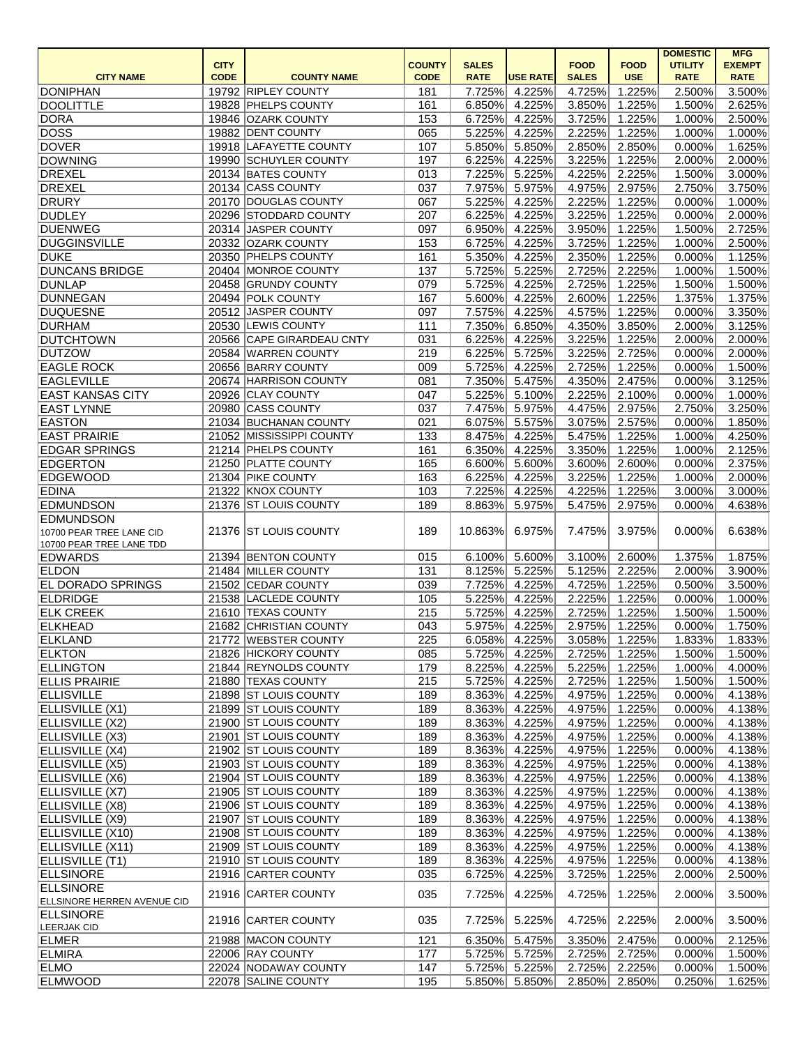|                             |             |                           |               |              |                 |                                |                      | <b>DOMESTIC</b> | <b>MFG</b>    |
|-----------------------------|-------------|---------------------------|---------------|--------------|-----------------|--------------------------------|----------------------|-----------------|---------------|
|                             | <b>CITY</b> |                           | <b>COUNTY</b> | <b>SALES</b> |                 | <b>FOOD</b>                    | <b>FOOD</b>          | <b>UTILITY</b>  | <b>EXEMPT</b> |
| <b>CITY NAME</b>            | <b>CODE</b> | <b>COUNTY NAME</b>        | <b>CODE</b>   | <b>RATE</b>  | <b>USE RATE</b> | <b>SALES</b>                   | <b>USE</b>           | <b>RATE</b>     | <b>RATE</b>   |
| <b>DONIPHAN</b>             |             | 19792 RIPLEY COUNTY       | 181           | 7.725%       | 4.225%          | 4.725%                         | 1.225%               | 2.500%          | 3.500%        |
| <b>DOOLITTLE</b>            |             | 19828 PHELPS COUNTY       | 161           | 6.850%       | 4.225%          | 3.850%                         | $\overline{1.225\%}$ | 1.500%          | 2.625%        |
| <b>DORA</b>                 |             | 19846 OZARK COUNTY        | 153           | 6.725%       | 4.225%          | 3.725%                         | 1.225%               | 1.000%          | 2.500%        |
| <b>DOSS</b>                 |             | 19882 DENT COUNTY         | 065           | 5.225%       | 4.225%          | 2.225%                         | 1.225%               | 1.000%          | 1.000%        |
| <b>DOVER</b>                |             | 19918 LAFAYETTE COUNTY    | 107           | 5.850%       | 5.850%          | 2.850%                         | 2.850%               | 0.000%          | 1.625%        |
| <b>DOWNING</b>              |             | 19990 SCHUYLER COUNTY     | 197           | 6.225%       | 4.225%          | 3.225%                         | $\overline{1.225\%}$ | 2.000%          | 2.000%        |
| <b>DREXEL</b>               |             | 20134 BATES COUNTY        | 013           | 7.225%       | 5.225%          | 4.225%                         | 2.225%               | 1.500%          | 3.000%        |
| <b>DREXEL</b>               |             | 20134 CASS COUNTY         | 037           | 7.975%       | 5.975%          | 4.975%                         | 2.975%               | 2.750%          | 3.750%        |
| <b>DRURY</b>                |             | 20170 DOUGLAS COUNTY      | 067           | 5.225%       | 4.225%          | 2.225%                         | 1.225%               | 0.000%          | 1.000%        |
| <b>DUDLEY</b>               |             | 20296 STODDARD COUNTY     | 207           | 6.225%       | 4.225%          | 3.225%                         | 1.225%               | 0.000%          | 2.000%        |
| <b>DUENWEG</b>              |             | 20314 JASPER COUNTY       | 097           | 6.950%       | 4.225%          | 3.950%                         | 1.225%               | 1.500%          | 2.725%        |
| <b>DUGGINSVILLE</b>         |             | 20332 OZARK COUNTY        | 153           | 6.725%       | 4.225%          | 3.725%                         | 1.225%               | 1.000%          | 2.500%        |
| <b>DUKE</b>                 |             | 20350 PHELPS COUNTY       | 161           | 5.350%       | 4.225%          | 2.350%                         | 1.225%               | 0.000%          | 1.125%        |
| <b>DUNCANS BRIDGE</b>       |             | 20404 MONROE COUNTY       | 137           | 5.725%       | 5.225%          | 2.725%                         | 2.225%               | 1.000%          | 1.500%        |
| <b>DUNLAP</b>               |             | 20458 GRUNDY COUNTY       | 079           | 5.725%       | 4.225%          | 2.725%                         | 1.225%               | 1.500%          | 1.500%        |
| <b>DUNNEGAN</b>             |             | 20494 POLK COUNTY         | 167           | 5.600%       | 4.225%          | 2.600%                         | 1.225%               | 1.375%          | 1.375%        |
| <b>DUQUESNE</b>             |             | 20512 JASPER COUNTY       | 097           | 7.575%       | 4.225%          | 4.575%                         | 1.225%               | 0.000%          | 3.350%        |
| <b>DURHAM</b>               |             | 20530 LEWIS COUNTY        | 111           | 7.350%       | 6.850%          | 4.350%                         | 3.850%               | 2.000%          | 3.125%        |
| <b>DUTCHTOWN</b>            |             | 20566 CAPE GIRARDEAU CNTY | 031           | 6.225%       | 4.225%          | 3.225%                         | 1.225%               | 2.000%          | 2.000%        |
| <b>DUTZOW</b>               |             | 20584 WARREN COUNTY       | 219           | 6.225%       | 5.725%          | 3.225%                         | 2.725%               | 0.000%          | 2.000%        |
| <b>EAGLE ROCK</b>           |             | 20656 BARRY COUNTY        | 009           | 5.725%       | 4.225%          | 2.725%                         | 1.225%               | 0.000%          | 1.500%        |
| <b>EAGLEVILLE</b>           |             | 20674 HARRISON COUNTY     | 081           | 7.350%       | 5.475%          | 4.350%                         | 2.475%               | 0.000%          | 3.125%        |
| <b>EAST KANSAS CITY</b>     | 20926       | <b>CLAY COUNTY</b>        | 047           | 5.225%       | 5.100%          | 2.225%                         | 2.100%               | 0.000%          | 1.000%        |
| <b>EAST LYNNE</b>           | 20980       | <b>CASS COUNTY</b>        | 037           | 7.475%       | 5.975%          | 4.475%                         | 2.975%               | 2.750%          | 3.250%        |
| <b>EASTON</b>               |             | 21034 BUCHANAN COUNTY     | 021           | 6.075%       | 5.575%          | 3.075%                         | 2.575%               | 0.000%          | 1.850%        |
| <b>EAST PRAIRIE</b>         |             | 21052 MISSISSIPPI COUNTY  | 133           | 8.475%       | 4.225%          | 5.475%                         | 1.225%               | 1.000%          | 4.250%        |
| <b>EDGAR SPRINGS</b>        |             | 21214 PHELPS COUNTY       | 161           | 6.350%       | 4.225%          | 3.350%                         | 1.225%               | 1.000%          | 2.125%        |
| <b>EDGERTON</b>             |             | 21250 PLATTE COUNTY       | 165           | 6.600%       | 5.600%          | 3.600%                         | 2.600%               | 0.000%          | 2.375%        |
| <b>EDGEWOOD</b>             |             | 21304 PIKE COUNTY         | 163           | 6.225%       | 4.225%          | 3.225%                         | 1.225%               | 1.000%          | 2.000%        |
| <b>EDINA</b>                |             | 21322 KNOX COUNTY         | 103           | 7.225%       | 4.225%          | 4.225%                         | 1.225%               | 3.000%          | 3.000%        |
| <b>EDMUNDSON</b>            |             | 21376 ST LOUIS COUNTY     | 189           | 8.863%       | 5.975%          | 5.475%                         | 2.975%               | 0.000%          | 4.638%        |
| <b>EDMUNDSON</b>            |             |                           |               |              |                 |                                |                      |                 |               |
| 10700 PEAR TREE LANE CID    |             | 21376 ST LOUIS COUNTY     | 189           | 10.863%      | 6.975%          | 7.475%                         | 3.975%               | 0.000%          | 6.638%        |
| 10700 PEAR TREE LANE TDD    |             |                           |               |              |                 |                                |                      |                 |               |
| <b>EDWARDS</b>              |             | 21394 BENTON COUNTY       | 015           |              |                 | $6.100\%$ 5.600% 3.100% 2.600% |                      | 1.375%          | 1.875%        |
| <b>ELDON</b>                |             | 21484 MILLER COUNTY       | 131           | 8.125%       | 5.225%          | 5.125%                         | 2.225%               | 2.000%          | 3.900%        |
| <b>EL DORADO SPRINGS</b>    |             | 21502 CEDAR COUNTY        | 039           | 7.725%       | 4.225%          | 4.725%                         | 1.225%               | 0.500%          | 3.500%        |
| <b>ELDRIDGE</b>             |             | 21538 LACLEDE COUNTY      | 105           | 5.225%       | 4.225%          | 2.225%                         | 1.225%               | 0.000%          | 1.000%        |
| <b>ELK CREEK</b>            |             | 21610 TEXAS COUNTY        | 215           | 5.725%       | 4.225%          | 2.725%                         | 1.225%               | 1.500%          | 1.500%        |
| <b>ELKHEAD</b>              |             | 21682 CHRISTIAN COUNTY    | 043           | 5.975%       | 4.225%          | 2.975%                         | 1.225%               | 0.000%          | 1.750%        |
| ELKLAND                     |             | 21772 WEBSTER COUNTY      | 225           | 6.058%       | 4.225%          | 3.058%                         | 1.225%               | 1.833%          | 1.833%        |
| <b>ELKTON</b>               |             | 21826 HICKORY COUNTY      | 085           | 5.725%       | 4.225%          | 2.725%                         | 1.225%               | 1.500%          | 1.500%        |
| <b>ELLINGTON</b>            |             | 21844 REYNOLDS COUNTY     | 179           | 8.225%       | 4.225%          | 5.225%                         | 1.225%               | 1.000%          | 4.000%        |
| <b>ELLIS PRAIRIE</b>        |             | 21880 TEXAS COUNTY        | 215           | 5.725%       | 4.225%          | 2.725%                         | 1.225%               | 1.500%          | 1.500%        |
| <b>ELLISVILLE</b>           |             | 21898 ST LOUIS COUNTY     | 189           | 8.363%       | 4.225%          | 4.975%                         | 1.225%               | 0.000%          | 4.138%        |
| ELLISVILLE (X1)             |             | 21899 ST LOUIS COUNTY     | 189           | 8.363%       | 4.225%          | 4.975%                         | 1.225%               | 0.000%          | 4.138%        |
| ELLISVILLE (X2)             |             | 21900 ST LOUIS COUNTY     | 189           | 8.363%       | 4.225%          | 4.975%                         | 1.225%               | 0.000%          | 4.138%        |
| ELLISVILLE (X3)             |             | 21901 ST LOUIS COUNTY     | 189           | 8.363%       | 4.225%          | 4.975%                         | 1.225%               | 0.000%          | 4.138%        |
| ELLISVILLE (X4)             |             | 21902 ST LOUIS COUNTY     | 189           | 8.363%       | 4.225%          | 4.975%                         | 1.225%               | 0.000%          | 4.138%        |
| ELLISVILLE (X5)             |             | 21903 ST LOUIS COUNTY     | 189           | 8.363%       | 4.225%          | 4.975%                         | 1.225%               | 0.000%          | 4.138%        |
| ELLISVILLE (X6)             |             | 21904 ST LOUIS COUNTY     | 189           | 8.363%       | 4.225%          | 4.975%                         | 1.225%               | 0.000%          | 4.138%        |
| ELLISVILLE (X7)             |             | 21905 ST LOUIS COUNTY     | 189           | 8.363%       | 4.225%          | 4.975%                         | 1.225%               | 0.000%          | 4.138%        |
| ELLISVILLE (X8)             |             | 21906 ST LOUIS COUNTY     | 189           | 8.363%       | 4.225%          | 4.975%                         | 1.225%               | 0.000%          | 4.138%        |
|                             |             | 21907 ST LOUIS COUNTY     |               |              |                 |                                |                      |                 |               |
| ELLISVILLE (X9)             |             |                           | 189           | 8.363%       | 4.225%          | 4.975%                         | 1.225%               | 0.000%          | 4.138%        |
| ELLISVILLE (X10)            |             | 21908 ST LOUIS COUNTY     | 189           | 8.363%       | 4.225%          | 4.975%                         | 1.225%               | 0.000%          | 4.138%        |
| ELLISVILLE (X11)            |             | 21909 ST LOUIS COUNTY     | 189           | 8.363%       | 4.225%          | 4.975%                         | 1.225%               | 0.000%          | 4.138%        |
| ELLISVILLE (T1)             |             | 21910 ST LOUIS COUNTY     | 189           | 8.363%       | 4.225%          | 4.975%                         | 1.225%               | 0.000%          | 4.138%        |
| <b>ELLSINORE</b>            |             | 21916 CARTER COUNTY       | 035           | 6.725%       | 4.225%          | 3.725%                         | 1.225%               | 2.000%          | 2.500%        |
| <b>ELLSINORE</b>            |             | 21916 CARTER COUNTY       | 035           | 7.725%       | 4.225%          | 4.725%                         | 1.225%               | 2.000%          | 3.500%        |
| ELLSINORE HERREN AVENUE CID |             |                           |               |              |                 |                                |                      |                 |               |
| <b>ELLSINORE</b>            |             | 21916 CARTER COUNTY       | 035           | 7.725%       | 5.225%          | 4.725%                         | 2.225%               | 2.000%          | 3.500%        |
| LEERJAK CID                 |             |                           |               |              |                 |                                |                      |                 |               |
| ELMER                       |             | 21988 MACON COUNTY        | 121           | 6.350%       | 5.475%          | 3.350%                         | 2.475%               | 0.000%          | 2.125%        |
| <b>ELMIRA</b>               |             | 22006 RAY COUNTY          | 177           | 5.725%       | 5.725%          | 2.725%                         | 2.725%               | 0.000%          | 1.500%        |
| <b>ELMO</b>                 |             | 22024 NODAWAY COUNTY      | 147           | 5.725%       | 5.225%          | 2.725%                         | 2.225%               | 0.000%          | 1.500%        |
| <b>ELMWOOD</b>              |             | 22078 SALINE COUNTY       | 195           | 5.850%       | 5.850%          | 2.850%                         | 2.850%               | 0.250%          | 1.625%        |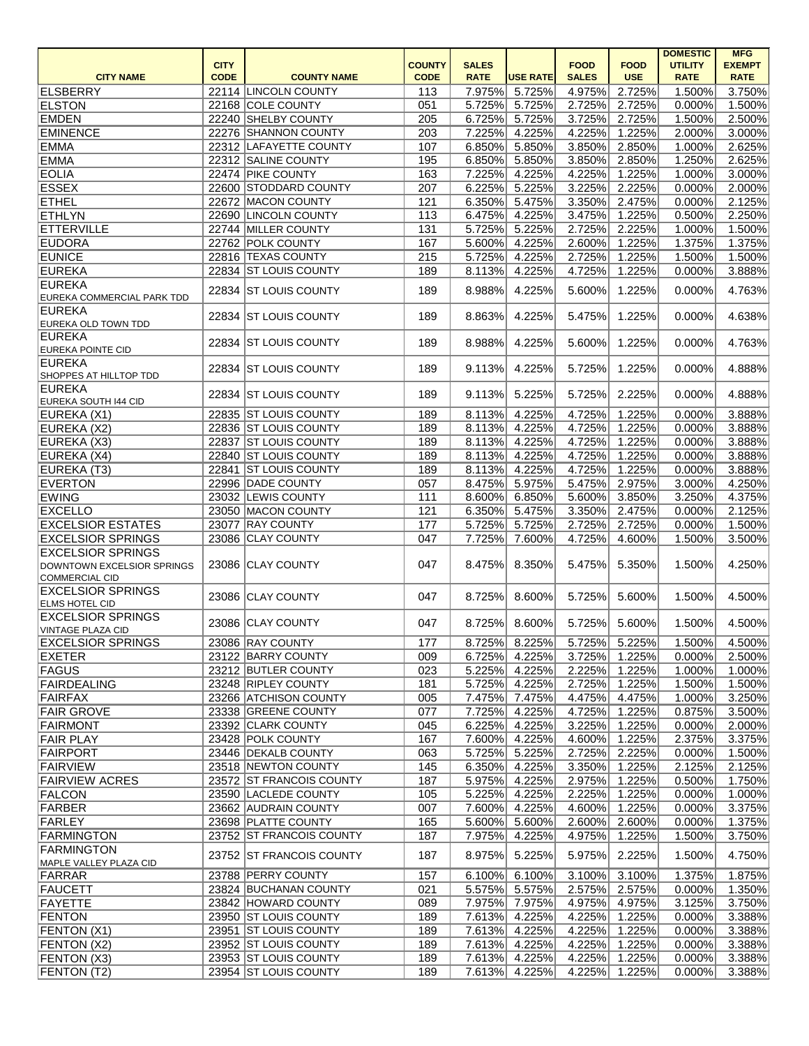|                                                                          |             |                                                |               |                  |                  |                  |                  | <b>DOMESTIC</b>  | <b>MFG</b>       |
|--------------------------------------------------------------------------|-------------|------------------------------------------------|---------------|------------------|------------------|------------------|------------------|------------------|------------------|
|                                                                          | <b>CITY</b> |                                                | <b>COUNTY</b> | <b>SALES</b>     |                  | <b>FOOD</b>      | <b>FOOD</b>      | <b>UTILITY</b>   | <b>EXEMPT</b>    |
| <b>CITY NAME</b>                                                         | <b>CODE</b> | <b>COUNTY NAME</b>                             | <b>CODE</b>   | <b>RATE</b>      | <b>USE RATE</b>  | <b>SALES</b>     | <b>USE</b>       | <b>RATE</b>      | <b>RATE</b>      |
| ELSBERRY                                                                 |             | 22114 LINCOLN COUNTY                           | 113           | 7.975%           | 5.725%           | 4.975%           | 2.725%           | 1.500%           | 3.750%           |
| <b>ELSTON</b>                                                            |             | 22168 COLE COUNTY                              | 051           | 5.725%           | 5.725%           | 2.725%           | 2.725%           | 0.000%           | 1.500%           |
| <b>EMDEN</b>                                                             |             | 22240 SHELBY COUNTY                            | 205           | 6.725%           | 5.725%           | 3.725%           | 2.725%           | 1.500%           | 2.500%           |
| <b>EMINENCE</b>                                                          |             | 22276 SHANNON COUNTY                           | 203           | 7.225%           | 4.225%           | 4.225%           | 1.225%           | 2.000%           | 3.000%           |
| <b>EMMA</b>                                                              |             | 22312 LAFAYETTE COUNTY                         | 107           | 6.850%           | 5.850%           | 3.850%           | 2.850%           | 1.000%           | 2.625%           |
| <b>EMMA</b>                                                              |             | 22312 SALINE COUNTY                            | 195           | 6.850%           | 5.850%           | 3.850%           | 2.850%           | 1.250%           | 2.625%           |
| <b>EOLIA</b>                                                             |             | 22474 PIKE COUNTY                              | 163           | 7.225%           | 4.225%           | 4.225%           | 1.225%           | 1.000%           | 3.000%           |
| <b>ESSEX</b>                                                             |             | 22600 STODDARD COUNTY                          | 207           | 6.225%           | 5.225%           | 3.225%           | 2.225%           | 0.000%           | 2.000%           |
| <b>ETHEL</b>                                                             |             | 22672 MACON COUNTY                             | 121           | 6.350%           | 5.475%           | 3.350%           | 2.475%           | 0.000%           | 2.125%           |
| <b>ETHLYN</b>                                                            |             | 22690 LINCOLN COUNTY                           | 113           | 6.475%           | 4.225%           | 3.475%           | 1.225%           | 0.500%           | 2.250%           |
| <b>ETTERVILLE</b>                                                        |             | 22744 MILLER COUNTY                            | 131           | 5.725%           | 5.225%           | 2.725%           | 2.225%           | 1.000%           | 1.500%           |
| <b>EUDORA</b>                                                            |             | 22762 POLK COUNTY                              | 167           | 5.600%           | 4.225%           | 2.600%           | 1.225%           | 1.375%           | 1.375%           |
| <b>EUNICE</b>                                                            |             | 22816 TEXAS COUNTY                             | 215           | 5.725%           | 4.225%           | 2.725%           | 1.225%           | 1.500%           | 1.500%           |
| <b>EUREKA</b>                                                            |             | 22834 ST LOUIS COUNTY                          | 189           | 8.113%           | 4.225%           | 4.725%           | 1.225%           | 0.000%           | 3.888%           |
| <b>EUREKA</b>                                                            |             | 22834 ST LOUIS COUNTY                          | 189           | 8.988%           | 4.225%           | 5.600%           | 1.225%           | 0.000%           | 4.763%           |
| EUREKA COMMERCIAL PARK TDD                                               |             |                                                |               |                  |                  |                  |                  |                  |                  |
| EUREKA<br>EUREKA OLD TOWN TDD                                            |             | 22834 ST LOUIS COUNTY                          | 189           | 8.863%           | 4.225%           | 5.475%           | 1.225%           | 0.000%           | 4.638%           |
| EUREKA<br><b>EUREKA POINTE CID</b>                                       |             | 22834 ST LOUIS COUNTY                          | 189           | 8.988%           | 4.225%           | 5.600%           | 1.225%           | 0.000%           | 4.763%           |
| EUREKA                                                                   |             | 22834 ST LOUIS COUNTY                          | 189           | 9.113%           | 4.225%           | 5.725%           | 1.225%           | 0.000%           | 4.888%           |
| SHOPPES AT HILLTOP TDD<br>EUREKA                                         |             |                                                |               |                  |                  |                  |                  |                  |                  |
| EUREKA SOUTH I44 CID                                                     |             | 22834 ST LOUIS COUNTY<br>22835 ST LOUIS COUNTY | 189<br>189    | 9.113%<br>8.113% | 5.225%<br>4.225% | 5.725%<br>4.725% | 2.225%<br>1.225% | 0.000%<br>0.000% | 4.888%<br>3.888% |
| EUREKA (X1)                                                              |             | 22836 ST LOUIS COUNTY                          | 189           | 8.113%           | 4.225%           | 4.725%           | 1.225%           | 0.000%           | 3.888%           |
| EUREKA (X2)                                                              |             |                                                |               |                  |                  |                  |                  |                  |                  |
| EUREKA (X3)                                                              |             | 22837 ST LOUIS COUNTY                          | 189           | 8.113%           | 4.225%           | 4.725%           | 1.225%           | 0.000%           | 3.888%           |
| EUREKA (X4)                                                              |             | 22840 ST LOUIS COUNTY                          | 189           | 8.113%           | 4.225%           | 4.725%           | 1.225%           | 0.000%           | 3.888%           |
| EUREKA (T3)                                                              |             | 22841 ST LOUIS COUNTY                          | 189           | 8.113%           | 4.225%           | 4.725%           | 1.225%           | 0.000%           | 3.888%           |
| <b>EVERTON</b>                                                           |             | 22996 DADE COUNTY                              | 057           | 8.475%           | 5.975%           | 5.475%           | 2.975%           | 3.000%           | 4.250%           |
| <b>EWING</b>                                                             |             | 23032 LEWIS COUNTY                             | 111           | 8.600%           | 6.850%           | 5.600%           | 3.850%           | 3.250%           | 4.375%           |
| <b>EXCELLO</b>                                                           |             | 23050 MACON COUNTY                             | 121           | 6.350%           | 5.475%           | 3.350%           | 2.475%           | 0.000%           | 2.125%           |
| <b>EXCELSIOR ESTATES</b>                                                 | 23077       | <b>RAY COUNTY</b>                              | 177           | 5.725%           | 5.725%           | 2.725%           | 2.725%           | 0.000%           | 1.500%           |
| <b>EXCELSIOR SPRINGS</b>                                                 |             | 23086 CLAY COUNTY                              | 047           | 7.725%           | 7.600%           | 4.725%           | 4.600%           | 1.500%           | 3.500%           |
| <b>EXCELSIOR SPRINGS</b><br>DOWNTOWN EXCELSIOR SPRINGS<br>COMMERCIAL CID |             | 23086 CLAY COUNTY                              | 047           | 8.475%           | 8.350%           | 5.475%           | 5.350%           | 1.500%           | 4.250%           |
| <b>EXCELSIOR SPRINGS</b>                                                 |             | 23086 CLAY COUNTY                              | 047           | 8.725%           | 8.600%           | 5.725%           | 5.600%           | 1.500%           | 4.500%           |
| <b>ELMS HOTEL CID</b><br><b>EXCELSIOR SPRINGS</b>                        |             | 23086 CLAY COUNTY                              | 047           | 8.725%           | 8.600%           | 5.725%           | 5.600%           | 1.500%           | 4.500%           |
| VINTAGE PLAZA CID                                                        |             |                                                |               |                  |                  |                  |                  |                  |                  |
| <b>EXCELSIOR SPRINGS</b>                                                 |             | 23086 RAY COUNTY                               | 177           | 8.725%           | 8.225%           | 5.725%           | 5.225%           | 1.500%           | 4.500%           |
| <b>EXETER</b>                                                            |             | 23122 BARRY COUNTY                             | 009           | 6.725%           | 4.225%           | 3.725%           | 1.225%           | 0.000%           | 2.500%           |
| FAGUS                                                                    |             | 23212 BUTLER COUNTY                            | 023           | 5.225%           | 4.225%           | 2.225%           | 1.225%           | 1.000%           | 1.000%           |
| FAIRDEALING                                                              |             | 23248 RIPLEY COUNTY                            | 181           | 5.725%           | 4.225%           | 2.725%           | 1.225%           | 1.500%           | 1.500%           |
| FAIRFAX                                                                  |             | 23266 ATCHISON COUNTY                          | 005           | 7.475%           | 7.475%           | 4.475%           | 4.475%           | 1.000%           | 3.250%           |
| <b>FAIR GROVE</b>                                                        |             | 23338 GREENE COUNTY                            | 077           | 7.725%           | 4.225%           | 4.725%           | 1.225%           | 0.875%           | 3.500%           |
| FAIRMONT                                                                 |             | 23392 CLARK COUNTY                             | 045           | 6.225%           | 4.225%           | 3.225%           | 1.225%           | 0.000%           | 2.000%           |
| <b>FAIR PLAY</b>                                                         |             | 23428 POLK COUNTY                              | 167           | 7.600%           | 4.225%           | 4.600%           | 1.225%           | 2.375%           | 3.375%           |
| FAIRPORT                                                                 |             | 23446 DEKALB COUNTY                            | 063           | 5.725%           | 5.225%           | 2.725%           | 2.225%           | 0.000%           | 1.500%           |
| FAIRVIEW                                                                 |             | 23518 NEWTON COUNTY                            | 145           | 6.350%           | 4.225%           | 3.350%           | 1.225%           | 2.125%           | 2.125%           |
| <b>FAIRVIEW ACRES</b>                                                    |             | 23572 ST FRANCOIS COUNTY                       | 187           | 5.975%           | 4.225%           | 2.975%           | 1.225%           | 0.500%           | 1.750%           |
| FALCON                                                                   |             | 23590 LACLEDE COUNTY                           | 105           | 5.225%           | 4.225%           | 2.225%           | 1.225%           | 0.000%           | 1.000%           |
| FARBER                                                                   |             | 23662 AUDRAIN COUNTY                           | 007           | 7.600%           | 4.225%           | 4.600%           | 1.225%           | 0.000%           | 3.375%           |
| FARLEY                                                                   |             | 23698 PLATTE COUNTY                            | 165           | 5.600%           | 5.600%           | 2.600%           | 2.600%           | 0.000%           | 1.375%           |
| FARMINGTON                                                               |             | 23752 ST FRANCOIS COUNTY                       | 187           | 7.975%           | 4.225%           | 4.975%           | 1.225%           | 1.500%           | 3.750%           |
| FARMINGTON<br>MAPLE VALLEY PLAZA CID                                     |             | 23752 ST FRANCOIS COUNTY                       | 187           | 8.975%           | 5.225%           | 5.975%           | 2.225%           | 1.500%           | 4.750%           |
| FARRAR                                                                   |             | 23788 PERRY COUNTY                             | 157           | 6.100%           | 6.100%           | 3.100%           | 3.100%           | 1.375%           | 1.875%           |
| FAUCETT                                                                  |             | 23824 BUCHANAN COUNTY                          | 021           | 5.575%           | 5.575%           | 2.575%           | 2.575%           | 0.000%           | 1.350%           |
| FAYETTE                                                                  |             | 23842 HOWARD COUNTY                            | 089           | 7.975%           | 7.975%           | 4.975%           | 4.975%           | 3.125%           | 3.750%           |
| <b>FENTON</b>                                                            |             | 23950 ST LOUIS COUNTY                          | 189           | 7.613%           | 4.225%           | 4.225%           | 1.225%           | 0.000%           | 3.388%           |
| FENTON(X1)                                                               |             | 23951 ST LOUIS COUNTY                          | 189           | 7.613%           | 4.225%           | 4.225%           | 1.225%           | 0.000%           | 3.388%           |
|                                                                          |             | 23952 ST LOUIS COUNTY                          | 189           | 7.613%           | 4.225%           | 4.225%           | 1.225%           | 0.000%           | 3.388%           |
| <b>FENTON (X2)</b>                                                       |             | 23953 ST LOUIS COUNTY                          |               |                  |                  |                  | 1.225%           |                  |                  |
| FENTON (X3)                                                              |             |                                                | 189           | 7.613%           | 4.225%           | 4.225%           |                  | 0.000%           | 3.388%           |
| <b>FENTON (T2)</b>                                                       |             | 23954 ST LOUIS COUNTY                          | 189           | 7.613%           | 4.225%           | 4.225%           | 1.225%           | 0.000%           | 3.388%           |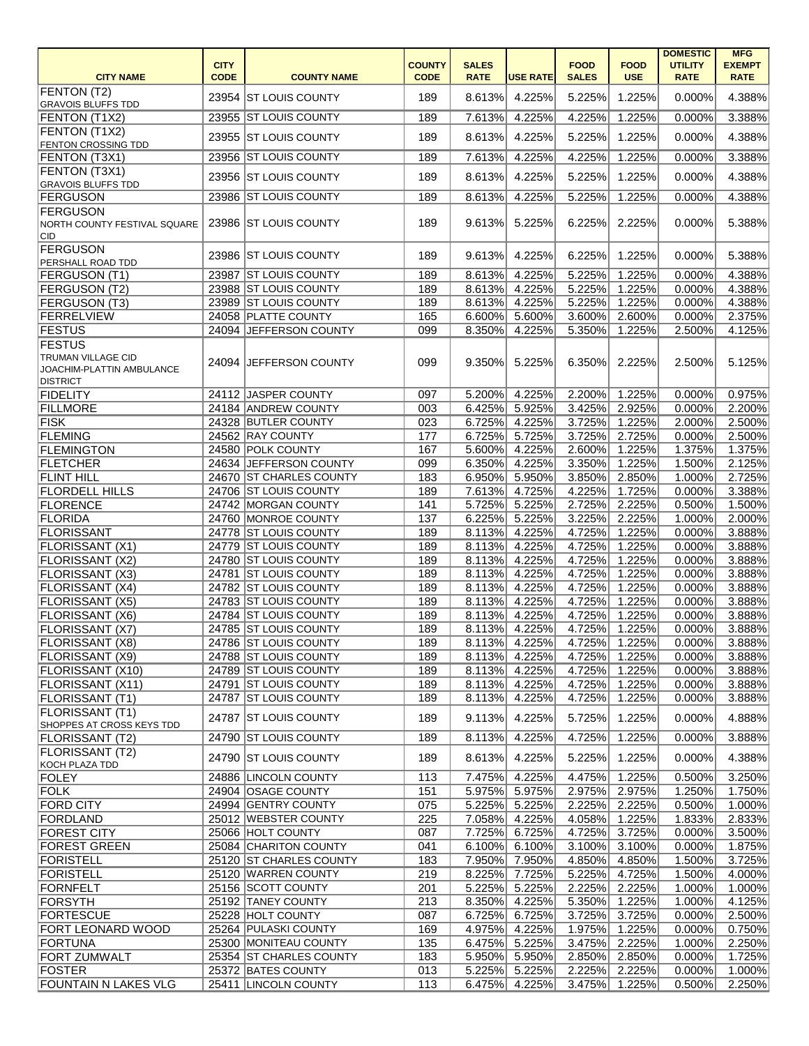|                                             |             |                                                |               |                  |                  |                  |                  | <b>DOMESTIC</b>  | <b>MFG</b>       |
|---------------------------------------------|-------------|------------------------------------------------|---------------|------------------|------------------|------------------|------------------|------------------|------------------|
|                                             | <b>CITY</b> |                                                | <b>COUNTY</b> | <b>SALES</b>     |                  | <b>FOOD</b>      | <b>FOOD</b>      | <b>UTILITY</b>   | <b>EXEMPT</b>    |
| <b>CITY NAME</b>                            | <b>CODE</b> | <b>COUNTY NAME</b>                             | <b>CODE</b>   | <b>RATE</b>      | <b>USE RATE</b>  | <b>SALES</b>     | <b>USE</b>       | <b>RATE</b>      | <b>RATE</b>      |
| <b>FENTON (T2)</b>                          |             | 23954 ST LOUIS COUNTY                          | 189           | 8.613%           | 4.225%           | 5.225%           | 1.225%           | 0.000%           | 4.388%           |
| <b>GRAVOIS BLUFFS TDD</b>                   |             |                                                |               |                  |                  | 4.225%           |                  |                  |                  |
| FENTON (T1X2)                               |             | 23955 ST LOUIS COUNTY                          | 189           | 7.613%           | 4.225%           |                  | 1.225%           | 0.000%           | 3.388%           |
| FENTON (T1X2)<br><b>FENTON CROSSING TDD</b> |             | 23955 ST LOUIS COUNTY                          | 189           | 8.613%           | 4.225%           | 5.225%           | 1.225%           | 0.000%           | 4.388%           |
| FENTON (T3X1)                               |             | 23956 ST LOUIS COUNTY                          | 189           | 7.613%           | 4.225%           | 4.225%           | 1.225%           | 0.000%           | 3.388%           |
| FENTON (T3X1)                               |             |                                                |               |                  |                  |                  |                  |                  |                  |
| <b>GRAVOIS BLUFFS TDD</b>                   |             | 23956 ST LOUIS COUNTY                          | 189           | 8.613%           | 4.225%           | 5.225%           | 1.225%           | 0.000%           | 4.388%           |
| <b>FERGUSON</b>                             |             | 23986 ST LOUIS COUNTY                          | 189           | 8.613%           | 4.225%           | 5.225%           | 1.225%           | 0.000%           | 4.388%           |
| <b>FERGUSON</b>                             |             |                                                |               |                  |                  |                  |                  |                  |                  |
| NORTH COUNTY FESTIVAL SQUARE                |             | 23986 ST LOUIS COUNTY                          | 189           | 9.613%           | 5.225%           | 6.225%           | 2.225%           | 0.000%           | 5.388%           |
| CID                                         |             |                                                |               |                  |                  |                  |                  |                  |                  |
| <b>FERGUSON</b>                             |             | 23986 ST LOUIS COUNTY                          | 189           | 9.613%           | 4.225%           | 6.225%           | 1.225%           | 0.000%           | 5.388%           |
| PERSHALL ROAD TDD<br><b>FERGUSON (T1)</b>   |             | 23987 ST LOUIS COUNTY                          | 189           |                  |                  |                  |                  | 0.000%           | 4.388%           |
| <b>FERGUSON (T2)</b>                        |             | 23988 ST LOUIS COUNTY                          | 189           | 8.613%<br>8.613% | 4.225%<br>4.225% | 5.225%<br>5.225% | 1.225%<br>1.225% | 0.000%           | 4.388%           |
| <b>FERGUSON (T3)</b>                        |             | 23989 ST LOUIS COUNTY                          | 189           | 8.613%           | 4.225%           | 5.225%           | 1.225%           | 0.000%           | 4.388%           |
| FERRELVIEW                                  |             | 24058 PLATTE COUNTY                            | 165           | 6.600%           | 5.600%           | 3.600%           | 2.600%           | 0.000%           | 2.375%           |
| <b>FESTUS</b>                               |             | 24094 JEFFERSON COUNTY                         | 099           | 8.350%           | 4.225%           | 5.350%           | 1.225%           | 2.500%           | 4.125%           |
| <b>FESTUS</b>                               |             |                                                |               |                  |                  |                  |                  |                  |                  |
| <b>TRUMAN VILLAGE CID</b>                   |             |                                                |               |                  |                  |                  |                  |                  |                  |
| JOACHIM-PLATTIN AMBULANCE                   |             | 24094 JEFFERSON COUNTY                         | 099           | 9.350%           | 5.225%           | 6.350%           | 2.225%           | 2.500%           | 5.125%           |
| <b>DISTRICT</b>                             |             |                                                |               |                  |                  |                  |                  |                  |                  |
| <b>FIDELITY</b>                             |             | 24112 JASPER COUNTY                            | 097           | 5.200%           | 4.225%           | 2.200%           | 1.225%           | 0.000%           | 0.975%           |
| <b>FILLMORE</b>                             |             | 24184 ANDREW COUNTY                            | 003           | 6.425%           | 5.925%           | 3.425%           | 2.925%           | 0.000%           | 2.200%           |
| <b>FISK</b>                                 |             | 24328 BUTLER COUNTY                            | 023           | 6.725%           | 4.225%           | 3.725%           | 1.225%           | 2.000%           | 2.500%           |
| <b>FLEMING</b>                              |             | 24562 RAY COUNTY                               | 177           | 6.725%           | 5.725%           | 3.725%           | 2.725%           | 0.000%           | 2.500%           |
| <b>FLEMINGTON</b>                           |             | 24580 POLK COUNTY                              | 167           | 5.600%           | 4.225%           | 2.600%           | 1.225%           | 1.375%           | 1.375%           |
| <b>FLETCHER</b>                             |             | 24634 JEFFERSON COUNTY                         | 099           | 6.350%           | 4.225%           | 3.350%           | 1.225%           | 1.500%           | 2.125%           |
| <b>FLINT HILL</b>                           |             | 24670 ST CHARLES COUNTY                        | 183           | 6.950%           | 5.950%           | 3.850%           | 2.850%           | 1.000%           | 2.725%           |
| <b>FLORDELL HILLS</b>                       |             | 24706 ST LOUIS COUNTY                          | 189           | 7.613%           | 4.725%           | 4.225%           | 1.725%           | 0.000%           | 3.388%           |
| FLORENCE                                    |             | 24742 MORGAN COUNTY                            | 141           | 5.725%           | 5.225%           | 2.725%           | 2.225%           | 0.500%           | 1.500%           |
| FLORIDA                                     |             | 24760 MONROE COUNTY                            | 137           | 6.225%           | 5.225%           | 3.225%           | 2.225%           | 1.000%           | 2.000%           |
| FLORISSANT                                  |             | 24778 ST LOUIS COUNTY<br>24779 ST LOUIS COUNTY | 189<br>189    | 8.113%<br>8.113% | 4.225%<br>4.225% | 4.725%<br>4.725% | 1.225%<br>1.225% | 0.000%<br>0.000% | 3.888%<br>3.888% |
| FLORISSANT (X1)<br>FLORISSANT (X2)          |             | 24780 ST LOUIS COUNTY                          | 189           |                  | 8.113% 4.225%    | 4.725%           | 1.225%           | 0.000%           | 3.888%           |
| <b>FLORISSANT (X3)</b>                      |             | 24781 ST LOUIS COUNTY                          | 189           | 8.113%           | 4.225%           | 4.725%           | 1.225%           | 0.000%           | 3.888%           |
| <b>FLORISSANT (X4)</b>                      |             | 24782 ST LOUIS COUNTY                          | 189           | 8.113%           | 4.225%           | 4.725%           | 1.225%           | 0.000%           | 3.888%           |
| <b>FLORISSANT (X5)</b>                      |             | 24783 ST LOUIS COUNTY                          | 189           | 8.113%           | 4.225%           | 4.725%           | 1.225%           | 0.000%           | 3.888%           |
| <b>FLORISSANT (X6)</b>                      |             | 24784 ST LOUIS COUNTY                          | 189           | 8.113%           | 4.225%           | 4.725%           | 1.225%           | 0.000%           | 3.888%           |
| FLORISSANT (X7)                             |             | 24785 ST LOUIS COUNTY                          | 189           | 8.113%           | 4.225%           | 4.725%           | 1.225%           | 0.000%           | 3.888%           |
| <b>FLORISSANT (X8)</b>                      |             | 24786 ST LOUIS COUNTY                          | 189           | 8.113%           | 4.225%           | 4.725%           | 1.225%           | 0.000%           | 3.888%           |
| <b>FLORISSANT (X9)</b>                      |             | 24788 ST LOUIS COUNTY                          | 189           | 8.113%           | 4.225%           | 4.725%           | 1.225%           | 0.000%           | 3.888%           |
| FLORISSANT (X10)                            |             | 24789 ST LOUIS COUNTY                          | 189           | 8.113%           | 4.225%           | 4.725%           | 1.225%           | 0.000%           | 3.888%           |
| <b>FLORISSANT (X11)</b>                     |             | 24791 ST LOUIS COUNTY                          | 189           | 8.113%           | 4.225%           | 4.725%           | 1.225%           | 0.000%           | 3.888%           |
| FLORISSANT (T1)                             |             | 24787 ST LOUIS COUNTY                          | 189           | 8.113%           | 4.225%           | 4.725%           | 1.225%           | 0.000%           | 3.888%           |
| <b>FLORISSANT (T1)</b>                      |             | 24787 ST LOUIS COUNTY                          | 189           | 9.113%           | 4.225%           | 5.725%           | 1.225%           | 0.000%           | 4.888%           |
| SHOPPES AT CROSS KEYS TDD                   |             |                                                |               |                  |                  |                  |                  |                  |                  |
| <b>FLORISSANT (T2)</b>                      |             | 24790 ST LOUIS COUNTY                          | 189           | 8.113%           | 4.225%           | 4.725%           | 1.225%           | 0.000%           | 3.888%           |
| <b>FLORISSANT (T2)</b>                      |             | 24790 ST LOUIS COUNTY                          | 189           | 8.613%           | 4.225%           | 5.225%           | 1.225%           | 0.000%           | 4.388%           |
| KOCH PLAZA TDD                              |             |                                                |               |                  |                  |                  |                  |                  |                  |
| FOLEY                                       |             | 24886 LINCOLN COUNTY<br>24904 OSAGE COUNTY     | 113           | 7.475%           | 4.225%           | 4.475%           | 1.225%           | 0.500%           | 3.250%           |
| FOLK<br><b>FORD CITY</b>                    |             | 24994 GENTRY COUNTY                            | 151<br>075    | 5.975%<br>5.225% | 5.975%<br>5.225% | 2.975%<br>2.225% | 2.975%<br>2.225% | 1.250%<br>0.500% | 1.750%<br>1.000% |
| FORDLAND                                    |             | 25012 WEBSTER COUNTY                           | 225           | 7.058%           | 4.225%           | 4.058%           | 1.225%           | 1.833%           | 2.833%           |
| <b>FOREST CITY</b>                          |             | 25066 HOLT COUNTY                              | 087           | 7.725%           | 6.725%           | 4.725%           | 3.725%           | 0.000%           | 3.500%           |
| <b>FOREST GREEN</b>                         |             | 25084 CHARITON COUNTY                          | 041           | $6.100\%$        | 6.100%           | 3.100%           | 3.100%           | 0.000%           | 1.875%           |
| FORISTELL                                   |             | 25120 ST CHARLES COUNTY                        | 183           | 7.950%           | 7.950%           | 4.850%           | 4.850%           | 1.500%           | 3.725%           |
| FORISTELL                                   |             | 25120 WARREN COUNTY                            | 219           | 8.225%           | 7.725%           | 5.225%           | 4.725%           | 1.500%           | 4.000%           |
| FORNFELT                                    |             | 25156 SCOTT COUNTY                             | 201           | 5.225%           | 5.225%           | 2.225%           | 2.225%           | 1.000%           | 1.000%           |
| <b>FORSYTH</b>                              |             | 25192 TANEY COUNTY                             | 213           | 8.350%           | 4.225%           | 5.350%           | 1.225%           | 1.000%           | 4.125%           |
| FORTESCUE                                   |             | 25228 HOLT COUNTY                              | 087           | 6.725%           | 6.725%           | 3.725%           | 3.725%           | 0.000%           | 2.500%           |
| <b>FORT LEONARD WOOD</b>                    |             | 25264 PULASKI COUNTY                           | 169           | 4.975%           | 4.225%           | 1.975%           | 1.225%           | 0.000%           | 0.750%           |
| FORTUNA                                     |             | 25300 MONITEAU COUNTY                          | 135           | 6.475%           | 5.225%           | 3.475%           | 2.225%           | 1.000%           | 2.250%           |
| <b>FORT ZUMWALT</b>                         |             | 25354 ST CHARLES COUNTY                        | 183           | 5.950%           | 5.950%           | 2.850%           | 2.850%           | 0.000%           | 1.725%           |
| <b>FOSTER</b>                               |             | 25372 BATES COUNTY                             | 013           | 5.225%           | 5.225%           | 2.225%           | 2.225%           | 0.000%           | 1.000%           |
| <b>FOUNTAIN N LAKES VLG</b>                 |             | 25411 LINCOLN COUNTY                           | 113           |                  | 6.475% 4.225%    | 3.475%           | 1.225%           | 0.500%           | 2.250%           |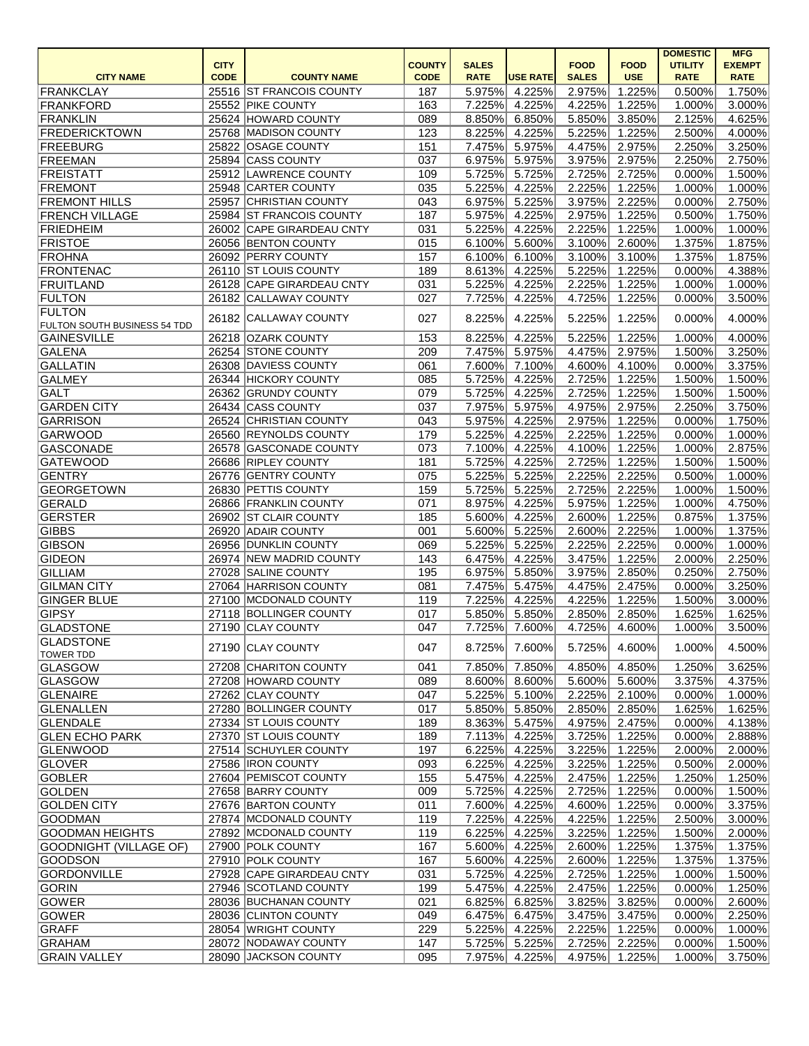|                               |             |                            |               |              |                 |              |               | <b>DOMESTIC</b> | <b>MFG</b>    |
|-------------------------------|-------------|----------------------------|---------------|--------------|-----------------|--------------|---------------|-----------------|---------------|
|                               | <b>CITY</b> |                            | <b>COUNTY</b> | <b>SALES</b> |                 | <b>FOOD</b>  | <b>FOOD</b>   | <b>UTILITY</b>  | <b>EXEMPT</b> |
| <b>CITY NAME</b>              | <b>CODE</b> | <b>COUNTY NAME</b>         | <b>CODE</b>   | <b>RATE</b>  | <b>USE RATE</b> | <b>SALES</b> | <b>USE</b>    | <b>RATE</b>     | <b>RATE</b>   |
| FRANKCLAY                     |             | 25516 ST FRANCOIS COUNTY   | 187           | 5.975%       | 4.225%          | 2.975%       | 1.225%        | 0.500%          | 1.750%        |
| FRANKFORD                     |             | 25552 PIKE COUNTY          | 163           | 7.225%       | 4.225%          | 4.225%       | 1.225%        | 1.000%          | 3.000%        |
| FRANKLIN                      |             | 25624 HOWARD COUNTY        | 089           | 8.850%       | 6.850%          | 5.850%       | 3.850%        | 2.125%          | 4.625%        |
| <b>FREDERICKTOWN</b>          |             | 25768 MADISON COUNTY       | 123           | 8.225%       | 4.225%          | 5.225%       | 1.225%        | 2.500%          | 4.000%        |
| FREEBURG                      |             | 25822 OSAGE COUNTY         | 151           | 7.475%       | 5.975%          | 4.475%       | 2.975%        | 2.250%          | 3.250%        |
| FREEMAN                       | 25894       | <b>CASS COUNTY</b>         | 037           | 6.975%       | 5.975%          | 3.975%       | 2.975%        | 2.250%          | 2.750%        |
| <b>FREISTATT</b>              |             | 25912 LAWRENCE COUNTY      | 109           | 5.725%       | 5.725%          | 2.725%       | 2.725%        | 0.000%          | 1.500%        |
| FREMONT                       |             | 25948 CARTER COUNTY        | 035           | 5.225%       | 4.225%          | 2.225%       | 1.225%        | 1.000%          | 1.000%        |
| <b>FREMONT HILLS</b>          | 25957       | <b>CHRISTIAN COUNTY</b>    | 043           | 6.975%       | 5.225%          | 3.975%       | 2.225%        | 0.000%          | 2.750%        |
| <b>FRENCH VILLAGE</b>         |             | 25984 ST FRANCOIS COUNTY   | 187           | 5.975%       | 4.225%          | 2.975%       | 1.225%        | 0.500%          | 1.750%        |
| <b>FRIEDHEIM</b>              |             | 26002 CAPE GIRARDEAU CNTY  | 031           | 5.225%       | 4.225%          | 2.225%       | 1.225%        | 1.000%          | 1.000%        |
| <b>FRISTOE</b>                |             | 26056 BENTON COUNTY        | 015           | 6.100%       | 5.600%          | 3.100%       | 2.600%        | 1.375%          | 1.875%        |
| <b>FROHNA</b>                 |             | 26092 PERRY COUNTY         | 157           | 6.100%       | 6.100%          | 3.100%       | 3.100%        | 1.375%          | 1.875%        |
| <b>FRONTENAC</b>              |             | 26110 ST LOUIS COUNTY      | 189           | 8.613%       | 4.225%          | 5.225%       | 1.225%        | 0.000%          | 4.388%        |
| FRUITLAND                     | 26128       | <b>CAPE GIRARDEAU CNTY</b> | 031           | 5.225%       | 4.225%          | 2.225%       | 1.225%        | 1.000%          | 1.000%        |
| <b>FULTON</b>                 | 26182       | <b>CALLAWAY COUNTY</b>     | 027           | 7.725%       | 4.225%          | 4.725%       | 1.225%        | 0.000%          | 3.500%        |
| <b>FULTON</b>                 | 26182       | <b>CALLAWAY COUNTY</b>     | 027           | 8.225%       | 4.225%          | 5.225%       | 1.225%        | 0.000%          | 4.000%        |
| FULTON SOUTH BUSINESS 54 TDD  |             |                            |               |              |                 |              |               |                 |               |
| <b>GAINESVILLE</b>            |             | 26218 OZARK COUNTY         | 153           | 8.225%       | 4.225%          | 5.225%       | 1.225%        | 1.000%          | 4.000%        |
| <b>GALENA</b>                 |             | 26254 STONE COUNTY         | 209           | 7.475%       | 5.975%          | 4.475%       | 2.975%        | 1.500%          | 3.250%        |
| <b>GALLATIN</b>               |             | 26308 DAVIESS COUNTY       | 061           | 7.600%       | 7.100%          | 4.600%       | 4.100%        | 0.000%          | 3.375%        |
| <b>GALMEY</b>                 |             | 26344 HICKORY COUNTY       | 085           | 5.725%       | 4.225%          | 2.725%       | 1.225%        | 1.500%          | 1.500%        |
| <b>GALT</b>                   |             | 26362 GRUNDY COUNTY        | 079           | 5.725%       | 4.225%          | 2.725%       | 1.225%        | 1.500%          | 1.500%        |
| <b>GARDEN CITY</b>            |             | 26434 CASS COUNTY          | 037           | 7.975%       | 5.975%          | 4.975%       | 2.975%        | 2.250%          | 3.750%        |
| <b>GARRISON</b>               |             | 26524 CHRISTIAN COUNTY     | 043           | 5.975%       | 4.225%          | 2.975%       | 1.225%        | 0.000%          | 1.750%        |
| <b>GARWOOD</b>                |             | 26560 REYNOLDS COUNTY      | 179           | 5.225%       | 4.225%          | 2.225%       | 1.225%        | 0.000%          | 1.000%        |
| <b>GASCONADE</b>              | 26578       | <b>GASCONADE COUNTY</b>    | 073           | 7.100%       | 4.225%          | 4.100%       | 1.225%        | 1.000%          | 2.875%        |
| <b>GATEWOOD</b>               |             | 26686 RIPLEY COUNTY        | 181           | 5.725%       | 4.225%          | 2.725%       | 1.225%        | 1.500%          | 1.500%        |
| <b>GENTRY</b>                 | 26776       | <b>GENTRY COUNTY</b>       | 075           | 5.225%       | 5.225%          | 2.225%       | 2.225%        | 0.500%          | 1.000%        |
| <b>GEORGETOWN</b>             | 26830       | <b>PETTIS COUNTY</b>       | 159           | 5.725%       | 5.225%          | 2.725%       | 2.225%        | 1.000%          | 1.500%        |
|                               |             | 26866 FRANKLIN COUNTY      | 071           | 8.975%       |                 |              |               | 1.000%          |               |
| <b>GERALD</b>                 |             |                            |               |              | 4.225%          | 5.975%       | 1.225%        |                 | 4.750%        |
| <b>GERSTER</b>                | 26902       | <b>ST CLAIR COUNTY</b>     | 185           | 5.600%       | 4.225%          | 2.600%       | 1.225%        | 0.875%          | 1.375%        |
| <b>GIBBS</b>                  | 26920       | <b>ADAIR COUNTY</b>        | 001           | 5.600%       | 5.225%          | 2.600%       | 2.225%        | 1.000%          | 1.375%        |
| <b>GIBSON</b>                 |             | 26956 DUNKLIN COUNTY       | 069           | 5.225%       | 5.225%          | 2.225%       | 2.225%        | 0.000%          | 1.000%        |
| <b>GIDEON</b>                 |             | 26974 NEW MADRID COUNTY    | 143           | 6.475%       | 4.225%          | 3.475%       | 1.225%        | 2.000%          | 2.250%        |
| <b>GILLIAM</b>                |             | 27028 SALINE COUNTY        | 195           | 6.975%       | 5.850%          | 3.975%       | 2.850%        | 0.250%          | 2.750%        |
| <b>GILMAN CITY</b>            |             | 27064 HARRISON COUNTY      | 081           | 7.475%       | 5.475%          | 4.475%       | 2.475%        | 0.000%          | 3.250%        |
| <b>GINGER BLUE</b>            |             | 27100 MCDONALD COUNTY      | 119           | 7.225%       | 4.225%          | 4.225%       | 1.225%        | 1.500%          | $3.000\%$     |
| <b>GIPSY</b>                  |             | 27118 BOLLINGER COUNTY     | 017           | 5.850%       | 5.850%          | 2.850%       | 2.850%        | 1.625%          | 1.625%        |
| <b>GLADSTONE</b>              |             | 27190 CLAY COUNTY          | 047           | 7.725%       | 7.600%          | 4.725%       | 4.600%        | 1.000%          | 3.500%        |
| <b>GLADSTONE</b>              |             | 27190 CLAY COUNTY          | 047           | 8.725%       | 7.600%          | 5.725%       | 4.600%        | 1.000%          | 4.500%        |
| <b>TOWER TDD</b>              |             |                            |               |              |                 |              |               |                 |               |
| <b>GLASGOW</b>                |             | 27208 CHARITON COUNTY      | 041           | 7.850%       | 7.850%          | 4.850%       | 4.850%        | 1.250%          | 3.625%        |
| <b>GLASGOW</b>                |             | 27208 HOWARD COUNTY        | 089           | 8.600%       | 8.600%          | 5.600%       | 5.600%        | 3.375%          | 4.375%        |
| <b>GLENAIRE</b>               |             | 27262 CLAY COUNTY          | 047           | 5.225%       | 5.100%          | 2.225%       | 2.100%        | 0.000%          | $1.000\%$     |
| GLENALLEN                     |             | 27280 BOLLINGER COUNTY     | 017           | 5.850%       | 5.850%          | 2.850%       | 2.850%        | 1.625%          | 1.625%        |
| <b>GLENDALE</b>               |             | 27334 ST LOUIS COUNTY      | 189           | 8.363%       | 5.475%          | 4.975%       | 2.475%        | 0.000%          | 4.138%        |
| <b>GLEN ECHO PARK</b>         |             | 27370 ST LOUIS COUNTY      | 189           | 7.113%       | 4.225%          | 3.725%       | 1.225%        | 0.000%          | 2.888%        |
| <b>GLENWOOD</b>               |             | 27514 SCHUYLER COUNTY      | 197           | 6.225%       | 4.225%          | 3.225%       | 1.225%        | 2.000%          | 2.000%        |
| <b>GLOVER</b>                 |             | 27586  IRON COUNTY         | 093           | 6.225%       | 4.225%          | 3.225%       | 1.225%        | 0.500%          | 2.000%        |
| <b>GOBLER</b>                 |             | 27604 PEMISCOT COUNTY      | 155           | 5.475%       | 4.225%          | 2.475%       | 1.225%        | 1.250%          | 1.250%        |
| <b>GOLDEN</b>                 |             | 27658 BARRY COUNTY         | 009           | 5.725%       | 4.225%          | 2.725%       | 1.225%        | 0.000%          | 1.500%        |
| <b>GOLDEN CITY</b>            |             | 27676 BARTON COUNTY        | 011           | 7.600%       | 4.225%          | 4.600%       | 1.225%        | 0.000%          | 3.375%        |
| <b>GOODMAN</b>                |             | 27874 MCDONALD COUNTY      | 119           | 7.225%       | 4.225%          | 4.225%       | 1.225%        | 2.500%          | $3.000\%$     |
|                               |             |                            |               |              |                 |              |               |                 |               |
| <b>GOODMAN HEIGHTS</b>        |             | 27892 MCDONALD COUNTY      | 119           | 6.225%       | 4.225%          | 3.225%       | 1.225%        | 1.500%          | 2.000%        |
| <b>GOODNIGHT (VILLAGE OF)</b> |             | 27900 POLK COUNTY          | 167           | 5.600%       | 4.225%          | 2.600%       | 1.225%        | 1.375%          | 1.375%        |
| <b>GOODSON</b>                |             | 27910 POLK COUNTY          | 167           | 5.600%       | 4.225%          | 2.600%       | 1.225%        | 1.375%          | 1.375%        |
| <b>GORDONVILLE</b>            |             | 27928 CAPE GIRARDEAU CNTY  | 031           | 5.725%       | 4.225%          | 2.725%       | 1.225%        | 1.000%          | 1.500%        |
| <b>GORIN</b>                  |             | 27946 SCOTLAND COUNTY      | 199           | 5.475%       | 4.225%          | 2.475%       | 1.225%        | 0.000%          | 1.250%        |
| <b>GOWER</b>                  |             | 28036 BUCHANAN COUNTY      | 021           | 6.825%       | 6.825%          | 3.825%       | 3.825%        | 0.000%          | 2.600%        |
| <b>GOWER</b>                  |             | 28036 CLINTON COUNTY       | 049           | 6.475%       | 6.475%          | 3.475%       | 3.475%        | 0.000%          | 2.250%        |
| <b>GRAFF</b>                  |             | 28054 WRIGHT COUNTY        | 229           | 5.225%       | 4.225%          | 2.225%       | 1.225%        | 0.000%          | 1.000%        |
| GRAHAM                        |             | 28072 NODAWAY COUNTY       | 147           | 5.725%       | 5.225%          | 2.725%       | 2.225%        | 0.000%          | 1.500%        |
| <b>GRAIN VALLEY</b>           |             | 28090 JACKSON COUNTY       | 095           | 7.975%       | 4.225%          |              | 4.975% 1.225% | 1.000%          | 3.750%        |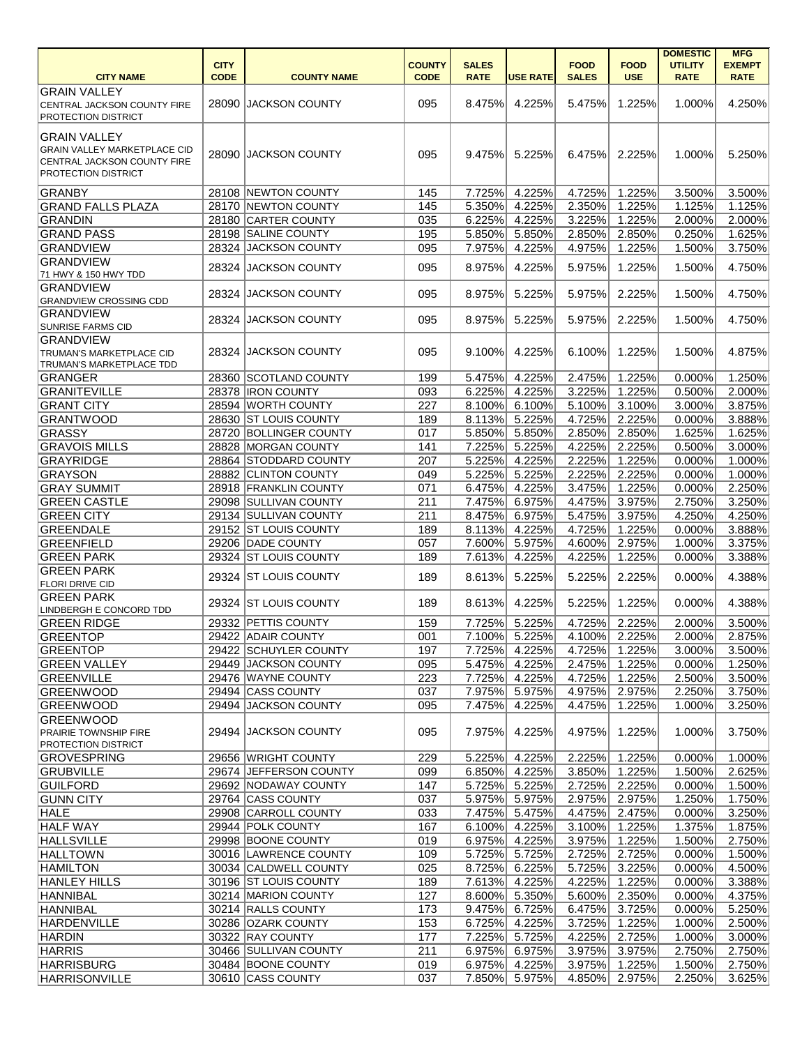|                                     |             |                        |               |              |                 |              |                      | <b>DOMESTIC</b> | <b>MFG</b>       |
|-------------------------------------|-------------|------------------------|---------------|--------------|-----------------|--------------|----------------------|-----------------|------------------|
|                                     | <b>CITY</b> |                        | <b>COUNTY</b> | <b>SALES</b> |                 | <b>FOOD</b>  | <b>FOOD</b>          | <b>UTILITY</b>  | <b>EXEMPT</b>    |
| <b>CITY NAME</b>                    | <b>CODE</b> | <b>COUNTY NAME</b>     | <b>CODE</b>   | <b>RATE</b>  | <b>USE RATE</b> | <b>SALES</b> | <b>USE</b>           | <b>RATE</b>     | <b>RATE</b>      |
| <b>GRAIN VALLEY</b>                 |             |                        |               |              |                 |              |                      |                 |                  |
| CENTRAL JACKSON COUNTY FIRE         |             | 28090 JACKSON COUNTY   | 095           | 8.475%       | 4.225%          | 5.475%       | 1.225%               | 1.000%          | 4.250%           |
| <b>PROTECTION DISTRICT</b>          |             |                        |               |              |                 |              |                      |                 |                  |
| <b>GRAIN VALLEY</b>                 |             |                        |               |              |                 |              |                      |                 |                  |
| <b>GRAIN VALLEY MARKETPLACE CID</b> |             | 28090 JACKSON COUNTY   | 095           | 9.475%       | 5.225%          | 6.475%       | 2.225%               | 1.000%          | 5.250%           |
| <b>CENTRAL JACKSON COUNTY FIRE</b>  |             |                        |               |              |                 |              |                      |                 |                  |
| <b>PROTECTION DISTRICT</b>          |             |                        |               |              |                 |              |                      |                 |                  |
| GRANBY                              |             | 28108 NEWTON COUNTY    | 145           | 7.725%       | 4.225%          | 4.725%       | 1.225%               | 3.500%          | 3.500%           |
| <b>GRAND FALLS PLAZA</b>            |             | 28170 NEWTON COUNTY    | 145           | 5.350%       | 4.225%          | 2.350%       | 1.225%               | 1.125%          | 1.125%           |
| GRANDIN                             |             | 28180 CARTER COUNTY    | 035           | 6.225%       | 4.225%          | 3.225%       | 1.225%               | 2.000%          | 2.000%           |
| <b>GRAND PASS</b>                   |             | 28198 SALINE COUNTY    | 195           | 5.850%       | 5.850%          | 2.850%       | 2.850%               | 0.250%          | 1.625%           |
| <b>GRANDVIEW</b>                    |             | 28324 JACKSON COUNTY   | 095           | 7.975%       | 4.225%          | 4.975%       | 1.225%               | 1.500%          | 3.750%           |
| <b>GRANDVIEW</b>                    | 28324       |                        |               | 8.975%       | 4.225%          | 5.975%       | 1.225%               | 1.500%          | 4.750%           |
| 71 HWY & 150 HWY TDD                |             | <b>JACKSON COUNTY</b>  | 095           |              |                 |              |                      |                 |                  |
| <b>GRANDVIEW</b>                    | 28324       | <b>JACKSON COUNTY</b>  | 095           | 8.975%       | 5.225%          | 5.975%       | 2.225%               | 1.500%          | 4.750%           |
| <b>GRANDVIEW CROSSING CDD</b>       |             |                        |               |              |                 |              |                      |                 |                  |
| <b>GRANDVIEW</b>                    | 28324       | <b>JACKSON COUNTY</b>  | 095           | 8.975%       | 5.225%          | 5.975%       | 2.225%               | 1.500%          | 4.750%           |
| <b>SUNRISE FARMS CID</b>            |             |                        |               |              |                 |              |                      |                 |                  |
| <b>GRANDVIEW</b>                    |             |                        |               |              |                 |              |                      |                 |                  |
| TRUMAN'S MARKETPLACE CID            |             | 28324 JACKSON COUNTY   | 095           | 9.100%       | 4.225%          | 6.100%       | 1.225%               | 1.500%          | 4.875%           |
| TRUMAN'S MARKETPLACE TDD            |             |                        |               |              |                 |              |                      |                 |                  |
| GRANGER                             |             | 28360 SCOTLAND COUNTY  | 199           | 5.475%       | 4.225%          | 2.475%       | 1.225%               | 0.000%          | 1.250%           |
| <b>GRANITEVILLE</b>                 |             | 28378   IRON COUNTY    | 093           | 6.225%       | 4.225%          | 3.225%       | 1.225%               | 0.500%          | 2.000%           |
| <b>GRANT CITY</b>                   |             | 28594 WORTH COUNTY     | 227           | 8.100%       | 6.100%          | 5.100%       | 3.100%               | 3.000%          | 3.875%           |
| <b>GRANTWOOD</b>                    |             | 28630 ST LOUIS COUNTY  | 189           | 8.113%       | 5.225%          | 4.725%       | 2.225%               | 0.000%          | 3.888%           |
| GRASSY                              |             | 28720 BOLLINGER COUNTY | 017           | 5.850%       | 5.850%          | 2.850%       | 2.850%               | 1.625%          | 1.625%           |
| <b>GRAVOIS MILLS</b>                |             | 28828 MORGAN COUNTY    | 141           | 7.225%       | 5.225%          | 4.225%       | 2.225%               | 0.500%          | 3.000%           |
| GRAYRIDGE                           |             | 28864 STODDARD COUNTY  | 207           | 5.225%       | 4.225%          | 2.225%       | 1.225%               | 0.000%          | 1.000%           |
| GRAYSON                             |             | 28882 CLINTON COUNTY   | 049           | 5.225%       | 5.225%          | 2.225%       | 2.225%               | 0.000%          | 1.000%           |
| <b>GRAY SUMMIT</b>                  |             | 28918 FRANKLIN COUNTY  | 071           | 6.475%       | 4.225%          | 3.475%       | 1.225%               | 0.000%          | 2.250%           |
| <b>GREEN CASTLE</b>                 |             | 29098 SULLIVAN COUNTY  | 211           | 7.475%       | 6.975%          | 4.475%       | 3.975%               | 2.750%          | 3.250%           |
| <b>GREEN CITY</b>                   |             | 29134 SULLIVAN COUNTY  | 211           | 8.475%       | 6.975%          | 5.475%       | 3.975%               | 4.250%          | 4.250%           |
| <b>GREENDALE</b>                    |             | 29152 ST LOUIS COUNTY  | 189           | 8.113%       | 4.225%          | 4.725%       | $\overline{1.225\%}$ | 0.000%          | 3.888%           |
| <b>GREENFIELD</b>                   |             | 29206 DADE COUNTY      | 057           | 7.600%       | 5.975%          | 4.600%       | 2.975%               | 1.000%          | 3.375%           |
| <b>GREEN PARK</b>                   |             | 29324 ST LOUIS COUNTY  | 189           |              | 7.613% 4.225%   |              | 4.225% 1.225%        |                 | $0.000\%$ 3.388% |
| <b>GREEN PARK</b>                   |             | 29324 ST LOUIS COUNTY  | 189           | 8.613%       | 5.225%          | 5.225%       | 2.225%               | 0.000%          | 4.388%           |
| <b>FLORI DRIVE CID</b>              |             |                        |               |              |                 |              |                      |                 |                  |
| <b>GREEN PARK</b>                   |             | 29324 ST LOUIS COUNTY  | 189           | 8.613%       | 4.225%          | 5.225%       | 1.225%               | 0.000%          | 4.388%           |
| <b>LINDBERGH E CONCORD TDD</b>      |             |                        |               |              |                 |              |                      |                 |                  |
| <b>GREEN RIDGE</b>                  |             | 29332 PETTIS COUNTY    | 159           | 7.725%       | 5.225%          | 4.725%       | 2.225%               | 2.000%          | 3.500%           |
| GREENTOP                            |             | 29422 ADAIR COUNTY     | 001           | 7.100%       | 5.225%          | 4.100%       | 2.225%               | 2.000%          | 2.875%           |
| GREENTOP                            |             | 29422 SCHUYLER COUNTY  | 197           | 7.725%       | 4.225%          | 4.725%       | 1.225%               | 3.000%          | 3.500%           |
| <b>GREEN VALLEY</b>                 |             | 29449 JACKSON COUNTY   | 095           | 5.475%       | 4.225%          | 2.475%       | 1.225%               | 0.000%          | 1.250%           |
| <b>GREENVILLE</b>                   |             | 29476 WAYNE COUNTY     | 223           | 7.725%       | 4.225%          | 4.725%       | 1.225%               | 2.500%          | 3.500%           |
| <b>GREENWOOD</b>                    |             | 29494 CASS COUNTY      | 037           | 7.975%       | 5.975%          | 4.975%       | 2.975%               | 2.250%          | 3.750%           |
| <b>GREENWOOD</b>                    |             | 29494 JACKSON COUNTY   | 095           | 7.475%       | 4.225%          | 4.475%       | 1.225%               | 1.000%          | 3.250%           |
| <b>GREENWOOD</b>                    |             |                        |               |              |                 |              |                      |                 |                  |
| <b>PRAIRIE TOWNSHIP FIRE</b>        |             | 29494 JACKSON COUNTY   | 095           | 7.975%       | 4.225%          | 4.975%       | 1.225%               | 1.000%          | 3.750%           |
| <b>PROTECTION DISTRICT</b>          |             |                        |               |              |                 |              |                      |                 |                  |
| GROVESPRING                         |             | 29656 WRIGHT COUNTY    | 229           | 5.225%       | 4.225%          | 2.225%       | 1.225%               | 0.000%          | 1.000%           |
| <b>GRUBVILLE</b>                    |             | 29674 JEFFERSON COUNTY | 099           | 6.850%       | 4.225%          | 3.850%       | 1.225%               | 1.500%          | 2.625%           |
| GUILFORD                            |             | 29692 NODAWAY COUNTY   | 147           | 5.725%       | 5.225%          | 2.725%       | 2.225%               | 0.000%          | 1.500%           |
| <b>GUNN CITY</b>                    |             | 29764 CASS COUNTY      | 037           | 5.975%       | 5.975%          | 2.975%       | 2.975%               | 1.250%          | 1.750%           |
| <b>HALE</b>                         |             | 29908 CARROLL COUNTY   | 033           | 7.475%       | 5.475%          | 4.475%       | 2.475%               | 0.000%          | 3.250%           |
| <b>HALF WAY</b>                     |             | 29944 POLK COUNTY      | 167           | 6.100%       | 4.225%          | 3.100%       | 1.225%               | 1.375%          | 1.875%           |
| <b>HALLSVILLE</b>                   |             | 29998 BOONE COUNTY     | 019           | 6.975%       | 4.225%          | 3.975%       | 1.225%               | 1.500%          | 2.750%           |
| <b>HALLTOWN</b>                     |             | 30016 LAWRENCE COUNTY  | 109           | 5.725%       | 5.725%          | 2.725%       | 2.725%               | 0.000%          | 1.500%           |
| <b>HAMILTON</b>                     |             | 30034 CALDWELL COUNTY  | 025           | 8.725%       | 6.225%          | 5.725%       | 3.225%               | 0.000%          | 4.500%           |
| <b>HANLEY HILLS</b>                 |             | 30196 ST LOUIS COUNTY  | 189           | 7.613%       | 4.225%          | 4.225%       | 1.225%               | 0.000%          | 3.388%           |
| HANNIBAL                            |             | 30214 MARION COUNTY    | 127           | 8.600%       | 5.350%          | 5.600%       | 2.350%               | 0.000%          | 4.375%           |
| <b>HANNIBAL</b>                     |             | 30214 RALLS COUNTY     | 173           | 9.475%       | 6.725%          | 6.475%       | 3.725%               | 0.000%          | 5.250%           |
| <b>HARDENVILLE</b>                  |             | 30286 OZARK COUNTY     | 153           | 6.725%       | 4.225%          | 3.725%       | 1.225%               | 1.000%          | 2.500%           |
| <b>HARDIN</b>                       |             | 30322 RAY COUNTY       | 177           | 7.225%       | 5.725%          | 4.225%       | 2.725%               | 1.000%          | 3.000%           |
| <b>HARRIS</b>                       |             | 30466 SULLIVAN COUNTY  | 211           | 6.975%       | 6.975%          | 3.975%       | 3.975%               | 2.750%          | 2.750%           |
| <b>HARRISBURG</b>                   |             | 30484 BOONE COUNTY     | 019           | 6.975%       | 4.225%          | 3.975%       | 1.225%               | 1.500%          | 2.750%           |
| <b>HARRISONVILLE</b>                |             | 30610 CASS COUNTY      | 037           | 7.850%       | 5.975%          | 4.850%       | 2.975%               | 2.250%          | 3.625%           |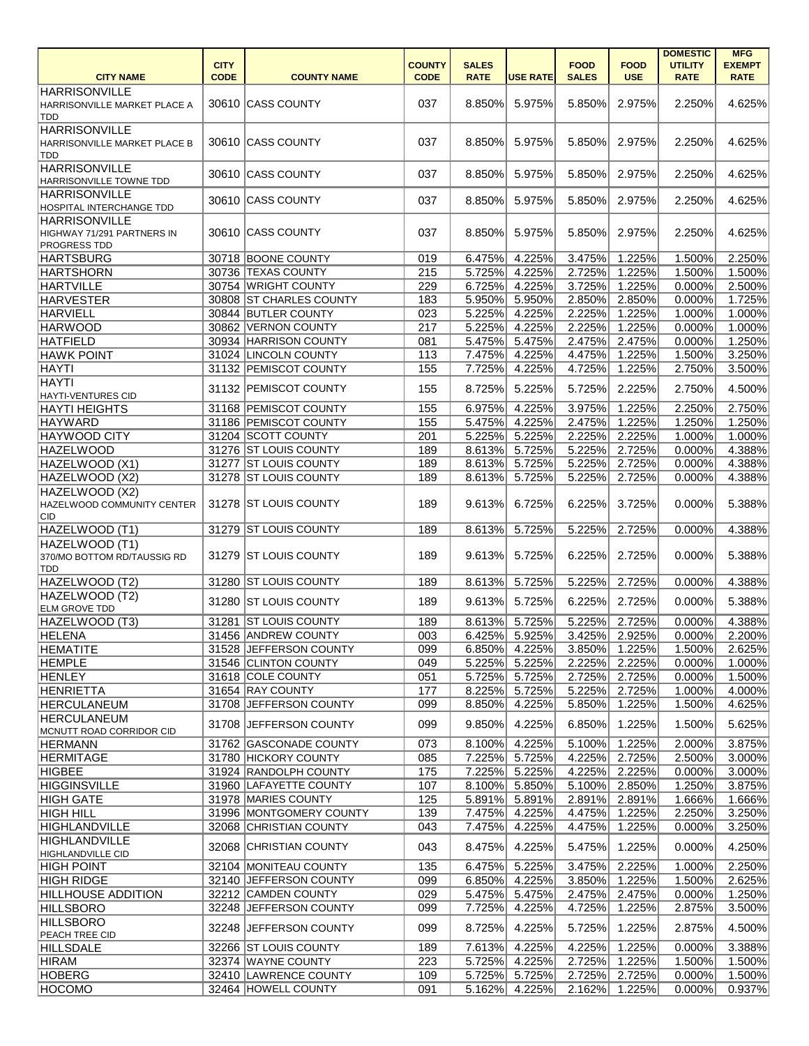|                              |             |                         |               |              |                  |              |             | <b>DOMESTIC</b> | <b>MFG</b>    |
|------------------------------|-------------|-------------------------|---------------|--------------|------------------|--------------|-------------|-----------------|---------------|
|                              | <b>CITY</b> |                         | <b>COUNTY</b> | <b>SALES</b> |                  | <b>FOOD</b>  | <b>FOOD</b> | <b>UTILITY</b>  | <b>EXEMPT</b> |
| <b>CITY NAME</b>             | <b>CODE</b> | <b>COUNTY NAME</b>      | <b>CODE</b>   | <b>RATE</b>  | <b>USE RATE</b>  | <b>SALES</b> | <b>USE</b>  | <b>RATE</b>     | <b>RATE</b>   |
| <b>HARRISONVILLE</b>         |             |                         |               |              |                  |              |             |                 |               |
| HARRISONVILLE MARKET PLACE A |             | 30610 CASS COUNTY       | 037           | 8.850%       | 5.975%           | 5.850%       | 2.975%      | 2.250%          | 4.625%        |
| TDD                          |             |                         |               |              |                  |              |             |                 |               |
| <b>HARRISONVILLE</b>         |             |                         |               |              |                  |              |             |                 |               |
|                              |             | 30610 CASS COUNTY       | 037           | 8.850%       | 5.975%           | 5.850%       | 2.975%      | 2.250%          | 4.625%        |
| HARRISONVILLE MARKET PLACE B |             |                         |               |              |                  |              |             |                 |               |
| TDD                          |             |                         |               |              |                  |              |             |                 |               |
| <b>HARRISONVILLE</b>         |             | 30610 CASS COUNTY       | 037           | 8.850%       | 5.975%           | 5.850%       | 2.975%      | 2.250%          | 4.625%        |
| HARRISONVILLE TOWNE TDD      |             |                         |               |              |                  |              |             |                 |               |
| <b>HARRISONVILLE</b>         |             | 30610 CASS COUNTY       | 037           | 8.850%       | 5.975%           | 5.850%       | 2.975%      | 2.250%          | 4.625%        |
| HOSPITAL INTERCHANGE TDD     |             |                         |               |              |                  |              |             |                 |               |
| <b>HARRISONVILLE</b>         |             |                         |               |              |                  |              |             |                 |               |
| HIGHWAY 71/291 PARTNERS IN   |             | 30610 CASS COUNTY       | 037           | 8.850%       | 5.975%           | 5.850%       | 2.975%      | 2.250%          | 4.625%        |
| PROGRESS TDD                 |             |                         |               |              |                  |              |             |                 |               |
| <b>HARTSBURG</b>             |             | 30718 BOONE COUNTY      | 019           | 6.475%       | 4.225%           | 3.475%       | 1.225%      | 1.500%          | 2.250%        |
|                              |             | 30736 TEXAS COUNTY      | 215           |              |                  |              |             | 1.500%          |               |
| <b>HARTSHORN</b>             |             |                         |               | 5.725%       | 4.225%           | 2.725%       | 1.225%      |                 | 1.500%        |
| <b>HARTVILLE</b>             |             | 30754 WRIGHT COUNTY     | 229           | 6.725%       | 4.225%           | 3.725%       | 1.225%      | 0.000%          | 2.500%        |
| <b>HARVESTER</b>             |             | 30808 ST CHARLES COUNTY | 183           | 5.950%       | 5.950%           | 2.850%       | 2.850%      | 0.000%          | 1.725%        |
| <b>HARVIELL</b>              |             | 30844 BUTLER COUNTY     | 023           | 5.225%       | 4.225%           | 2.225%       | 1.225%      | 1.000%          | 1.000%        |
| <b>HARWOOD</b>               |             | 30862 VERNON COUNTY     | 217           | 5.225%       | 4.225%           | 2.225%       | 1.225%      | 0.000%          | 1.000%        |
| <b>HATFIELD</b>              |             | 30934 HARRISON COUNTY   | 081           | 5.475%       | 5.475%           | 2.475%       | 2.475%      | 0.000%          | 1.250%        |
|                              |             | 31024 LINCOLN COUNTY    |               |              | 4.225%           |              |             |                 |               |
| <b>HAWK POINT</b>            |             |                         | 113           | 7.475%       |                  | 4.475%       | 1.225%      | 1.500%          | 3.250%        |
| <b>HAYTI</b>                 |             | 31132 PEMISCOT COUNTY   | 155           | 7.725%       | 4.225%           | 4.725%       | 1.225%      | 2.750%          | 3.500%        |
| <b>HAYTI</b>                 |             | 31132 PEMISCOT COUNTY   | 155           | 8.725%       | 5.225%           | 5.725%       | 2.225%      | 2.750%          | 4.500%        |
| <b>HAYTI-VENTURES CID</b>    |             |                         |               |              |                  |              |             |                 |               |
| <b>HAYTI HEIGHTS</b>         |             | 31168 PEMISCOT COUNTY   | 155           | 6.975%       | 4.225%           | 3.975%       | 1.225%      | 2.250%          | 2.750%        |
| <b>HAYWARD</b>               |             | 31186 PEMISCOT COUNTY   | 155           | 5.475%       | 4.225%           | 2.475%       | 1.225%      | 1.250%          | 1.250%        |
| <b>HAYWOOD CITY</b>          |             | 31204 SCOTT COUNTY      | 201           | 5.225%       | 5.225%           | 2.225%       | 2.225%      | 1.000%          | 1.000%        |
|                              |             |                         |               |              |                  |              |             |                 |               |
| <b>HAZELWOOD</b>             |             | 31276 ST LOUIS COUNTY   | 189           | 8.613%       | 5.725%           | 5.225%       | 2.725%      | 0.000%          | 4.388%        |
| HAZELWOOD (X1)               |             | 31277 ST LOUIS COUNTY   | 189           | 8.613%       | 5.725%           | 5.225%       | 2.725%      | 0.000%          | 4.388%        |
| HAZELWOOD (X2)               |             | 31278 ST LOUIS COUNTY   | 189           | 8.613%       | 5.725%           | 5.225%       | 2.725%      | 0.000%          | 4.388%        |
| HAZELWOOD (X2)               |             |                         |               |              |                  |              |             |                 |               |
| HAZELWOOD COMMUNITY CENTER   |             | 31278 ST LOUIS COUNTY   | 189           | 9.613%       | 6.725%           | 6.225%       | 3.725%      | 0.000%          | 5.388%        |
| <b>CID</b>                   |             |                         |               |              |                  |              |             |                 |               |
| HAZELWOOD (T1)               |             | 31279 ST LOUIS COUNTY   | 189           | 8.613%       | 5.725%           | 5.225%       | 2.725%      | 0.000%          | 4.388%        |
|                              |             |                         |               |              |                  |              |             |                 |               |
| HAZELWOOD (T1)               |             | 31279 ST LOUIS COUNTY   |               |              |                  |              |             |                 |               |
| 370/MO BOTTOM RD/TAUSSIG RD  |             |                         | 189           |              | $9.613\%$ 5.725% | 6.225%       | 2.725%      | 0.000%          | 5.388%        |
| <b>TDD</b>                   |             |                         |               |              |                  |              |             |                 |               |
| HAZELWOOD (T2)               |             | 31280 ST LOUIS COUNTY   | 189           | 8.613%       | 5.725%           | 5.225%       | 2.725%      | 0.000%          | 4.388%        |
| HAZELWOOD (T2)               |             | 31280 ST LOUIS COUNTY   | 189           | 9.613%       | 5.725%           | 6.225%       | 2.725%      | 0.000%          | 5.388%        |
| <b>ELM GROVE TDD</b>         |             |                         |               |              |                  |              |             |                 |               |
| HAZELWOOD (T3)               |             | 31281 ST LOUIS COUNTY   | 189           | 8.613%       | 5.725%           | 5.225%       | 2.725%      | 0.000%          | 4.388%        |
| <b>HELENA</b>                |             | 31456 ANDREW COUNTY     | 003           | 6.425%       | 5.925%           | 3.425%       | 2.925%      | 0.000%          | 2.200%        |
| <b>HEMATITE</b>              |             | 31528 JEFFERSON COUNTY  | 099           | 6.850%       | 4.225%           | 3.850%       | 1.225%      | 1.500%          | 2.625%        |
|                              |             |                         |               |              |                  |              |             |                 |               |
| <b>HEMPLE</b>                |             | 31546 CLINTON COUNTY    | 049           | 5.225%       | 5.225%           | 2.225%       | 2.225%      | 0.000%          | 1.000%        |
| <b>HENLEY</b>                |             | 31618 COLE COUNTY       | 051           | 5.725%       | 5.725%           | 2.725%       | 2.725%      | 0.000%          | 1.500%        |
| <b>HENRIETTA</b>             |             | 31654 RAY COUNTY        | 177           | 8.225%       | 5.725%           | 5.225%       | 2.725%      | 1.000%          | 4.000%        |
| <b>HERCULANEUM</b>           |             | 31708 JEFFERSON COUNTY  | 099           | 8.850%       | 4.225%           | 5.850%       | 1.225%      | 1.500%          | 4.625%        |
| <b>HERCULANEUM</b>           |             |                         |               |              |                  |              |             |                 |               |
| MCNUTT ROAD CORRIDOR CID     |             | 31708 JEFFERSON COUNTY  | 099           | 9.850%       | 4.225%           | 6.850%       | 1.225%      | 1.500%          | 5.625%        |
| <b>HERMANN</b>               |             | 31762 GASCONADE COUNTY  | 073           | 8.100%       | 4.225%           | 5.100%       | 1.225%      | 2.000%          | 3.875%        |
|                              |             | 31780 HICKORY COUNTY    | 085           | 7.225%       | 5.725%           | 4.225%       | 2.725%      | 2.500%          | 3.000%        |
| <b>HERMITAGE</b>             |             |                         |               |              |                  |              |             |                 |               |
| <b>HIGBEE</b>                |             | 31924 RANDOLPH COUNTY   | 175           | 7.225%       | 5.225%           | 4.225%       | 2.225%      | 0.000%          | 3.000%        |
| <b>HIGGINSVILLE</b>          |             | 31960 LAFAYETTE COUNTY  | 107           | 8.100%       | 5.850%           | 5.100%       | 2.850%      | 1.250%          | 3.875%        |
| <b>HIGH GATE</b>             |             | 31978 MARIES COUNTY     | 125           | 5.891%       | 5.891%           | 2.891%       | 2.891%      | 1.666%          | 1.666%        |
| HIGH HILL                    |             | 31996 MONTGOMERY COUNTY | 139           | 7.475%       | 4.225%           | 4.475%       | 1.225%      | 2.250%          | 3.250%        |
| <b>HIGHLANDVILLE</b>         |             | 32068 CHRISTIAN COUNTY  | 043           | 7.475%       | 4.225%           | 4.475%       | 1.225%      | 0.000%          | 3.250%        |
| <b>HIGHLANDVILLE</b>         |             |                         |               |              |                  |              |             |                 |               |
|                              |             | 32068 CHRISTIAN COUNTY  | 043           | 8.475%       | 4.225%           | 5.475%       | 1.225%      | 0.000%          | 4.250%        |
| <b>HIGHLANDVILLE CID</b>     |             |                         |               |              |                  |              |             |                 |               |
| <b>HIGH POINT</b>            |             | 32104 MONITEAU COUNTY   | 135           | 6.475%       | 5.225%           | 3.475%       | 2.225%      | 1.000%          | 2.250%        |
| <b>HIGH RIDGE</b>            |             | 32140 JEFFERSON COUNTY  | 099           | 6.850%       | 4.225%           | 3.850%       | 1.225%      | 1.500%          | 2.625%        |
| <b>HILLHOUSE ADDITION</b>    |             | 32212 CAMDEN COUNTY     | 029           | 5.475%       | 5.475%           | 2.475%       | 2.475%      | 0.000%          | 1.250%        |
| <b>HILLSBORO</b>             |             | 32248 JEFFERSON COUNTY  | 099           | 7.725%       | 4.225%           | 4.725%       | 1.225%      | 2.875%          | 3.500%        |
| <b>HILLSBORO</b>             |             |                         |               |              |                  |              |             |                 |               |
| PEACH TREE CID               |             | 32248 JEFFERSON COUNTY  | 099           | 8.725%       | 4.225%           | 5.725%       | 1.225%      | 2.875%          | 4.500%        |
|                              |             | 32266 ST LOUIS COUNTY   |               |              |                  |              | 1.225%      |                 | 3.388%        |
| <b>HILLSDALE</b>             |             |                         | 189           | 7.613%       | 4.225%           | 4.225%       |             | 0.000%          |               |
| <b>HIRAM</b>                 |             | 32374 WAYNE COUNTY      | 223           | 5.725%       | 4.225%           | 2.725%       | 1.225%      | 1.500%          | 1.500%        |
| <b>HOBERG</b>                |             | 32410 LAWRENCE COUNTY   | 109           | 5.725%       | 5.725%           | 2.725%       | 2.725%      | 0.000%          | 1.500%        |
| <b>HOCOMO</b>                |             | 32464 HOWELL COUNTY     | 091           | 5.162%       | 4.225%           | 2.162%       | 1.225%      | 0.000%          | 0.937%        |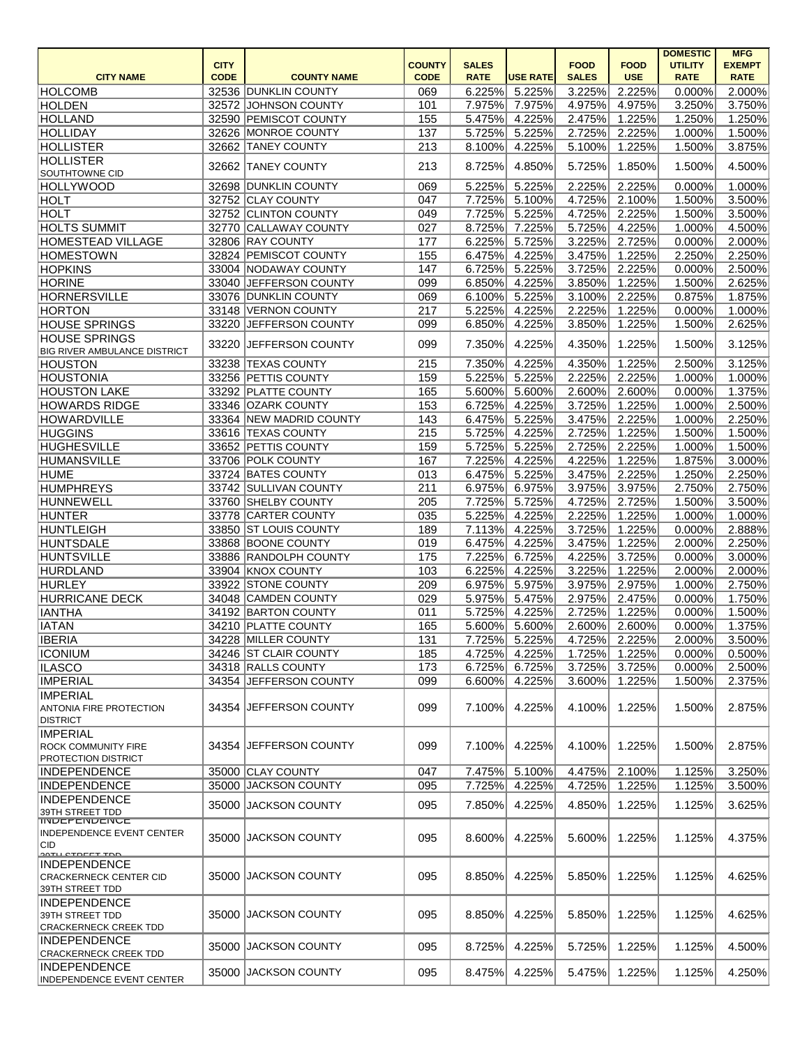|                                     |             |                         |               |              |                 |              |                      | <b>DOMESTIC</b> | <b>MFG</b>       |
|-------------------------------------|-------------|-------------------------|---------------|--------------|-----------------|--------------|----------------------|-----------------|------------------|
|                                     | <b>CITY</b> |                         | <b>COUNTY</b> | <b>SALES</b> |                 | <b>FOOD</b>  | <b>FOOD</b>          | <b>UTILITY</b>  | <b>EXEMPT</b>    |
| <b>CITY NAME</b>                    | <b>CODE</b> | <b>COUNTY NAME</b>      | <b>CODE</b>   | <b>RATE</b>  | <b>USE RATE</b> | <b>SALES</b> | <b>USE</b>           | <b>RATE</b>     | <b>RATE</b>      |
| HOLCOMB                             |             | 32536 DUNKLIN COUNTY    | 069           | 6.225%       | 5.225%          | 3.225%       | 2.225%               | 0.000%          | 2.000%           |
| HOLDEN                              |             | 32572 JOHNSON COUNTY    | 101           | 7.975%       | 7.975%          | 4.975%       | 4.975%               | 3.250%          | 3.750%           |
| <b>HOLLAND</b>                      |             | 32590 PEMISCOT COUNTY   | 155           | 5.475%       | 4.225%          | 2.475%       | 1.225%               | 1.250%          | 1.250%           |
| <b>HOLLIDAY</b>                     |             | 32626 MONROE COUNTY     | 137           | 5.725%       | 5.225%          | 2.725%       | 2.225%               | 1.000%          | 1.500%           |
| <b>HOLLISTER</b>                    |             | 32662 TANEY COUNTY      | 213           | 8.100%       | 4.225%          | 5.100%       | 1.225%               | 1.500%          | 3.875%           |
| <b>HOLLISTER</b>                    | 32662       | <b>TANEY COUNTY</b>     | 213           | 8.725%       | 4.850%          | 5.725%       | 1.850%               | 1.500%          | 4.500%           |
| SOUTHTOWNE CID                      |             |                         |               |              |                 |              |                      |                 |                  |
| <b>HOLLYWOOD</b>                    | 32698       | <b>DUNKLIN COUNTY</b>   | 069           | 5.225%       | 5.225%          | 2.225%       | 2.225%               | 0.000%          | 1.000%           |
| <b>HOLT</b>                         |             | 32752 CLAY COUNTY       | 047           | 7.725%       | 5.100%          | 4.725%       | 2.100%               | 1.500%          | 3.500%           |
| <b>HOLT</b>                         |             | 32752 CLINTON COUNTY    | 049           | 7.725%       | 5.225%          | 4.725%       | 2.225%               | 1.500%          | 3.500%           |
| <b>HOLTS SUMMIT</b>                 | 32770       | CALLAWAY COUNTY         | 027           | 8.725%       | 7.225%          | 5.725%       | 4.225%               | 1.000%          | 4.500%           |
| <b>HOMESTEAD VILLAGE</b>            |             | 32806 RAY COUNTY        | 177           | 6.225%       | 5.725%          | 3.225%       | 2.725%               | 0.000%          | 2.000%           |
| <b>HOMESTOWN</b>                    |             | 32824 PEMISCOT COUNTY   | 155           | 6.475%       | 4.225%          | 3.475%       | $\overline{1.225\%}$ | 2.250%          | 2.250%           |
| <b>HOPKINS</b>                      |             | 33004 NODAWAY COUNTY    | 147           | 6.725%       | 5.225%          | 3.725%       | 2.225%               | 0.000%          | 2.500%           |
| <b>HORINE</b>                       | 33040       | JEFFERSON COUNTY        | 099           | 6.850%       | 4.225%          | 3.850%       | 1.225%               | 1.500%          | 2.625%           |
| <b>HORNERSVILLE</b>                 |             | 33076 DUNKLIN COUNTY    | 069           | 6.100%       | 5.225%          | 3.100%       | 2.225%               | 0.875%          | 1.875%           |
| <b>HORTON</b>                       |             | 33148 VERNON COUNTY     | 217           | 5.225%       | 4.225%          | 2.225%       | 1.225%               | 0.000%          | 1.000%           |
| <b>HOUSE SPRINGS</b>                | 33220       | JEFFERSON COUNTY        | 099           | 6.850%       | 4.225%          | 3.850%       | 1.225%               | 1.500%          | 2.625%           |
| <b>HOUSE SPRINGS</b>                |             |                         |               |              |                 |              |                      |                 |                  |
| <b>BIG RIVER AMBULANCE DISTRICT</b> | 33220       | JEFFERSON COUNTY        | 099           | 7.350%       | 4.225%          | 4.350%       | 1.225%               | 1.500%          | 3.125%           |
| <b>HOUSTON</b>                      | 33238       | <b>TEXAS COUNTY</b>     | 215           | 7.350%       | 4.225%          | 4.350%       | 1.225%               | 2.500%          | 3.125%           |
| <b>HOUSTONIA</b>                    |             | 33256 PETTIS COUNTY     | 159           | 5.225%       | 5.225%          | 2.225%       | 2.225%               | 1.000%          | 1.000%           |
| <b>HOUSTON LAKE</b>                 |             | 33292 PLATTE COUNTY     | 165           | 5.600%       | 5.600%          | 2.600%       | 2.600%               | 0.000%          | 1.375%           |
| <b>HOWARDS RIDGE</b>                |             | 33346 OZARK COUNTY      | 153           | 6.725%       | 4.225%          | 3.725%       | 1.225%               | 1.000%          | 2.500%           |
|                                     |             | 33364 NEW MADRID COUNTY |               |              |                 |              |                      |                 |                  |
| <b>HOWARDVILLE</b>                  |             |                         | 143           | 6.475%       | 5.225%          | 3.475%       | 2.225%               | 1.000%          | 2.250%           |
| <b>HUGGINS</b>                      |             | 33616 TEXAS COUNTY      | 215           | 5.725%       | 4.225%          | 2.725%       | 1.225%               | 1.500%          | 1.500%           |
| <b>HUGHESVILLE</b>                  |             | 33652 PETTIS COUNTY     | 159           | 5.725%       | 5.225%          | 2.725%       | 2.225%               | 1.000%          | 1.500%           |
| <b>HUMANSVILLE</b>                  |             | 33706 POLK COUNTY       | 167           | 7.225%       | 4.225%          | 4.225%       | 1.225%               | 1.875%          | 3.000%           |
| <b>HUME</b>                         |             | 33724 BATES COUNTY      | 013           | 6.475%       | 5.225%          | 3.475%       | 2.225%               | 1.250%          | 2.250%           |
| <b>HUMPHREYS</b>                    |             | 33742 SULLIVAN COUNTY   | 211           | 6.975%       | 6.975%          | 3.975%       | 3.975%               | 2.750%          | 2.750%           |
| HUNNEWELL                           |             | 33760 SHELBY COUNTY     | 205           | 7.725%       | 5.725%          | 4.725%       | 2.725%               | 1.500%          | 3.500%           |
| HUNTER                              |             | 33778 CARTER COUNTY     | 035           | 5.225%       | 4.225%          | 2.225%       | 1.225%               | 1.000%          | 1.000%           |
| HUNTLEIGH                           |             | 33850 ST LOUIS COUNTY   | 189           | 7.113%       | 4.225%          | 3.725%       | 1.225%               | 0.000%          | 2.888%           |
| HUNTSDALE                           |             | 33868 BOONE COUNTY      | 019           | 6.475%       | 4.225%          | 3.475%       | 1.225%               | 2.000%          | 2.250%           |
| <b>HUNTSVILLE</b>                   |             | 33886 RANDOLPH COUNTY   | 175           |              | 7.225% 6.725%   |              | 4.225% 3.725%        |                 | $0.000\%$ 3.000% |
| HURDLAND                            |             | 33904 KNOX COUNTY       | 103           | 6.225%       | 4.225%          | 3.225%       | 1.225%               | 2.000%          | 2.000%           |
| HURLEY                              |             | 33922 STONE COUNTY      | 209           | 6.975%       | 5.975%          | 3.975%       | 2.975%               | 1.000%          | 2.750%           |
| <b>HURRICANE DECK</b>               |             | 34048 CAMDEN COUNTY     | 029           | 5.975%       | 5.475%          | 2.975%       | 2.475%               | 0.000%          | 1.750%           |
| <b>IANTHA</b>                       |             | 34192 BARTON COUNTY     | 011           | 5.725%       | 4.225%          | 2.725%       | 1.225%               | 0.000%          | 1.500%           |
| <b>IATAN</b>                        |             | 34210 PLATTE COUNTY     | 165           | 5.600%       | 5.600%          | 2.600%       | 2.600%               | 0.000%          | 1.375%           |
| <b>IBERIA</b>                       | 34228       | MILLER COUNTY           | 131           | 7.725%       | 5.225%          | 4.725%       | 2.225%               | 2.000%          | 3.500%           |
| <b>ICONIUM</b>                      |             | 34246 ST CLAIR COUNTY   | 185           | 4.725%       | 4.225%          | 1.725%       | 1.225%               | 0.000%          | 0.500%           |
| <b>ILASCO</b>                       |             | 34318 RALLS COUNTY      | 173           | 6.725%       | 6.725%          | 3.725%       | 3.725%               | 0.000%          | 2.500%           |
| <b>IMPERIAL</b>                     | 34354       | JEFFERSON COUNTY        | 099           | 6.600%       | 4.225%          | 3.600%       | 1.225%               | 1.500%          | 2.375%           |
| <b>IMPERIAL</b>                     |             |                         |               |              |                 |              |                      |                 |                  |
| <b>ANTONIA FIRE PROTECTION</b>      | 34354       | <b>JEFFERSON COUNTY</b> | 099           | 7.100%       | 4.225%          | 4.100%       | 1.225%               | 1.500%          | 2.875%           |
| <b>DISTRICT</b>                     |             |                         |               |              |                 |              |                      |                 |                  |
| <b>IMPERIAL</b>                     |             |                         |               |              |                 |              |                      |                 |                  |
| <b>ROCK COMMUNITY FIRE</b>          | 34354       | JEFFERSON COUNTY        | 099           | 7.100%       | 4.225%          | 4.100%       | 1.225%               | 1.500%          | 2.875%           |
| <b>PROTECTION DISTRICT</b>          |             |                         |               |              |                 |              |                      |                 |                  |
| <b>INDEPENDENCE</b>                 |             | 35000 CLAY COUNTY       | 047           | 7.475%       | 5.100%          | 4.475%       | 2.100%               | 1.125%          | 3.250%           |
| <b>INDEPENDENCE</b>                 |             | 35000 JACKSON COUNTY    | 095           | 7.725%       | 4.225%          | 4.725%       | 1.225%               | 1.125%          | 3.500%           |
| <b>INDEPENDENCE</b>                 |             |                         |               |              |                 |              |                      |                 |                  |
| 39TH STREET TDD                     | 35000       | <b>JACKSON COUNTY</b>   | 095           | 7.850%       | 4.225%          | 4.850%       | 1.225%               | 1.125%          | 3.625%           |
| <b>INDEPENDENCE</b>                 |             |                         |               |              |                 |              |                      |                 |                  |
| <b>INDEPENDENCE EVENT CENTER</b>    | 35000       | <b>JACKSON COUNTY</b>   | 095           | 8.600%       | 4.225%          | 5.600%       | 1.225%               | 1.125%          | 4.375%           |
| ∣CID<br><b>OOTH CTOFFT TOD</b>      |             |                         |               |              |                 |              |                      |                 |                  |
| <b>INDEPENDENCE</b>                 |             |                         |               |              |                 |              |                      |                 |                  |
| CRACKERNECK CENTER CID              | 35000       | <b>JACKSON COUNTY</b>   | 095           | 8.850%       | 4.225%          | 5.850%       | 1.225%               | 1.125%          | 4.625%           |
| 39TH STREET TDD                     |             |                         |               |              |                 |              |                      |                 |                  |
| <b>INDEPENDENCE</b>                 |             |                         |               |              |                 |              |                      |                 |                  |
| 39TH STREET TDD                     |             | 35000 JACKSON COUNTY    | 095           | 8.850%       | 4.225%          | 5.850%       | 1.225%               | 1.125%          | 4.625%           |
| <b>CRACKERNECK CREEK TDD</b>        |             |                         |               |              |                 |              |                      |                 |                  |
| <b>INDEPENDENCE</b>                 | 35000       | <b>JACKSON COUNTY</b>   | 095           | 8.725%       | 4.225%          | 5.725%       | 1.225%               | 1.125%          | 4.500%           |
| <b>CRACKERNECK CREEK TDD</b>        |             |                         |               |              |                 |              |                      |                 |                  |
| <b>INDEPENDENCE</b>                 |             | 35000 JACKSON COUNTY    | 095           | 8.475%       | 4.225%          | 5.475%       | 1.225%               | 1.125%          | 4.250%           |
| <b>INDEPENDENCE EVENT CENTER</b>    |             |                         |               |              |                 |              |                      |                 |                  |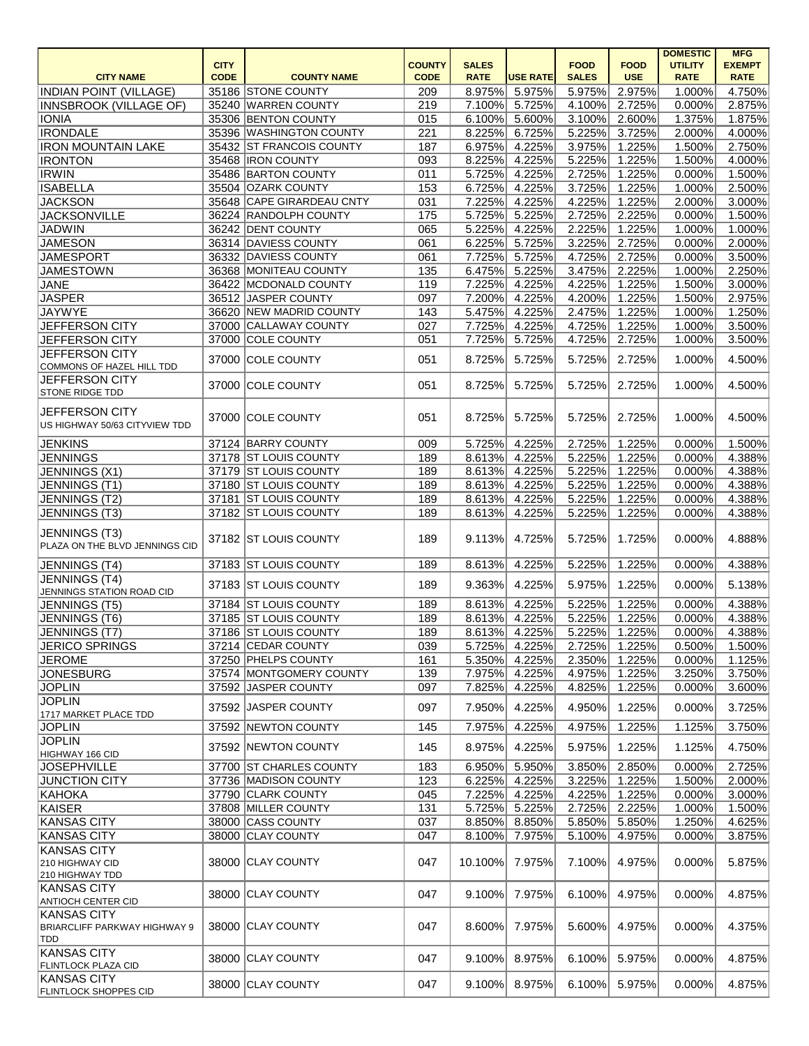|                                                                  | <b>CITY</b> |                           | <b>COUNTY</b> | <b>SALES</b> |                 | <b>FOOD</b>  | <b>FOOD</b> | <b>DOMESTIC</b><br><b>UTILITY</b> | <b>MFG</b><br><b>EXEMPT</b> |
|------------------------------------------------------------------|-------------|---------------------------|---------------|--------------|-----------------|--------------|-------------|-----------------------------------|-----------------------------|
| <b>CITY NAME</b>                                                 | <b>CODE</b> | <b>COUNTY NAME</b>        | <b>CODE</b>   | <b>RATE</b>  | <b>USE RATE</b> | <b>SALES</b> | <b>USE</b>  | <b>RATE</b>                       | <b>RATE</b>                 |
| <b>INDIAN POINT (VILLAGE)</b>                                    |             | 35186 STONE COUNTY        | 209           | 8.975%       | 5.975%          | 5.975%       | 2.975%      | 1.000%                            | 4.750%                      |
| INNSBROOK (VILLAGE OF)                                           |             | 35240 WARREN COUNTY       | 219           | 7.100%       | 5.725%          | 4.100%       | 2.725%      | 0.000%                            | 2.875%                      |
| <b>IONIA</b>                                                     |             | 35306 BENTON COUNTY       | 015           | 6.100%       | 5.600%          | 3.100%       | 2.600%      | 1.375%                            | 1.875%                      |
| <b>IRONDALE</b>                                                  |             | 35396 WASHINGTON COUNTY   | 221           | 8.225%       | 6.725%          | 5.225%       | 3.725%      | 2.000%                            | 4.000%                      |
| <b>IRON MOUNTAIN LAKE</b>                                        |             | 35432 ST FRANCOIS COUNTY  | 187           | 6.975%       | 4.225%          | 3.975%       | 1.225%      | 1.500%                            | 2.750%                      |
| <b>IRONTON</b>                                                   |             | 35468  IRON COUNTY        | 093           | 8.225%       | 4.225%          | 5.225%       | 1.225%      | 1.500%                            | 4.000%                      |
| <b>IRWIN</b>                                                     |             | 35486 BARTON COUNTY       | 011           | 5.725%       | 4.225%          | 2.725%       | 1.225%      | 0.000%                            | 1.500%                      |
| <b>ISABELLA</b>                                                  |             | 35504 OZARK COUNTY        | 153           | 6.725%       | 4.225%          | 3.725%       | 1.225%      | 1.000%                            | 2.500%                      |
| <b>JACKSON</b>                                                   |             | 35648 CAPE GIRARDEAU CNTY | 031           | 7.225%       | 4.225%          | 4.225%       | 1.225%      | 2.000%                            | 3.000%                      |
| <b>JACKSONVILLE</b>                                              |             | 36224 RANDOLPH COUNTY     | 175           | 5.725%       | 5.225%          | 2.725%       | 2.225%      | 0.000%                            | 1.500%                      |
| <b>JADWIN</b>                                                    |             | 36242 DENT COUNTY         | 065           | 5.225%       | 4.225%          | 2.225%       | 1.225%      | 1.000%                            | 1.000%                      |
| <b>JAMESON</b>                                                   |             | 36314 DAVIESS COUNTY      | 061           | 6.225%       | 5.725%          | 3.225%       | 2.725%      | 0.000%                            | 2.000%                      |
| <b>JAMESPORT</b>                                                 |             | 36332 DAVIESS COUNTY      | 061           | 7.725%       | 5.725%          | 4.725%       | 2.725%      | 0.000%                            | 3.500%                      |
| <b>JAMESTOWN</b>                                                 |             | 36368 MONITEAU COUNTY     | 135           | 6.475%       | 5.225%          | 3.475%       | 2.225%      | 1.000%                            | 2.250%                      |
| <b>JANE</b>                                                      |             | 36422 MCDONALD COUNTY     | 119           | 7.225%       | 4.225%          | 4.225%       | 1.225%      | 1.500%                            | 3.000%                      |
| <b>JASPER</b>                                                    |             | 36512 JASPER COUNTY       | 097           | 7.200%       | 4.225%          | 4.200%       | 1.225%      | 1.500%                            | 2.975%                      |
| <b>JAYWYE</b>                                                    |             | 36620 NEW MADRID COUNTY   | 143           | 5.475%       | 4.225%          | 2.475%       | 1.225%      | 1.000%                            | 1.250%                      |
| JEFFERSON CITY                                                   |             | 37000 CALLAWAY COUNTY     | 027           | 7.725%       | 4.225%          | 4.725%       | 1.225%      | 1.000%                            | 3.500%                      |
| JEFFERSON CITY                                                   |             | 37000 COLE COUNTY         | 051           | 7.725%       | 5.725%          | 4.725%       | 2.725%      | 1.000%                            | 3.500%                      |
| <b>JEFFERSON CITY</b>                                            |             | 37000 COLE COUNTY         | 051           | 8.725%       | 5.725%          | 5.725%       | 2.725%      | 1.000%                            | 4.500%                      |
| COMMONS OF HAZEL HILL TDD                                        |             |                           |               |              |                 |              |             |                                   |                             |
| <b>JEFFERSON CITY</b><br><b>STONE RIDGE TDD</b>                  |             | 37000 COLE COUNTY         | 051           | 8.725%       | 5.725%          | 5.725%       | 2.725%      | 1.000%                            | 4.500%                      |
| <b>JEFFERSON CITY</b><br>US HIGHWAY 50/63 CITYVIEW TDD           |             | 37000 COLE COUNTY         | 051           | 8.725%       | 5.725%          | 5.725%       | 2.725%      | 1.000%                            | 4.500%                      |
| <b>JENKINS</b>                                                   |             | 37124 BARRY COUNTY        | 009           | 5.725%       | 4.225%          | 2.725%       | 1.225%      | 0.000%                            | 1.500%                      |
| <b>JENNINGS</b>                                                  |             | 37178 ST LOUIS COUNTY     | 189           | 8.613%       | 4.225%          | 5.225%       | 1.225%      | 0.000%                            | 4.388%                      |
| JENNINGS (X1)                                                    |             | 37179 ST LOUIS COUNTY     | 189           | 8.613%       | 4.225%          | 5.225%       | 1.225%      | 0.000%                            | 4.388%                      |
| JENNINGS (T1)                                                    |             | 37180 ST LOUIS COUNTY     | 189           | 8.613%       | 4.225%          | 5.225%       | 1.225%      | 0.000%                            | 4.388%                      |
| JENNINGS (T2)                                                    |             | 37181 ST LOUIS COUNTY     | 189           | 8.613%       | 4.225%          | 5.225%       | 1.225%      | 0.000%                            | 4.388%                      |
| JENNINGS (T3)                                                    |             | 37182 ST LOUIS COUNTY     | 189           | 8.613%       | 4.225%          | 5.225%       | 1.225%      | 0.000%                            | 4.388%                      |
| JENNINGS (T3)<br>PLAZA ON THE BLVD JENNINGS CID                  |             | 37182 ST LOUIS COUNTY     | 189           | 9.113%       | 4.725%          | 5.725%       | 1.725%      | 0.000%                            | 4.888%                      |
| JENNINGS (T4)                                                    |             | 37183 ST LOUIS COUNTY     | 189           | 8.613%       | 4.225%          | 5.225%       | 1.225%      | 0.000%                            | 4.388%                      |
| JENNINGS (T4)<br>JENNINGS STATION ROAD CID                       |             | 37183 ST LOUIS COUNTY     | 189           | 9.363%       | 4.225%          | 5.975%       | 1.225%      | 0.000%                            | 5.138%                      |
| JENNINGS (T5)                                                    |             | 37184 ST LOUIS COUNTY     | 189           | 8.613%       | 4.225%          | 5.225%       | 1.225%      | 0.000%                            | 4.388%                      |
| JENNINGS (T6)                                                    |             | 37185 ST LOUIS COUNTY     | 189           | 8.613%       | 4.225%          | 5.225%       | 1.225%      | 0.000%                            | 4.388%                      |
| JENNINGS (T7)                                                    |             | 37186 ST LOUIS COUNTY     | 189           | 8.613%       | 4.225%          | 5.225%       | 1.225%      | 0.000%                            | 4.388%                      |
| <b>JERICO SPRINGS</b>                                            |             | 37214 CEDAR COUNTY        | 039           | 5.725%       | 4.225%          | 2.725%       | 1.225%      | 0.500%                            | 1.500%                      |
| <b>JEROME</b>                                                    |             | 37250 PHELPS COUNTY       | 161           | 5.350%       | 4.225%          | 2.350%       | 1.225%      | 0.000%                            | 1.125%                      |
| <b>JONESBURG</b>                                                 |             | 37574 MONTGOMERY COUNTY   | 139           | 7.975%       | 4.225%          | 4.975%       | 1.225%      | 3.250%                            | 3.750%                      |
| <b>JOPLIN</b>                                                    |             | 37592 JASPER COUNTY       | 097           | 7.825%       | 4.225%          | 4.825%       | 1.225%      | 0.000%                            | 3.600%                      |
| <b>JOPLIN</b>                                                    |             |                           |               |              |                 |              |             |                                   |                             |
| 1717 MARKET PLACE TDD                                            |             | 37592 JASPER COUNTY       | 097           | 7.950%       | 4.225%          | 4.950%       | 1.225%      | 0.000%                            | 3.725%                      |
| <b>JOPLIN</b>                                                    |             | 37592 NEWTON COUNTY       | 145           | 7.975%       | 4.225%          | 4.975%       | 1.225%      | 1.125%                            | 3.750%                      |
| <b>JOPLIN</b>                                                    |             |                           |               |              |                 |              |             |                                   |                             |
| HIGHWAY 166 CID                                                  |             | 37592 NEWTON COUNTY       | 145           | 8.975%       | 4.225%          | 5.975%       | 1.225%      | 1.125%                            | 4.750%                      |
| <b>JOSEPHVILLE</b>                                               |             | 37700 ST CHARLES COUNTY   | 183           | 6.950%       | 5.950%          | 3.850%       | 2.850%      | 0.000%                            | 2.725%                      |
| <b>JUNCTION CITY</b>                                             |             | 37736 MADISON COUNTY      | 123           | 6.225%       | 4.225%          | 3.225%       | 1.225%      | 1.500%                            | 2.000%                      |
| KAHOKA                                                           |             | 37790 CLARK COUNTY        | 045           | 7.225%       | 4.225%          | 4.225%       | 1.225%      | 0.000%                            | 3.000%                      |
| KAISER                                                           |             | 37808 MILLER COUNTY       | 131           | 5.725%       | 5.225%          | 2.725%       | 2.225%      | 1.000%                            | 1.500%                      |
| <b>KANSAS CITY</b>                                               |             | 38000 CASS COUNTY         | 037           | 8.850%       | 8.850%          | 5.850%       | 5.850%      | 1.250%                            | 4.625%                      |
| <b>KANSAS CITY</b>                                               |             | 38000 CLAY COUNTY         | 047           | 8.100%       | 7.975%          | 5.100%       | 4.975%      | 0.000%                            | 3.875%                      |
| <b>KANSAS CITY</b><br>210 HIGHWAY CID<br>210 HIGHWAY TDD         |             | 38000 CLAY COUNTY         | 047           | 10.100%      | 7.975%          | 7.100%       | 4.975%      | 0.000%                            | 5.875%                      |
| KANSAS CITY<br>ANTIOCH CENTER CID                                |             | 38000 CLAY COUNTY         | 047           | 9.100%       | 7.975%          | 6.100%       | 4.975%      | 0.000%                            | 4.875%                      |
| <b>KANSAS CITY</b><br><b>BRIARCLIFF PARKWAY HIGHWAY 9</b><br>TDD |             | 38000 CLAY COUNTY         | 047           | 8.600%       | 7.975%          | 5.600%       | 4.975%      | 0.000%                            | 4.375%                      |
| <b>KANSAS CITY</b><br><b>FLINTLOCK PLAZA CID</b>                 |             | 38000 CLAY COUNTY         | 047           | 9.100%       | 8.975%          | 6.100%       | 5.975%      | 0.000%                            | 4.875%                      |
| <b>KANSAS CITY</b><br><b>FLINTLOCK SHOPPES CID</b>               |             | 38000 CLAY COUNTY         | 047           | 9.100%       | 8.975%          | 6.100%       | 5.975%      | 0.000%                            | 4.875%                      |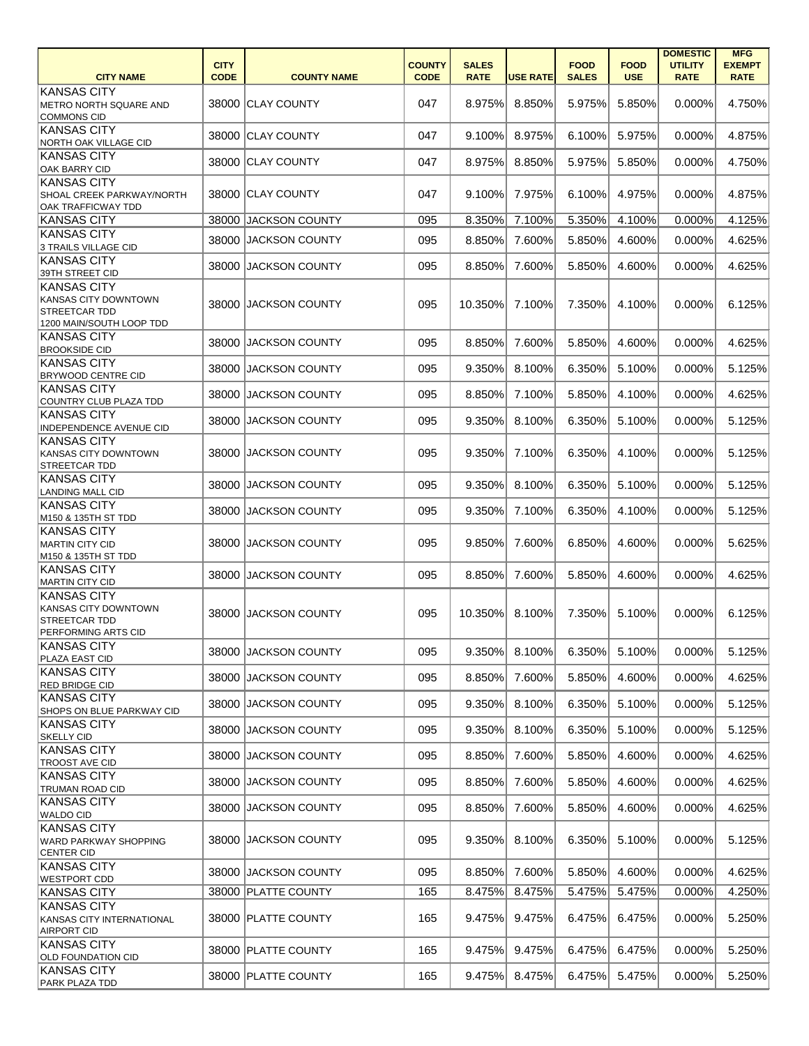|                                                                                                       | <b>CITY</b> |                       | <b>COUNTY</b> | <b>SALES</b> |                 | <b>FOOD</b>  | <b>FOOD</b> | <b>DOMESTIC</b><br><b>UTILITY</b> | <b>MFG</b><br><b>EXEMPT</b> |
|-------------------------------------------------------------------------------------------------------|-------------|-----------------------|---------------|--------------|-----------------|--------------|-------------|-----------------------------------|-----------------------------|
| <b>CITY NAME</b>                                                                                      | <b>CODE</b> | <b>COUNTY NAME</b>    | <b>CODE</b>   | <b>RATE</b>  | <b>USE RATE</b> | <b>SALES</b> | <b>USE</b>  | <b>RATE</b>                       | <b>RATE</b>                 |
| <b>KANSAS CITY</b><br>METRO NORTH SQUARE AND<br><b>COMMONS CID</b>                                    |             | 38000 CLAY COUNTY     | 047           | 8.975%       | 8.850%          | 5.975%       | 5.850%      | 0.000%                            | 4.750%                      |
| <b>KANSAS CITY</b><br><b>NORTH OAK VILLAGE CID</b>                                                    |             | 38000 CLAY COUNTY     | 047           | 9.100%       | 8.975%          | 6.100%       | 5.975%      | 0.000%                            | 4.875%                      |
| <b>KANSAS CITY</b><br><b>OAK BARRY CID</b>                                                            |             | 38000 CLAY COUNTY     | 047           | 8.975%       | 8.850%          | 5.975%       | 5.850%      | 0.000%                            | 4.750%                      |
| <b>KANSAS CITY</b><br>SHOAL CREEK PARKWAY/NORTH<br><b>OAK TRAFFICWAY TDD</b>                          |             | 38000 CLAY COUNTY     | 047           | 9.100%       | 7.975%          | 6.100%       | 4.975%      | 0.000%                            | 4.875%                      |
| <b>KANSAS CITY</b>                                                                                    |             | 38000 JACKSON COUNTY  | 095           | 8.350%       | 7.100%          | 5.350%       | 4.100%      | 0.000%                            | 4.125%                      |
| <b>KANSAS CITY</b><br>3 TRAILS VILLAGE CID                                                            |             | 38000 JACKSON COUNTY  | 095           | 8.850%       | 7.600%          | 5.850%       | 4.600%      | 0.000%                            | 4.625%                      |
| <b>KANSAS CITY</b><br>39TH STREET CID                                                                 |             | 38000 JACKSON COUNTY  | 095           | 8.850%       | 7.600%          | 5.850%       | 4.600%      | 0.000%                            | 4.625%                      |
| <b>KANSAS CITY</b><br><b>KANSAS CITY DOWNTOWN</b><br><b>STREETCAR TDD</b><br>1200 MAIN/SOUTH LOOP TDD |             | 38000 JACKSON COUNTY  | 095           | 10.350%      | 7.100%          | 7.350%       | 4.100%      | 0.000%                            | 6.125%                      |
| <b>KANSAS CITY</b><br><b>BROOKSIDE CID</b>                                                            |             | 38000 JACKSON COUNTY  | 095           | 8.850%       | 7.600%          | 5.850%       | 4.600%      | 0.000%                            | 4.625%                      |
| <b>KANSAS CITY</b><br><b>BRYWOOD CENTRE CID</b>                                                       | 38000       | <b>JACKSON COUNTY</b> | 095           | 9.350%       | 8.100%          | 6.350%       | 5.100%      | 0.000%                            | 5.125%                      |
| KANSAS CITY<br>COUNTRY CLUB PLAZA TDD                                                                 | 38000       | <b>JACKSON COUNTY</b> | 095           | 8.850%       | 7.100%          | 5.850%       | 4.100%      | 0.000%                            | 4.625%                      |
| <b>KANSAS CITY</b><br><b>INDEPENDENCE AVENUE CID</b>                                                  |             | 38000 JACKSON COUNTY  | 095           | 9.350%       | 8.100%          | 6.350%       | 5.100%      | 0.000%                            | 5.125%                      |
| <b>KANSAS CITY</b><br><b>KANSAS CITY DOWNTOWN</b><br><b>STREETCAR TDD</b>                             |             | 38000 JACKSON COUNTY  | 095           | 9.350%       | 7.100%          | 6.350%       | 4.100%      | 0.000%                            | 5.125%                      |
| <b>KANSAS CITY</b><br>LANDING MALL CID                                                                |             | 38000 JACKSON COUNTY  | 095           | 9.350%       | 8.100%          | 6.350%       | 5.100%      | 0.000%                            | 5.125%                      |
| <b>KANSAS CITY</b><br>M150 & 135TH ST TDD                                                             | 38000       | IJACKSON COUNTY       | 095           | 9.350%       | 7.100%          | 6.350%       | 4.100%      | 0.000%                            | 5.125%                      |
| <b>KANSAS CITY</b><br>MARTIN CITY CID<br>M150 & 135TH ST TDD                                          |             | 38000 JACKSON COUNTY  | 095           | 9.850%       | 7.600%          | 6.850%       | 4.600%      | 0.000%                            | 5.625%                      |
| <b>KANSAS CITY</b><br>MARTIN CITY CID                                                                 |             | 38000 JACKSON COUNTY  | 095           | 8.850%       | 7.600%          | 5.850%       | 4.600%      | 0.000%                            | 4.625%                      |
| <b>KANSAS CITY</b><br><b>KANSAS CITY DOWNTOWN</b><br><b>STREETCAR TDD</b><br>PERFORMING ARTS CID      |             | 38000 JACKSON COUNTY  | 095           | 10.350%      | 8.100%          | 7.350%       | 5.100%      | 0.000%                            | 6.125%                      |
| <b>KANSAS CITY</b><br><b>PLAZA EAST CID</b>                                                           |             | 38000 JACKSON COUNTY  | 095           | 9.350%       | 8.100%          | 6.350%       | 5.100%      | 0.000%                            | 5.125%                      |
| <b>KANSAS CITY</b><br><b>RED BRIDGE CID</b>                                                           | 38000       | <b>JACKSON COUNTY</b> | 095           | 8.850%       | 7.600%          | 5.850%       | 4.600%      | 0.000%                            | 4.625%                      |
| <b>KANSAS CITY</b><br><b>SHOPS ON BLUE PARKWAY CID</b>                                                |             | 38000 JACKSON COUNTY  | 095           | 9.350%       | 8.100%          | 6.350%       | 5.100%      | 0.000%                            | 5.125%                      |
| <b>KANSAS CITY</b><br><b>SKELLY CID</b>                                                               | 38000       | <b>JACKSON COUNTY</b> | 095           | 9.350%       | 8.100%          | 6.350%       | 5.100%      | 0.000%                            | 5.125%                      |
| <b>KANSAS CITY</b><br><b>TROOST AVE CID</b>                                                           | 38000       | JACKSON COUNTY        | 095           | 8.850%       | 7.600%          | 5.850%       | 4.600%      | 0.000%                            | 4.625%                      |
| <b>KANSAS CITY</b><br><b>TRUMAN ROAD CID</b>                                                          |             | 38000 JACKSON COUNTY  | 095           | 8.850%       | 7.600%          | 5.850%       | 4.600%      | 0.000%                            | 4.625%                      |
| <b>KANSAS CITY</b><br><b>WALDO CID</b>                                                                |             | 38000 JACKSON COUNTY  | 095           | 8.850%       | 7.600%          | 5.850%       | 4.600%      | 0.000%                            | 4.625%                      |
| <b>KANSAS CITY</b><br><b>WARD PARKWAY SHOPPING</b><br>CENTER CID                                      |             | 38000 JACKSON COUNTY  | 095           | 9.350%       | 8.100%          | 6.350%       | 5.100%      | 0.000%                            | 5.125%                      |
| <b>KANSAS CITY</b><br><b>WESTPORT CDD</b>                                                             |             | 38000 JACKSON COUNTY  | 095           | 8.850%       | 7.600%          | 5.850%       | 4.600%      | 0.000%                            | 4.625%                      |
| <b>KANSAS CITY</b>                                                                                    |             | 38000 PLATTE COUNTY   | 165           | 8.475%       | 8.475%          | 5.475%       | 5.475%      | 0.000%                            | 4.250%                      |
| <b>KANSAS CITY</b><br>KANSAS CITY INTERNATIONAL<br><b>AIRPORT CID</b>                                 |             | 38000 PLATTE COUNTY   | 165           | 9.475%       | 9.475%          | 6.475%       | 6.475%      | 0.000%                            | 5.250%                      |
| <b>KANSAS CITY</b><br><b>OLD FOUNDATION CID</b>                                                       |             | 38000 PLATTE COUNTY   | 165           | 9.475%       | 9.475%          | 6.475%       | 6.475%      | 0.000%                            | 5.250%                      |
| <b>KANSAS CITY</b><br><b>PARK PLAZA TDD</b>                                                           |             | 38000 PLATTE COUNTY   | 165           | 9.475%       | 8.475%          | 6.475%       | 5.475%      | 0.000%                            | 5.250%                      |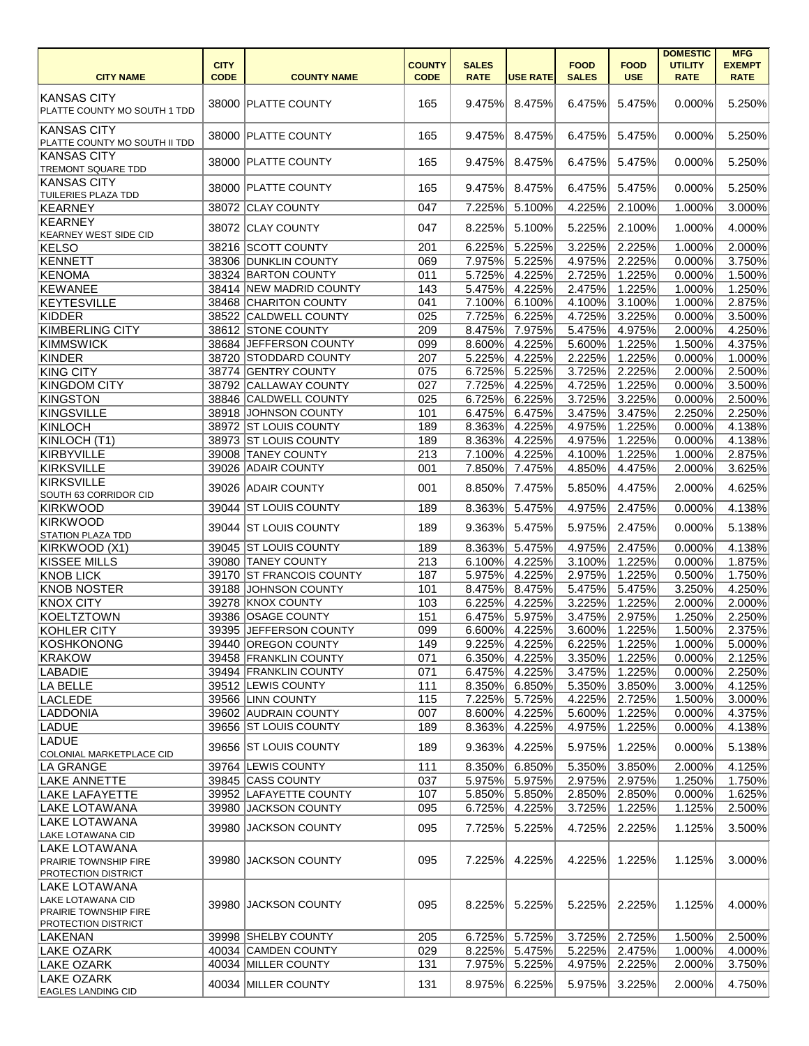|                                                   |             |                          |               |                  |                 |              |             | <b>DOMESTIC</b> | <b>MFG</b>           |
|---------------------------------------------------|-------------|--------------------------|---------------|------------------|-----------------|--------------|-------------|-----------------|----------------------|
|                                                   | <b>CITY</b> |                          | <b>COUNTY</b> | <b>SALES</b>     |                 | <b>FOOD</b>  | <b>FOOD</b> | <b>UTILITY</b>  | <b>EXEMPT</b>        |
| <b>CITY NAME</b>                                  | <b>CODE</b> | <b>COUNTY NAME</b>       | <b>CODE</b>   | <b>RATE</b>      | <b>USE RATE</b> | <b>SALES</b> | <b>USE</b>  | <b>RATE</b>     | <b>RATE</b>          |
| <b>KANSAS CITY</b>                                |             |                          |               |                  |                 |              |             |                 |                      |
| PLATTE COUNTY MO SOUTH 1 TDD                      |             | 38000 PLATTE COUNTY      | 165           | 9.475%           | 8.475%          | 6.475%       | 5.475%      | 0.000%          | 5.250%               |
|                                                   |             |                          |               |                  |                 |              |             |                 |                      |
| <b>KANSAS CITY</b>                                |             | 38000 PLATTE COUNTY      | 165           | 9.475%           | 8.475%          | 6.475%       | 5.475%      | 0.000%          | 5.250%               |
| PLATTE COUNTY MO SOUTH II TDD                     |             |                          |               |                  |                 |              |             |                 |                      |
| <b>KANSAS CITY</b>                                |             | 38000 PLATTE COUNTY      | 165           | 9.475%           | 8.475%          | 6.475%       | 5.475%      | 0.000%          | 5.250%               |
| <b>TREMONT SQUARE TDD</b>                         |             |                          |               |                  |                 |              |             |                 |                      |
| <b>KANSAS CITY</b>                                |             | 38000 PLATTE COUNTY      | 165           | 9.475%           | 8.475%          | 6.475%       | 5.475%      | 0.000%          | 5.250%               |
| <b>TUILERIES PLAZA TDD</b><br>KEARNEY             |             | 38072 CLAY COUNTY        | 047           | 7.225%           | 5.100%          | 4.225%       | 2.100%      | 1.000%          | 3.000%               |
| KEARNEY                                           |             |                          |               |                  |                 |              |             |                 |                      |
| <b>KEARNEY WEST SIDE CID</b>                      |             | 38072 CLAY COUNTY        | 047           | 8.225%           | 5.100%          | 5.225%       | 2.100%      | 1.000%          | 4.000%               |
| KELSO                                             |             | 38216 SCOTT COUNTY       | 201           | 6.225%           | 5.225%          | 3.225%       | 2.225%      | 1.000%          | 2.000%               |
| KENNETT                                           |             | 38306 DUNKLIN COUNTY     | 069           | 7.975%           | 5.225%          | 4.975%       | 2.225%      | 0.000%          | 3.750%               |
| KENOMA                                            |             | 38324 BARTON COUNTY      | 011           | 5.725%           | 4.225%          | 2.725%       | 1.225%      | 0.000%          | 1.500%               |
| KEWANEE                                           |             | 38414 NEW MADRID COUNTY  | 143           | 5.475%           | 4.225%          | 2.475%       | 1.225%      | 1.000%          | 1.250%               |
| KEYTESVILLE                                       |             | 38468 CHARITON COUNTY    | 041           | 7.100%           | 6.100%          | 4.100%       | 3.100%      | 1.000%          | 2.875%               |
| KIDDER                                            |             | 38522 CALDWELL COUNTY    | 025           | 7.725%           | 6.225%          | 4.725%       | 3.225%      | 0.000%          | 3.500%               |
| <b>KIMBERLING CITY</b>                            |             | 38612 STONE COUNTY       | 209           | 8.475%           | 7.975%          | 5.475%       | 4.975%      | 2.000%          | 4.250%               |
| KIMMSWICK                                         |             | 38684 JEFFERSON COUNTY   |               |                  | 4.225%          | 5.600%       |             |                 |                      |
| KINDER                                            |             | 38720 STODDARD COUNTY    | 099           | 8.600%<br>5.225% |                 |              | 1.225%      | 1.500%          | 4.375%               |
|                                                   |             |                          | 207           |                  | 4.225%          | 2.225%       | 1.225%      | 0.000%          | 1.000%               |
| <b>KING CITY</b>                                  |             | 38774 GENTRY COUNTY      | 075           | 6.725%           | 5.225%          | 3.725%       | 2.225%      | 2.000%          | 2.500%               |
| <b>KINGDOM CITY</b>                               |             | 38792 CALLAWAY COUNTY    | 027           | 7.725%           | 4.225%          | 4.725%       | 1.225%      | 0.000%          | 3.500%               |
| KINGSTON                                          |             | 38846 CALDWELL COUNTY    | 025           | 6.725%           | 6.225%          | 3.725%       | 3.225%      | 0.000%          | 2.500%               |
| KINGSVILLE                                        |             | 38918 JOHNSON COUNTY     | 101           | 6.475%           | 6.475%          | 3.475%       | 3.475%      | 2.250%          | 2.250%               |
| KINLOCH                                           |             | 38972 ST LOUIS COUNTY    | 189           | 8.363%           | 4.225%          | 4.975%       | 1.225%      | 0.000%          | 4.138%               |
| KINLOCH (T1)                                      |             | 38973 ST LOUIS COUNTY    | 189           | 8.363%           | 4.225%          | 4.975%       | 1.225%      | 0.000%          | 4.138%               |
| KIRBYVILLE                                        |             | 39008 TANEY COUNTY       | 213           | 7.100%           | 4.225%          | 4.100%       | 1.225%      | 1.000%          | 2.875%               |
| KIRKSVILLE                                        |             | 39026 ADAIR COUNTY       | 001           | 7.850%           | 7.475%          | 4.850%       | 4.475%      | 2.000%          | 3.625%               |
| KIRKSVILLE                                        |             | 39026 ADAIR COUNTY       | 001           | 8.850%           | 7.475%          | 5.850%       | 4.475%      | 2.000%          | 4.625%               |
| SOUTH 63 CORRIDOR CID                             |             |                          |               |                  |                 |              |             |                 |                      |
| KIRKWOOD                                          |             | 39044 ST LOUIS COUNTY    | 189           | 8.363%           | 5.475%          | 4.975%       | 2.475%      | 0.000%          | 4.138%               |
| KIRKWOOD                                          |             | 39044 ST LOUIS COUNTY    | 189           | 9.363%           | 5.475%          | 5.975%       | 2.475%      | 0.000%          | 5.138%               |
| <b>STATION PLAZA TDD</b>                          |             |                          |               |                  |                 |              |             |                 |                      |
| KIRKWOOD (X1)                                     |             | 39045 ST LOUIS COUNTY    | 189           | 8.363%           | 5.475%          | 4.975%       | 2.475%      | 0.000%          | 4.138%               |
| <b>KISSEE MILLS</b>                               |             | 39080 TANEY COUNTY       | 213           |                  | 6.100% 4.225%   | 3.100%       | 1.225%      | 0.000%          | 1.875%               |
| <b>KNOB LICK</b>                                  |             | 39170 ST FRANCOIS COUNTY | 187           | 5.975%           | 4.225%          | 2.975%       | 1.225%      | 0.500%          | $\overline{1.750\%}$ |
| KNOB NOSTER                                       |             | 39188 JOHNSON COUNTY     | 101           | 8.475%           | 8.475%          | 5.475%       | 5.475%      | 3.250%          | 4.250%               |
| <b>KNOX CITY</b>                                  |             | 39278 KNOX COUNTY        | 103           | 6.225%           | 4.225%          | 3.225%       | 1.225%      | 2.000%          | 2.000%               |
| KOELTZTOWN                                        |             | 39386 OSAGE COUNTY       | 151           | 6.475%           | 5.975%          | 3.475%       | 2.975%      | 1.250%          | 2.250%               |
| KOHLER CITY                                       |             | 39395 JEFFERSON COUNTY   | 099           | 6.600%           | 4.225%          | 3.600%       | 1.225%      | 1.500%          | 2.375%               |
| KOSHKONONG                                        |             | 39440 OREGON COUNTY      | 149           | 9.225%           | 4.225%          | 6.225%       | 1.225%      | 1.000%          | 5.000%               |
| KRAKOW                                            |             | 39458 FRANKLIN COUNTY    | 071           | 6.350%           | 4.225%          | 3.350%       | 1.225%      | 0.000%          | 2.125%               |
| <b>LABADIE</b>                                    |             | 39494 FRANKLIN COUNTY    | 071           | 6.475%           | 4.225%          | 3.475%       | 1.225%      | 0.000%          | 2.250%               |
| LA BELLE                                          |             | 39512 LEWIS COUNTY       | 111           | 8.350%           | 6.850%          | 5.350%       | 3.850%      | 3.000%          | 4.125%               |
| <b>LACLEDE</b>                                    |             | 39566 LINN COUNTY        | 115           | 7.225%           | 5.725%          | 4.225%       | 2.725%      | 1.500%          | 3.000%               |
| LADDONIA                                          |             | 39602 AUDRAIN COUNTY     | 007           | 8.600%           | 4.225%          | 5.600%       | 1.225%      | 0.000%          | 4.375%               |
| LADUE                                             |             | 39656 ST LOUIS COUNTY    | 189           | 8.363%           | 4.225%          | 4.975%       | 1.225%      | 0.000%          | 4.138%               |
| LADUE                                             |             | 39656 ST LOUIS COUNTY    | 189           | 9.363%           | 4.225%          | 5.975%       | 1.225%      | 0.000%          | 5.138%               |
| COLONIAL MARKETPLACE CID                          |             |                          |               |                  |                 |              |             |                 |                      |
| LA GRANGE                                         |             | 39764 LEWIS COUNTY       | 111           | 8.350%           | 6.850%          | 5.350%       | 3.850%      | 2.000%          | 4.125%               |
| <b>LAKE ANNETTE</b>                               |             | 39845 CASS COUNTY        | 037           | 5.975%           | 5.975%          | 2.975%       | 2.975%      | 1.250%          | 1.750%               |
| <b>LAKE LAFAYETTE</b>                             |             | 39952 LAFAYETTE COUNTY   | 107           | 5.850%           | 5.850%          | 2.850%       | 2.850%      | 0.000%          | 1.625%               |
| <b>LAKE LOTAWANA</b>                              |             | 39980 JACKSON COUNTY     | 095           | 6.725%           | 4.225%          | 3.725%       | 1.225%      | 1.125%          | 2.500%               |
| <b>LAKE LOTAWANA</b>                              |             | 39980 JACKSON COUNTY     | 095           | 7.725%           | 5.225%          | 4.725%       | 2.225%      | 1.125%          | 3.500%               |
| LAKE LOTAWANA CID                                 |             |                          |               |                  |                 |              |             |                 |                      |
| LAKE LOTAWANA                                     |             |                          |               |                  |                 |              |             |                 |                      |
| PRAIRIE TOWNSHIP FIRE                             |             | 39980 JACKSON COUNTY     | 095           | 7.225%           | 4.225%          | 4.225%       | 1.225%      | 1.125%          | 3.000%               |
| <b>PROTECTION DISTRICT</b>                        |             |                          |               |                  |                 |              |             |                 |                      |
| LAKE LOTAWANA                                     |             |                          |               |                  |                 |              |             |                 |                      |
| LAKE LOTAWANA CID<br><b>PRAIRIE TOWNSHIP FIRE</b> |             | 39980 JACKSON COUNTY     | 095           | 8.225%           | 5.225%          | 5.225%       | 2.225%      | 1.125%          | 4.000%               |
| <b>PROTECTION DISTRICT</b>                        |             |                          |               |                  |                 |              |             |                 |                      |
| LAKENAN                                           |             | 39998 SHELBY COUNTY      | 205           | 6.725%           | 5.725%          | 3.725%       | 2.725%      | 1.500%          | 2.500%               |
| LAKE OZARK                                        |             | 40034 CAMDEN COUNTY      | 029           | 8.225%           | 5.475%          | 5.225%       | 2.475%      | 1.000%          | 4.000%               |
| <b>LAKE OZARK</b>                                 |             | 40034 MILLER COUNTY      | 131           | 7.975%           | 5.225%          | 4.975%       | 2.225%      | 2.000%          | 3.750%               |
| <b>LAKE OZARK</b>                                 |             |                          |               |                  |                 |              |             |                 |                      |
| <b>EAGLES LANDING CID</b>                         |             | 40034 MILLER COUNTY      | 131           | 8.975%           | 6.225%          | 5.975%       | 3.225%      | 2.000%          | 4.750%               |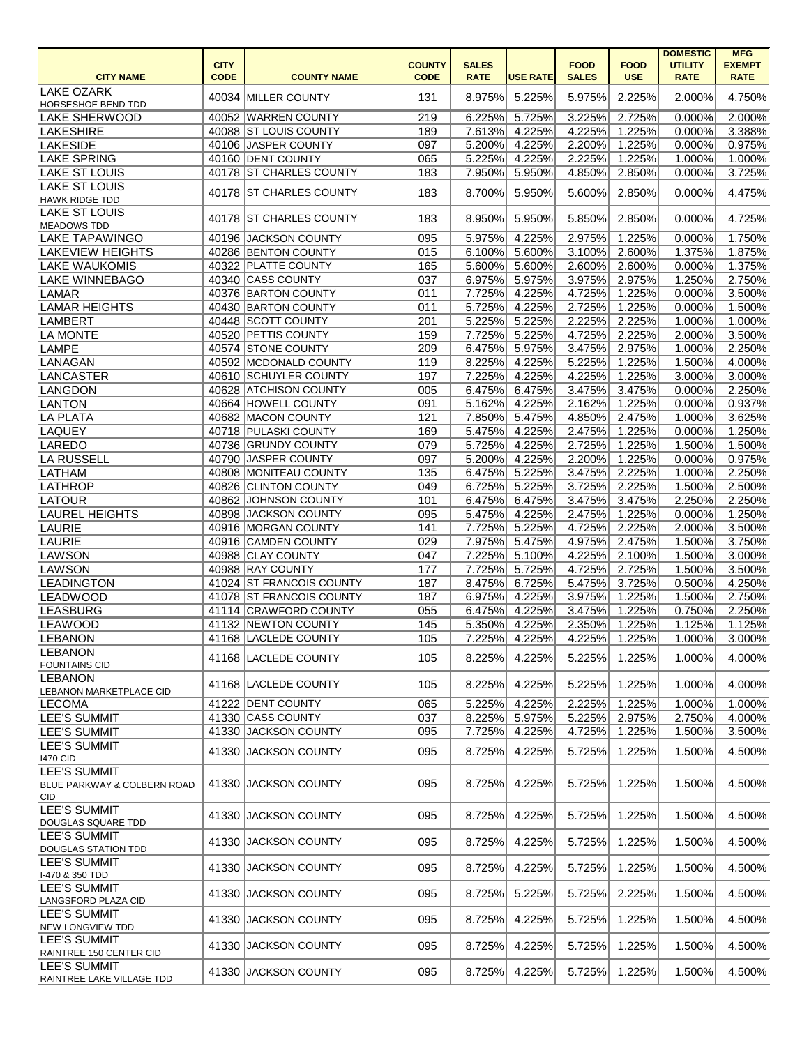|                                                                      |                            |                          |                              |                             |                 |                             |                           | <b>DOMESTIC</b>               | <b>MFG</b>                   |
|----------------------------------------------------------------------|----------------------------|--------------------------|------------------------------|-----------------------------|-----------------|-----------------------------|---------------------------|-------------------------------|------------------------------|
| <b>CITY NAME</b>                                                     | <b>CITY</b><br><b>CODE</b> | <b>COUNTY NAME</b>       | <b>COUNTY</b><br><b>CODE</b> | <b>SALES</b><br><b>RATE</b> | <b>USE RATE</b> | <b>FOOD</b><br><b>SALES</b> | <b>FOOD</b><br><b>USE</b> | <b>UTILITY</b><br><b>RATE</b> | <b>EXEMPT</b><br><b>RATE</b> |
| <b>LAKE OZARK</b><br><b>HORSESHOE BEND TDD</b>                       |                            | 40034 MILLER COUNTY      | 131                          | 8.975%                      | 5.225%          | 5.975%                      | 2.225%                    | 2.000%                        | 4.750%                       |
| <b>LAKE SHERWOOD</b>                                                 |                            | 40052 WARREN COUNTY      | 219                          | 6.225%                      | 5.725%          | 3.225%                      | 2.725%                    | 0.000%                        | 2.000%                       |
| LAKESHIRE                                                            |                            | 40088 ST LOUIS COUNTY    | 189                          | 7.613%                      | 4.225%          | 4.225%                      | $\overline{1.225\%}$      | 0.000%                        | 3.388%                       |
| <b>LAKESIDE</b>                                                      |                            | 40106 JASPER COUNTY      | 097                          | 5.200%                      | 4.225%          | 2.200%                      | 1.225%                    | 0.000%                        | 0.975%                       |
| <b>LAKE SPRING</b>                                                   |                            | 40160 DENT COUNTY        | 065                          | 5.225%                      | 4.225%          | 2.225%                      | 1.225%                    | 1.000%                        | 1.000%                       |
| <b>LAKE ST LOUIS</b>                                                 |                            | 40178 ST CHARLES COUNTY  | 183                          | 7.950%                      | 5.950%          | 4.850%                      | 2.850%                    | 0.000%                        | 3.725%                       |
| <b>LAKE ST LOUIS</b><br>HAWK RIDGE TDD                               |                            | 40178 ST CHARLES COUNTY  | 183                          | 8.700%                      | 5.950%          | 5.600%                      | 2.850%                    | 0.000%                        | 4.475%                       |
| <b>LAKE ST LOUIS</b><br>MEADOWS TDD                                  |                            | 40178 ST CHARLES COUNTY  | 183                          | 8.950%                      | 5.950%          | 5.850%                      | 2.850%                    | 0.000%                        | 4.725%                       |
| <b>LAKE TAPAWINGO</b>                                                |                            | 40196 JACKSON COUNTY     | 095                          | 5.975%                      | 4.225%          | 2.975%                      | 1.225%                    | 0.000%                        | 1.750%                       |
| <b>LAKEVIEW HEIGHTS</b>                                              |                            | 40286 BENTON COUNTY      | 015                          | 6.100%                      | 5.600%          | 3.100%                      | 2.600%                    | 1.375%                        | 1.875%                       |
| <b>LAKE WAUKOMIS</b>                                                 |                            | 40322 PLATTE COUNTY      | 165                          | 5.600%                      | 5.600%          | 2.600%                      | 2.600%                    | 0.000%                        | 1.375%                       |
| <b>LAKE WINNEBAGO</b>                                                |                            | 40340 CASS COUNTY        | 037                          | 6.975%                      | 5.975%          | 3.975%                      | 2.975%                    | 1.250%                        | 2.750%                       |
| LAMAR                                                                |                            | 40376 BARTON COUNTY      | 011                          | 7.725%                      | 4.225%          | 4.725%                      | 1.225%                    | 0.000%                        | 3.500%                       |
| <b>LAMAR HEIGHTS</b>                                                 |                            | 40430 BARTON COUNTY      | 011                          | 5.725%                      | 4.225%          | 2.725%                      | 1.225%                    | 0.000%                        | 1.500%                       |
| LAMBERT                                                              |                            | 40448 SCOTT COUNTY       | 201                          | 5.225%                      | 5.225%          | 2.225%                      | 2.225%                    | 1.000%                        | 1.000%                       |
| <b>LA MONTE</b>                                                      |                            | 40520 PETTIS COUNTY      | 159                          | 7.725%                      | 5.225%          | 4.725%                      | 2.225%                    | 2.000%                        | 3.500%                       |
| LAMPE                                                                |                            | 40574 STONE COUNTY       | 209                          | 6.475%                      | 5.975%          | 3.475%                      | 2.975%                    | 1.000%                        | 2.250%                       |
| LANAGAN                                                              |                            | 40592 MCDONALD COUNTY    | 119                          | 8.225%                      | 4.225%          | 5.225%                      | 1.225%                    | 1.500%                        | 4.000%                       |
| LANCASTER                                                            |                            | 40610 SCHUYLER COUNTY    | 197                          | 7.225%                      | 4.225%          | 4.225%                      | 1.225%                    | 3.000%                        | 3.000%                       |
| LANGDON                                                              |                            | 40628 ATCHISON COUNTY    | 005                          | 6.475%                      | 6.475%          | 3.475%                      | 3.475%                    | 0.000%                        | 2.250%                       |
| <b>LANTON</b>                                                        |                            | 40664 HOWELL COUNTY      | 091                          | 5.162%                      | 4.225%          | 2.162%                      | $\overline{1.225\%}$      | 0.000%                        | 0.937%                       |
| LA PLATA                                                             |                            | 40682 MACON COUNTY       | 121                          | 7.850%                      | 5.475%          | 4.850%                      | 2.475%                    | 1.000%                        | 3.625%                       |
| <b>LAQUEY</b>                                                        |                            | 40718 PULASKI COUNTY     | 169                          | 5.475%                      | 4.225%          | 2.475%                      | 1.225%                    | 0.000%                        | 1.250%                       |
| LAREDO                                                               |                            | 40736 GRUNDY COUNTY      | 079                          | 5.725%                      | 4.225%          | 2.725%                      | 1.225%                    | 1.500%                        | 1.500%                       |
| LA RUSSELL                                                           |                            | 40790 JASPER COUNTY      | 097                          | 5.200%                      | 4.225%          | 2.200%                      | 1.225%                    | 0.000%                        | 0.975%                       |
| LATHAM                                                               |                            | 40808 MONITEAU COUNTY    | 135                          | 6.475%                      | 5.225%          | 3.475%                      | 2.225%                    | 1.000%                        | 2.250%                       |
| LATHROP                                                              |                            | 40826 CLINTON COUNTY     |                              |                             |                 |                             | 2.225%                    |                               | 2.500%                       |
|                                                                      |                            |                          | 049                          | 6.725%                      | 5.225%          | 3.725%                      |                           | 1.500%                        |                              |
| <b>LATOUR</b>                                                        |                            | 40862 JOHNSON COUNTY     | 101                          | 6.475%                      | 6.475%          | 3.475%                      | 3.475%                    | 2.250%                        | 2.250%                       |
| <b>LAUREL HEIGHTS</b>                                                |                            | 40898 JACKSON COUNTY     | 095                          | 5.475%                      | 4.225%          | 2.475%                      | 1.225%                    | 0.000%                        | 1.250%                       |
| LAURIE                                                               |                            | 40916 MORGAN COUNTY      | 141                          | 7.725%                      | 5.225%          | 4.725%                      | 2.225%                    | 2.000%                        | 3.500%                       |
| <b>LAURIE</b>                                                        |                            | 40916 CAMDEN COUNTY      | 029                          | 7.975%                      | 5.475%          | 4.975%                      | 2.475%                    | 1.500%                        | 3.750%                       |
| <b>LAWSON</b>                                                        |                            | 40988 CLAY COUNTY        | 047                          |                             | 7.225% 5.100%   |                             | 4.225% 2.100%             |                               | 1.500% 3.000%                |
| LAWSON                                                               |                            | 40988 RAY COUNTY         | 177                          | 7.725%                      | 5.725%          | 4.725%                      | 2.725%                    | 1.500%                        | 3.500%                       |
| <b>LEADINGTON</b>                                                    |                            | 41024 ST FRANCOIS COUNTY | 187                          | 8.475%                      | 6.725%          | 5.475%                      | 3.725%                    | 0.500%                        | 4.250%                       |
| <b>LEADWOOD</b>                                                      |                            | 41078 ST FRANCOIS COUNTY | 187                          | 6.975%                      | 4.225%          | 3.975%                      | 1.225%                    | 1.500%                        | 2.750%                       |
| <b>LEASBURG</b>                                                      |                            | 41114 CRAWFORD COUNTY    | 055                          | 6.475%                      | 4.225%          | 3.475%                      | 1.225%                    | 0.750%                        | 2.250%                       |
| <b>LEAWOOD</b>                                                       |                            | 41132 NEWTON COUNTY      | 145                          | 5.350%                      | 4.225%          | 2.350%                      | 1.225%                    | 1.125%                        | 1.125%                       |
| <b>LEBANON</b>                                                       |                            | 41168 LACLEDE COUNTY     | 105                          | 7.225%                      | 4.225%          | 4.225%                      | 1.225%                    | 1.000%                        | 3.000%                       |
| LEBANON<br><b>FOUNTAINS CID</b>                                      |                            | 41168 LACLEDE COUNTY     | 105                          | 8.225%                      | 4.225%          | 5.225%                      | 1.225%                    | 1.000%                        | 4.000%                       |
| <b>LEBANON</b><br><b>LEBANON MARKETPLACE CID</b>                     |                            | 41168 LACLEDE COUNTY     | 105                          | 8.225%                      | 4.225%          | 5.225%                      | 1.225%                    | 1.000%                        | 4.000%                       |
| <b>LECOMA</b>                                                        |                            | 41222 DENT COUNTY        | 065                          | 5.225%                      | 4.225%          | 2.225%                      | 1.225%                    | 1.000%                        | 1.000%                       |
| <b>LEE'S SUMMIT</b>                                                  |                            | 41330 CASS COUNTY        | 037                          | 8.225%                      | 5.975%          | 5.225%                      | 2.975%                    | 2.750%                        | 4.000%                       |
| <b>LEE'S SUMMIT</b>                                                  |                            | 41330 JACKSON COUNTY     | 095                          | 7.725%                      | 4.225%          | 4.725%                      | 1.225%                    | 1.500%                        | 3.500%                       |
| LEE'S SUMMIT<br>1470 CID                                             |                            | 41330 JACKSON COUNTY     | 095                          | 8.725%                      | 4.225%          | 5.725%                      | 1.225%                    | 1.500%                        | 4.500%                       |
| LEE'S SUMMIT<br><b>BLUE PARKWAY &amp; COLBERN ROAD</b><br><b>CID</b> |                            | 41330 JACKSON COUNTY     | 095                          | 8.725%                      | 4.225%          | 5.725%                      | 1.225%                    | 1.500%                        | 4.500%                       |
| <b>LEE'S SUMMIT</b><br>DOUGLAS SQUARE TDD                            |                            | 41330 JACKSON COUNTY     | 095                          | 8.725%                      | 4.225%          | 5.725%                      | 1.225%                    | 1.500%                        | 4.500%                       |
| <b>LEE'S SUMMIT</b><br><b>DOUGLAS STATION TDD</b>                    |                            | 41330 JACKSON COUNTY     | 095                          | 8.725%                      | 4.225%          | 5.725%                      | 1.225%                    | 1.500%                        | 4.500%                       |
| <b>LEE'S SUMMIT</b><br>1-470 & 350 TDD                               |                            | 41330 JACKSON COUNTY     | 095                          | 8.725%                      | 4.225%          | 5.725%                      | 1.225%                    | 1.500%                        | 4.500%                       |
| <b>LEE'S SUMMIT</b><br>LANGSFORD PLAZA CID                           |                            | 41330 JACKSON COUNTY     | 095                          | 8.725%                      | 5.225%          | 5.725%                      | 2.225%                    | 1.500%                        | 4.500%                       |
| LEE'S SUMMIT<br>NEW LONGVIEW TDD                                     |                            | 41330 JACKSON COUNTY     | 095                          | 8.725%                      | 4.225%          | 5.725%                      | 1.225%                    | 1.500%                        | 4.500%                       |
| <b>LEE'S SUMMIT</b><br>RAINTREE 150 CENTER CID                       |                            | 41330 JACKSON COUNTY     | 095                          | 8.725%                      | 4.225%          | 5.725%                      | 1.225%                    | 1.500%                        | 4.500%                       |
| <b>LEE'S SUMMIT</b><br>RAINTREE LAKE VILLAGE TDD                     |                            | 41330 JACKSON COUNTY     | 095                          | 8.725%                      | 4.225%          | 5.725%                      | 1.225%                    | 1.500%                        | 4.500%                       |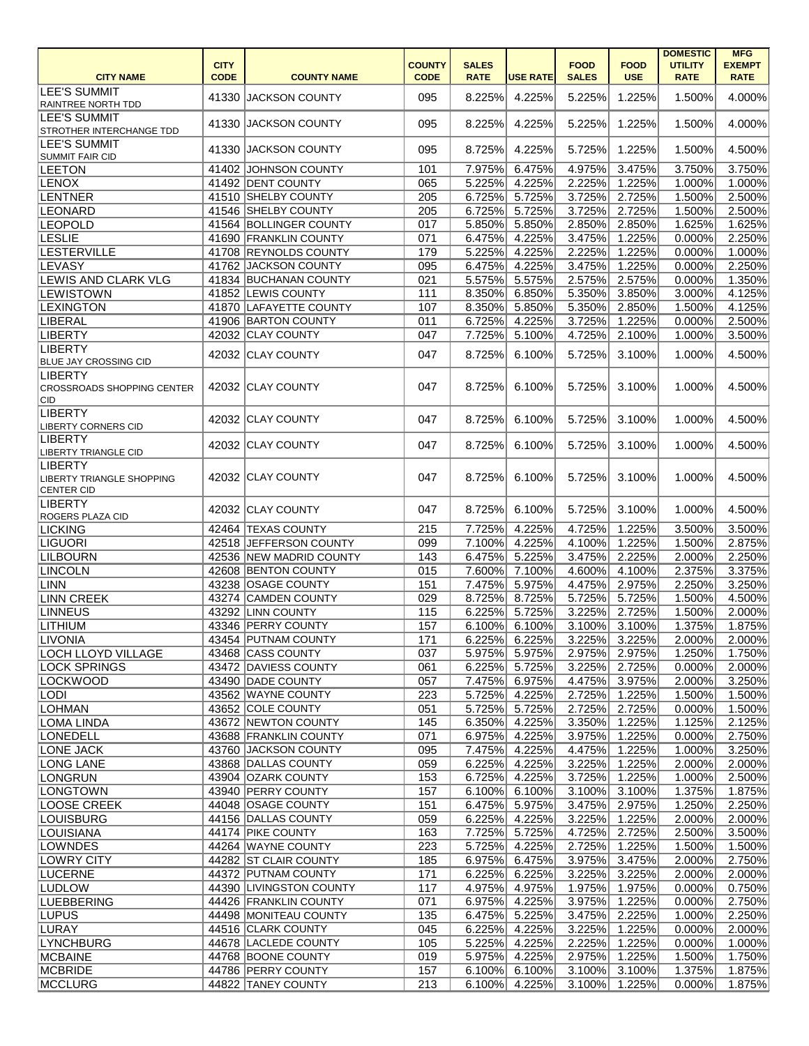|                                   |             |                         |               |              |                 |              |               | <b>DOMESTIC</b> | <b>MFG</b>    |
|-----------------------------------|-------------|-------------------------|---------------|--------------|-----------------|--------------|---------------|-----------------|---------------|
|                                   | <b>CITY</b> |                         | <b>COUNTY</b> | <b>SALES</b> |                 | <b>FOOD</b>  | <b>FOOD</b>   | <b>UTILITY</b>  | <b>EXEMPT</b> |
| <b>CITY NAME</b>                  | <b>CODE</b> | <b>COUNTY NAME</b>      | <b>CODE</b>   | <b>RATE</b>  | <b>USE RATE</b> | <b>SALES</b> | <b>USE</b>    | <b>RATE</b>     | <b>RATE</b>   |
| <b>LEE'S SUMMIT</b>               |             | 41330 JACKSON COUNTY    | 095           | 8.225%       | 4.225%          | 5.225%       | 1.225%        | 1.500%          | 4.000%        |
| RAINTREE NORTH TDD                |             |                         |               |              |                 |              |               |                 |               |
| <b>LEE'S SUMMIT</b>               |             | 41330 JACKSON COUNTY    | 095           | 8.225%       | 4.225%          | 5.225%       | 1.225%        | 1.500%          | 4.000%        |
| STROTHER INTERCHANGE TDD          |             |                         |               |              |                 |              |               |                 |               |
| <b>LEE'S SUMMIT</b>               |             | 41330 JACKSON COUNTY    | 095           | 8.725%       | 4.225%          | 5.725%       | 1.225%        | 1.500%          | 4.500%        |
| <b>SUMMIT FAIR CID</b>            |             |                         |               |              |                 |              |               |                 |               |
| <b>LEETON</b>                     |             | 41402 JOHNSON COUNTY    | 101           | 7.975%       | 6.475%          | 4.975%       | 3.475%        | 3.750%          | 3.750%        |
| <b>LENOX</b>                      |             | 41492 DENT COUNTY       | 065           | 5.225%       | 4.225%          | 2.225%       | 1.225%        | 1.000%          | 1.000%        |
| LENTNER                           |             | 41510 SHELBY COUNTY     | 205           | 6.725%       | 5.725%          | 3.725%       | 2.725%        | 1.500%          | 2.500%        |
| LEONARD                           |             | 41546 SHELBY COUNTY     | 205           | 6.725%       | 5.725%          | 3.725%       | 2.725%        | 1.500%          | 2.500%        |
| <b>LEOPOLD</b>                    |             | 41564 BOLLINGER COUNTY  | 017           | 5.850%       | 5.850%          | 2.850%       | 2.850%        | 1.625%          | 1.625%        |
| <b>LESLIE</b>                     |             | 41690 FRANKLIN COUNTY   | 071           | 6.475%       | 4.225%          | 3.475%       | 1.225%        | 0.000%          | 2.250%        |
| <b>LESTERVILLE</b>                |             | 41708 REYNOLDS COUNTY   | 179           | 5.225%       | 4.225%          | 2.225%       | 1.225%        | 0.000%          | 1.000%        |
| <b>LEVASY</b>                     |             | 41762 JACKSON COUNTY    | 095           | 6.475%       | 4.225%          | 3.475%       | 1.225%        | 0.000%          | 2.250%        |
| <b>LEWIS AND CLARK VLG</b>        |             | 41834 BUCHANAN COUNTY   | 021           | 5.575%       | 5.575%          | 2.575%       | 2.575%        | 0.000%          | 1.350%        |
| <b>LEWISTOWN</b>                  |             | 41852 LEWIS COUNTY      | 111           | 8.350%       | 6.850%          | 5.350%       | 3.850%        | 3.000%          | 4.125%        |
|                                   |             | 41870 LAFAYETTE COUNTY  |               |              |                 | 5.350%       |               |                 | 4.125%        |
| <b>LEXINGTON</b>                  |             |                         | 107           | 8.350%       | 5.850%          |              | 2.850%        | 1.500%          |               |
| <b>LIBERAL</b>                    |             | 41906 BARTON COUNTY     | 011           | 6.725%       | 4.225%          | 3.725%       | 1.225%        | 0.000%          | 2.500%        |
| <b>LIBERTY</b>                    |             | 42032 CLAY COUNTY       | 047           | 7.725%       | 5.100%          | 4.725%       | 2.100%        | 1.000%          | 3.500%        |
| <b>LIBERTY</b>                    |             | 42032 CLAY COUNTY       | 047           | 8.725%       | 6.100%          | 5.725%       | 3.100%        | 1.000%          | 4.500%        |
| <b>BLUE JAY CROSSING CID</b>      |             |                         |               |              |                 |              |               |                 |               |
| <b>LIBERTY</b>                    |             |                         |               |              |                 |              |               |                 |               |
| <b>CROSSROADS SHOPPING CENTER</b> |             | 42032 CLAY COUNTY       | 047           | 8.725%       | 6.100%          | 5.725%       | 3.100%        | 1.000%          | 4.500%        |
| CID                               |             |                         |               |              |                 |              |               |                 |               |
| <b>LIBERTY</b>                    |             | 42032 CLAY COUNTY       | 047           | 8.725%       | 6.100%          | 5.725%       | 3.100%        | 1.000%          | 4.500%        |
| <b>LIBERTY CORNERS CID</b>        |             |                         |               |              |                 |              |               |                 |               |
| <b>LIBERTY</b>                    |             | 42032 CLAY COUNTY       | 047           | 8.725%       | 6.100%          | 5.725%       | 3.100%        | 1.000%          | 4.500%        |
| <b>LIBERTY TRIANGLE CID</b>       |             |                         |               |              |                 |              |               |                 |               |
| <b>LIBERTY</b>                    |             |                         |               |              |                 |              |               |                 |               |
| LIBERTY TRIANGLE SHOPPING         |             | 42032 CLAY COUNTY       | 047           | 8.725%       | 6.100%          | 5.725%       | 3.100%        | 1.000%          | 4.500%        |
| <b>CENTER CID</b>                 |             |                         |               |              |                 |              |               |                 |               |
| <b>LIBERTY</b>                    |             | 42032 CLAY COUNTY       | 047           | 8.725%       | 6.100%          | 5.725%       | 3.100%        | 1.000%          | 4.500%        |
| <b>ROGERS PLAZA CID</b>           |             |                         |               |              |                 |              |               |                 |               |
| <b>LICKING</b>                    |             | 42464 TEXAS COUNTY      | 215           | 7.725%       | 4.225%          | 4.725%       | 1.225%        | 3.500%          | 3.500%        |
| <b>LIGUORI</b>                    |             | 42518 JEFFERSON COUNTY  | 099           | 7.100%       | 4.225%          | 4.100%       | 1.225%        | 1.500%          | 2.875%        |
| <b>LILBOURN</b>                   |             | 42536 NEW MADRID COUNTY | 143           |              | 6.475% 5.225%   |              | 3.475% 2.225% | $2.000\%$       | 2.250%        |
| <b>LINCOLN</b>                    |             | 42608 BENTON COUNTY     | 015           | 7.600%       | 7.100%          | 4.600%       | 4.100%        | 2.375%          | 3.375%        |
| LINN                              |             | 43238 OSAGE COUNTY      | 151           | 7.475%       | 5.975%          | 4.475%       | 2.975%        | 2.250%          | 3.250%        |
| <b>LINN CREEK</b>                 |             | 43274 CAMDEN COUNTY     | 029           | 8.725%       | 8.725%          | 5.725%       | 5.725%        | 1.500%          | 4.500%        |
| <b>LINNEUS</b>                    |             | 43292 LINN COUNTY       | 115           | 6.225%       | 5.725%          | 3.225%       | 2.725%        | 1.500%          | 2.000%        |
| <b>LITHIUM</b>                    |             | 43346 PERRY COUNTY      | 157           | 6.100%       | 6.100%          | 3.100%       | 3.100%        | 1.375%          | 1.875%        |
| LIVONIA                           |             | 43454 PUTNAM COUNTY     | 171           | 6.225%       | 6.225%          | 3.225%       | 3.225%        | 2.000%          | 2.000%        |
| <b>LOCH LLOYD VILLAGE</b>         |             | 43468 CASS COUNTY       | 037           | 5.975%       | 5.975%          | 2.975%       | 2.975%        | 1.250%          | 1.750%        |
| <b>LOCK SPRINGS</b>               |             | 43472 DAVIESS COUNTY    | 061           | 6.225%       | 5.725%          | 3.225%       | 2.725%        | 0.000%          | 2.000%        |
| <b>LOCKWOOD</b>                   |             | 43490 DADE COUNTY       | 057           | 7.475%       | 6.975%          | 4.475%       | 3.975%        | 2.000%          | 3.250%        |
| <b>LODI</b>                       |             | 43562 WAYNE COUNTY      | 223           | 5.725%       | 4.225%          | 2.725%       | 1.225%        | 1.500%          | 1.500%        |
|                                   |             |                         |               |              |                 |              |               |                 |               |
| <b>LOHMAN</b>                     |             | 43652 COLE COUNTY       | 051           | 5.725%       | 5.725%          | 2.725%       | 2.725%        | 0.000%          | 1.500%        |
| <b>LOMA LINDA</b>                 |             | 43672 NEWTON COUNTY     | 145           | 6.350%       | 4.225%          | 3.350%       | 1.225%        | 1.125%          | 2.125%        |
| <b>LONEDELL</b>                   |             | 43688 FRANKLIN COUNTY   | 071           | 6.975%       | 4.225%          | 3.975%       | 1.225%        | 0.000%          | 2.750%        |
| LONE JACK                         |             | 43760 JACKSON COUNTY    | 095           | 7.475%       | 4.225%          | 4.475%       | 1.225%        | 1.000%          | 3.250%        |
| <b>LONG LANE</b>                  |             | 43868 DALLAS COUNTY     | 059           | 6.225%       | 4.225%          | 3.225%       | 1.225%        | 2.000%          | 2.000%        |
| LONGRUN                           |             | 43904 OZARK COUNTY      | 153           | 6.725%       | 4.225%          | 3.725%       | 1.225%        | 1.000%          | 2.500%        |
| LONGTOWN                          |             | 43940 PERRY COUNTY      | 157           | 6.100%       | 6.100%          | $3.100\%$    | 3.100%        | 1.375%          | 1.875%        |
| <b>LOOSE CREEK</b>                |             | 44048 OSAGE COUNTY      | 151           | 6.475%       | 5.975%          | 3.475%       | 2.975%        | 1.250%          | 2.250%        |
| LOUISBURG                         |             | 44156 DALLAS COUNTY     | 059           | 6.225%       | 4.225%          | 3.225%       | 1.225%        | 2.000%          | 2.000%        |
| LOUISIANA                         |             | 44174 PIKE COUNTY       | 163           | 7.725%       | 5.725%          | 4.725%       | 2.725%        | 2.500%          | 3.500%        |
| <b>LOWNDES</b>                    |             | 44264 WAYNE COUNTY      | 223           | 5.725%       | 4.225%          | 2.725%       | 1.225%        | 1.500%          | 1.500%        |
| LOWRY CITY                        |             | 44282 ST CLAIR COUNTY   | 185           | 6.975%       | 6.475%          | 3.975%       | 3.475%        | 2.000%          | 2.750%        |
| <b>LUCERNE</b>                    |             | 44372 PUTNAM COUNTY     | 171           | 6.225%       | 6.225%          | 3.225%       | 3.225%        | 2.000%          | 2.000%        |
| <b>LUDLOW</b>                     |             | 44390 LIVINGSTON COUNTY | 117           | 4.975%       | 4.975%          | 1.975%       | 1.975%        | 0.000%          | 0.750%        |
| <b>LUEBBERING</b>                 |             | 44426 FRANKLIN COUNTY   | 071           | 6.975%       | 4.225%          | 3.975%       | 1.225%        | 0.000%          | 2.750%        |
| LUPUS                             |             | 44498 MONITEAU COUNTY   | 135           | 6.475%       | 5.225%          | 3.475%       | 2.225%        | 1.000%          | 2.250%        |
|                                   |             |                         |               |              |                 |              | 1.225%        | 0.000%          |               |
| <b>LURAY</b>                      |             | 44516 CLARK COUNTY      | 045           | 6.225%       | 4.225%          | 3.225%       |               |                 | 2.000%        |
| <b>LYNCHBURG</b>                  |             | 44678 LACLEDE COUNTY    | 105           | 5.225%       | 4.225%          | 2.225%       | 1.225%        | 0.000%          | 1.000%        |
| <b>MCBAINE</b>                    |             | 44768 BOONE COUNTY      | 019           | 5.975%       | 4.225%          | 2.975%       | 1.225%        | 1.500%          | 1.750%        |
| <b>MCBRIDE</b>                    |             | 44786 PERRY COUNTY      | 157           | 6.100%       | 6.100%          | 3.100%       | 3.100%        | 1.375%          | 1.875%        |
| MCCLURG                           |             | 44822 TANEY COUNTY      | 213           | 6.100%       | 4.225%          | $3.100\%$    | 1.225%        | 0.000%          | 1.875%        |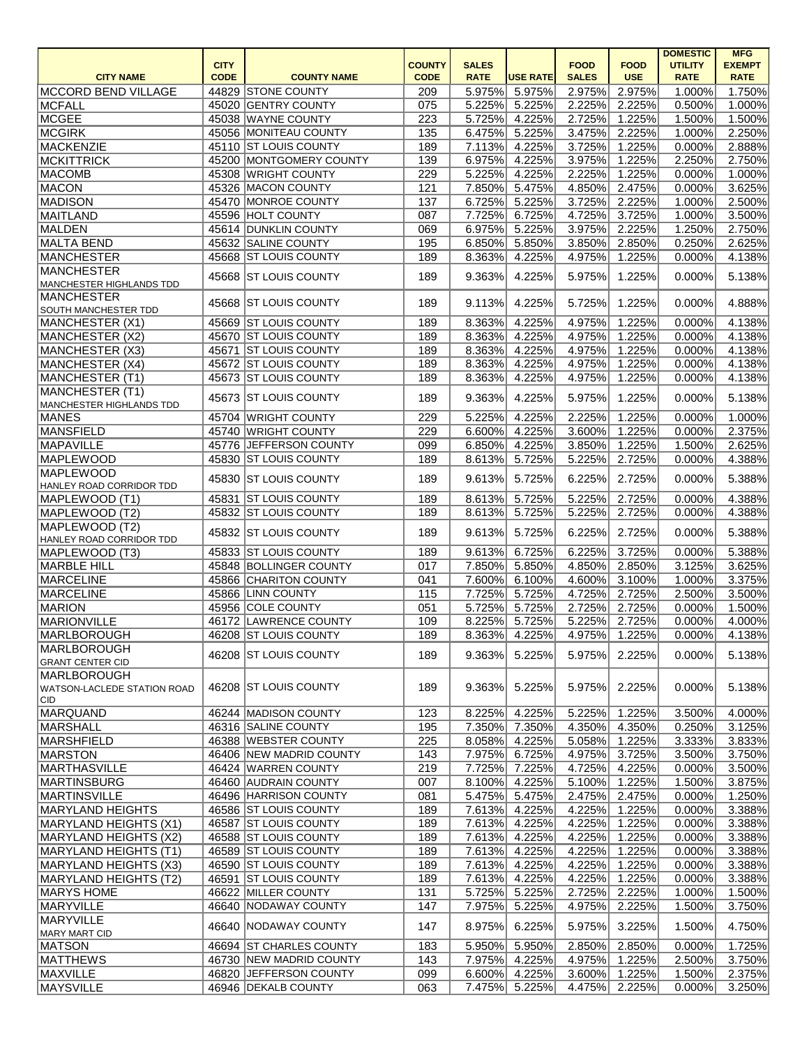|                                    |             |                         |               |              |                 |              |               | <b>DOMESTIC</b> | <b>MFG</b>    |
|------------------------------------|-------------|-------------------------|---------------|--------------|-----------------|--------------|---------------|-----------------|---------------|
|                                    | <b>CITY</b> |                         | <b>COUNTY</b> | <b>SALES</b> |                 | <b>FOOD</b>  | <b>FOOD</b>   | <b>UTILITY</b>  | <b>EXEMPT</b> |
| <b>CITY NAME</b>                   | <b>CODE</b> | <b>COUNTY NAME</b>      | <b>CODE</b>   | <b>RATE</b>  | <b>USE RATE</b> | <b>SALES</b> | <b>USE</b>    | <b>RATE</b>     | <b>RATE</b>   |
| MCCORD BEND VILLAGE                |             | 44829 STONE COUNTY      | 209           | 5.975%       | 5.975%          | 2.975%       | 2.975%        | 1.000%          | 1.750%        |
| <b>MCFALL</b>                      |             | 45020 GENTRY COUNTY     | 075           | 5.225%       | 5.225%          | 2.225%       | 2.225%        | 0.500%          | 1.000%        |
| MCGEE                              |             | 45038 WAYNE COUNTY      | 223           | 5.725%       | 4.225%          | 2.725%       | 1.225%        | 1.500%          | 1.500%        |
| <b>MCGIRK</b>                      |             | 45056 MONITEAU COUNTY   | 135           | 6.475%       | 5.225%          | 3.475%       | 2.225%        | 1.000%          | 2.250%        |
| MACKENZIE                          |             | 45110 ST LOUIS COUNTY   | 189           | 7.113%       | 4.225%          | 3.725%       | 1.225%        | 0.000%          | 2.888%        |
| MCKITTRICK                         |             | 45200 MONTGOMERY COUNTY | 139           | 6.975%       | 4.225%          | 3.975%       | 1.225%        | 2.250%          | 2.750%        |
| <b>MACOMB</b>                      |             | 45308 WRIGHT COUNTY     | 229           | 5.225%       | 4.225%          | 2.225%       | 1.225%        | 0.000%          | 1.000%        |
| MACON                              |             | 45326 MACON COUNTY      | 121           | 7.850%       | 5.475%          | 4.850%       | 2.475%        | 0.000%          | 3.625%        |
| MADISON                            |             | 45470 MONROE COUNTY     | 137           | 6.725%       | 5.225%          | 3.725%       | 2.225%        | 1.000%          | 2.500%        |
| MAITLAND                           |             | 45596 HOLT COUNTY       | 087           | 7.725%       | 6.725%          | 4.725%       | 3.725%        | 1.000%          | 3.500%        |
| MALDEN                             |             | 45614 DUNKLIN COUNTY    | 069           | 6.975%       | 5.225%          | 3.975%       | 2.225%        | 1.250%          | 2.750%        |
| <b>MALTA BEND</b>                  |             | 45632 SALINE COUNTY     | 195           | 6.850%       | 5.850%          | 3.850%       | 2.850%        | 0.250%          | 2.625%        |
| <b>MANCHESTER</b>                  |             | 45668 ST LOUIS COUNTY   | 189           | 8.363%       | 4.225%          | 4.975%       | 1.225%        | 0.000%          | 4.138%        |
| <b>MANCHESTER</b>                  |             |                         |               |              |                 |              |               |                 |               |
| MANCHESTER HIGHLANDS TDD           |             | 45668 ST LOUIS COUNTY   | 189           | 9.363%       | 4.225%          | 5.975%       | 1.225%        | 0.000%          | 5.138%        |
| <b>MANCHESTER</b>                  |             |                         |               |              |                 |              |               |                 |               |
| <b>SOUTH MANCHESTER TDD</b>        |             | 45668 ST LOUIS COUNTY   | 189           | 9.113%       | 4.225%          | 5.725%       | 1.225%        | 0.000%          | 4.888%        |
| MANCHESTER (X1)                    |             | 45669 ST LOUIS COUNTY   | 189           | 8.363%       | 4.225%          | 4.975%       | 1.225%        | 0.000%          | 4.138%        |
| MANCHESTER (X2)                    |             | 45670 ST LOUIS COUNTY   | 189           | 8.363%       | 4.225%          | 4.975%       | 1.225%        | 0.000%          | 4.138%        |
| MANCHESTER (X3)                    |             | 45671 ST LOUIS COUNTY   | 189           | 8.363%       | 4.225%          | 4.975%       | 1.225%        | 0.000%          | 4.138%        |
| MANCHESTER (X4)                    |             | 45672 ST LOUIS COUNTY   | 189           | 8.363%       | 4.225%          | 4.975%       | 1.225%        | 0.000%          | 4.138%        |
| MANCHESTER (T1)                    |             | 45673 ST LOUIS COUNTY   | 189           | 8.363%       | 4.225%          | 4.975%       | 1.225%        | 0.000%          | 4.138%        |
| MANCHESTER (T1)                    |             |                         |               |              |                 |              |               |                 |               |
| MANCHESTER HIGHLANDS TDD           |             | 45673 ST LOUIS COUNTY   | 189           | 9.363%       | 4.225%          | 5.975%       | 1.225%        | 0.000%          | 5.138%        |
| <b>MANES</b>                       |             | 45704 WRIGHT COUNTY     | 229           | 5.225%       | 4.225%          | 2.225%       | 1.225%        | 0.000%          | 1.000%        |
| MANSFIELD                          |             | 45740 WRIGHT COUNTY     | 229           | 6.600%       | 4.225%          | 3.600%       | 1.225%        | 0.000%          | 2.375%        |
| <b>MAPAVILLE</b>                   |             | 45776 JEFFERSON COUNTY  | 099           | 6.850%       | 4.225%          | 3.850%       | 1.225%        | 1.500%          | 2.625%        |
| <b>MAPLEWOOD</b>                   |             | 45830 ST LOUIS COUNTY   | 189           | 8.613%       | 5.725%          | 5.225%       | 2.725%        | 0.000%          | 4.388%        |
| <b>MAPLEWOOD</b>                   |             |                         |               |              |                 |              |               |                 |               |
| HANLEY ROAD CORRIDOR TDD           |             | 45830 ST LOUIS COUNTY   | 189           | 9.613%       | 5.725%          | 6.225%       | 2.725%        | 0.000%          | 5.388%        |
| MAPLEWOOD (T1)                     |             | 45831 ST LOUIS COUNTY   | 189           | 8.613%       | 5.725%          | 5.225%       | 2.725%        | 0.000%          | 4.388%        |
| MAPLEWOOD (T2)                     |             | 45832 ST LOUIS COUNTY   | 189           | 8.613%       | 5.725%          | 5.225%       | 2.725%        | 0.000%          | 4.388%        |
| MAPLEWOOD (T2)                     |             |                         |               |              |                 |              |               |                 |               |
| HANLEY ROAD CORRIDOR TDD           |             | 45832 ST LOUIS COUNTY   | 189           | 9.613%       | 5.725%          | 6.225%       | 2.725%        | 0.000%          | 5.388%        |
| MAPLEWOOD (T3)                     |             | 45833 ST LOUIS COUNTY   | 189           |              | 9.613% 6.725%   |              | 6.225% 3.725% | 0.000%          | 5.388%        |
| MARBLE HILL                        |             | 45848 BOLLINGER COUNTY  | 017           |              | 7.850% 5.850%   |              | 4.850% 2.850% | 3.125%          | 3.625%        |
| <b>MARCELINE</b>                   |             | 45866 CHARITON COUNTY   | 041           | 7.600%       | 6.100%          |              | 4.600% 3.100% | 1.000%          | 3.375%        |
| <b>MARCELINE</b>                   |             | 45866 LINN COUNTY       | 115           | 7.725%       | 5.725%          |              | 4.725% 2.725% | 2.500%          | 3.500%        |
| <b>MARION</b>                      |             | 45956 COLE COUNTY       | 051           | 5.725%       | 5.725%          |              | 2.725% 2.725% | 0.000%          | 1.500%        |
| <b>MARIONVILLE</b>                 |             | 46172 LAWRENCE COUNTY   | 109           | 8.225%       | 5.725%          |              | 5.225% 2.725% | 0.000%          | 4.000%        |
| <b>MARLBOROUGH</b>                 |             | 46208 ST LOUIS COUNTY   | 189           | 8.363%       | 4.225%          | 4.975%       | 1.225%        | 0.000%          | 4.138%        |
| MARLBOROUGH                        |             |                         |               |              |                 |              |               |                 |               |
| <b>GRANT CENTER CID</b>            |             | 46208 ST LOUIS COUNTY   | 189           | 9.363%       | 5.225%          | 5.975%       | 2.225%        | 0.000%          | 5.138%        |
| <b>MARLBOROUGH</b>                 |             |                         |               |              |                 |              |               |                 |               |
| <b>WATSON-LACLEDE STATION ROAD</b> |             | 46208 ST LOUIS COUNTY   | 189           | 9.363%       | 5.225%          | 5.975%       | 2.225%        | 0.000%          | 5.138%        |
| ∣CID.                              |             |                         |               |              |                 |              |               |                 |               |
| MARQUAND                           |             | 46244 MADISON COUNTY    | 123           | 8.225%       | 4.225%          | 5.225%       | 1.225%        | 3.500%          | 4.000%        |
| MARSHALL                           |             | 46316 SALINE COUNTY     | 195           | 7.350%       | 7.350%          | 4.350%       | 4.350%        | 0.250%          | 3.125%        |
| MARSHFIELD                         |             | 46388 WEBSTER COUNTY    | 225           | 8.058%       | 4.225%          | 5.058%       | 1.225%        | 3.333%          | 3.833%        |
| <b>MARSTON</b>                     |             | 46406 NEW MADRID COUNTY | 143           | 7.975%       | 6.725%          | 4.975%       | 3.725%        | 3.500%          | 3.750%        |
| MARTHASVILLE                       |             | 46424 WARREN COUNTY     | 219           | 7.725%       | 7.225%          | 4.725%       | 4.225%        | 0.000%          | 3.500%        |
| <b>MARTINSBURG</b>                 |             | 46460 AUDRAIN COUNTY    | 007           | 8.100%       | 4.225%          | 5.100%       | 1.225%        | 1.500%          | 3.875%        |
| <b>MARTINSVILLE</b>                |             | 46496 HARRISON COUNTY   | 081           | 5.475%       | 5.475%          | 2.475%       | 2.475%        | 0.000%          | 1.250%        |
| <b>MARYLAND HEIGHTS</b>            |             | 46586 ST LOUIS COUNTY   | 189           | 7.613%       | 4.225%          | 4.225%       | 1.225%        | 0.000%          | 3.388%        |
| MARYLAND HEIGHTS (X1)              |             | 46587 ST LOUIS COUNTY   | 189           | 7.613%       | 4.225%          | 4.225%       | 1.225%        | 0.000%          | 3.388%        |
| MARYLAND HEIGHTS (X2)              |             | 46588 ST LOUIS COUNTY   | 189           | 7.613%       | 4.225%          | 4.225%       | 1.225%        | 0.000%          | 3.388%        |
| MARYLAND HEIGHTS (T1)              |             | 46589 ST LOUIS COUNTY   | 189           | 7.613%       | 4.225%          | 4.225%       | 1.225%        | 0.000%          | 3.388%        |
|                                    |             | 46590 ST LOUIS COUNTY   | 189           | 7.613%       | 4.225%          | 4.225%       | 1.225%        | 0.000%          | 3.388%        |
| MARYLAND HEIGHTS (X3)              |             | 46591 ST LOUIS COUNTY   |               | 7.613%       |                 | 4.225%       |               |                 | 3.388%        |
| MARYLAND HEIGHTS (T2)              |             | 46622 MILLER COUNTY     | 189           |              | 4.225%          |              | 1.225%        | 0.000%          |               |
| MARYS HOME                         |             |                         | 131           | 5.725%       | 5.225%          | 2.725%       | 2.225%        | 1.000%          | 1.500%        |
| MARYVILLE                          |             | 46640 NODAWAY COUNTY    | 147           | 7.975%       | 5.225%          | 4.975%       | 2.225%        | 1.500%          | 3.750%        |
| MARYVILLE                          |             | 46640 NODAWAY COUNTY    | 147           | 8.975%       | 6.225%          | 5.975%       | 3.225%        | 1.500%          | 4.750%        |
| MARY MART CID<br> MATSON           |             | 46694 ST CHARLES COUNTY | 183           | 5.950%       | 5.950%          | 2.850%       | 2.850%        | 0.000%          | 1.725%        |
| <b>MATTHEWS</b>                    |             | 46730 NEW MADRID COUNTY |               | 7.975%       | 4.225%          | 4.975%       | 1.225%        | 2.500%          | 3.750%        |
| <b>MAXVILLE</b>                    |             | 46820 JEFFERSON COUNTY  | 143           |              |                 |              | 3.600% 1.225% |                 |               |
|                                    |             |                         | 099           | 6.600%       | 4.225%          |              |               | 1.500%          | 2.375%        |
| <b>MAYSVILLE</b>                   |             | 46946 DEKALB COUNTY     | 063           |              | 7.475% 5.225%   |              | 4.475% 2.225% | 0.000%          | 3.250%        |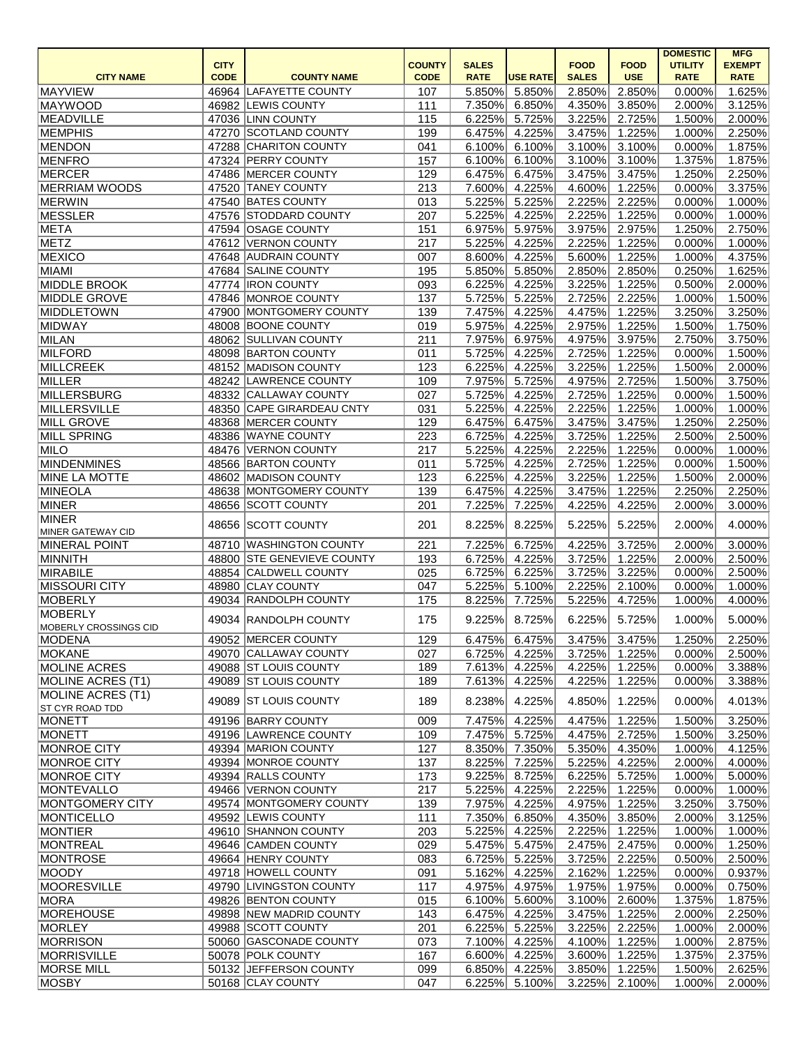|                                 |                |                                                  |               |                  |                  |                  |                  | <b>DOMESTIC</b>  | <b>MFG</b>       |
|---------------------------------|----------------|--------------------------------------------------|---------------|------------------|------------------|------------------|------------------|------------------|------------------|
|                                 | <b>CITY</b>    |                                                  | <b>COUNTY</b> | <b>SALES</b>     |                  | <b>FOOD</b>      | <b>FOOD</b>      | <b>UTILITY</b>   | <b>EXEMPT</b>    |
| <b>CITY NAME</b>                | <b>CODE</b>    | <b>COUNTY NAME</b>                               | <b>CODE</b>   | <b>RATE</b>      | <b>USE RATE</b>  | <b>SALES</b>     | <b>USE</b>       | <b>RATE</b>      | <b>RATE</b>      |
| <b>MAYVIEW</b>                  | 46964          | LAFAYETTE COUNTY                                 | 107           | 5.850%           | 5.850%           | 2.850%           | 2.850%           | 0.000%           | 1.625%           |
| MAYWOOD                         |                | 46982 LEWIS COUNTY                               | 111           | 7.350%           | 6.850%           | 4.350%           | 3.850%           | 2.000%           | 3.125%           |
| <b>MEADVILLE</b>                |                | 47036 LINN COUNTY                                | 115           | 6.225%           | 5.725%           | 3.225%           | 2.725%           | 1.500%           | 2.000%           |
| <b>MEMPHIS</b><br><b>MENDON</b> | 47270<br>47288 | <b>SCOTLAND COUNTY</b><br><b>CHARITON COUNTY</b> | 199<br>041    | 6.475%<br>6.100% | 4.225%<br>6.100% | 3.475%<br>3.100% | 1.225%<br>3.100% | 1.000%<br>0.000% | 2.250%<br>1.875% |
| <b>MENFRO</b>                   |                | 47324 PERRY COUNTY                               | 157           | 6.100%           | 6.100%           | 3.100%           | 3.100%           | 1.375%           | 1.875%           |
| MERCER                          |                | 47486 MERCER COUNTY                              | 129           | 6.475%           | 6.475%           | 3.475%           | 3.475%           | 1.250%           | 2.250%           |
| <b>MERRIAM WOODS</b>            | 47520          | <b>TANEY COUNTY</b>                              | 213           | 7.600%           | 4.225%           | 4.600%           | 1.225%           | 0.000%           | 3.375%           |
| <b>MERWIN</b>                   | 47540          | <b>BATES COUNTY</b>                              | 013           | 5.225%           | 5.225%           | 2.225%           | 2.225%           | 0.000%           | 1.000%           |
| MESSLER                         | 47576          | <b>STODDARD COUNTY</b>                           | 207           | 5.225%           | 4.225%           | 2.225%           | 1.225%           | 0.000%           | 1.000%           |
| META                            |                | 47594 OSAGE COUNTY                               | 151           | 6.975%           | 5.975%           | 3.975%           | 2.975%           | 1.250%           | 2.750%           |
| <b>METZ</b>                     | 47612          | <b>VERNON COUNTY</b>                             | 217           | 5.225%           | 4.225%           | 2.225%           | 1.225%           | 0.000%           | 1.000%           |
| <b>MEXICO</b>                   | 47648          | <b>AUDRAIN COUNTY</b>                            | 007           | 8.600%           | 4.225%           | 5.600%           | 1.225%           | 1.000%           | 4.375%           |
| <b>MIAMI</b>                    | 47684          | <b>SALINE COUNTY</b>                             | 195           | 5.850%           | 5.850%           | 2.850%           | 2.850%           | 0.250%           | 1.625%           |
| <b>MIDDLE BROOK</b>             |                | 47774   IRON COUNTY                              | 093           | 6.225%           | 4.225%           | 3.225%           | 1.225%           | 0.500%           | 2.000%           |
| <b>MIDDLE GROVE</b>             | 47846          | MONROE COUNTY                                    | 137           | 5.725%           | 5.225%           | 2.725%           | 2.225%           | 1.000%           | 1.500%           |
| <b>MIDDLETOWN</b>               | 47900          | MONTGOMERY COUNTY                                | 139           | 7.475%           | 4.225%           | 4.475%           | 1.225%           | 3.250%           | 3.250%           |
| <b>MIDWAY</b>                   | 48008          | <b>BOONE COUNTY</b>                              | 019           | 5.975%           | 4.225%           | 2.975%           | 1.225%           | 1.500%           | 1.750%           |
| <b>MILAN</b>                    | 48062          | <b>SULLIVAN COUNTY</b>                           | 211           | 7.975%           | 6.975%           | 4.975%           | 3.975%           | 2.750%           | 3.750%           |
| <b>MILFORD</b>                  |                | 48098 BARTON COUNTY                              | 011           | 5.725%           | 4.225%           | 2.725%           | 1.225%           | 0.000%           | 1.500%           |
| <b>MILLCREEK</b>                |                | 48152 MADISON COUNTY                             | 123           | 6.225%           | 4.225%           | 3.225%           | 1.225%           | 1.500%           | 2.000%           |
| <b>MILLER</b>                   | 48242          | LAWRENCE COUNTY                                  | 109           | 7.975%           | 5.725%           | 4.975%           | 2.725%           | 1.500%           | 3.750%           |
| <b>MILLERSBURG</b>              | 48332          | <b>CALLAWAY COUNTY</b>                           | 027           | 5.725%           | 4.225%           | 2.725%           | 1.225%           | 0.000%           | 1.500%           |
| <b>MILLERSVILLE</b>             | 48350          | CAPE GIRARDEAU CNTY                              | 031           | 5.225%           | 4.225%           | 2.225%           | 1.225%           | 1.000%           | 1.000%           |
| <b>MILL GROVE</b>               | 48368          | MERCER COUNTY                                    | 129           | 6.475%           | 6.475%           | 3.475%           | 3.475%           | 1.250%           | 2.250%           |
| <b>MILL SPRING</b>              | 48386          | <b>WAYNE COUNTY</b>                              | 223           | 6.725%           | 4.225%           | 3.725%           | 1.225%           | 2.500%           | 2.500%           |
| <b>MILO</b>                     | 48476          | <b>VERNON COUNTY</b>                             | 217           | 5.225%           | 4.225%           | 2.225%           | 1.225%           | 0.000%           | 1.000%           |
| <b>MINDENMINES</b>              |                | 48566 BARTON COUNTY                              | 011           | 5.725%           | 4.225%           | 2.725%           | 1.225%           | 0.000%           | 1.500%           |
| <b>MINE LA MOTTE</b>            |                | 48602 MADISON COUNTY                             | 123           | 6.225%           | 4.225%           | 3.225%           | 1.225%           | 1.500%           | 2.000%           |
| <b>MINEOLA</b>                  | 48638          | MONTGOMERY COUNTY                                | 139           | 6.475%           | 4.225%           | 3.475%           | 1.225%           | 2.250%           | 2.250%           |
| MINER                           | 48656          | <b>SCOTT COUNTY</b>                              | 201           | 7.225%           | 7.225%           | 4.225%           | 4.225%           | 2.000%           | 3.000%           |
| <b>MINER</b>                    |                |                                                  |               |                  |                  |                  |                  |                  |                  |
| MINER GATEWAY CID               | 48656          | <b>SCOTT COUNTY</b>                              | 201           | 8.225%           | 8.225%           | 5.225%           | 5.225%           | 2.000%           | 4.000%           |
| <b>MINERAL POINT</b>            | 48710          | <b>WASHINGTON COUNTY</b>                         | 221           | 7.225%           | 6.725%           | 4.225%           | 3.725%           | 2.000%           | 3.000%           |
| MINNITH                         |                | 48800 STE GENEVIEVE COUNTY                       | 193           | 6.725%           | 4.225%           | 3.725%           | 1.225%           | 2.000%           | $2.500\%$        |
| <b>MIRABILE</b>                 |                | 48854 CALDWELL COUNTY                            | 025           | 6.725%           | 6.225%           | 3.725%           | 3.225%           | 0.000%           | 2.500%           |
| <b>MISSOURI CITY</b>            |                | 48980 CLAY COUNTY                                | 047           | 5.225%           | 5.100%           | 2.225%           | 2.100%           | 0.000%           | $1.000\%$        |
| MOBERLY                         |                | 49034 RANDOLPH COUNTY                            | 175           | 8.225%           | 7.725%           | 5.225%           | 4.725%           | 1.000%           | 4.000%           |
| MOBERLY                         | 49034          | <b>RANDOLPH COUNTY</b>                           | 175           | 9.225%           | 8.725%           | 6.225%           | 5.725%           | 1.000%           | 5.000%           |
| MOBERLY CROSSINGS CID           |                |                                                  |               |                  |                  |                  |                  |                  |                  |
| MODENA                          |                | 49052 MERCER COUNTY                              | 129           | 6.475%           | 6.475%           | 3.475%           | 3.475%           | 1.250%           | 2.250%           |
| <b>MOKANE</b>                   |                | 49070 CALLAWAY COUNTY                            | 027           | 6.725%           | 4.225%           | 3.725%           | 1.225%           | 0.000%           | 2.500%           |
| <b>MOLINE ACRES</b>             |                | 49088 ST LOUIS COUNTY                            | 189           | 7.613%           | 4.225%           | 4.225%           | 1.225%           | 0.000%           | 3.388%           |
| <b>MOLINE ACRES (T1)</b>        |                | 49089 ST LOUIS COUNTY                            | 189           | 7.613%           | 4.225%           | 4.225%           | 1.225%           | 0.000%           | 3.388%           |
| <b>MOLINE ACRES (T1)</b>        |                | 49089 ST LOUIS COUNTY                            | 189           | 8.238%           | 4.225%           | 4.850%           | 1.225%           | 0.000%           | 4.013%           |
| <b>ST CYR ROAD TDD</b>          |                |                                                  |               |                  |                  |                  |                  |                  |                  |
| <b>MONETT</b>                   |                | 49196 BARRY COUNTY                               | 009           | 7.475%           | 4.225%           | 4.475%           | 1.225%           | 1.500%           | 3.250%           |
| <b>MONETT</b>                   |                | 49196 LAWRENCE COUNTY                            | 109           | 7.475%           | 5.725%           | 4.475%           | 2.725%           | 1.500%           | 3.250%           |
| MONROE CITY                     |                | 49394 MARION COUNTY                              | 127           | 8.350%           | 7.350%           | 5.350%           | 4.350%           | 1.000%           | 4.125%           |
| MONROE CITY                     |                | 49394 MONROE COUNTY                              | 137           | 8.225%           | 7.225%           | 5.225%           | 4.225%           | 2.000%           | 4.000%           |
| MONROE CITY                     |                | 49394 RALLS COUNTY                               | 173           | 9.225%           | 8.725%           | 6.225%           | 5.725%           | 1.000%           | 5.000%           |
| <b>MONTEVALLO</b>               |                | 49466 VERNON COUNTY                              | 217           | 5.225%           | 4.225%           | 2.225%           | 1.225%           | 0.000%           | $1.000\%$        |
| MONTGOMERY CITY                 |                | 49574 MONTGOMERY COUNTY                          | 139           | 7.975%           | 4.225%           | 4.975%           | 1.225%           | 3.250%           | 3.750%           |
| <b>MONTICELLO</b>               |                | 49592 LEWIS COUNTY                               | 111           | 7.350%           | 6.850%           | 4.350%           | 3.850%           | 2.000%           | 3.125%           |
| <b>MONTIER</b>                  |                | 49610 SHANNON COUNTY                             | 203           | 5.225%           | 4.225%           | 2.225%           | 1.225%           | 1.000%           | 1.000%           |
| <b>MONTREAL</b>                 |                | 49646 CAMDEN COUNTY                              | 029           | 5.475%           | 5.475%           | 2.475%           | 2.475%           | 0.000%           | 1.250%           |
| MONTROSE                        |                | 49664 HENRY COUNTY                               | 083           | 6.725%           | 5.225%           | 3.725%           | 2.225%           | 0.500%           | 2.500%           |
| <b>MOODY</b>                    |                | 49718 HOWELL COUNTY                              | 091           | 5.162%           | 4.225%           | 2.162%           | 1.225%           | 0.000%           | 0.937%           |
| <b>MOORESVILLE</b>              |                | 49790 LIVINGSTON COUNTY                          | 117           | 4.975%           | 4.975%           | 1.975%           | 1.975%           | 0.000%           | 0.750%           |
| MORA                            |                | 49826 BENTON COUNTY                              | 015           | 6.100%           | 5.600%           | 3.100%           | 2.600%           | 1.375%           | 1.875%           |
| MOREHOUSE                       |                | 49898 NEW MADRID COUNTY                          | 143           | 6.475%           | 4.225%           | 3.475%           | 1.225%           | 2.000%           | 2.250%           |
| MORLEY                          |                | 49988 SCOTT COUNTY                               | 201           | 6.225%           | 5.225%           | 3.225%           | 2.225%           | 1.000%           | 2.000%           |
| MORRISON                        |                | 50060 GASCONADE COUNTY                           | 073           | 7.100%           | 4.225%           | 4.100%           | 1.225%           | 1.000%           | 2.875%           |
| MORRISVILLE                     |                | 50078 POLK COUNTY                                | 167           | 6.600%           | 4.225%           | 3.600%           | 1.225%           | 1.375%           | 2.375%           |
| MORSE MILL                      |                | 50132 JEFFERSON COUNTY                           | 099           | 6.850%           | 4.225%           | 3.850%           | 1.225%           | 1.500%           | 2.625%           |
| MOSBY                           |                | 50168 CLAY COUNTY                                | 047           | 6.225%           | 5.100%           |                  | 3.225% 2.100%    | 1.000%           | 2.000%           |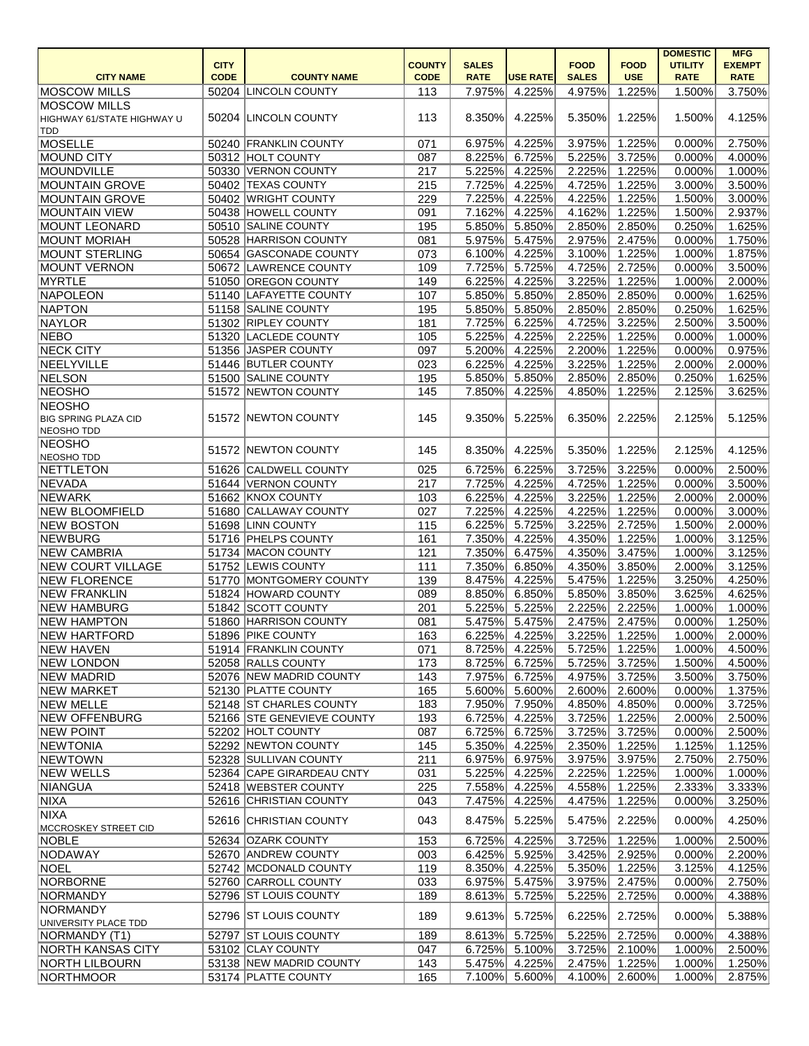|                                              | <b>CITY</b> |                                               | <b>COUNTY</b> | <b>SALES</b>     |                  | <b>FOOD</b>      | <b>FOOD</b>                    | <b>DOMESTIC</b><br><b>UTILITY</b> | <b>MFG</b><br><b>EXEMPT</b> |
|----------------------------------------------|-------------|-----------------------------------------------|---------------|------------------|------------------|------------------|--------------------------------|-----------------------------------|-----------------------------|
| <b>CITY NAME</b>                             | <b>CODE</b> | <b>COUNTY NAME</b>                            | <b>CODE</b>   | <b>RATE</b>      | <b>USE RATE</b>  | <b>SALES</b>     | <b>USE</b>                     | <b>RATE</b>                       | <b>RATE</b>                 |
| <b>MOSCOW MILLS</b>                          |             | 50204 LINCOLN COUNTY                          | 113           | 7.975%           | 4.225%           | 4.975%           | 1.225%                         | 1.500%                            | 3.750%                      |
| <b>MOSCOW MILLS</b>                          |             |                                               |               |                  |                  |                  |                                |                                   |                             |
| HIGHWAY 61/STATE HIGHWAY U                   |             | 50204 LINCOLN COUNTY                          | 113           | 8.350%           | 4.225%           | 5.350%           | 1.225%                         | 1.500%                            | 4.125%                      |
| TDD                                          |             |                                               |               |                  |                  |                  |                                |                                   |                             |
| <b>MOSELLE</b>                               |             | 50240 FRANKLIN COUNTY                         | 071           | 6.975%           | 4.225%           | 3.975%           | 1.225%                         | 0.000%                            | 2.750%                      |
| MOUND CITY                                   |             | 50312 HOLT COUNTY                             | 087           | 8.225%           | 6.725%           | 5.225%           | 3.725%                         | 0.000%                            | 4.000%                      |
| MOUNDVILLE                                   |             | 50330 VERNON COUNTY                           | 217           | 5.225%           | 4.225%           | 2.225%           | 1.225%                         | 0.000%                            | 1.000%                      |
| <b>MOUNTAIN GROVE</b>                        |             | 50402 TEXAS COUNTY                            | 215           | 7.725%           | 4.225%           | 4.725%           | 1.225%                         | 3.000%                            | 3.500%                      |
| <b>MOUNTAIN GROVE</b>                        |             | 50402 WRIGHT COUNTY<br>50438 HOWELL COUNTY    | 229           | 7.225%           | 4.225%           | 4.225%           | 1.225%                         | 1.500%                            | 3.000%                      |
| <b>MOUNTAIN VIEW</b>                         |             | 50510 SALINE COUNTY                           | 091           | 7.162%           | 4.225%           | 4.162%           | 1.225%                         | 1.500%                            | 2.937%                      |
| <b>MOUNT LEONARD</b>                         |             | 50528 HARRISON COUNTY                         | 195<br>081    | 5.850%<br>5.975% | 5.850%<br>5.475% | 2.850%<br>2.975% | 2.850%<br>2.475%               | 0.250%<br>0.000%                  | 1.625%<br>1.750%            |
| <b>MOUNT MORIAH</b><br><b>MOUNT STERLING</b> |             | 50654 GASCONADE COUNTY                        | 073           | 6.100%           | 4.225%           | 3.100%           | 1.225%                         | 1.000%                            | 1.875%                      |
| <b>MOUNT VERNON</b>                          |             | 50672 LAWRENCE COUNTY                         | 109           | 7.725%           | 5.725%           | 4.725%           | 2.725%                         | 0.000%                            | 3.500%                      |
| MYRTLE                                       |             | 51050 OREGON COUNTY                           | 149           | 6.225%           | 4.225%           | 3.225%           | 1.225%                         | 1.000%                            | 2.000%                      |
| NAPOLEON                                     |             | 51140 LAFAYETTE COUNTY                        | 107           | 5.850%           | 5.850%           | 2.850%           | 2.850%                         | 0.000%                            | 1.625%                      |
| NAPTON                                       |             | 51158 SALINE COUNTY                           | 195           | 5.850%           | 5.850%           | 2.850%           | 2.850%                         | 0.250%                            | 1.625%                      |
| NAYLOR                                       |             | 51302 RIPLEY COUNTY                           | 181           | 7.725%           | 6.225%           | 4.725%           | 3.225%                         | 2.500%                            | 3.500%                      |
| NEBO                                         |             | 51320 LACLEDE COUNTY                          | 105           | 5.225%           | 4.225%           | 2.225%           | 1.225%                         | 0.000%                            | 1.000%                      |
| <b>NECK CITY</b>                             |             | 51356 JASPER COUNTY                           | 097           | 5.200%           | 4.225%           | 2.200%           | 1.225%                         | 0.000%                            | 0.975%                      |
| NEELYVILLE                                   |             | 51446 BUTLER COUNTY                           | 023           | 6.225%           | 4.225%           | 3.225%           | 1.225%                         | 2.000%                            | 2.000%                      |
| NELSON                                       |             | 51500 SALINE COUNTY                           | 195           | 5.850%           | 5.850%           | 2.850%           | 2.850%                         | 0.250%                            | 1.625%                      |
| <b>NEOSHO</b>                                |             | 51572 NEWTON COUNTY                           | 145           | 7.850%           | 4.225%           | 4.850%           | 1.225%                         | 2.125%                            | 3.625%                      |
| <b>NEOSHO</b>                                |             |                                               |               |                  |                  |                  |                                |                                   |                             |
| <b>BIG SPRING PLAZA CID</b>                  |             | 51572 NEWTON COUNTY                           | 145           | 9.350%           | 5.225%           | 6.350%           | 2.225%                         | 2.125%                            | 5.125%                      |
| NEOSHO TDD                                   |             |                                               |               |                  |                  |                  |                                |                                   |                             |
| NEOSHO                                       |             | 51572 NEWTON COUNTY                           | 145           | 8.350%           | 4.225%           | 5.350%           | 1.225%                         | 2.125%                            | 4.125%                      |
| NEOSHO TDD                                   |             |                                               |               |                  |                  |                  |                                |                                   |                             |
| NETTLETON                                    |             | 51626 CALDWELL COUNTY                         | 025           | 6.725%           | 6.225%           | 3.725%           | 3.225%                         | 0.000%                            | 2.500%                      |
| NEVADA                                       |             | 51644 VERNON COUNTY                           | 217           | 7.725%           | 4.225%           | 4.725%           | 1.225%                         | 0.000%                            | 3.500%                      |
| NEWARK                                       |             | 51662 KNOX COUNTY                             | 103           | 6.225%           | 4.225%           | 3.225%           | 1.225%                         | 2.000%                            | 2.000%                      |
| <b>NEW BLOOMFIELD</b>                        |             | 51680 CALLAWAY COUNTY                         | 027           | 7.225%           | 4.225%           | 4.225%           | 1.225%                         | 0.000%                            | 3.000%                      |
| <b>NEW BOSTON</b>                            |             | 51698 LINN COUNTY                             | 115           | 6.225%           | 5.725%           | 3.225%           | 2.725%                         | 1.500%                            | 2.000%                      |
| NEWBURG                                      |             | 51716 PHELPS COUNTY                           | 161           | 7.350%           | 4.225%           | 4.350%           | 1.225%                         | 1.000%                            | 3.125%                      |
| <b>NEW CAMBRIA</b>                           |             | 51734 MACON COUNTY                            | 121           | 7.350%           | 6.475%           |                  | 4.350% 3.475%                  | $1.000\%$                         | 3.125%                      |
| NEW COURT VILLAGE                            |             | 51752 LEWIS COUNTY<br>51770 MONTGOMERY COUNTY | 111           | 8.475%           | 7.350% 6.850%    |                  | 4.350% 3.850%                  | 2.000%                            | 3.125%<br>4.250%            |
| <b>NEW FLORENCE</b>                          |             | 51824 HOWARD COUNTY                           | 139           | 8.850%           | 4.225%<br>6.850% |                  | 5.475% 1.225%<br>5.850% 3.850% | 3.250%<br>3.625%                  |                             |
| <b>NEW FRANKLIN</b><br><b>NEW HAMBURG</b>    |             | 51842 SCOTT COUNTY                            | 089<br>201    | 5.225%           | 5.225%           |                  | 2.225% 2.225%                  | $1.000\%$                         | 4.625%<br>$1.000\%$         |
| <b>NEW HAMPTON</b>                           |             | 51860 HARRISON COUNTY                         | 081           | 5.475%           | 5.475%           |                  | 2.475% 2.475%                  | $0.000\%$                         | 1.250%                      |
| <b>NEW HARTFORD</b>                          |             | 51896 PIKE COUNTY                             | 163           | 6.225%           | 4.225%           |                  | 3.225% 1.225%                  | $1.000\%$                         | 2.000%                      |
| <b>NEW HAVEN</b>                             |             | 51914 FRANKLIN COUNTY                         | 071           | 8.725%           | 4.225%           |                  | 5.725% 1.225%                  | 1.000%                            | 4.500%                      |
| NEW LONDON                                   |             | 52058 RALLS COUNTY                            | 173           | 8.725%           | 6.725%           |                  | 5.725% 3.725%                  | 1.500%                            | 4.500%                      |
| <b>NEW MADRID</b>                            |             | 52076 NEW MADRID COUNTY                       | 143           | 7.975%           | 6.725%           |                  | 4.975% 3.725%                  | 3.500%                            | 3.750%                      |
| NEW MARKET                                   |             | 52130 PLATTE COUNTY                           | 165           | 5.600%           | 5.600%           |                  | 2.600% 2.600%                  | 0.000%                            | 1.375%                      |
| <b>NEW MELLE</b>                             |             | 52148 ST CHARLES COUNTY                       | 183           | 7.950%           | 7.950%           |                  | 4.850% 4.850%                  | $0.000\%$                         | 3.725%                      |
| <b>NEW OFFENBURG</b>                         |             | 52166 STE GENEVIEVE COUNTY                    | 193           | 6.725%           | 4.225%           |                  | 3.725% 1.225%                  | 2.000%                            | 2.500%                      |
| <b>NEW POINT</b>                             |             | 52202 HOLT COUNTY                             | 087           | 6.725%           | 6.725%           |                  | 3.725% 3.725%                  | $0.000\%$                         | 2.500%                      |
| <b>NEWTONIA</b>                              |             | 52292 NEWTON COUNTY                           | 145           | 5.350%           | 4.225%           |                  | 2.350% 1.225%                  | 1.125%                            | 1.125%                      |
| NEWTOWN                                      |             | 52328 SULLIVAN COUNTY                         | 211           | 6.975%           | 6.975%           | 3.975%           | 3.975%                         | 2.750%                            | 2.750%                      |
| NEW WELLS                                    |             | 52364 CAPE GIRARDEAU CNTY                     | 031           | 5.225%           | 4.225%           | 2.225%           | 1.225%                         | $1.000\%$                         | $1.000\%$                   |
| NIANGUA                                      |             | 52418 WEBSTER COUNTY                          | 225           | 7.558%           | 4.225%           | 4.558%           | 1.225%                         | 2.333%                            | 3.333%                      |
| NIXA                                         |             | 52616 CHRISTIAN COUNTY                        | 043           | 7.475%           | 4.225%           | 4.475%           | 1.225%                         | 0.000%                            | 3.250%                      |
| NIXA                                         |             | 52616 CHRISTIAN COUNTY                        | 043           |                  | 5.225%           |                  | 2.225%                         | 0.000%                            | 4.250%                      |
| MCCROSKEY STREET CID                         |             |                                               |               | 8.475%           |                  | 5.475%           |                                |                                   |                             |
| NOBLE                                        |             | 52634 OZARK COUNTY                            | 153           | 6.725%           | 4.225%           | 3.725%           | 1.225%                         | 1.000%                            | 2.500%                      |
| NODAWAY                                      |             | 52670 ANDREW COUNTY                           | 003           | 6.425%           | 5.925%           |                  | 3.425% 2.925%                  | $0.000\%$                         | 2.200%                      |
| <b>NOEL</b>                                  |             | 52742 MCDONALD COUNTY                         | 119           | 8.350%           | 4.225%           |                  | 5.350% 1.225%                  | 3.125%                            | 4.125%                      |
| NORBORNE                                     |             | 52760 CARROLL COUNTY                          | 033           | 6.975%           | 5.475%           |                  | 3.975% 2.475%                  | $0.000\%$                         | 2.750%                      |
| NORMANDY                                     |             | 52796 ST LOUIS COUNTY                         | 189           | 8.613%           | 5.725%           | 5.225%           | 2.725%                         | 0.000%                            | 4.388%                      |
| NORMANDY                                     |             | 52796 ST LOUIS COUNTY                         | 189           | 9.613%           | 5.725%           | 6.225%           | 2.725%                         | 0.000%                            | 5.388%                      |
| UNIVERSITY PLACE TDD<br>NORMANDY (T1)        |             | 52797 ST LOUIS COUNTY                         | 189           | 8.613%           | 5.725%           | 5.225%           | 2.725%                         | 0.000%                            | 4.388%                      |
| <b>NORTH KANSAS CITY</b>                     |             | 53102 CLAY COUNTY                             | 047           | 6.725%           | 5.100%           |                  | 3.725% 2.100%                  | $1.000\%$                         | 2.500%                      |
| NORTH LILBOURN                               |             | 53138 NEW MADRID COUNTY                       | 143           |                  | 5.475% 4.225%    |                  | 2.475% 1.225%                  | $1.000\%$                         | 1.250%                      |
| NORTHMOOR                                    |             | 53174 PLATTE COUNTY                           | 165           |                  | 7.100% 5.600%    |                  | 4.100% 2.600%                  | $1.000\%$                         | 2.875%                      |
|                                              |             |                                               |               |                  |                  |                  |                                |                                   |                             |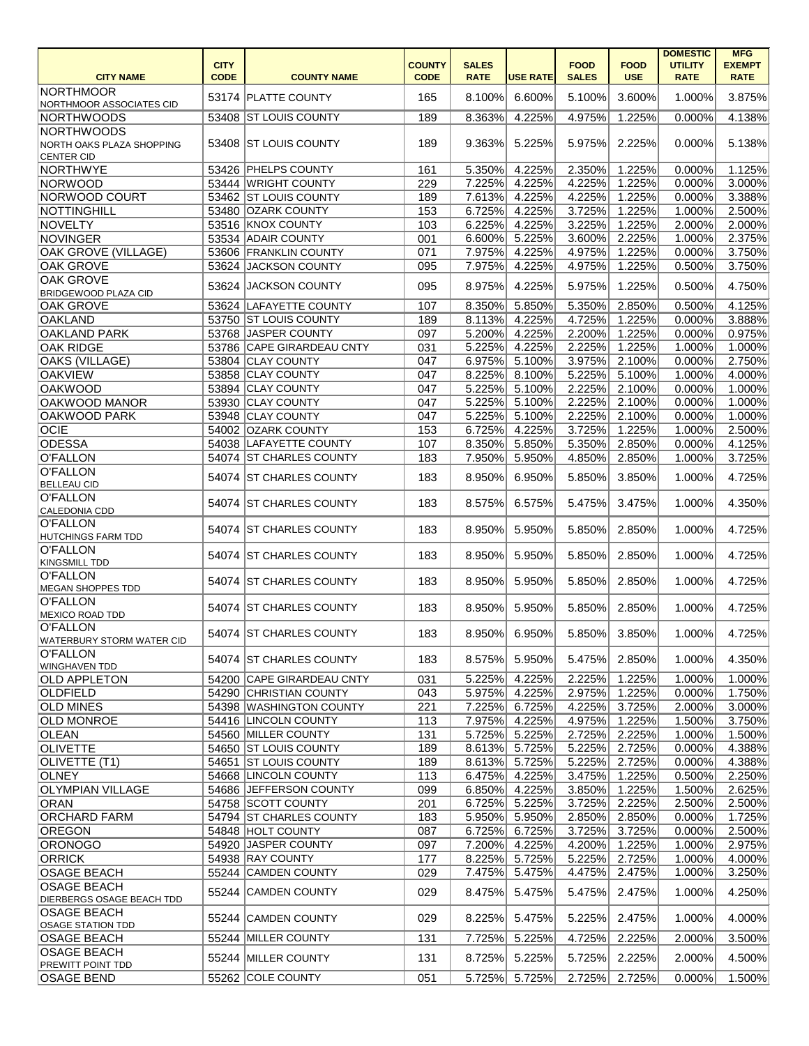|                                  |             |                           |               |              |                 |              |             | <b>DOMESTIC</b> | <b>MFG</b>    |
|----------------------------------|-------------|---------------------------|---------------|--------------|-----------------|--------------|-------------|-----------------|---------------|
|                                  | <b>CITY</b> |                           | <b>COUNTY</b> | <b>SALES</b> |                 | <b>FOOD</b>  | <b>FOOD</b> | <b>UTILITY</b>  | <b>EXEMPT</b> |
| <b>CITY NAME</b>                 | <b>CODE</b> | <b>COUNTY NAME</b>        | <b>CODE</b>   | <b>RATE</b>  | <b>USE RATE</b> | <b>SALES</b> | <b>USE</b>  | <b>RATE</b>     | <b>RATE</b>   |
| <b>NORTHMOOR</b>                 |             | 53174 PLATTE COUNTY       | 165           | 8.100%       | 6.600%          | 5.100%       | 3.600%      | 1.000%          | 3.875%        |
| NORTHMOOR ASSOCIATES CID         |             |                           |               |              |                 |              |             |                 |               |
| NORTHWOODS                       |             | 53408 ST LOUIS COUNTY     | 189           | 8.363%       | 4.225%          | 4.975%       | 1.225%      | 0.000%          | 4.138%        |
| NORTHWOODS                       |             |                           |               |              |                 |              |             |                 |               |
| NORTH OAKS PLAZA SHOPPING        |             | 53408 ST LOUIS COUNTY     | 189           | 9.363%       | 5.225%          | 5.975%       | 2.225%      | 0.000%          | 5.138%        |
| <b>CENTER CID</b>                |             |                           |               |              |                 |              |             |                 |               |
| NORTHWYE                         |             | 53426 PHELPS COUNTY       | 161           | 5.350%       | 4.225%          | 2.350%       | 1.225%      | 0.000%          | 1.125%        |
| <b>NORWOOD</b>                   |             | 53444 WRIGHT COUNTY       | 229           | 7.225%       | 4.225%          | 4.225%       | 1.225%      | 0.000%          | 3.000%        |
| NORWOOD COURT                    |             | 53462 ST LOUIS COUNTY     | 189           | 7.613%       | 4.225%          | 4.225%       | 1.225%      | 0.000%          | 3.388%        |
| NOTTINGHILL                      |             | 53480 OZARK COUNTY        | 153           | 6.725%       | 4.225%          | 3.725%       | 1.225%      | 1.000%          | 2.500%        |
| NOVELTY                          |             | 53516 KNOX COUNTY         | 103           | 6.225%       | 4.225%          | 3.225%       | $1.225\%$   | 2.000%          | 2.000%        |
| <b>NOVINGER</b>                  |             | 53534 ADAIR COUNTY        | 001           | 6.600%       | 5.225%          | 3.600%       | 2.225%      | 1.000%          | 2.375%        |
| <b>OAK GROVE (VILLAGE)</b>       |             | 53606 FRANKLIN COUNTY     | 071           | 7.975%       | 4.225%          | 4.975%       | 1.225%      | 0.000%          | 3.750%        |
| <b>OAK GROVE</b>                 | 53624       | JACKSON COUNTY            | 095           | 7.975%       | 4.225%          | 4.975%       | 1.225%      | 0.500%          | 3.750%        |
| <b>OAK GROVE</b>                 | 53624       | <b>JACKSON COUNTY</b>     | 095           | 8.975%       | 4.225%          | 5.975%       | 1.225%      | 0.500%          | 4.750%        |
| <b>BRIDGEWOOD PLAZA CID</b>      |             |                           |               |              |                 |              |             |                 |               |
| <b>OAK GROVE</b>                 |             | 53624 LAFAYETTE COUNTY    | 107           | 8.350%       | 5.850%          | 5.350%       | 2.850%      | 0.500%          | 4.125%        |
| <b>OAKLAND</b>                   |             | 53750 ST LOUIS COUNTY     | 189           | 8.113%       | 4.225%          | 4.725%       | 1.225%      | 0.000%          | 3.888%        |
| <b>OAKLAND PARK</b>              |             | 53768 JASPER COUNTY       | 097           | 5.200%       | 4.225%          | 2.200%       | 1.225%      | 0.000%          | 0.975%        |
| <b>OAK RIDGE</b>                 |             | 53786 CAPE GIRARDEAU CNTY | 031           | 5.225%       | 4.225%          | 2.225%       | $1.225\%$   | 1.000%          | 1.000%        |
| <b>OAKS (VILLAGE)</b>            |             | 53804 CLAY COUNTY         | 047           | 6.975%       | 5.100%          | 3.975%       | 2.100%      | 0.000%          | 2.750%        |
| <b>OAKVIEW</b>                   |             | 53858 CLAY COUNTY         | 047           | 8.225%       | 8.100%          | 5.225%       | 5.100%      | 1.000%          | 4.000%        |
| <b>OAKWOOD</b>                   |             | 53894 CLAY COUNTY         | 047           | 5.225%       | 5.100%          | 2.225%       | 2.100%      | 0.000%          | 1.000%        |
| OAKWOOD MANOR                    | 53930       | <b>CLAY COUNTY</b>        | 047           | 5.225%       | 5.100%          | 2.225%       | 2.100%      | 0.000%          | 1.000%        |
| OAKWOOD PARK                     |             | 53948 CLAY COUNTY         | 047           | 5.225%       | 5.100%          | 2.225%       | 2.100%      | 0.000%          | 1.000%        |
| <b>OCIE</b>                      |             | 54002 OZARK COUNTY        | 153           | 6.725%       | 4.225%          | 3.725%       | 1.225%      | 1.000%          | 2.500%        |
| <b>ODESSA</b>                    |             | 54038 LAFAYETTE COUNTY    | 107           | 8.350%       | 5.850%          | 5.350%       | 2.850%      | 0.000%          | 4.125%        |
| O'FALLON                         |             | 54074 ST CHARLES COUNTY   | 183           | 7.950%       | 5.950%          | 4.850%       | 2.850%      | 1.000%          | 3.725%        |
| O'FALLON                         | 54074       | <b>ST CHARLES COUNTY</b>  | 183           | 8.950%       | 6.950%          | 5.850%       | 3.850%      | 1.000%          | 4.725%        |
| <b>BELLEAU CID</b>               |             |                           |               |              |                 |              |             |                 |               |
| O'FALLON                         |             | 54074 ST CHARLES COUNTY   | 183           | 8.575%       | 6.575%          | 5.475%       | 3.475%      | 1.000%          | 4.350%        |
| CALEDONIA CDD                    |             |                           |               |              |                 |              |             |                 |               |
| O'FALLON                         |             | 54074 ST CHARLES COUNTY   | 183           | 8.950%       | 5.950%          | 5.850%       | 2.850%      | 1.000%          | 4.725%        |
| <b>HUTCHINGS FARM TDD</b>        |             |                           |               |              |                 |              |             |                 |               |
| O'FALLON                         |             | 54074 ST CHARLES COUNTY   | 183           | 8.950%       | 5.950%          | 5.850%       | 2.850%      | 1.000%          | 4.725%        |
| KINGSMILL TDD<br>O'FALLON        |             |                           |               |              |                 |              |             |                 |               |
| MEGAN SHOPPES TDD                |             | 54074 ST CHARLES COUNTY   | 183           | 8.950%       | 5.950%          | 5.850%       | 2.850%      | 1.000%          | 4.725%        |
| O'FALLON                         |             |                           |               |              |                 |              |             |                 |               |
| MEXICO ROAD TDD                  |             | 54074 ST CHARLES COUNTY   | 183           | 8.950%       | 5.950%          | 5.850%       | 2.850%      | 1.000%          | 4.725%        |
| O'FALLON                         |             |                           |               |              |                 |              |             |                 |               |
| <b>WATERBURY STORM WATER CID</b> |             | 54074 ST CHARLES COUNTY   | 183           | 8.950%       | 6.950%          | 5.850%       | 3.850%      | 1.000%          | 4.725%        |
| O'FALLON                         |             |                           |               |              |                 |              |             |                 |               |
| <b>WINGHAVEN TDD</b>             |             | 54074 ST CHARLES COUNTY   | 183           | 8.575%       | 5.950%          | 5.475%       | 2.850%      | 1.000%          | 4.350%        |
| <b>OLD APPLETON</b>              |             | 54200 CAPE GIRARDEAU CNTY | 031           | 5.225%       | 4.225%          | 2.225%       | 1.225%      | 1.000%          | 1.000%        |
| <b>OLDFIELD</b>                  |             | 54290 CHRISTIAN COUNTY    | 043           | 5.975%       | 4.225%          | 2.975%       | 1.225%      | 0.000%          | 1.750%        |
| <b>OLD MINES</b>                 |             | 54398 WASHINGTON COUNTY   | 221           | 7.225%       | 6.725%          | 4.225%       | 3.725%      | 2.000%          | 3.000%        |
| <b>OLD MONROE</b>                |             | 54416 LINCOLN COUNTY      | 113           | 7.975%       | 4.225%          | 4.975%       | 1.225%      | 1.500%          | 3.750%        |
| <b>OLEAN</b>                     |             | 54560 MILLER COUNTY       | 131           | 5.725%       | 5.225%          | 2.725%       | 2.225%      | 1.000%          | 1.500%        |
| <b>OLIVETTE</b>                  |             | 54650 ST LOUIS COUNTY     | 189           | 8.613%       | 5.725%          | 5.225%       | 2.725%      | 0.000%          | 4.388%        |
| OLIVETTE (T1)                    |             | 54651 ST LOUIS COUNTY     | 189           | 8.613%       | 5.725%          | 5.225%       | 2.725%      | 0.000%          | 4.388%        |
| <b>OLNEY</b>                     |             | 54668 LINCOLN COUNTY      | 113           | 6.475%       | 4.225%          | 3.475%       | 1.225%      | 0.500%          | 2.250%        |
| <b>OLYMPIAN VILLAGE</b>          |             | 54686 JEFFERSON COUNTY    | 099           | 6.850%       | 4.225%          | 3.850%       | 1.225%      | 1.500%          | 2.625%        |
| ORAN                             |             | 54758 SCOTT COUNTY        | 201           | 6.725%       | 5.225%          | 3.725%       | 2.225%      | 2.500%          | 2.500%        |
| <b>ORCHARD FARM</b>              |             | 54794 ST CHARLES COUNTY   | 183           | 5.950%       | 5.950%          | 2.850%       | 2.850%      | 0.000%          | 1.725%        |
| <b>OREGON</b>                    |             | 54848 HOLT COUNTY         | 087           | 6.725%       | 6.725%          | 3.725%       | 3.725%      | 0.000%          | 2.500%        |
| ORONOGO                          | 54920       | JASPER COUNTY             | 097           | 7.200%       | 4.225%          | 4.200%       | 1.225%      | 1.000%          | 2.975%        |
| <b>ORRICK</b>                    |             | 54938 RAY COUNTY          | 177           | 8.225%       | 5.725%          | 5.225%       | 2.725%      | 1.000%          | 4.000%        |
| <b>OSAGE BEACH</b>               |             | 55244 CAMDEN COUNTY       | 029           | 7.475%       | 5.475%          | 4.475%       | 2.475%      | 1.000%          | 3.250%        |
| <b>OSAGE BEACH</b>               |             | 55244 CAMDEN COUNTY       | 029           | 8.475%       | 5.475%          | 5.475%       | 2.475%      | 1.000%          | 4.250%        |
| <b>DIERBERGS OSAGE BEACH TDD</b> |             |                           |               |              |                 |              |             |                 |               |
| <b>OSAGE BEACH</b>               |             | 55244 CAMDEN COUNTY       | 029           | 8.225%       | 5.475%          | 5.225%       | 2.475%      | 1.000%          | 4.000%        |
| <b>OSAGE STATION TDD</b>         |             |                           |               |              |                 |              |             |                 |               |
| <b>OSAGE BEACH</b>               |             | 55244 MILLER COUNTY       | 131           | 7.725%       | 5.225%          | 4.725%       | 2.225%      | 2.000%          | 3.500%        |
| <b>OSAGE BEACH</b>               |             | 55244 MILLER COUNTY       | 131           | 8.725%       | 5.225%          | 5.725%       | 2.225%      | 2.000%          | 4.500%        |
| <b>PREWITT POINT TDD</b>         |             |                           |               |              |                 |              |             |                 |               |
| <b>OSAGE BEND</b>                |             | 55262 COLE COUNTY         | 051           | 5.725%       | 5.725%          | 2.725%       | 2.725%      | 0.000%          | 1.500%        |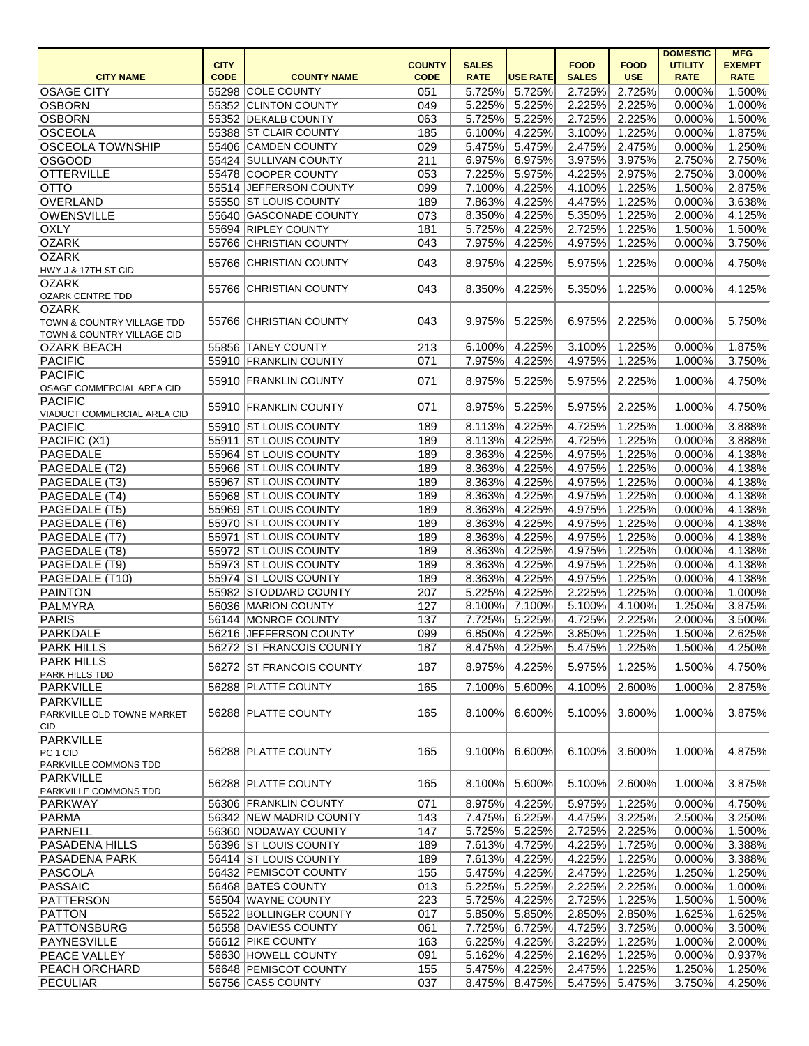|                                       |             |                          |               |              |                 |              |               | <b>DOMESTIC</b> | <b>MFG</b>    |
|---------------------------------------|-------------|--------------------------|---------------|--------------|-----------------|--------------|---------------|-----------------|---------------|
|                                       | <b>CITY</b> |                          | <b>COUNTY</b> | <b>SALES</b> |                 | <b>FOOD</b>  | <b>FOOD</b>   | <b>UTILITY</b>  | <b>EXEMPT</b> |
| <b>CITY NAME</b>                      | <b>CODE</b> | <b>COUNTY NAME</b>       | <b>CODE</b>   | <b>RATE</b>  | <b>USE RATE</b> | <b>SALES</b> | <b>USE</b>    | <b>RATE</b>     | <b>RATE</b>   |
| <b>OSAGE CITY</b>                     |             | 55298 COLE COUNTY        | 051           | 5.725%       | 5.725%          | 2.725%       | 2.725%        | 0.000%          | 1.500%        |
| OSBORN                                |             | 55352 CLINTON COUNTY     | 049           | 5.225%       | 5.225%          | 2.225%       | 2.225%        | 0.000%          | 1.000%        |
| OSBORN                                |             | 55352 DEKALB COUNTY      | 063           | 5.725%       | 5.225%          | 2.725%       | 2.225%        | 0.000%          | 1.500%        |
| OSCEOLA                               |             | 55388 ST CLAIR COUNTY    | 185           | 6.100%       | 4.225%          | 3.100%       | 1.225%        | 0.000%          | 1.875%        |
| <b>OSCEOLA TOWNSHIP</b>               |             | 55406 CAMDEN COUNTY      | 029           | 5.475%       | 5.475%          | 2.475%       | 2.475%        | 0.000%          | 1.250%        |
| <b>OSGOOD</b>                         |             | 55424 SULLIVAN COUNTY    | 211           | 6.975%       | 6.975%          | 3.975%       | 3.975%        | 2.750%          | 2.750%        |
|                                       |             |                          |               |              |                 |              |               |                 |               |
| <b>OTTERVILLE</b>                     |             | 55478 COOPER COUNTY      | 053           | 7.225%       | 5.975%          | 4.225%       | 2.975%        | 2.750%          | 3.000%        |
| <b>OTTO</b>                           |             | 55514 JEFFERSON COUNTY   | 099           | 7.100%       | 4.225%          | 4.100%       | 1.225%        | 1.500%          | 2.875%        |
| OVERLAND                              |             | 55550 ST LOUIS COUNTY    | 189           | 7.863%       | 4.225%          | 4.475%       | 1.225%        | 0.000%          | 3.638%        |
| <b>OWENSVILLE</b>                     |             | 55640 GASCONADE COUNTY   | 073           | 8.350%       | 4.225%          | 5.350%       | 1.225%        | 2.000%          | 4.125%        |
| <b>OXLY</b>                           |             | 55694 RIPLEY COUNTY      | 181           | 5.725%       | 4.225%          | 2.725%       | 1.225%        | 1.500%          | 1.500%        |
| <b>OZARK</b>                          |             | 55766 CHRISTIAN COUNTY   | 043           | 7.975%       | 4.225%          | 4.975%       | 1.225%        | 0.000%          | 3.750%        |
| <b>OZARK</b>                          |             |                          |               |              |                 |              |               |                 |               |
| HWY J & 17TH ST CID                   |             | 55766 CHRISTIAN COUNTY   | 043           | 8.975%       | 4.225%          | 5.975%       | 1.225%        | 0.000%          | 4.750%        |
| <b>OZARK</b>                          |             |                          |               |              |                 |              |               |                 |               |
| <b>OZARK CENTRE TDD</b>               |             | 55766 CHRISTIAN COUNTY   | 043           | 8.350%       | 4.225%          | 5.350%       | 1.225%        | 0.000%          | 4.125%        |
| <b>OZARK</b>                          |             |                          |               |              |                 |              |               |                 |               |
|                                       |             |                          |               |              |                 |              |               |                 |               |
| <b>TOWN &amp; COUNTRY VILLAGE TDD</b> |             | 55766 CHRISTIAN COUNTY   | 043           | 9.975%       | 5.225%          | 6.975%       | 2.225%        | 0.000%          | 5.750%        |
| <b>TOWN &amp; COUNTRY VILLAGE CID</b> |             |                          |               |              |                 |              |               |                 |               |
| <b>OZARK BEACH</b>                    |             | 55856 TANEY COUNTY       | 213           | 6.100%       | 4.225%          | 3.100%       | 1.225%        | 0.000%          | 1.875%        |
| PACIFIC                               |             | 55910 FRANKLIN COUNTY    | 071           | 7.975%       | 4.225%          | 4.975%       | 1.225%        | 1.000%          | 3.750%        |
| <b>PACIFIC</b>                        |             | 55910 FRANKLIN COUNTY    | 071           | 8.975%       | 5.225%          | 5.975%       | 2.225%        | 1.000%          | 4.750%        |
| OSAGE COMMERCIAL AREA CID             |             |                          |               |              |                 |              |               |                 |               |
| <b>PACIFIC</b>                        |             |                          |               |              |                 |              |               |                 |               |
| VIADUCT COMMERCIAL AREA CID           |             | 55910 FRANKLIN COUNTY    | 071           | 8.975%       | 5.225%          | 5.975%       | 2.225%        | 1.000%          | 4.750%        |
| PACIFIC                               |             | 55910 ST LOUIS COUNTY    | 189           | 8.113%       | 4.225%          | 4.725%       | 1.225%        | 1.000%          | 3.888%        |
| PACIFIC (X1)                          |             | 55911 ST LOUIS COUNTY    | 189           | 8.113%       | 4.225%          | 4.725%       | 1.225%        | 0.000%          | 3.888%        |
| PAGEDALE                              |             | 55964 ST LOUIS COUNTY    | 189           | 8.363%       | 4.225%          | 4.975%       | 1.225%        | 0.000%          | 4.138%        |
|                                       |             |                          |               |              |                 |              |               |                 |               |
| PAGEDALE (T2)                         |             | 55966 ST LOUIS COUNTY    | 189           | 8.363%       | 4.225%          | 4.975%       | 1.225%        | 0.000%          | 4.138%        |
| PAGEDALE (T3)                         |             | 55967 ST LOUIS COUNTY    | 189           | 8.363%       | 4.225%          | 4.975%       | 1.225%        | 0.000%          | 4.138%        |
| PAGEDALE (T4)                         |             | 55968 ST LOUIS COUNTY    | 189           | 8.363%       | 4.225%          | 4.975%       | 1.225%        | 0.000%          | 4.138%        |
| PAGEDALE (T5)                         |             | 55969 ST LOUIS COUNTY    | 189           | 8.363%       | 4.225%          | 4.975%       | 1.225%        | 0.000%          | 4.138%        |
| PAGEDALE (T6)                         |             | 55970 ST LOUIS COUNTY    | 189           | 8.363%       | 4.225%          | 4.975%       | 1.225%        | 0.000%          | 4.138%        |
| PAGEDALE (T7)                         |             | 55971 ST LOUIS COUNTY    | 189           | 8.363%       | 4.225%          | 4.975%       | 1.225%        | 0.000%          | 4.138%        |
| PAGEDALE (T8)                         |             | 55972 ST LOUIS COUNTY    | 189           |              | 8.363% 4.225%   |              | 4.975% 1.225% | 0.000%          | 4.138%        |
| PAGEDALE (T9)                         |             | 55973 ST LOUIS COUNTY    | 189           | 8.363%       | 4.225%          | 4.975%       | 1.225%        | 0.000%          | 4.138%        |
| PAGEDALE (T10)                        |             | 55974 ST LOUIS COUNTY    | 189           | 8.363%       | 4.225%          | 4.975%       |               | 0.000%          | 4.138%        |
|                                       |             |                          |               |              |                 |              | 1.225%        |                 |               |
| PAINTON                               |             | 55982 STODDARD COUNTY    | 207           | 5.225%       | 4.225%          | 2.225%       | 1.225%        | 0.000%          | $1.000\%$     |
| PALMYRA                               |             | 56036 MARION COUNTY      | 127           | 8.100%       | 7.100%          | 5.100%       | 4.100%        | 1.250%          | 3.875%        |
| PARIS                                 |             | 56144 MONROE COUNTY      | 137           | 7.725%       | 5.225%          | 4.725%       | 2.225%        | 2.000%          | 3.500%        |
| PARKDALE                              |             | 56216 JEFFERSON COUNTY   | 099           | 6.850%       | 4.225%          | 3.850%       | 1.225%        | 1.500%          | 2.625%        |
| <b>PARK HILLS</b>                     |             | 56272 ST FRANCOIS COUNTY | 187           | 8.475%       | 4.225%          | 5.475%       | 1.225%        | 1.500%          | 4.250%        |
| <b>PARK HILLS</b>                     |             |                          |               |              |                 |              |               |                 |               |
| <b>PARK HILLS TDD</b>                 |             | 56272 ST FRANCOIS COUNTY | 187           | 8.975%       | 4.225%          | 5.975%       | 1.225%        | 1.500%          | 4.750%        |
| PARKVILLE                             |             | 56288 PLATTE COUNTY      | 165           | 7.100%       | 5.600%          | 4.100%       | 2.600%        | 1.000%          | 2.875%        |
| PARKVILLE                             |             |                          |               |              |                 |              |               |                 |               |
| PARKVILLE OLD TOWNE MARKET            |             | 56288 PLATTE COUNTY      | 165           | 8.100%       | 6.600%          | 5.100%       | 3.600%        | 1.000%          | 3.875%        |
| CID.                                  |             |                          |               |              |                 |              |               |                 |               |
| PARKVILLE                             |             |                          |               |              |                 |              |               |                 |               |
| PC 1 CD                               |             | 56288 PLATTE COUNTY      | 165           | 9.100%       | 6.600%          | 6.100%       | 3.600%        | 1.000%          | 4.875%        |
| PARKVILLE COMMONS TDD                 |             |                          |               |              |                 |              |               |                 |               |
| PARKVILLE                             |             |                          |               |              |                 |              |               |                 |               |
|                                       |             | 56288 PLATTE COUNTY      | 165           | 8.100%       | 5.600%          | 5.100%       | 2.600%        | 1.000%          | 3.875%        |
| PARKVILLE COMMONS TDD                 |             |                          |               |              |                 |              |               |                 |               |
| PARKWAY                               |             | 56306 FRANKLIN COUNTY    | 071           | 8.975%       | 4.225%          | 5.975%       | 1.225%        | 0.000%          | 4.750%        |
| PARMA                                 |             | 56342 NEW MADRID COUNTY  | 143           | 7.475%       | 6.225%          | 4.475%       | 3.225%        | 2.500%          | 3.250%        |
| PARNELL                               |             | 56360 NODAWAY COUNTY     | 147           | 5.725%       | 5.225%          | 2.725%       | 2.225%        | 0.000%          | 1.500%        |
| <b>PASADENA HILLS</b>                 |             | 56396 ST LOUIS COUNTY    | 189           | 7.613%       | 4.725%          | 4.225%       | 1.725%        | 0.000%          | 3.388%        |
| <b>PASADENA PARK</b>                  |             | 56414 ST LOUIS COUNTY    | 189           | 7.613%       | 4.225%          | 4.225%       | 1.225%        | 0.000%          | 3.388%        |
| PASCOLA                               |             | 56432 PEMISCOT COUNTY    | 155           | 5.475%       | 4.225%          | 2.475%       | 1.225%        | 1.250%          | 1.250%        |
| PASSAIC                               |             | 56468 BATES COUNTY       | 013           | 5.225%       | 5.225%          | 2.225%       | 2.225%        | 0.000%          | 1.000%        |
| PATTERSON                             |             | 56504 WAYNE COUNTY       | 223           | 5.725%       | 4.225%          | 2.725%       | 1.225%        | 1.500%          | 1.500%        |
| <b>PATTON</b>                         |             | 56522 BOLLINGER COUNTY   | 017           | 5.850%       | 5.850%          | 2.850%       | 2.850%        | 1.625%          | 1.625%        |
|                                       |             |                          |               |              |                 |              |               |                 |               |
| PATTONSBURG                           |             | 56558 DAVIESS COUNTY     | 061           | 7.725%       | 6.725%          | 4.725%       | 3.725%        | 0.000%          | 3.500%        |
| PAYNESVILLE                           |             | 56612 PIKE COUNTY        | 163           | 6.225%       | 4.225%          | 3.225%       | 1.225%        | 1.000%          | 2.000%        |
| <b>PEACE VALLEY</b>                   |             | 56630 HOWELL COUNTY      | 091           | 5.162%       | 4.225%          | 2.162%       | 1.225%        | 0.000%          | 0.937%        |
| <b>PEACH ORCHARD</b>                  |             | 56648 PEMISCOT COUNTY    | 155           | 5.475%       | 4.225%          | 2.475%       | 1.225%        | 1.250%          | 1.250%        |
| PECULIAR                              |             | 56756 CASS COUNTY        | 037           | 8.475%       | 8.475%          |              | 5.475% 5.475% | 3.750%          | 4.250%        |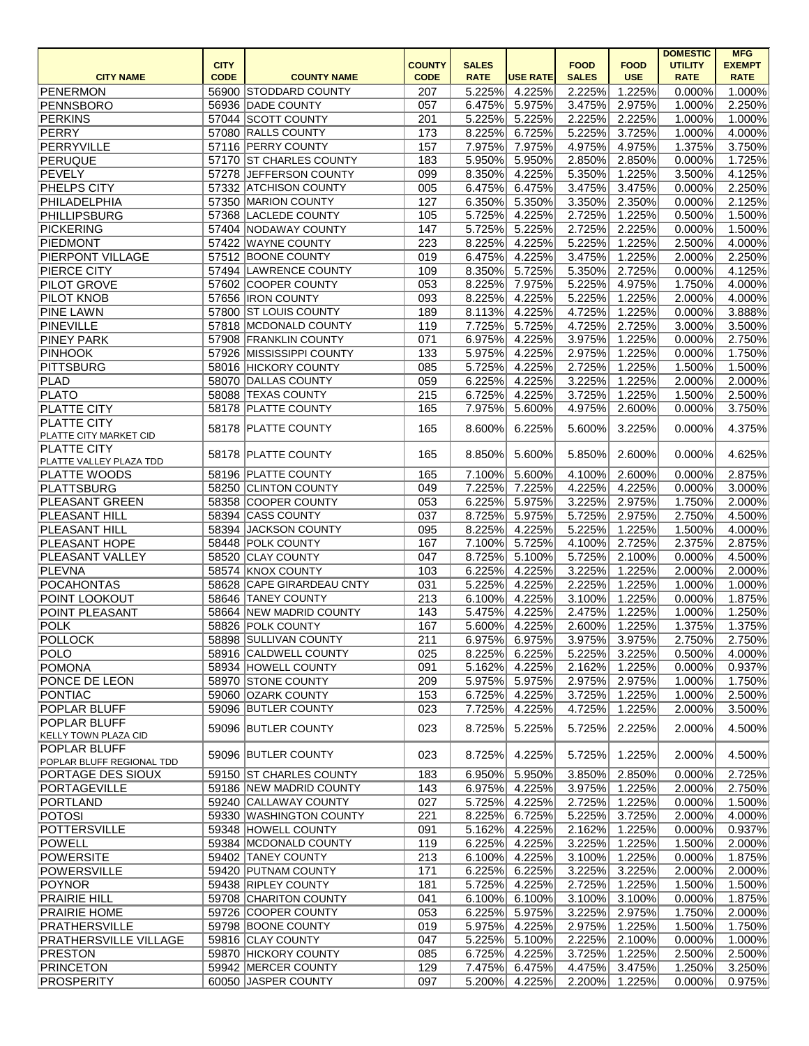|                             |             |                           |               |              |                 |              |               | <b>DOMESTIC</b> | <b>MFG</b>    |
|-----------------------------|-------------|---------------------------|---------------|--------------|-----------------|--------------|---------------|-----------------|---------------|
|                             | <b>CITY</b> |                           | <b>COUNTY</b> | <b>SALES</b> |                 | <b>FOOD</b>  | <b>FOOD</b>   | <b>UTILITY</b>  | <b>EXEMPT</b> |
| <b>CITY NAME</b>            | <b>CODE</b> | <b>COUNTY NAME</b>        | <b>CODE</b>   | <b>RATE</b>  | <b>USE RATE</b> | <b>SALES</b> | <b>USE</b>    | <b>RATE</b>     | <b>RATE</b>   |
| PENERMON                    |             | 56900 STODDARD COUNTY     | 207           | 5.225%       | 4.225%          | 2.225%       | 1.225%        | 0.000%          | 1.000%        |
| PENNSBORO                   |             | 56936 DADE COUNTY         | 057           | 6.475%       | 5.975%          | 3.475%       | 2.975%        | 1.000%          | 2.250%        |
| PERKINS                     |             | 57044 SCOTT COUNTY        | 201           | 5.225%       | 5.225%          | 2.225%       | 2.225%        | 1.000%          | 1.000%        |
| PERRY                       |             | 57080 RALLS COUNTY        | 173           | 8.225%       | 6.725%          | 5.225%       | 3.725%        | 1.000%          | 4.000%        |
| PERRYVILLE                  |             | 57116 PERRY COUNTY        | 157           | 7.975%       | 7.975%          | 4.975%       | 4.975%        | 1.375%          | 3.750%        |
| PERUQUE                     |             | 57170 ST CHARLES COUNTY   | 183           | 5.950%       | 5.950%          | 2.850%       | 2.850%        | 0.000%          | 1.725%        |
| PEVELY                      |             | 57278 JEFFERSON COUNTY    | 099           | 8.350%       | 4.225%          | 5.350%       | 1.225%        | 3.500%          | 4.125%        |
| <b>PHELPS CITY</b>          |             | 57332 ATCHISON COUNTY     | 005           | 6.475%       | 6.475%          | 3.475%       | 3.475%        | 0.000%          | 2.250%        |
| PHILADELPHIA                |             | 57350 MARION COUNTY       | 127           | 6.350%       | 5.350%          | 3.350%       | 2.350%        | 0.000%          | 2.125%        |
| <b>PHILLIPSBURG</b>         |             | 57368 LACLEDE COUNTY      | 105           | 5.725%       | 4.225%          | 2.725%       | 1.225%        | 0.500%          | 1.500%        |
| <b>PICKERING</b>            |             | 57404 NODAWAY COUNTY      | 147           | 5.725%       | 5.225%          | 2.725%       | 2.225%        | 0.000%          | 1.500%        |
| PIEDMONT                    |             | 57422 WAYNE COUNTY        | 223           | 8.225%       | 4.225%          | 5.225%       | 1.225%        | 2.500%          | 4.000%        |
| PIERPONT VILLAGE            |             | 57512 BOONE COUNTY        | 019           | 6.475%       | 4.225%          | 3.475%       | 1.225%        | 2.000%          | 2.250%        |
| PIERCE CITY                 |             | 57494 LAWRENCE COUNTY     | 109           | 8.350%       | 5.725%          | 5.350%       | 2.725%        | 0.000%          | 4.125%        |
| <b>PILOT GROVE</b>          |             | 57602 COOPER COUNTY       | 053           | 8.225%       | 7.975%          | 5.225%       | 4.975%        | 1.750%          | 4.000%        |
| <b>PILOT KNOB</b>           |             | 57656  IRON COUNTY        | 093           | 8.225%       | 4.225%          | 5.225%       | 1.225%        | 2.000%          | 4.000%        |
| <b>PINE LAWN</b>            |             | 57800 ST LOUIS COUNTY     | 189           | 8.113%       | 4.225%          | 4.725%       | 1.225%        | 0.000%          | 3.888%        |
| <b>PINEVILLE</b>            |             | 57818 MCDONALD COUNTY     | 119           | 7.725%       | 5.725%          | 4.725%       | 2.725%        | 3.000%          | 3.500%        |
| <b>PINEY PARK</b>           |             | 57908 FRANKLIN COUNTY     | 071           | 6.975%       | 4.225%          | 3.975%       | 1.225%        | 0.000%          | 2.750%        |
| <b>PINHOOK</b>              |             | 57926 MISSISSIPPI COUNTY  | 133           | 5.975%       | 4.225%          | 2.975%       | 1.225%        | 0.000%          | 1.750%        |
|                             |             | 58016 HICKORY COUNTY      |               |              |                 |              |               |                 |               |
| <b>PITTSBURG</b>            |             |                           | 085           | 5.725%       | 4.225%          | 2.725%       | 1.225%        | 1.500%          | 1.500%        |
| <b>PLAD</b>                 |             | 58070 DALLAS COUNTY       | 059           | 6.225%       | 4.225%          | 3.225%       | 1.225%        | 2.000%          | 2.000%        |
| <b>PLATO</b>                |             | 58088 TEXAS COUNTY        | 215           | 6.725%       | 4.225%          | 3.725%       | 1.225%        | 1.500%          | 2.500%        |
| <b>PLATTE CITY</b>          |             | 58178 PLATTE COUNTY       | 165           | 7.975%       | 5.600%          | 4.975%       | 2.600%        | 0.000%          | 3.750%        |
| PLATTE CITY                 |             | 58178 PLATTE COUNTY       | 165           | 8.600%       | 6.225%          | 5.600%       | 3.225%        | 0.000%          | 4.375%        |
| PLATTE CITY MARKET CID      |             |                           |               |              |                 |              |               |                 |               |
| PLATTE CITY                 |             | 58178 PLATTE COUNTY       | 165           | 8.850%       | 5.600%          | 5.850%       | 2.600%        | 0.000%          | 4.625%        |
| PLATTE VALLEY PLAZA TDD     |             |                           |               |              |                 |              |               |                 | 2.875%        |
| <b>PLATTE WOODS</b>         |             | 58196 PLATTE COUNTY       | 165           | 7.100%       | 5.600%          | 4.100%       | 2.600%        | 0.000%          |               |
| PLATTSBURG                  |             | 58250 CLINTON COUNTY      | 049           | 7.225%       | 7.225%          | 4.225%       | 4.225%        | 0.000%          | 3.000%        |
| <b>PLEASANT GREEN</b>       |             | 58358 COOPER COUNTY       | 053           | 6.225%       | 5.975%          | 3.225%       | 2.975%        | 1.750%          | 2.000%        |
| <b>PLEASANT HILL</b>        |             | 58394 CASS COUNTY         | 037           | 8.725%       | 5.975%          | 5.725%       | 2.975%        | 2.750%          | 4.500%        |
| <b>PLEASANT HILL</b>        |             | 58394 JACKSON COUNTY      | 095           | 8.225%       | 4.225%          | 5.225%       | 1.225%        | 1.500%          | 4.000%        |
| PLEASANT HOPE               |             | 58448 POLK COUNTY         | 167           | 7.100%       | 5.725%          | 4.100%       | 2.725%        | 2.375%          | 2.875%        |
| <b>PLEASANT VALLEY</b>      |             | 58520 CLAY COUNTY         | 047           |              | 8.725% 5.100%   |              | 5.725% 2.100% | $0.000\%$       | 4.500%        |
| PLEVNA                      |             | 58574 KNOX COUNTY         | 103           | 6.225%       | 4.225%          | 3.225%       | 1.225%        | 2.000%          | 2.000%        |
| POCAHONTAS                  |             | 58628 CAPE GIRARDEAU CNTY | 031           | 5.225%       | 4.225%          | 2.225%       | 1.225%        | 1.000%          | 1.000%        |
| <b>POINT LOOKOUT</b>        |             | 58646 TANEY COUNTY        | 213           | 6.100%       | 4.225%          | 3.100%       | 1.225%        | 0.000%          | 1.875%        |
| POINT PLEASANT              |             | 58664 NEW MADRID COUNTY   | 143           | 5.475%       | 4.225%          | 2.475%       | 1.225%        | 1.000%          | 1.250%        |
| <b>POLK</b>                 |             | 58826 POLK COUNTY         | 167           | 5.600%       | 4.225%          | 2.600%       | 1.225%        | 1.375%          | 1.375%        |
| <b>POLLOCK</b>              |             | 58898 SULLIVAN COUNTY     | 211           | 6.975%       | 6.975%          | 3.975%       | 3.975%        | 2.750%          | 2.750%        |
| <b>POLO</b>                 |             | 58916 CALDWELL COUNTY     | 025           | 8.225%       | 6.225%          | 5.225%       | 3.225%        | 0.500%          | 4.000%        |
| <b>POMONA</b>               |             | 58934 HOWELL COUNTY       | 091           | 5.162%       | 4.225%          | 2.162%       | 1.225%        | 0.000%          | 0.937%        |
| PONCE DE LEON               |             | 58970 STONE COUNTY        | 209           | 5.975%       | 5.975%          | 2.975%       | 2.975%        | 1.000%          | 1.750%        |
| <b>PONTIAC</b>              |             | 59060 OZARK COUNTY        | 153           | 6.725%       | 4.225%          | 3.725%       | 1.225%        | 1.000%          | 2.500%        |
| POPLAR BLUFF                |             | 59096 BUTLER COUNTY       | 023           | 7.725%       | 4.225%          | 4.725%       | 1.225%        | 2.000%          | 3.500%        |
| POPLAR BLUFF                |             |                           |               |              |                 |              |               |                 |               |
| <b>KELLY TOWN PLAZA CID</b> |             | 59096 BUTLER COUNTY       | 023           | 8.725%       | 5.225%          | 5.725%       | 2.225%        | 2.000%          | 4.500%        |
| <b>POPLAR BLUFF</b>         |             |                           |               |              |                 |              |               |                 |               |
| POPLAR BLUFF REGIONAL TDD   |             | 59096 BUTLER COUNTY       | 023           | 8.725%       | 4.225%          | 5.725%       | 1.225%        | 2.000%          | 4.500%        |
| PORTAGE DES SIOUX           |             | 59150 ST CHARLES COUNTY   | 183           | 6.950%       | 5.950%          | 3.850%       | 2.850%        | 0.000%          | 2.725%        |
| PORTAGEVILLE                |             | 59186 NEW MADRID COUNTY   | 143           | 6.975%       | 4.225%          | 3.975%       | 1.225%        | 2.000%          | 2.750%        |
| PORTLAND                    |             | 59240 CALLAWAY COUNTY     | 027           | 5.725%       | 4.225%          | 2.725%       | 1.225%        | 0.000%          | 1.500%        |
| <b>POTOSI</b>               |             | 59330 WASHINGTON COUNTY   | 221           | 8.225%       | 6.725%          | 5.225%       | 3.725%        | 2.000%          | 4.000%        |
| <b>POTTERSVILLE</b>         |             | 59348 HOWELL COUNTY       | 091           | 5.162%       | 4.225%          | 2.162%       | 1.225%        | 0.000%          | 0.937%        |
| POWELL                      |             | 59384   MCDONALD COUNTY   | 119           | 6.225%       | 4.225%          | 3.225%       | 1.225%        | 1.500%          | 2.000%        |
| POWERSITE                   |             | 59402 TANEY COUNTY        | 213           | 6.100%       | 4.225%          | 3.100%       | 1.225%        | 0.000%          | 1.875%        |
| <b>POWERSVILLE</b>          |             | 59420 PUTNAM COUNTY       | 171           | 6.225%       | 6.225%          | 3.225%       | 3.225%        | 2.000%          | 2.000%        |
| POYNOR                      |             | 59438 RIPLEY COUNTY       | 181           | 5.725%       | 4.225%          | 2.725%       | 1.225%        | 1.500%          | 1.500%        |
| <b>PRAIRIE HILL</b>         |             | 59708 CHARITON COUNTY     | 041           | 6.100%       | 6.100%          | 3.100%       | 3.100%        | 0.000%          | 1.875%        |
| <b>PRAIRIE HOME</b>         |             | 59726 COOPER COUNTY       | 053           | 6.225%       | 5.975%          | 3.225%       | 2.975%        | 1.750%          | 2.000%        |
| <b>PRATHERSVILLE</b>        |             | 59798 BOONE COUNTY        | 019           | 5.975%       | 4.225%          | 2.975%       | 1.225%        | 1.500%          | 1.750%        |
| PRATHERSVILLE VILLAGE       |             | 59816 CLAY COUNTY         | 047           | 5.225%       | 5.100%          | 2.225%       | 2.100%        | 0.000%          | 1.000%        |
| <b>PRESTON</b>              |             | 59870 HICKORY COUNTY      | 085           | 6.725%       | 4.225%          | 3.725%       | 1.225%        | 2.500%          | 2.500%        |
| <b>PRINCETON</b>            |             | 59942 MERCER COUNTY       | 129           | 7.475%       | 6.475%          | 4.475%       | 3.475%        | 1.250%          | 3.250%        |
|                             |             |                           |               |              |                 |              |               |                 |               |
| PROSPERITY                  |             | 60050 JASPER COUNTY       | 097           | 5.200%       | 4.225%          | 2.200%       | 1.225%        | 0.000%          | 0.975%        |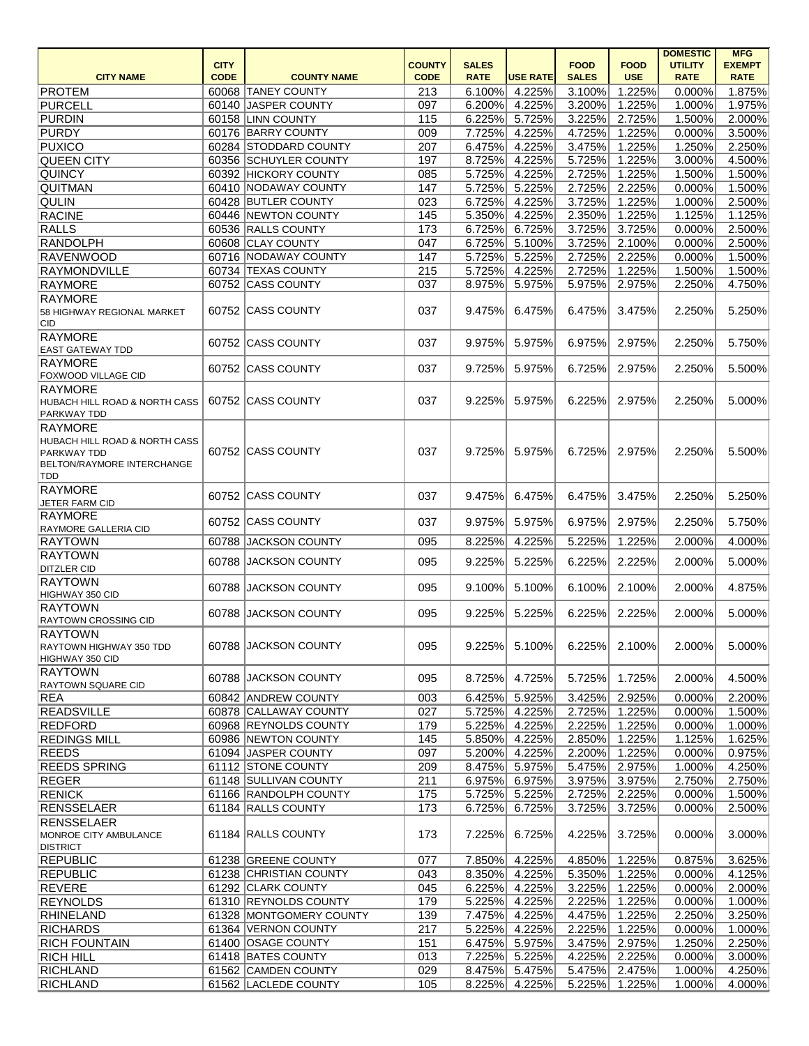|                                        |             |                         |               |              |                 |              |             | <b>DOMESTIC</b> | <b>MFG</b>    |
|----------------------------------------|-------------|-------------------------|---------------|--------------|-----------------|--------------|-------------|-----------------|---------------|
|                                        | <b>CITY</b> |                         | <b>COUNTY</b> | <b>SALES</b> |                 | <b>FOOD</b>  | <b>FOOD</b> | <b>UTILITY</b>  | <b>EXEMPT</b> |
| <b>CITY NAME</b>                       | <b>CODE</b> | <b>COUNTY NAME</b>      | <b>CODE</b>   | <b>RATE</b>  | <b>USE RATE</b> | <b>SALES</b> | <b>USE</b>  | <b>RATE</b>     | <b>RATE</b>   |
| <b>PROTEM</b>                          |             | 60068 TANEY COUNTY      | 213           | 6.100%       | 4.225%          | 3.100%       | 1.225%      | 0.000%          | 1.875%        |
| PURCELL                                |             | 60140 JASPER COUNTY     | 097           | 6.200%       | 4.225%          | 3.200%       | 1.225%      | 1.000%          | 1.975%        |
| <b>PURDIN</b>                          |             | 60158 LINN COUNTY       | 115           | 6.225%       | 5.725%          | 3.225%       | 2.725%      | 1.500%          | 2.000%        |
| <b>PURDY</b>                           |             | 60176 BARRY COUNTY      | 009           | 7.725%       | 4.225%          | 4.725%       | 1.225%      | 0.000%          | 3.500%        |
| <b>PUXICO</b>                          |             | 60284 STODDARD COUNTY   | 207           | 6.475%       | 4.225%          | 3.475%       | 1.225%      | 1.250%          | 2.250%        |
| <b>QUEEN CITY</b>                      |             | 60356 SCHUYLER COUNTY   | 197           | 8.725%       | 4.225%          | 5.725%       | 1.225%      | 3.000%          | 4.500%        |
| <b>QUINCY</b>                          |             | 60392 HICKORY COUNTY    | 085           | 5.725%       | 4.225%          | 2.725%       | 1.225%      | 1.500%          | 1.500%        |
| QUITMAN                                |             | 60410 NODAWAY COUNTY    | 147           | 5.725%       | 5.225%          | 2.725%       | 2.225%      | 0.000%          | 1.500%        |
| <b>QULIN</b>                           |             | 60428 BUTLER COUNTY     | 023           | 6.725%       | 4.225%          | 3.725%       | 1.225%      | 1.000%          | 2.500%        |
| <b>RACINE</b>                          |             | 60446 NEWTON COUNTY     | 145           | 5.350%       | 4.225%          | 2.350%       | 1.225%      | 1.125%          | 1.125%        |
| <b>RALLS</b>                           |             | 60536 RALLS COUNTY      | 173           | 6.725%       | 6.725%          | 3.725%       | 3.725%      | 0.000%          | 2.500%        |
| <b>RANDOLPH</b>                        |             | 60608 CLAY COUNTY       | 047           | 6.725%       | 5.100%          | 3.725%       | 2.100%      | 0.000%          | 2.500%        |
| <b>RAVENWOOD</b>                       |             | 60716 NODAWAY COUNTY    | 147           | 5.725%       | 5.225%          | 2.725%       | 2.225%      | 0.000%          | 1.500%        |
| <b>RAYMONDVILLE</b>                    |             | 60734 TEXAS COUNTY      | 215           | 5.725%       | 4.225%          | 2.725%       | 1.225%      | 1.500%          | 1.500%        |
| <b>RAYMORE</b>                         |             | 60752 CASS COUNTY       | 037           | 8.975%       | 5.975%          | 5.975%       | 2.975%      | 2.250%          | 4.750%        |
| <b>RAYMORE</b>                         |             |                         |               |              |                 |              |             |                 |               |
| 58 HIGHWAY REGIONAL MARKET             |             | 60752 CASS COUNTY       | 037           | 9.475%       | 6.475%          | 6.475%       | 3.475%      | 2.250%          | 5.250%        |
| <b>CID</b>                             |             |                         |               |              |                 |              |             |                 |               |
| RAYMORE                                |             |                         |               |              |                 |              |             | 2.250%          | 5.750%        |
| <b>EAST GATEWAY TDD</b>                |             | 60752 CASS COUNTY       | 037           | 9.975%       | 5.975%          | 6.975%       | 2.975%      |                 |               |
| <b>RAYMORE</b>                         |             | 60752 CASS COUNTY       |               |              |                 |              |             |                 | 5.500%        |
| FOXWOOD VILLAGE CID                    |             |                         | 037           | 9.725%       | 5.975%          | 6.725%       | 2.975%      | 2.250%          |               |
| <b>RAYMORE</b>                         |             |                         |               |              |                 |              |             |                 |               |
| HUBACH HILL ROAD & NORTH CASS          |             | 60752 CASS COUNTY       | 037           | 9.225%       | 5.975%          | 6.225%       | 2.975%      | 2.250%          | 5.000%        |
| <b>PARKWAY TDD</b>                     |             |                         |               |              |                 |              |             |                 |               |
| <b>RAYMORE</b>                         |             |                         |               |              |                 |              |             |                 |               |
| HUBACH HILL ROAD & NORTH CASS          |             |                         |               |              |                 |              |             |                 |               |
| <b>PARKWAY TDD</b>                     |             | 60752 CASS COUNTY       | 037           | 9.725%       | 5.975%          | 6.725%       | 2.975%      | 2.250%          | 5.500%        |
| <b>BELTON/RAYMORE INTERCHANGE</b>      |             |                         |               |              |                 |              |             |                 |               |
| TDD                                    |             |                         |               |              |                 |              |             |                 |               |
| <b>RAYMORE</b>                         |             | 60752 CASS COUNTY       | 037           | 9.475%       | 6.475%          | 6.475%       | 3.475%      | 2.250%          | 5.250%        |
| JETER FARM CID                         |             |                         |               |              |                 |              |             |                 |               |
| <b>RAYMORE</b>                         |             | 60752 CASS COUNTY       | 037           | 9.975%       | 5.975%          | 6.975%       | 2.975%      | 2.250%          | 5.750%        |
| RAYMORE GALLERIA CID<br><b>RAYTOWN</b> |             | 60788 JACKSON COUNTY    | 095           | 8.225%       | 4.225%          | 5.225%       | 1.225%      | 2.000%          | 4.000%        |
| <b>RAYTOWN</b>                         |             |                         |               |              |                 |              |             |                 |               |
| <b>DITZLER CID</b>                     |             | 60788 JACKSON COUNTY    | 095           | 9.225%       | 5.225%          | 6.225%       | 2.225%      | 2.000%          | 5.000%        |
| RAYTOWN                                |             |                         |               |              |                 |              |             |                 |               |
| HIGHWAY 350 CID                        |             | 60788 JACKSON COUNTY    | 095           | 9.100%       | 5.100%          | 6.100%       | 2.100%      | 2.000%          | 4.875%        |
| RAYTOWN                                |             |                         |               |              |                 |              |             |                 |               |
| <b>RAYTOWN CROSSING CID</b>            |             | 60788 JACKSON COUNTY    | 095           | 9.225%       | 5.225%          | 6.225%       | 2.225%      | 2.000%          | 5.000%        |
| <b>RAYTOWN</b>                         |             |                         |               |              |                 |              |             |                 |               |
| RAYTOWN HIGHWAY 350 TDD                |             | 60788 JACKSON COUNTY    | 095           | 9.225%       | 5.100%          | 6.225%       | 2.100%      | 2.000%          | 5.000%        |
| HIGHWAY 350 CID                        |             |                         |               |              |                 |              |             |                 |               |
| <b>RAYTOWN</b>                         |             |                         |               |              |                 |              |             |                 |               |
| RAYTOWN SQUARE CID                     |             | 60788 JACKSON COUNTY    | 095           | 8.725%       | 4.725%          | 5.725%       | 1.725%      | 2.000%          | 4.500%        |
| REA                                    |             | 60842 ANDREW COUNTY     | 003           | 6.425%       | 5.925%          | 3.425%       | 2.925%      | 0.000%          | 2.200%        |
| <b>READSVILLE</b>                      |             | 60878 CALLAWAY COUNTY   | 027           | 5.725%       | 4.225%          | 2.725%       | 1.225%      | 0.000%          | 1.500%        |
| <b>REDFORD</b>                         |             | 60968 REYNOLDS COUNTY   | 179           | 5.225%       | 4.225%          | 2.225%       | 1.225%      | 0.000%          | 1.000%        |
| <b>REDINGS MILL</b>                    |             | 60986 NEWTON COUNTY     | 145           | 5.850%       | 4.225%          | 2.850%       | 1.225%      | 1.125%          | 1.625%        |
| <b>REEDS</b>                           |             | 61094 JASPER COUNTY     | 097           | 5.200%       | 4.225%          | 2.200%       | 1.225%      | 0.000%          | 0.975%        |
| <b>REEDS SPRING</b>                    |             | 61112 STONE COUNTY      | 209           | 8.475%       | 5.975%          | 5.475%       | 2.975%      | 1.000%          | 4.250%        |
| REGER                                  |             | 61148 SULLIVAN COUNTY   | 211           | 6.975%       | 6.975%          | 3.975%       | 3.975%      | 2.750%          | 2.750%        |
| <b>RENICK</b>                          |             | 61166 RANDOLPH COUNTY   | 175           | 5.725%       | 5.225%          | 2.725%       | 2.225%      | 0.000%          | 1.500%        |
| RENSSELAER                             |             | 61184 RALLS COUNTY      | 173           | 6.725%       | 6.725%          | 3.725%       | 3.725%      | 0.000%          | 2.500%        |
| RENSSELAER                             |             |                         |               |              |                 |              |             |                 |               |
| MONROE CITY AMBULANCE                  |             | 61184 RALLS COUNTY      | 173           | 7.225%       | 6.725%          | 4.225%       | 3.725%      | 0.000%          | 3.000%        |
| <b>DISTRICT</b>                        |             |                         |               |              |                 |              |             |                 |               |
| <b>REPUBLIC</b>                        |             | 61238 GREENE COUNTY     | 077           | 7.850%       | 4.225%          | 4.850%       | 1.225%      | 0.875%          | 3.625%        |
| <b>REPUBLIC</b>                        |             | 61238 CHRISTIAN COUNTY  | 043           | 8.350%       | 4.225%          | 5.350%       | $-1.225%$   | 0.000%          | 4.125%        |
| REVERE                                 |             | 61292 CLARK COUNTY      | 045           | 6.225%       | 4.225%          | 3.225%       | 1.225%      | 0.000%          | 2.000%        |
| <b>REYNOLDS</b>                        |             | 61310 REYNOLDS COUNTY   | 179           | 5.225%       | 4.225%          | 2.225%       | 1.225%      | 0.000%          | 1.000%        |
| RHINELAND                              |             | 61328 MONTGOMERY COUNTY | 139           | 7.475%       | 4.225%          | 4.475%       | 1.225%      | 2.250%          | 3.250%        |
| <b>RICHARDS</b>                        |             | 61364 VERNON COUNTY     | 217           | 5.225%       | 4.225%          | 2.225%       | 1.225%      | 0.000%          | 1.000%        |
| <b>RICH FOUNTAIN</b>                   |             | 61400 OSAGE COUNTY      | 151           | 6.475%       | 5.975%          | 3.475%       | 2.975%      | 1.250%          | 2.250%        |
| <b>RICH HILL</b>                       |             | 61418 BATES COUNTY      | 013           | 7.225%       | 5.225%          | 4.225%       | 2.225%      | 0.000%          | 3.000%        |
| <b>RICHLAND</b>                        |             | 61562 CAMDEN COUNTY     | 029           | 8.475%       | 5.475%          | 5.475%       | 2.475%      | 1.000%          | 4.250%        |
| <b>RICHLAND</b>                        |             | 61562 LACLEDE COUNTY    | 105           | 8.225%       | 4.225%          | 5.225%       | 1.225%      | 1.000%          | 4.000%        |
|                                        |             |                         |               |              |                 |              |             |                 |               |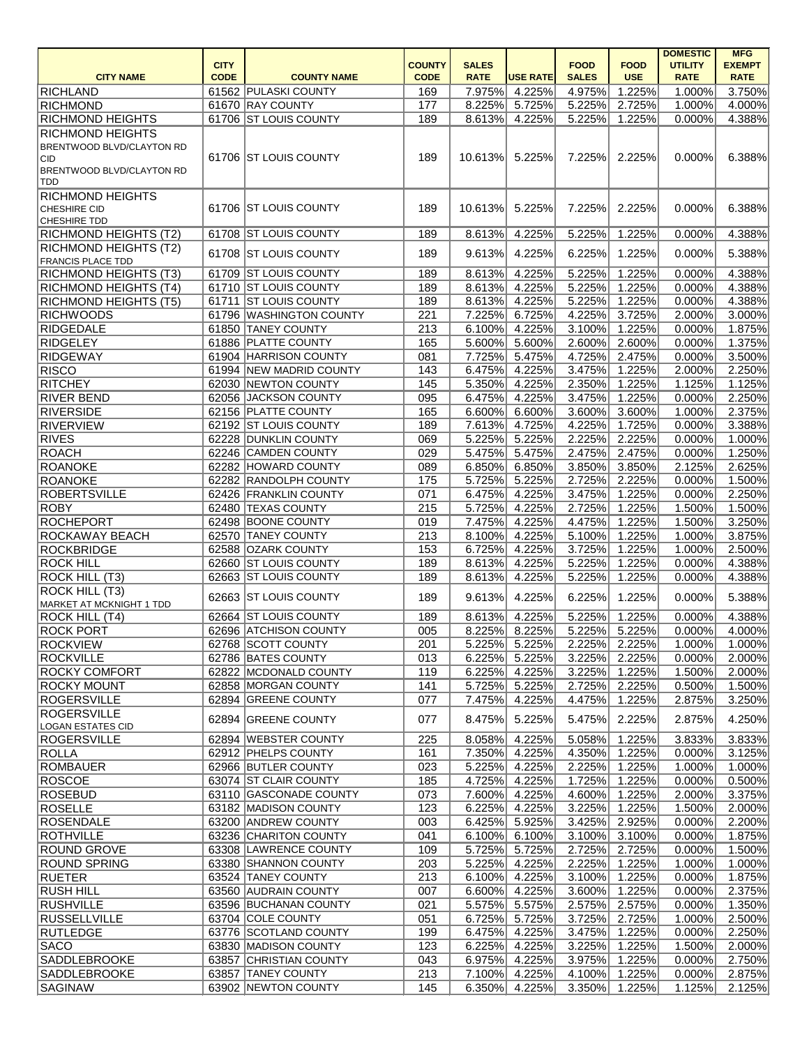|                                           |             |                                               |               |                  |                  |                  |                  | <b>DOMESTIC</b>  | <b>MFG</b>       |
|-------------------------------------------|-------------|-----------------------------------------------|---------------|------------------|------------------|------------------|------------------|------------------|------------------|
|                                           | <b>CITY</b> |                                               | <b>COUNTY</b> | <b>SALES</b>     |                  | <b>FOOD</b>      | <b>FOOD</b>      | <b>UTILITY</b>   | <b>EXEMPT</b>    |
| <b>CITY NAME</b>                          | <b>CODE</b> | <b>COUNTY NAME</b>                            | <b>CODE</b>   | <b>RATE</b>      | <b>USE RATE</b>  | <b>SALES</b>     | <b>USE</b>       | <b>RATE</b>      | <b>RATE</b>      |
| RICHLAND                                  |             | 61562 PULASKI COUNTY                          | 169           | 7.975%           | 4.225%           | 4.975%           | 1.225%           | 1.000%           | 3.750%           |
| <b>RICHMOND</b>                           |             | 61670 RAY COUNTY                              | 177           | 8.225%           | 5.725%           | 5.225%           | 2.725%           | 1.000%           | 4.000%           |
| <b>RICHMOND HEIGHTS</b>                   |             | 61706 ST LOUIS COUNTY                         | 189           | 8.613%           | 4.225%           | 5.225%           | 1.225%           | 0.000%           | 4.388%           |
| <b>RICHMOND HEIGHTS</b>                   |             |                                               |               |                  |                  |                  |                  |                  |                  |
| BRENTWOOD BLVD/CLAYTON RD                 |             |                                               |               |                  |                  |                  |                  |                  |                  |
| CID                                       |             | 61706 ST LOUIS COUNTY                         | 189           | 10.613%          | 5.225%           | 7.225%           | 2.225%           | 0.000%           | 6.388%           |
| <b>BRENTWOOD BLVD/CLAYTON RD</b><br> TDD  |             |                                               |               |                  |                  |                  |                  |                  |                  |
| <b>RICHMOND HEIGHTS</b>                   |             |                                               |               |                  |                  |                  |                  |                  |                  |
| <b>CHESHIRE CID</b>                       |             | 61706 ST LOUIS COUNTY                         | 189           | 10.613%          | 5.225%           | 7.225%           | 2.225%           | 0.000%           | 6.388%           |
| <b>CHESHIRE TDD</b>                       |             |                                               |               |                  |                  |                  |                  |                  |                  |
| <b>RICHMOND HEIGHTS (T2)</b>              |             | 61708 ST LOUIS COUNTY                         | 189           | 8.613%           | 4.225%           | 5.225%           | 1.225%           | 0.000%           | 4.388%           |
| <b>RICHMOND HEIGHTS (T2)</b>              |             |                                               |               |                  |                  |                  |                  |                  |                  |
| <b>FRANCIS PLACE TDD</b>                  |             | 61708 ST LOUIS COUNTY                         | 189           | 9.613%           | 4.225%           | 6.225%           | 1.225%           | 0.000%           | 5.388%           |
| <b>RICHMOND HEIGHTS (T3)</b>              |             | 61709 ST LOUIS COUNTY                         | 189           | 8.613%           | 4.225%           | 5.225%           | 1.225%           | 0.000%           | 4.388%           |
| <b>RICHMOND HEIGHTS (T4)</b>              |             | 61710 ST LOUIS COUNTY                         | 189           | 8.613%           | 4.225%           | 5.225%           | 1.225%           | 0.000%           | 4.388%           |
| <b>RICHMOND HEIGHTS (T5)</b>              |             | 61711 ST LOUIS COUNTY                         | 189           | 8.613%           | 4.225%           | 5.225%           | 1.225%           | 0.000%           | 4.388%           |
| <b>RICHWOODS</b>                          |             | 61796 WASHINGTON COUNTY                       | 221           | 7.225%           | 6.725%           | 4.225%           | 3.725%           | 2.000%           | 3.000%           |
| <b>RIDGEDALE</b>                          |             | 61850 TANEY COUNTY                            | 213           | 6.100%           | 4.225%           | 3.100%           | 1.225%           | 0.000%           | 1.875%           |
| <b>RIDGELEY</b>                           |             | 61886 PLATTE COUNTY                           | 165           | 5.600%           | 5.600%           | 2.600%           | 2.600%           | 0.000%           | 1.375%           |
| <b>RIDGEWAY</b>                           |             | 61904 HARRISON COUNTY                         | 081           | 7.725%           | 5.475%           | 4.725%           | 2.475%           | 0.000%           | 3.500%           |
| <b>RISCO</b>                              |             | 61994 NEW MADRID COUNTY                       | 143           | 6.475%           | 4.225%           | 3.475%           | 1.225%           | 2.000%           | 2.250%           |
| <b>RITCHEY</b>                            |             | 62030 NEWTON COUNTY                           | 145           | 5.350%           | 4.225%           | 2.350%           | 1.225%           | 1.125%           | 1.125%           |
| <b>RIVER BEND</b>                         |             | 62056 JACKSON COUNTY                          | 095           | 6.475%           | 4.225%           | 3.475%           | 1.225%           | 0.000%           | 2.250%           |
| <b>RIVERSIDE</b>                          |             | 62156 PLATTE COUNTY                           | 165           | 6.600%           | 6.600%           | 3.600%           | 3.600%           | 1.000%           | 2.375%           |
| <b>RIVERVIEW</b>                          |             | 62192 ST LOUIS COUNTY                         | 189           | 7.613%           | 4.725%           | 4.225%           | 1.725%           | 0.000%           | 3.388%           |
| <b>RIVES</b>                              |             | 62228 DUNKLIN COUNTY                          | 069           | 5.225%           | 5.225%           | 2.225%           | 2.225%           | 0.000%           | 1.000%           |
| ROACH                                     |             | 62246 CAMDEN COUNTY                           | 029           | 5.475%           | 5.475%           | 2.475%           | 2.475%           | 0.000%           | 1.250%           |
| <b>ROANOKE</b>                            |             | 62282 HOWARD COUNTY                           | 089           | 6.850%           | 6.850%           | 3.850%           | 3.850%           | 2.125%           | 2.625%           |
| <b>ROANOKE</b>                            |             | 62282 RANDOLPH COUNTY                         | 175           | 5.725%           | 5.225%           | 2.725%           | 2.225%           | 0.000%           | 1.500%           |
| <b>ROBERTSVILLE</b>                       |             | 62426 FRANKLIN COUNTY                         | 071           | 6.475%           | 4.225%           | 3.475%           | 1.225%           | 0.000%           | 2.250%           |
| <b>ROBY</b>                               |             | 62480 TEXAS COUNTY                            | 215           | 5.725%           | 4.225%           | 2.725%           | 1.225%           | 1.500%           | 1.500%           |
| <b>ROCHEPORT</b>                          |             | 62498 BOONE COUNTY                            | 019           | 7.475%           | 4.225%           | 4.475%           | 1.225%           | 1.500%           | 3.250%           |
| ROCKAWAY BEACH                            |             | 62570 TANEY COUNTY                            | 213           | 8.100%           | 4.225%           | 5.100%           | 1.225%           | 1.000%           | 3.875%           |
| <b>ROCKBRIDGE</b>                         |             | 62588 OZARK COUNTY                            | 153           | 6.725%           | 4.225%           | 3.725%           | 1.225%           | 1.000%           | 2.500%           |
| ROCK HILL                                 |             | 62660 ST LOUIS COUNTY                         | 189           |                  | 8.613% 4.225%    | 5.225%           | 1.225%           | 0.000%           | 4.388%           |
| <b>ROCK HILL (T3)</b>                     |             | 62663 ST LOUIS COUNTY                         | 189           | 8.613%           | 4.225%           | 5.225%           | 1.225%           | 0.000%           | 4.388%           |
| <b>ROCK HILL (T3)</b>                     |             | 62663 ST LOUIS COUNTY                         | 189           | 9.613%           | 4.225%           | 6.225%           | 1.225%           | 0.000%           | 5.388%           |
| MARKET AT MCKNIGHT 1 TDD                  |             |                                               |               |                  |                  |                  |                  |                  |                  |
| <b>ROCK HILL (T4)</b>                     |             | 62664 ST LOUIS COUNTY                         | 189           | 8.613%           | 4.225%           | 5.225%           | 1.225%           | 0.000%           | 4.388%           |
| <b>ROCK PORT</b>                          |             | 62696 ATCHISON COUNTY                         | 005           | 8.225%           | 8.225%           | 5.225%           | 5.225%           | 0.000%           | 4.000%           |
| <b>ROCKVIEW</b>                           |             | 62768 SCOTT COUNTY                            | 201           | 5.225%           | 5.225%           | 2.225%           | 2.225%           | 1.000%           | 1.000%           |
| <b>ROCKVILLE</b>                          |             | 62786 BATES COUNTY                            | 013           | 6.225%           | 5.225%           | 3.225%           | 2.225%           | 0.000%           | 2.000%           |
| <b>ROCKY COMFORT</b>                      |             | 62822 MCDONALD COUNTY                         | 119           | 6.225%           | 4.225%           | 3.225%           | 1.225%           | 1.500%           | 2.000%           |
| <b>ROCKY MOUNT</b>                        |             | 62858 MORGAN COUNTY                           | 141           | 5.725%           | 5.225%           | 2.725%           | 2.225%           | 0.500%           | 1.500%           |
| <b>ROGERSVILLE</b>                        |             | 62894 GREENE COUNTY                           | 077           | 7.475%           | 4.225%           | 4.475%           | 1.225%           | 2.875%           | 3.250%           |
| <b>ROGERSVILLE</b>                        |             | 62894 GREENE COUNTY                           | 077           | 8.475%           | 5.225%           | 5.475%           | 2.225%           | 2.875%           | 4.250%           |
| <b>LOGAN ESTATES CID</b>                  |             |                                               |               |                  |                  |                  |                  |                  |                  |
| ROGERSVILLE                               |             | 62894 WEBSTER COUNTY                          | 225           | 8.058%           | 4.225%           | 5.058%           | 1.225%           | 3.833%           | 3.833%           |
| ROLLA                                     |             | 62912 PHELPS COUNTY                           | 161           | 7.350%           | 4.225%           | 4.350%           | 1.225%           | 0.000%           | 3.125%           |
| <b>ROMBAUER</b>                           |             | 62966 BUTLER COUNTY                           | 023           | 5.225%           | 4.225%           | 2.225%           | 1.225%           | 1.000%           | 1.000%           |
| <b>ROSCOE</b>                             |             | 63074 ST CLAIR COUNTY                         | 185           | 4.725%           | 4.225%           | 1.725%           | 1.225%           | 0.000%           | 0.500%           |
| <b>ROSEBUD</b>                            |             | 63110 GASCONADE COUNTY                        | 073           | 7.600%           | 4.225%           | 4.600%           | 1.225%           | 2.000%           | 3.375%           |
| <b>ROSELLE</b>                            |             | 63182 MADISON COUNTY                          | 123           | 6.225%           | 4.225%           | 3.225%           | 1.225%           | 1.500%           | 2.000%           |
| <b>ROSENDALE</b>                          |             | 63200 ANDREW COUNTY<br>63236 CHARITON COUNTY  | 003<br>041    | 6.425%           | 5.925%           | 3.425%           | 2.925%           | 0.000%           | 2.200%           |
| <b>ROTHVILLE</b>                          |             |                                               |               | 6.100%           | 6.100%           | 3.100%           | 3.100%           | 0.000%           | 1.875%           |
| <b>ROUND GROVE</b><br><b>ROUND SPRING</b> |             | 63308 LAWRENCE COUNTY<br>63380 SHANNON COUNTY | 109<br>203    | 5.725%<br>5.225% | 5.725%<br>4.225% | 2.725%<br>2.225% | 2.725%<br>1.225% | 0.000%<br>1.000% | 1.500%<br>1.000% |
| <b>RUETER</b>                             |             | 63524 TANEY COUNTY                            | 213           | 6.100%           | 4.225%           | 3.100%           | 1.225%           | 0.000%           | 1.875%           |
| <b>RUSH HILL</b>                          |             | 63560 AUDRAIN COUNTY                          | 007           | 6.600%           | 4.225%           | 3.600%           | 1.225%           | 0.000%           | 2.375%           |
| <b>RUSHVILLE</b>                          |             | 63596 BUCHANAN COUNTY                         | 021           | 5.575%           | 5.575%           | 2.575%           | 2.575%           | 0.000%           | 1.350%           |
| RUSSELLVILLE                              |             | 63704 COLE COUNTY                             | 051           | 6.725%           | 5.725%           | 3.725%           | 2.725%           | 1.000%           | 2.500%           |
| RUTLEDGE                                  |             | 63776 SCOTLAND COUNTY                         | 199           | 6.475%           | 4.225%           | 3.475%           | 1.225%           | 0.000%           | 2.250%           |
| SACO                                      |             | 63830 MADISON COUNTY                          | 123           | 6.225%           | 4.225%           | 3.225%           | 1.225%           | 1.500%           | 2.000%           |
| <b>SADDLEBROOKE</b>                       |             | 63857 CHRISTIAN COUNTY                        | 043           | 6.975%           | 4.225%           | 3.975%           | 1.225%           | 0.000%           | 2.750%           |
| <b>SADDLEBROOKE</b>                       |             | 63857 TANEY COUNTY                            | 213           | 7.100%           | 4.225%           | 4.100%           | 1.225%           | 0.000%           | 2.875%           |
| SAGINAW                                   |             | 63902 NEWTON COUNTY                           | 145           | 6.350%           | 4.225%           | 3.350%           | 1.225%           | 1.125%           | 2.125%           |
|                                           |             |                                               |               |                  |                  |                  |                  |                  |                  |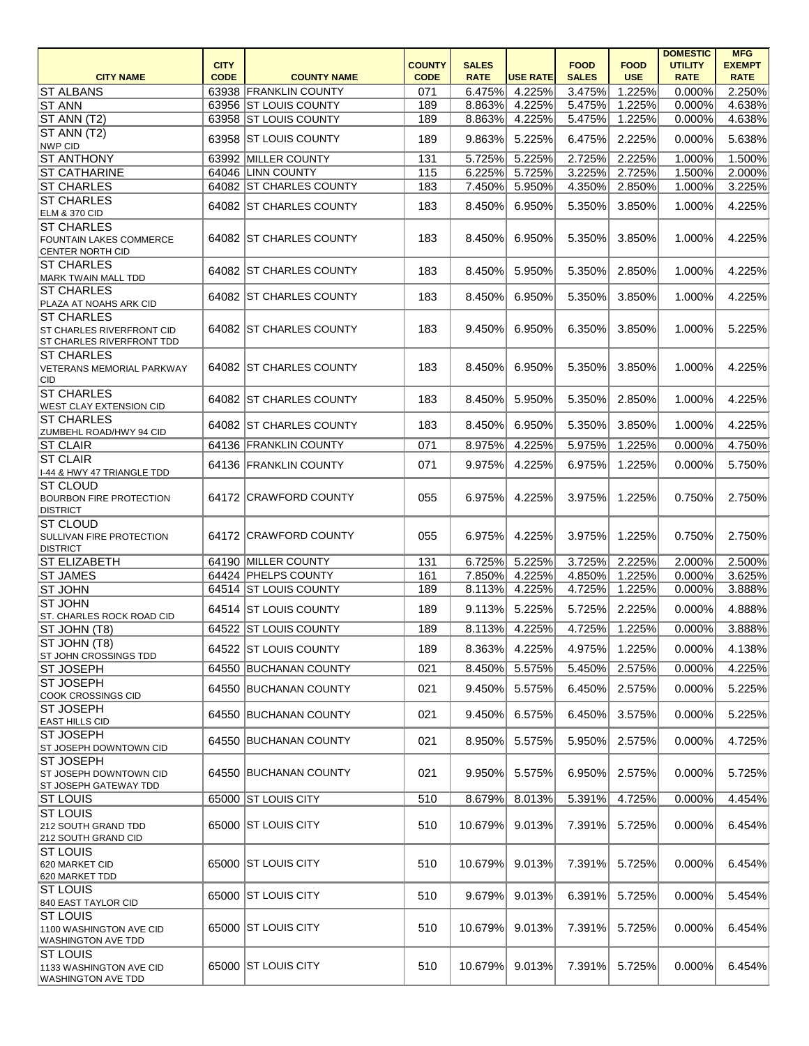|                                                                      |                            |                                                |                              |                             |                 |                             |                           | <b>DOMESTIC</b>               | <b>MFG</b>                   |
|----------------------------------------------------------------------|----------------------------|------------------------------------------------|------------------------------|-----------------------------|-----------------|-----------------------------|---------------------------|-------------------------------|------------------------------|
| <b>CITY NAME</b>                                                     | <b>CITY</b><br><b>CODE</b> | <b>COUNTY NAME</b>                             | <b>COUNTY</b><br><b>CODE</b> | <b>SALES</b><br><b>RATE</b> | <b>USE RATE</b> | <b>FOOD</b><br><b>SALES</b> | <b>FOOD</b><br><b>USE</b> | <b>UTILITY</b><br><b>RATE</b> | <b>EXEMPT</b><br><b>RATE</b> |
|                                                                      |                            |                                                | 071                          | 6.475%                      | 4.225%          | 3.475%                      | 1.225%                    | 0.000%                        | 2.250%                       |
| <b>ST ALBANS</b><br><b>ST ANN</b>                                    |                            | 63938 FRANKLIN COUNTY<br>63956 ST LOUIS COUNTY | 189                          | 8.863%                      | 4.225%          | 5.475%                      | 1.225%                    | 0.000%                        | 4.638%                       |
| ST ANN (T2)                                                          |                            | 63958 ST LOUIS COUNTY                          | 189                          | 8.863%                      | 4.225%          | 5.475%                      | 1.225%                    | 0.000%                        | 4.638%                       |
| ST ANN (T2)                                                          |                            |                                                |                              |                             |                 |                             |                           |                               |                              |
| NWP CID                                                              |                            | 63958 ST LOUIS COUNTY                          | 189                          | 9.863%                      | 5.225%          | 6.475%                      | 2.225%                    | 0.000%                        | 5.638%                       |
| <b>ST ANTHONY</b>                                                    |                            | 63992 MILLER COUNTY                            | 131                          | 5.725%                      | 5.225%          | 2.725%                      | 2.225%                    | 1.000%                        | 1.500%                       |
| <b>ST CATHARINE</b>                                                  |                            | 64046 LINN COUNTY                              | 115                          | 6.225%                      | 5.725%          | 3.225%                      | 2.725%                    | 1.500%                        | 2.000%                       |
| <b>ST CHARLES</b>                                                    |                            | 64082 ST CHARLES COUNTY                        | 183                          | 7.450%                      | 5.950%          | 4.350%                      | 2.850%                    | 1.000%                        | 3.225%                       |
| <b>ST CHARLES</b><br><b>ELM &amp; 370 CID</b>                        |                            | 64082 ST CHARLES COUNTY                        | 183                          | 8.450%                      | 6.950%          | 5.350%                      | 3.850%                    | 1.000%                        | 4.225%                       |
| <b>ST CHARLES</b>                                                    |                            |                                                |                              |                             |                 |                             |                           |                               |                              |
| <b>FOUNTAIN LAKES COMMERCE</b><br><b>CENTER NORTH CID</b>            |                            | 64082 ST CHARLES COUNTY                        | 183                          | 8.450%                      | 6.950%          | 5.350%                      | 3.850%                    | 1.000%                        | 4.225%                       |
| <b>ST CHARLES</b>                                                    |                            | 64082 ST CHARLES COUNTY                        | 183                          | 8.450%                      | 5.950%          | 5.350%                      | 2.850%                    | 1.000%                        | 4.225%                       |
| MARK TWAIN MALL TDD<br><b>ST CHARLES</b>                             |                            | 64082 ST CHARLES COUNTY                        | 183                          | 8.450%                      | 6.950%          | 5.350%                      | 3.850%                    | 1.000%                        | 4.225%                       |
| PLAZA AT NOAHS ARK CID<br><b>ST CHARLES</b>                          |                            |                                                |                              |                             |                 |                             |                           |                               |                              |
| <b>ST CHARLES RIVERFRONT CID</b>                                     |                            | 64082 ST CHARLES COUNTY                        | 183                          | 9.450%                      | 6.950%          | 6.350%                      | 3.850%                    | 1.000%                        | 5.225%                       |
| <b>ST CHARLES RIVERFRONT TDD</b><br><b>ST CHARLES</b>                |                            |                                                |                              |                             |                 |                             |                           |                               |                              |
| <b>VETERANS MEMORIAL PARKWAY</b>                                     |                            | 64082 ST CHARLES COUNTY                        | 183                          | 8.450%                      | 6.950%          | 5.350%                      | 3.850%                    | 1.000%                        | 4.225%                       |
| CID<br><b>ST CHARLES</b>                                             |                            |                                                |                              |                             |                 |                             |                           |                               |                              |
| <b>WEST CLAY EXTENSION CID</b>                                       |                            | 64082 ST CHARLES COUNTY                        | 183                          | 8.450%                      | 5.950%          | 5.350%                      | 2.850%                    | 1.000%                        | 4.225%                       |
| <b>ST CHARLES</b><br><b>ZUMBEHL ROAD/HWY 94 CID</b>                  |                            | 64082 ST CHARLES COUNTY                        | 183                          | 8.450%                      | 6.950%          | 5.350%                      | 3.850%                    | 1.000%                        | 4.225%                       |
| <b>ST CLAIR</b>                                                      |                            | 64136 FRANKLIN COUNTY                          | 071                          | 8.975%                      | 4.225%          | 5.975%                      | 1.225%                    | 0.000%                        | 4.750%                       |
| <b>ST CLAIR</b>                                                      |                            | 64136 FRANKLIN COUNTY                          | 071                          | 9.975%                      | 4.225%          | 6.975%                      | 1.225%                    | 0.000%                        | 5.750%                       |
| 1-44 & HWY 47 TRIANGLE TDD                                           |                            |                                                |                              |                             |                 |                             |                           |                               |                              |
| <b>ST CLOUD</b><br><b>BOURBON FIRE PROTECTION</b><br><b>DISTRICT</b> |                            | 64172 CRAWFORD COUNTY                          | 055                          | 6.975%                      | 4.225%          | 3.975%                      | 1.225%                    | 0.750%                        | 2.750%                       |
| <b>ST CLOUD</b>                                                      |                            |                                                |                              |                             |                 |                             |                           |                               |                              |
| <b>SULLIVAN FIRE PROTECTION</b><br><b>DISTRICT</b>                   |                            | 64172 CRAWFORD COUNTY                          | 055                          | 6.975%                      | 4.225%          | 3.975%                      | 1.225%                    | 0.750%                        | 2.750%                       |
| <b>ST ELIZABETH</b>                                                  |                            | 64190 MILLER COUNTY                            | 131                          |                             | 6.725% 5.225%   | 3.725%                      | 2.225%                    | 2.000%                        | 2.500%                       |
| <b>ST JAMES</b>                                                      |                            | 64424 PHELPS COUNTY                            | 161                          | 7.850%                      | 4.225%          | 4.850%                      | 1.225%                    | 0.000%                        | 3.625%                       |
| $ST$ JOHN                                                            |                            | 64514 ST LOUIS COUNTY                          | 189                          | 8.113%                      | 4.225%          | 4.725%                      | 1.225%                    | 0.000%                        | 3.888%                       |
| <b>ST JOHN</b>                                                       |                            | 64514 ST LOUIS COUNTY                          | 189                          | 9.113%                      | 5.225%          | 5.725%                      | 2.225%                    | 0.000%                        | 4.888%                       |
| ST. CHARLES ROCK ROAD CID                                            |                            |                                                |                              |                             |                 |                             |                           |                               |                              |
| ST JOHN (T8)<br><b>ST JOHN (T8)</b>                                  |                            | 64522 ST LOUIS COUNTY                          | 189                          | 8.113%                      | 4.225%          | 4.725%                      | 1.225%                    | 0.000%                        | 3.888%                       |
| ST JOHN CROSSINGS TDD                                                |                            | 64522 ST LOUIS COUNTY                          | 189                          | 8.363%                      | 4.225%          | 4.975%                      | 1.225%                    | 0.000%                        | 4.138%                       |
| <b>ST JOSEPH</b>                                                     |                            | 64550 BUCHANAN COUNTY                          | 021                          | 8.450%                      | 5.575%          | 5.450%                      | 2.575%                    | 0.000%                        | 4.225%                       |
| <b>ST JOSEPH</b>                                                     |                            | 64550 BUCHANAN COUNTY                          | 021                          | 9.450%                      | 5.575%          | 6.450%                      | 2.575%                    | 0.000%                        | 5.225%                       |
| COOK CROSSINGS CID<br><b>ST JOSEPH</b>                               |                            | 64550 BUCHANAN COUNTY                          | 021                          | 9.450%                      | 6.575%          | 6.450%                      | 3.575%                    | 0.000%                        | 5.225%                       |
| <b>EAST HILLS CID</b>                                                |                            |                                                |                              |                             |                 |                             |                           |                               |                              |
| <b>ST JOSEPH</b><br>ST JOSEPH DOWNTOWN CID                           |                            | 64550 BUCHANAN COUNTY                          | 021                          | 8.950%                      | 5.575%          | 5.950%                      | 2.575%                    | 0.000%                        | 4.725%                       |
| <b>ST JOSEPH</b><br>ST JOSEPH DOWNTOWN CID                           |                            | 64550 BUCHANAN COUNTY                          | 021                          | 9.950%                      | 5.575%          | 6.950%                      | 2.575%                    | 0.000%                        | 5.725%                       |
| ST JOSEPH GATEWAY TDD                                                |                            |                                                |                              |                             |                 |                             |                           |                               |                              |
| <b>ST LOUIS</b>                                                      |                            | 65000 ST LOUIS CITY                            | 510                          | 8.679%                      | 8.013%          | 5.391%                      | 4.725%                    | 0.000%                        | 4.454%                       |
| <b>ST LOUIS</b><br>212 SOUTH GRAND TDD                               |                            | 65000 ST LOUIS CITY                            | 510                          | 10.679%                     | 9.013%          | 7.391%                      | 5.725%                    | 0.000%                        | 6.454%                       |
| 212 SOUTH GRAND CID                                                  |                            |                                                |                              |                             |                 |                             |                           |                               |                              |
| <b>ST LOUIS</b>                                                      |                            |                                                |                              |                             |                 |                             |                           |                               |                              |
| 620 MARKET CID                                                       |                            | 65000 ST LOUIS CITY                            | 510                          | 10.679%                     | 9.013%          | 7.391%                      | 5.725%                    | 0.000%                        | 6.454%                       |
| 620 MARKET TDD<br><b>ST LOUIS</b>                                    |                            |                                                |                              |                             |                 |                             |                           |                               |                              |
| 840 EAST TAYLOR CID                                                  |                            | 65000 ST LOUIS CITY                            | 510                          | 9.679%                      | 9.013%          | 6.391%                      | 5.725%                    | 0.000%                        | 5.454%                       |
| <b>ST LOUIS</b>                                                      |                            |                                                |                              |                             |                 |                             |                           |                               |                              |
| 1100 WASHINGTON AVE CID<br><b>WASHINGTON AVE TDD</b>                 |                            | 65000 ST LOUIS CITY                            | 510                          | 10.679%                     | 9.013%          | 7.391%                      | 5.725%                    | 0.000%                        | 6.454%                       |
| <b>ST LOUIS</b>                                                      |                            |                                                |                              |                             |                 |                             |                           |                               |                              |
| 1133 WASHINGTON AVE CID<br><b>WASHINGTON AVE TDD</b>                 |                            | 65000 ST LOUIS CITY                            | 510                          | 10.679%                     | 9.013%          | 7.391%                      | 5.725%                    | 0.000%                        | 6.454%                       |
|                                                                      |                            |                                                |                              |                             |                 |                             |                           |                               |                              |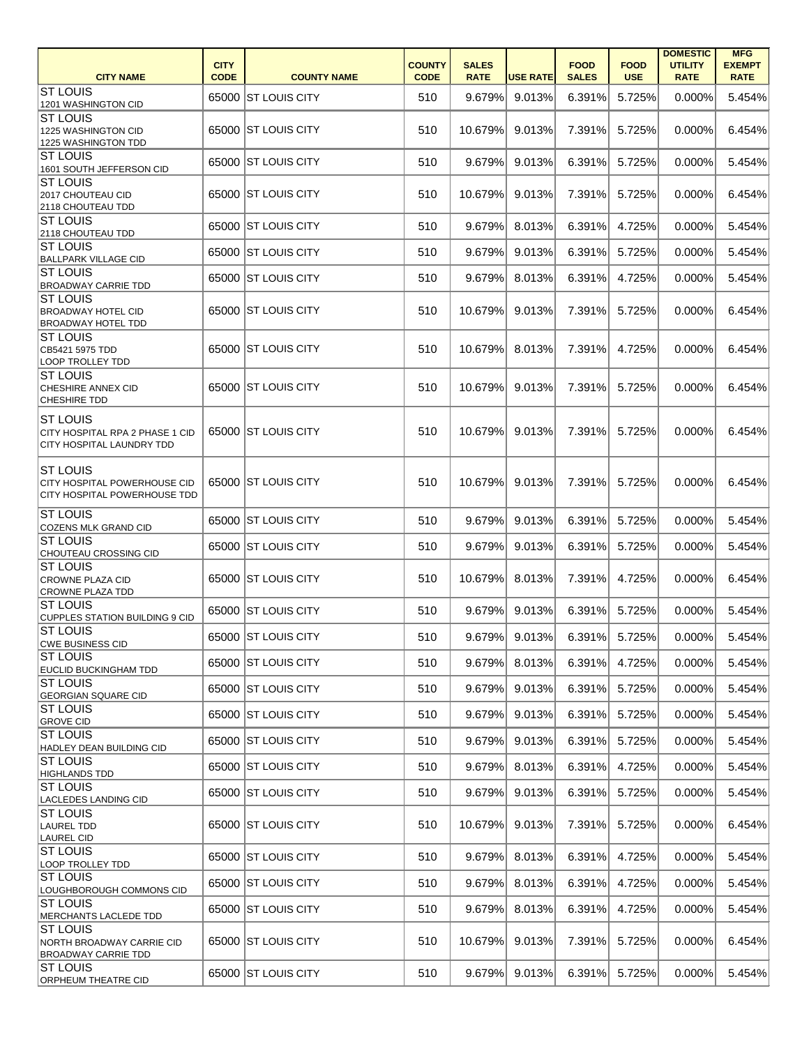| <b>CITY NAME</b>                                                                              | <b>CITY</b><br><b>CODE</b> | <b>COUNTY NAME</b>    | <b>COUNTY</b><br><b>CODE</b> | <b>SALES</b><br><b>RATE</b> | <b>USE RATE</b> | <b>FOOD</b><br><b>SALES</b> | <b>FOOD</b><br><b>USE</b> | <b>DOMESTIC</b><br><b>UTILITY</b><br><b>RATE</b> | <b>MFG</b><br><b>EXEMPT</b><br><b>RATE</b> |
|-----------------------------------------------------------------------------------------------|----------------------------|-----------------------|------------------------------|-----------------------------|-----------------|-----------------------------|---------------------------|--------------------------------------------------|--------------------------------------------|
| <b>ST LOUIS</b><br>1201 WASHINGTON CID                                                        |                            | 65000 ST LOUIS CITY   | 510                          | 9.679%                      | 9.013%          | 6.391%                      | 5.725%                    | 0.000%                                           | 5.454%                                     |
| <b>ST LOUIS</b><br>1225 WASHINGTON CID<br>1225 WASHINGTON TDD                                 |                            | 65000 ST LOUIS CITY   | 510                          | 10.679%                     | 9.013%          | 7.391%                      | 5.725%                    | 0.000%                                           | 6.454%                                     |
| <b>ST LOUIS</b><br>1601 SOUTH JEFFERSON CID                                                   |                            | 65000 ST LOUIS CITY   | 510                          | 9.679%                      | 9.013%          | 6.391%                      | 5.725%                    | 0.000%                                           | 5.454%                                     |
| <b>ST LOUIS</b><br>2017 CHOUTEAU CID<br>2118 CHOUTEAU TDD                                     |                            | 65000 ST LOUIS CITY   | 510                          | 10.679%                     | 9.013%          | 7.391%                      | 5.725%                    | 0.000%                                           | 6.454%                                     |
| <b>ST LOUIS</b><br>2118 CHOUTEAU TDD                                                          |                            | 65000 ST LOUIS CITY   | 510                          | 9.679%                      | 8.013%          | 6.391%                      | 4.725%                    | 0.000%                                           | 5.454%                                     |
| <b>ST LOUIS</b><br><b>BALLPARK VILLAGE CID</b>                                                | 65000                      | <b>IST LOUIS CITY</b> | 510                          | 9.679%                      | 9.013%          | 6.391%                      | 5.725%                    | 0.000%                                           | 5.454%                                     |
| <b>ST LOUIS</b><br><b>BROADWAY CARRIE TDD</b>                                                 |                            | 65000 ST LOUIS CITY   | 510                          | 9.679%                      | 8.013%          | 6.391%                      | 4.725%                    | 0.000%                                           | 5.454%                                     |
| <b>ST LOUIS</b><br><b>BROADWAY HOTEL CID</b><br><b>BROADWAY HOTEL TDD</b>                     |                            | 65000 ST LOUIS CITY   | 510                          | 10.679%                     | 9.013%          | 7.391%                      | 5.725%                    | 0.000%                                           | 6.454%                                     |
| <b>ST LOUIS</b><br>CB5421 5975 TDD<br><b>LOOP TROLLEY TDD</b>                                 |                            | 65000 ST LOUIS CITY   | 510                          | 10.679%                     | 8.013%          | 7.391%                      | 4.725%                    | 0.000%                                           | 6.454%                                     |
| <b>ST LOUIS</b><br><b>CHESHIRE ANNEX CID</b><br><b>CHESHIRE TDD</b>                           |                            | 65000 ST LOUIS CITY   | 510                          | 10.679%                     | 9.013%          | 7.391%                      | 5.725%                    | 0.000%                                           | 6.454%                                     |
| <b>ST LOUIS</b><br><b>CITY HOSPITAL RPA 2 PHASE 1 CID</b><br><b>CITY HOSPITAL LAUNDRY TDD</b> |                            | 65000 ST LOUIS CITY   | 510                          | 10.679%                     | 9.013%          | 7.391%                      | 5.725%                    | 0.000%                                           | 6.454%                                     |
| <b>ST LOUIS</b><br><b>CITY HOSPITAL POWERHOUSE CID</b><br>CITY HOSPITAL POWERHOUSE TDD        |                            | 65000 ST LOUIS CITY   | 510                          | 10.679%                     | 9.013%          | 7.391%                      | 5.725%                    | 0.000%                                           | 6.454%                                     |
| <b>ST LOUIS</b><br>COZENS MLK GRAND CID                                                       |                            | 65000 ST LOUIS CITY   | 510                          | 9.679%                      | 9.013%          | 6.391%                      | 5.725%                    | 0.000%                                           | 5.454%                                     |
| <b>ST LOUIS</b><br>CHOUTEAU CROSSING CID                                                      |                            | 65000 ST LOUIS CITY   | 510                          | 9.679%                      | 9.013%          | 6.391%                      | 5.725%                    | 0.000%                                           | 5.454%                                     |
| <b>ST LOUIS</b><br><b>CROWNE PLAZA CID</b><br><b>CROWNE PLAZA TDD</b>                         |                            | 65000 ST LOUIS CITY   | 510                          | 10.679%                     | 8.013%          | 7.391%                      | 4.725%                    | 0.000%                                           | 6.454%                                     |
| <b>ST LOUIS</b><br>CUPPLES STATION BUILDING 9 CID                                             |                            | 65000 ST LOUIS CITY   | 510                          | 9.679%                      | 9.013%          | 6.391%                      | 5.725%                    | 0.000%                                           | 5.454%                                     |
| <b>ST LOUIS</b><br><b>CWE BUSINESS CID</b>                                                    |                            | 65000 ST LOUIS CITY   | 510                          | 9.679%                      | 9.013%          | 6.391%                      | 5.725%                    | 0.000%                                           | 5.454%                                     |
| <b>ST LOUIS</b><br><b>EUCLID BUCKINGHAM TDD</b>                                               |                            | 65000 ST LOUIS CITY   | 510                          | 9.679%                      | 8.013%          | 6.391%                      | 4.725%                    | 0.000%                                           | 5.454%                                     |
| <b>ST LOUIS</b><br><b>GEORGIAN SQUARE CID</b>                                                 |                            | 65000 ST LOUIS CITY   | 510                          | 9.679%                      | 9.013%          | 6.391%                      | 5.725%                    | 0.000%                                           | 5.454%                                     |
| <b>ST LOUIS</b><br><b>GROVE CID</b>                                                           |                            | 65000 ST LOUIS CITY   | 510                          | 9.679%                      | 9.013%          | 6.391%                      | 5.725%                    | 0.000%                                           | 5.454%                                     |
| <b>ST LOUIS</b><br><b>HADLEY DEAN BUILDING CID</b>                                            |                            | 65000 ST LOUIS CITY   | 510                          | 9.679%                      | 9.013%          | 6.391%                      | 5.725%                    | 0.000%                                           | 5.454%                                     |
| <b>ST LOUIS</b><br><b>HIGHLANDS TDD</b>                                                       |                            | 65000 ST LOUIS CITY   | 510                          | 9.679%                      | 8.013%          | 6.391%                      | 4.725%                    | 0.000%                                           | 5.454%                                     |
| <b>ST LOUIS</b><br><b>LACLEDES LANDING CID</b>                                                |                            | 65000 ST LOUIS CITY   | 510                          | 9.679%                      | 9.013%          | 6.391%                      | 5.725%                    | 0.000%                                           | 5.454%                                     |
| <b>ST LOUIS</b><br>LAUREL TDD<br><b>LAUREL CID</b>                                            |                            | 65000 ST LOUIS CITY   | 510                          | 10.679%                     | 9.013%          | 7.391%                      | 5.725%                    | 0.000%                                           | 6.454%                                     |
| <b>ST LOUIS</b><br><b>LOOP TROLLEY TDD</b>                                                    |                            | 65000 ST LOUIS CITY   | 510                          | 9.679%                      | 8.013%          | 6.391%                      | 4.725%                    | 0.000%                                           | 5.454%                                     |
| <b>ST LOUIS</b><br>LOUGHBOROUGH COMMONS CID                                                   |                            | 65000 ST LOUIS CITY   | 510                          | 9.679%                      | 8.013%          | 6.391%                      | 4.725%                    | 0.000%                                           | 5.454%                                     |
| <b>ST LOUIS</b><br>MERCHANTS LACLEDE TDD                                                      |                            | 65000 ST LOUIS CITY   | 510                          | 9.679%                      | 8.013%          | 6.391%                      | 4.725%                    | 0.000%                                           | 5.454%                                     |
| <b>ST LOUIS</b><br>NORTH BROADWAY CARRIE CID<br><b>BROADWAY CARRIE TDD</b>                    |                            | 65000 ST LOUIS CITY   | 510                          | 10.679%                     | 9.013%          | 7.391%                      | 5.725%                    | 0.000%                                           | 6.454%                                     |
| <b>ST LOUIS</b><br><b>ORPHEUM THEATRE CID</b>                                                 |                            | 65000 ST LOUIS CITY   | 510                          | 9.679%                      | 9.013%          | 6.391%                      | 5.725%                    | 0.000%                                           | 5.454%                                     |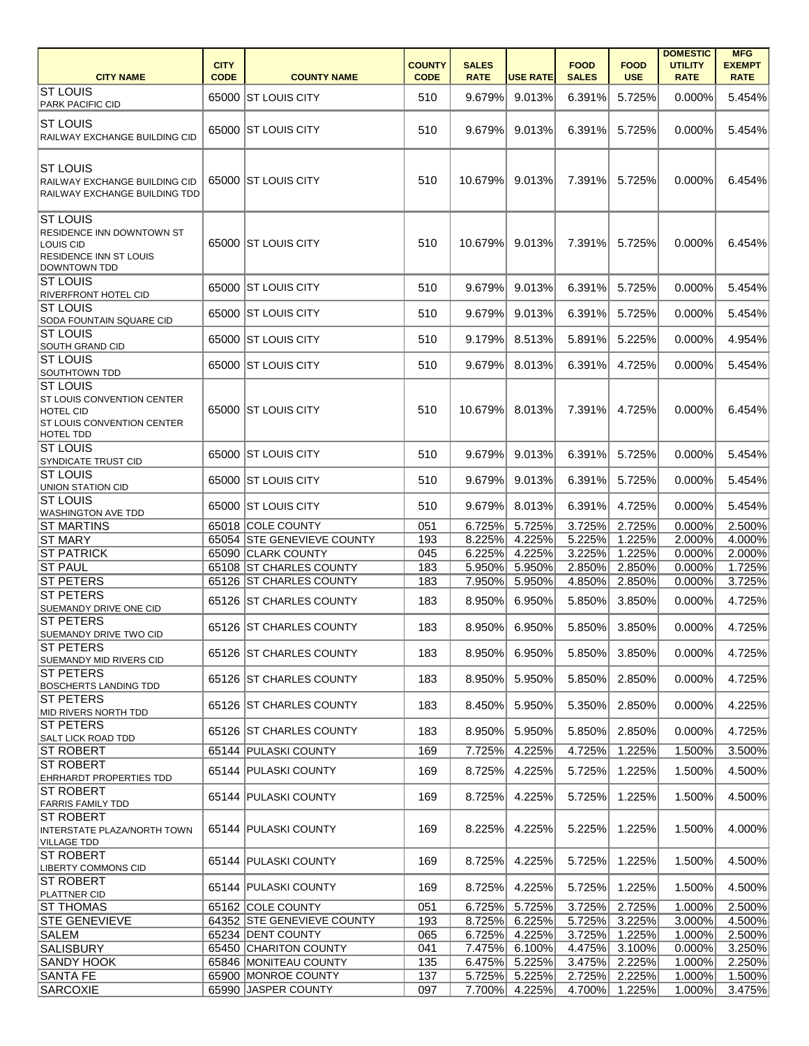|                                                                                                         |             |                            |               |              |                 |              |               | <b>DOMESTIC</b> | <b>MFG</b>    |
|---------------------------------------------------------------------------------------------------------|-------------|----------------------------|---------------|--------------|-----------------|--------------|---------------|-----------------|---------------|
|                                                                                                         | <b>CITY</b> |                            | <b>COUNTY</b> | <b>SALES</b> |                 | <b>FOOD</b>  | <b>FOOD</b>   | <b>UTILITY</b>  | <b>EXEMPT</b> |
| <b>CITY NAME</b>                                                                                        | <b>CODE</b> | <b>COUNTY NAME</b>         | <b>CODE</b>   | <b>RATE</b>  | <b>USE RATE</b> | <b>SALES</b> | <b>USE</b>    | <b>RATE</b>     | <b>RATE</b>   |
| <b>ST LOUIS</b><br><b>PARK PACIFIC CID</b>                                                              |             | 65000 ST LOUIS CITY        | 510           | 9.679%       | 9.013%          | 6.391%       | 5.725%        | 0.000%          | 5.454%        |
|                                                                                                         |             |                            |               |              |                 |              |               |                 |               |
| <b>ST LOUIS</b><br>RAILWAY EXCHANGE BUILDING CID                                                        |             | 65000 ST LOUIS CITY        | 510           | 9.679%       | 9.013%          | 6.391%       | 5.725%        | 0.000%          | 5.454%        |
|                                                                                                         |             |                            |               |              |                 |              |               |                 |               |
| <b>ST LOUIS</b><br>RAILWAY EXCHANGE BUILDING CID<br>RAILWAY EXCHANGE BUILDING TDD                       |             | 65000 ST LOUIS CITY        | 510           | 10.679%      | 9.013%          | 7.391%       | 5.725%        | 0.000%          | 6.454%        |
| <b>ST LOUIS</b>                                                                                         |             |                            |               |              |                 |              |               |                 |               |
| RESIDENCE INN DOWNTOWN ST<br>LOUIS CID<br><b>RESIDENCE INN ST LOUIS</b><br><b>DOWNTOWN TDD</b>          |             | 65000 ST LOUIS CITY        | 510           | 10.679%      | 9.013%          | 7.391%       | 5.725%        | 0.000%          | 6.454%        |
| <b>ST LOUIS</b><br><b>RIVERFRONT HOTEL CID</b>                                                          |             | 65000 ST LOUIS CITY        | 510           | 9.679%       | 9.013%          | 6.391%       | 5.725%        | 0.000%          | 5.454%        |
| <b>ST LOUIS</b>                                                                                         |             | 65000 ST LOUIS CITY        | 510           | 9.679%       | 9.013%          | 6.391%       | 5.725%        | 0.000%          | 5.454%        |
| <b>SODA FOUNTAIN SQUARE CID</b><br><b>ST LOUIS</b>                                                      |             |                            |               |              |                 |              |               |                 |               |
| SOUTH GRAND CID                                                                                         |             | 65000 ST LOUIS CITY        | 510           | 9.179%       | 8.513%          | 5.891%       | 5.225%        | 0.000%          | 4.954%        |
| <b>ST LOUIS</b><br><b>SOUTHTOWN TDD</b>                                                                 |             | 65000 ST LOUIS CITY        | 510           | 9.679%       | 8.013%          | 6.391%       | 4.725%        | 0.000%          | 5.454%        |
| <b>ST LOUIS</b>                                                                                         |             |                            |               |              |                 |              |               |                 |               |
| ST LOUIS CONVENTION CENTER<br><b>HOTEL CID</b><br><b>ST LOUIS CONVENTION CENTER</b><br><b>HOTEL TDD</b> |             | 65000 ST LOUIS CITY        | 510           | 10.679%      | 8.013%          | 7.391%       | 4.725%        | 0.000%          | 6.454%        |
| <b>ST LOUIS</b><br><b>SYNDICATE TRUST CID</b>                                                           |             | 65000 ST LOUIS CITY        | 510           | 9.679%       | 9.013%          | 6.391%       | 5.725%        | 0.000%          | 5.454%        |
| <b>ST LOUIS</b><br>UNION STATION CID                                                                    |             | 65000 ST LOUIS CITY        | 510           | 9.679%       | 9.013%          | 6.391%       | 5.725%        | 0.000%          | 5.454%        |
| <b>ST LOUIS</b><br><b>WASHINGTON AVE TDD</b>                                                            |             | 65000 ST LOUIS CITY        | 510           | 9.679%       | 8.013%          | 6.391%       | 4.725%        | 0.000%          | 5.454%        |
| <b>ST MARTINS</b>                                                                                       |             | 65018 COLE COUNTY          | 051           | 6.725%       | 5.725%          | 3.725%       | 2.725%        | 0.000%          | 2.500%        |
| <b>ST MARY</b>                                                                                          |             | 65054 STE GENEVIEVE COUNTY | 193           | 8.225%       | 4.225%          | 5.225%       | 1.225%        | 2.000%          | 4.000%        |
| <b>ST PATRICK</b>                                                                                       |             | 65090 CLARK COUNTY         | 045           |              | 6.225% 4.225%   |              | 3.225% 1.225% | 0.000%          | 2.000%        |
| <b>ST PAUL</b>                                                                                          |             | 65108 ST CHARLES COUNTY    | 183           |              | 5.950% 5.950%   | 2.850%       | 2.850%        | 0.000%          | 1.725%        |
| <b>ST PETERS</b>                                                                                        |             | 65126 ST CHARLES COUNTY    | 183           | 7.950%       | 5.950%          | 4.850%       | 2.850%        | 0.000%          | 3.725%        |
| <b>ST PETERS</b>                                                                                        |             |                            |               |              |                 |              |               |                 |               |
| <b>SUEMANDY DRIVE ONE CID</b>                                                                           |             | 65126 ST CHARLES COUNTY    | 183           | 8.950%       | 6.950%          | 5.850%       | 3.850%        | 0.000%          | 4.725%        |
| <b>ST PETERS</b><br>SUEMANDY DRIVE TWO CID                                                              |             | 65126 ST CHARLES COUNTY    | 183           | 8.950%       | 6.950%          | 5.850%       | 3.850%        | 0.000%          | 4.725%        |
| <b>ST PETERS</b><br><b>SUEMANDY MID RIVERS CID</b>                                                      |             | 65126 ST CHARLES COUNTY    | 183           | 8.950%       | 6.950%          | 5.850%       | 3.850%        | 0.000%          | 4.725%        |
| <b>ST PETERS</b><br><b>BOSCHERTS LANDING TDD</b>                                                        |             | 65126 ST CHARLES COUNTY    | 183           | 8.950%       | 5.950%          | 5.850%       | 2.850%        | 0.000%          | 4.725%        |
| <b>ST PETERS</b>                                                                                        |             | 65126 ST CHARLES COUNTY    | 183           | 8.450%       | 5.950%          | 5.350%       | 2.850%        | 0.000%          | 4.225%        |
| MID RIVERS NORTH TDD<br><b>ST PETERS</b>                                                                |             | 65126 ST CHARLES COUNTY    | 183           | 8.950%       | 5.950%          | 5.850%       | 2.850%        | 0.000%          | 4.725%        |
| <b>SALT LICK ROAD TDD</b>                                                                               |             |                            |               |              |                 |              |               |                 |               |
| <b>ST ROBERT</b><br><b>ST ROBERT</b>                                                                    |             | 65144 PULASKI COUNTY       | 169           | 7.725%       | 4.225%          | 4.725%       | 1.225%        | 1.500%          | 3.500%        |
| <b>EHRHARDT PROPERTIES TDD</b>                                                                          |             | 65144 PULASKI COUNTY       | 169           | 8.725%       | 4.225%          | 5.725%       | 1.225%        | 1.500%          | 4.500%        |
| <b>ST ROBERT</b><br><b>FARRIS FAMILY TDD</b>                                                            |             | 65144 PULASKI COUNTY       | 169           | 8.725%       | 4.225%          | 5.725%       | 1.225%        | 1.500%          | 4.500%        |
| <b>ST ROBERT</b><br><b>INTERSTATE PLAZA/NORTH TOWN</b><br>VILLAGE TDD                                   |             | 65144 PULASKI COUNTY       | 169           | 8.225%       | 4.225%          | 5.225%       | 1.225%        | 1.500%          | 4.000%        |
| <b>ST ROBERT</b><br><b>LIBERTY COMMONS CID</b>                                                          |             | 65144 PULASKI COUNTY       | 169           | 8.725%       | 4.225%          | 5.725%       | 1.225%        | 1.500%          | 4.500%        |
| <b>ST ROBERT</b><br><b>PLATTNER CID</b>                                                                 |             | 65144 PULASKI COUNTY       | 169           | 8.725%       | 4.225%          | 5.725%       | 1.225%        | 1.500%          | 4.500%        |
| <b>ST THOMAS</b>                                                                                        |             | 65162 COLE COUNTY          | 051           | 6.725%       | 5.725%          | 3.725%       | 2.725%        | 1.000%          | 2.500%        |
| <b>STE GENEVIEVE</b>                                                                                    |             | 64352 STE GENEVIEVE COUNTY | 193           | 8.725%       | 6.225%          | 5.725%       | 3.225%        | 3.000%          | 4.500%        |
| <b>SALEM</b>                                                                                            |             | 65234 DENT COUNTY          | 065           | 6.725%       | 4.225%          | 3.725%       | 1.225%        | 1.000%          | 2.500%        |
| SALISBURY                                                                                               |             | 65450 CHARITON COUNTY      | 041           | 7.475%       | 6.100%          | 4.475%       | 3.100%        | 0.000%          | 3.250%        |
| <b>SANDY HOOK</b>                                                                                       |             | 65846 MONITEAU COUNTY      | 135           | 6.475%       | 5.225%          | 3.475%       | 2.225%        | 1.000%          | 2.250%        |
| <b>SANTA FE</b>                                                                                         |             | 65900 MONROE COUNTY        | 137           | 5.725%       | 5.225%          | 2.725%       | 2.225%        | 1.000%          | 1.500%        |
| SARCOXIE                                                                                                |             | 65990 JASPER COUNTY        | 097           |              | 7.700% 4.225%   | 4.700%       | 1.225%        | 1.000%          | 3.475%        |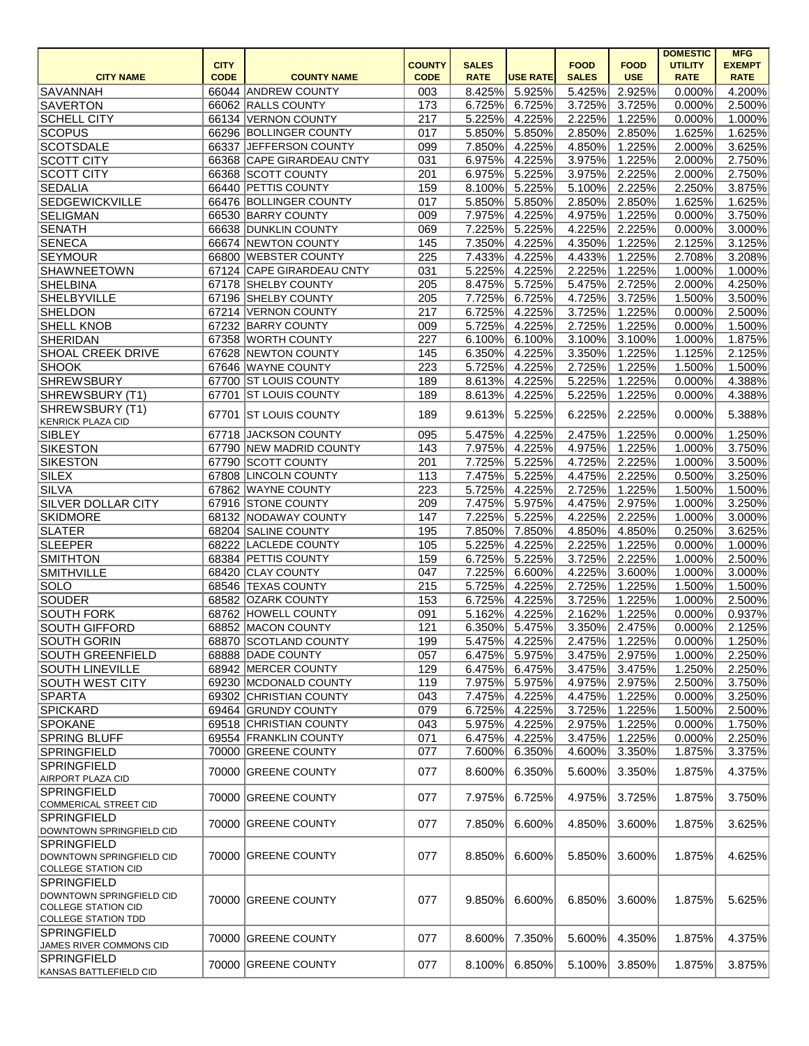|                                                        |             |                           |               |              |                 |              |             | <b>DOMESTIC</b> | <b>MFG</b>    |
|--------------------------------------------------------|-------------|---------------------------|---------------|--------------|-----------------|--------------|-------------|-----------------|---------------|
|                                                        | <b>CITY</b> |                           | <b>COUNTY</b> | <b>SALES</b> |                 | <b>FOOD</b>  | <b>FOOD</b> | <b>UTILITY</b>  | <b>EXEMPT</b> |
| <b>CITY NAME</b>                                       | <b>CODE</b> | <b>COUNTY NAME</b>        | <b>CODE</b>   | <b>RATE</b>  | <b>USE RATE</b> | <b>SALES</b> | <b>USE</b>  | <b>RATE</b>     | <b>RATE</b>   |
| SAVANNAH                                               |             | 66044 ANDREW COUNTY       | 003           | 8.425%       | 5.925%          | 5.425%       | 2.925%      | 0.000%          | 4.200%        |
| <b>SAVERTON</b>                                        |             | 66062 RALLS COUNTY        | 173           | 6.725%       | 6.725%          | 3.725%       | 3.725%      | 0.000%          | 2.500%        |
| <b>SCHELL CITY</b>                                     | 66134       | <b>VERNON COUNTY</b>      | 217           | 5.225%       | 4.225%          | 2.225%       | 1.225%      | 0.000%          | 1.000%        |
| SCOPUS                                                 |             | 66296 BOLLINGER COUNTY    | 017           | 5.850%       | 5.850%          | 2.850%       | 2.850%      | 1.625%          | 1.625%        |
| <b>SCOTSDALE</b>                                       | 66337       | JEFFERSON COUNTY          | 099           | 7.850%       | 4.225%          | 4.850%       | 1.225%      | 2.000%          | 3.625%        |
| <b>SCOTT CITY</b>                                      |             | 66368 CAPE GIRARDEAU CNTY | 031           | 6.975%       | 4.225%          | 3.975%       | 1.225%      | 2.000%          | 2.750%        |
| <b>SCOTT CITY</b>                                      |             | 66368 SCOTT COUNTY        | 201           | 6.975%       | 5.225%          | 3.975%       | 2.225%      | 2.000%          | 2.750%        |
| <b>SEDALIA</b>                                         |             | 66440 PETTIS COUNTY       | 159           | 8.100%       | 5.225%          | 5.100%       | 2.225%      | 2.250%          | 3.875%        |
| <b>SEDGEWICKVILLE</b>                                  |             | 66476 BOLLINGER COUNTY    | 017           | 5.850%       | 5.850%          | 2.850%       | 2.850%      | 1.625%          | 1.625%        |
| <b>SELIGMAN</b>                                        |             | 66530 BARRY COUNTY        | 009           | 7.975%       | 4.225%          | 4.975%       | 1.225%      | 0.000%          | 3.750%        |
| SENATH                                                 |             | 66638 DUNKLIN COUNTY      | 069           | 7.225%       | 5.225%          | 4.225%       | 2.225%      | 0.000%          | 3.000%        |
| <b>SENECA</b>                                          |             | 66674 NEWTON COUNTY       | 145           | 7.350%       | 4.225%          | 4.350%       | 1.225%      | 2.125%          | 3.125%        |
| <b>SEYMOUR</b>                                         |             | 66800 WEBSTER COUNTY      | 225           | 7.433%       | 4.225%          | 4.433%       | 1.225%      | 2.708%          | 3.208%        |
| <b>SHAWNEETOWN</b>                                     |             | 67124 CAPE GIRARDEAU CNTY | 031           | 5.225%       | 4.225%          | 2.225%       | 1.225%      | 1.000%          | 1.000%        |
| <b>SHELBINA</b>                                        |             | 67178 SHELBY COUNTY       | 205           | 8.475%       | 5.725%          | 5.475%       | 2.725%      | 2.000%          | 4.250%        |
| <b>SHELBYVILLE</b>                                     |             | 67196 SHELBY COUNTY       | 205           | 7.725%       | 6.725%          | 4.725%       | 3.725%      | 1.500%          | 3.500%        |
| <b>SHELDON</b>                                         | 67214       | <b>VERNON COUNTY</b>      | 217           | 6.725%       | 4.225%          | 3.725%       | 1.225%      | 0.000%          | 2.500%        |
| <b>SHELL KNOB</b>                                      |             | 67232 BARRY COUNTY        | 009           | 5.725%       | 4.225%          | 2.725%       | 1.225%      | 0.000%          | 1.500%        |
| <b>SHERIDAN</b>                                        |             | 67358 WORTH COUNTY        | 227           | 6.100%       | 6.100%          | $3.100\%$    | 3.100%      | 1.000%          | 1.875%        |
| <b>SHOAL CREEK DRIVE</b>                               |             | 67628 NEWTON COUNTY       | 145           | 6.350%       | 4.225%          | 3.350%       | 1.225%      | 1.125%          | 2.125%        |
| <b>SHOOK</b>                                           |             | 67646 WAYNE COUNTY        | 223           | 5.725%       | 4.225%          | 2.725%       | 1.225%      | 1.500%          | 1.500%        |
| <b>SHREWSBURY</b>                                      |             | 67700 ST LOUIS COUNTY     | 189           | 8.613%       | 4.225%          | 5.225%       | 1.225%      | 0.000%          | 4.388%        |
| SHREWSBURY (T1)                                        |             | 67701 ST LOUIS COUNTY     | 189           | 8.613%       | 4.225%          | 5.225%       | 1.225%      | 0.000%          | 4.388%        |
| SHREWSBURY (T1)<br><b>KENRICK PLAZA CID</b>            | 67701       | <b>ST LOUIS COUNTY</b>    | 189           | 9.613%       | 5.225%          | 6.225%       | 2.225%      | 0.000%          | 5.388%        |
| <b>SIBLEY</b>                                          | 67718       | <b>JACKSON COUNTY</b>     | 095           | 5.475%       | 4.225%          | 2.475%       | 1.225%      | 0.000%          | 1.250%        |
| <b>SIKESTON</b>                                        | 67790       | <b>NEW MADRID COUNTY</b>  | 143           | 7.975%       | 4.225%          | 4.975%       | 1.225%      | 1.000%          | 3.750%        |
| <b>SIKESTON</b>                                        | 67790       | <b>SCOTT COUNTY</b>       | 201           | 7.725%       | 5.225%          | 4.725%       | 2.225%      | 1.000%          | 3.500%        |
| <b>SILEX</b>                                           |             | 67808 LINCOLN COUNTY      | 113           | 7.475%       | 5.225%          | 4.475%       | 2.225%      | 0.500%          | 3.250%        |
| SILVA                                                  |             | 67862 WAYNE COUNTY        | 223           | 5.725%       | 4.225%          | 2.725%       | 1.225%      | 1.500%          | 1.500%        |
| <b>SILVER DOLLAR CITY</b>                              |             | 67916 STONE COUNTY        | 209           | 7.475%       | 5.975%          | 4.475%       | 2.975%      | 1.000%          | 3.250%        |
| <b>SKIDMORE</b>                                        |             | 68132 NODAWAY COUNTY      | 147           | 7.225%       | 5.225%          | 4.225%       | 2.225%      | 1.000%          | 3.000%        |
| <b>SLATER</b>                                          | 68204       | <b>SALINE COUNTY</b>      | 195           | 7.850%       | 7.850%          | 4.850%       | 4.850%      | 0.250%          | 3.625%        |
| <b>SLEEPER</b>                                         |             | 68222 LACLEDE COUNTY      | 105           | 5.225%       | 4.225%          | 2.225%       | 1.225%      | 0.000%          | 1.000%        |
| <b>SMITHTON</b>                                        |             | 68384 PETTIS COUNTY       | 159           | 6.725%       | 5.225%          | 3.725%       | 2.225%      | 1.000%          | 2.500%        |
| <b>SMITHVILLE</b>                                      |             | 68420 CLAY COUNTY         | 047           | 7.225%       | 6.600%          | 4.225%       | 3.600%      | 1.000%          | 3.000%        |
| SOLO                                                   |             | 68546 TEXAS COUNTY        | 215           | 5.725%       | 4.225%          | 2.725%       | 1.225%      | 1.500%          | 1.500%        |
| SOUDER                                                 |             | 68582 OZARK COUNTY        | 153           | 6.725%       | 4.225%          | 3.725%       | 1.225%      | 1.000%          | 2.500%        |
| <b>SOUTH FORK</b>                                      |             | 68762 HOWELL COUNTY       | 091           | 5.162%       | 4.225%          | 2.162%       | 1.225%      | 0.000%          | 0.937%        |
| <b>SOUTH GIFFORD</b>                                   |             | 68852 MACON COUNTY        | 121           | 6.350%       | 5.475%          | 3.350%       | 2.475%      | 0.000%          | 2.125%        |
| <b>SOUTH GORIN</b>                                     |             | 68870 SCOTLAND COUNTY     | 199           | 5.475%       | 4.225%          | 2.475%       | 1.225%      | 0.000%          | 1.250%        |
| <b>SOUTH GREENFIELD</b>                                |             | 68888 DADE COUNTY         | 057           | 6.475%       | 5.975%          | 3.475%       | 2.975%      | 1.000%          | 2.250%        |
| <b>SOUTH LINEVILLE</b>                                 |             | 68942 MERCER COUNTY       | 129           | 6.475%       | 6.475%          | 3.475%       | 3.475%      | 1.250%          | 2.250%        |
| <b>SOUTH WEST CITY</b>                                 |             | 69230 MCDONALD COUNTY     | 119           | 7.975%       | 5.975%          | 4.975%       | 2.975%      | 2.500%          | 3.750%        |
| SPARTA                                                 |             | 69302 CHRISTIAN COUNTY    | 043           | 7.475%       | 4.225%          | 4.475%       | 1.225%      | 0.000%          | 3.250%        |
| <b>SPICKARD</b>                                        |             | 69464 GRUNDY COUNTY       | 079           | 6.725%       | 4.225%          | 3.725%       | 1.225%      | 1.500%          | 2.500%        |
| <b>SPOKANE</b>                                         |             | 69518 CHRISTIAN COUNTY    | 043           | 5.975%       | 4.225%          | 2.975%       | 1.225%      | 0.000%          | 1.750%        |
| <b>SPRING BLUFF</b>                                    |             | 69554 FRANKLIN COUNTY     | 071           | 6.475%       | 4.225%          | 3.475%       | 1.225%      | 0.000%          | 2.250%        |
| <b>SPRINGFIELD</b>                                     |             | 70000 GREENE COUNTY       | 077           | 7.600%       | 6.350%          | 4.600%       | 3.350%      | 1.875%          | 3.375%        |
| <b>SPRINGFIELD</b>                                     |             | 70000 GREENE COUNTY       | 077           | 8.600%       | 6.350%          | 5.600%       | 3.350%      | 1.875%          | 4.375%        |
| AIRPORT PLAZA CID<br><b>SPRINGFIELD</b>                |             |                           |               |              |                 |              |             |                 |               |
| COMMERICAL STREET CID                                  |             | 70000 GREENE COUNTY       | 077           | 7.975%       | 6.725%          | 4.975%       | 3.725%      | 1.875%          | 3.750%        |
| <b>SPRINGFIELD</b><br>DOWNTOWN SPRINGFIELD CID         |             | 70000 GREENE COUNTY       | 077           | 7.850%       | 6.600%          | 4.850%       | 3.600%      | 1.875%          | 3.625%        |
| <b>SPRINGFIELD</b>                                     |             |                           |               |              |                 |              |             |                 |               |
| DOWNTOWN SPRINGFIELD CID<br><b>COLLEGE STATION CID</b> |             | 70000 GREENE COUNTY       | 077           | 8.850%       | 6.600%          | 5.850%       | 3.600%      | 1.875%          | 4.625%        |
| SPRINGFIELD                                            |             |                           |               |              |                 |              |             |                 |               |
| DOWNTOWN SPRINGFIELD CID                               |             | 70000 GREENE COUNTY       | 077           | 9.850%       | 6.600%          | 6.850%       | 3.600%      | 1.875%          | 5.625%        |
| <b>COLLEGE STATION CID</b>                             |             |                           |               |              |                 |              |             |                 |               |
| <b>COLLEGE STATION TDD</b>                             |             |                           |               |              |                 |              |             |                 |               |
| SPRINGFIELD                                            |             | 70000 GREENE COUNTY       | 077           | 8.600%       | 7.350%          | 5.600%       | 4.350%      | 1.875%          | 4.375%        |
| JAMES RIVER COMMONS CID                                |             |                           |               |              |                 |              |             |                 |               |
| <b>SPRINGFIELD</b><br>KANSAS BATTLEFIELD CID           |             | 70000 GREENE COUNTY       | 077           | 8.100%       | 6.850%          | 5.100%       | 3.850%      | 1.875%          | 3.875%        |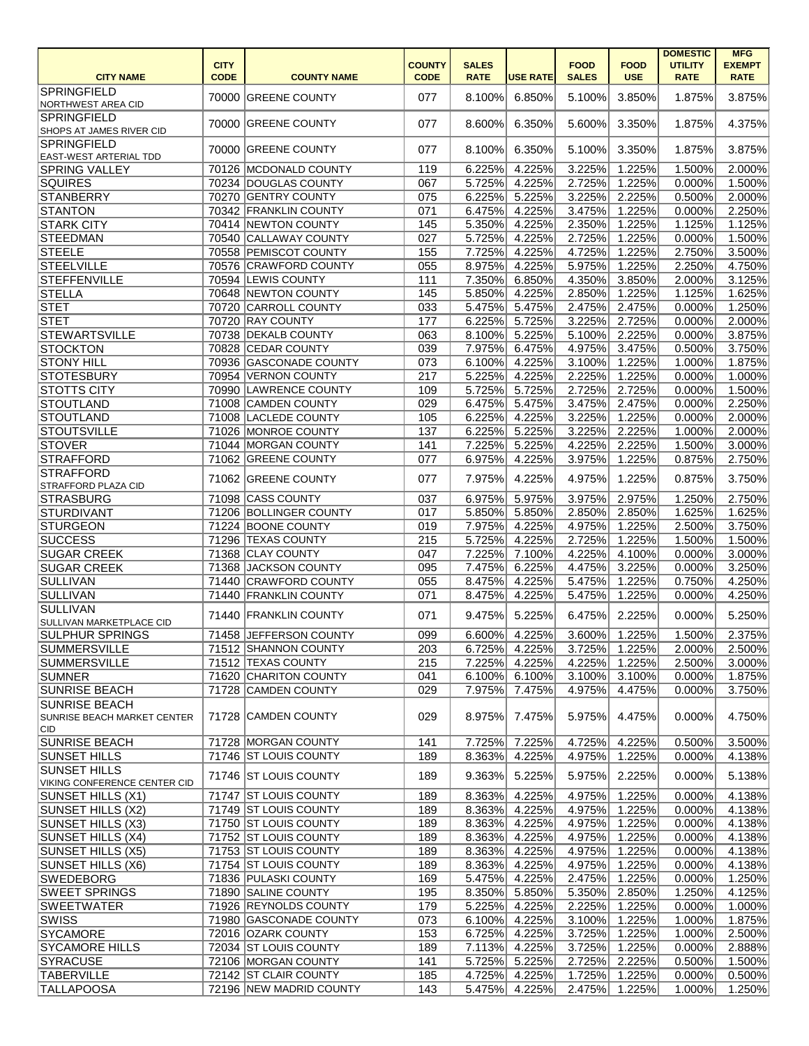|                                                            | <b>CITY</b> |                                                  | <b>COUNTY</b> | <b>SALES</b>     |                  | <b>FOOD</b>      | <b>FOOD</b>      | <b>DOMESTIC</b><br><b>UTILITY</b> | <b>MFG</b><br><b>EXEMPT</b> |
|------------------------------------------------------------|-------------|--------------------------------------------------|---------------|------------------|------------------|------------------|------------------|-----------------------------------|-----------------------------|
| <b>CITY NAME</b>                                           | <b>CODE</b> | <b>COUNTY NAME</b>                               | <b>CODE</b>   | <b>RATE</b>      | <b>USE RATE</b>  | <b>SALES</b>     | <b>USE</b>       | <b>RATE</b>                       | <b>RATE</b>                 |
| <b>SPRINGFIELD</b><br>NORTHWEST AREA CID                   |             | 70000 GREENE COUNTY                              | 077           | 8.100%           | 6.850%           | 5.100%           | 3.850%           | 1.875%                            | 3.875%                      |
| <b>SPRINGFIELD</b><br>SHOPS AT JAMES RIVER CID             |             | 70000 GREENE COUNTY                              | 077           | 8.600%           | 6.350%           | 5.600%           | 3.350%           | 1.875%                            | 4.375%                      |
| <b>SPRINGFIELD</b><br><b>EAST-WEST ARTERIAL TDD</b>        |             | 70000 GREENE COUNTY                              | 077           | 8.100%           | 6.350%           | 5.100%           | 3.350%           | 1.875%                            | 3.875%                      |
| <b>SPRING VALLEY</b>                                       |             | 70126 MCDONALD COUNTY                            | 119           | 6.225%           | 4.225%           | 3.225%           | 1.225%           | 1.500%                            | 2.000%                      |
| <b>SQUIRES</b>                                             |             | 70234 DOUGLAS COUNTY                             | 067           | 5.725%           | 4.225%           | 2.725%           | 1.225%           | 0.000%                            | 1.500%                      |
| STANBERRY                                                  |             | 70270 GENTRY COUNTY                              | 075           | 6.225%           | 5.225%           | 3.225%           | 2.225%           | 0.500%                            | 2.000%                      |
| STANTON                                                    |             | 70342 FRANKLIN COUNTY                            | 071           | 6.475%           | 4.225%           | 3.475%           | 1.225%           | 0.000%                            | 2.250%                      |
| <b>STARK CITY</b>                                          |             | 70414 NEWTON COUNTY                              | 145           | 5.350%           | 4.225%           | 2.350%           | 1.225%           | 1.125%                            | 1.125%                      |
| <b>STEEDMAN</b>                                            |             | 70540 CALLAWAY COUNTY                            | 027           | 5.725%           | 4.225%           | 2.725%           | 1.225%           | 0.000%                            | 1.500%                      |
| STEELE                                                     |             | 70558 PEMISCOT COUNTY                            | 155           | 7.725%           | 4.225%           | 4.725%           | 1.225%           | 2.750%                            | 3.500%                      |
| <b>STEELVILLE</b>                                          |             | 70576 CRAWFORD COUNTY                            | 055           | 8.975%           | 4.225%           | 5.975%           | 1.225%           | 2.250%                            | 4.750%                      |
| STEFFENVILLE                                               |             | 70594 LEWIS COUNTY                               | 111           | 7.350%           | 6.850%           | 4.350%           | 3.850%           | 2.000%                            | 3.125%                      |
| STELLA                                                     |             | 70648 NEWTON COUNTY                              | 145           | 5.850%           | 4.225%           | 2.850%           | 1.225%           | 1.125%                            | 1.625%                      |
| <b>STET</b>                                                |             | 70720 CARROLL COUNTY                             | 033           | 5.475%           | 5.475%           | 2.475%           | 2.475%           | 0.000%                            | 1.250%                      |
| $ {\tt STET} $                                             |             | 70720 RAY COUNTY                                 | 177           | 6.225%           | 5.725%           | 3.225%           | 2.725%           | 0.000%                            | 2.000%                      |
| <b>STEWARTSVILLE</b>                                       |             | 70738 DEKALB COUNTY                              | 063           | 8.100%           | 5.225%           | 5.100%           | 2.225%           | 0.000%                            | 3.875%                      |
| <b>STOCKTON</b>                                            |             | 70828 CEDAR COUNTY                               | 039           | 7.975%           | 6.475%           | 4.975%           | 3.475%           | 0.500%                            | 3.750%                      |
| <b>STONY HILL</b>                                          |             | 70936 GASCONADE COUNTY                           | 073           | 6.100%           | 4.225%           | 3.100%           | 1.225%           | 1.000%                            | 1.875%                      |
| <b>STOTESBURY</b>                                          |             | 70954 VERNON COUNTY                              | 217           | 5.225%           | 4.225%           | 2.225%           | 1.225%           | 0.000%                            | 1.000%                      |
| <b>STOTTS CITY</b>                                         |             | 70990 LAWRENCE COUNTY                            | 109           | 5.725%           | 5.725%           | 2.725%           | 2.725%           | 0.000%                            | 1.500%                      |
| STOUTLAND                                                  |             | 71008 CAMDEN COUNTY                              | 029           | 6.475%           | 5.475%           | 3.475%           | 2.475%           | 0.000%                            | 2.250%                      |
| STOUTLAND                                                  |             | 71008 LACLEDE COUNTY                             | 105           | 6.225%           | 4.225%           | 3.225%           | 1.225%           | 0.000%                            | 2.000%                      |
| <b>STOUTSVILLE</b>                                         |             | 71026 MONROE COUNTY                              | 137           | 6.225%           | 5.225%           | 3.225%           | 2.225%           | 1.000%                            | 2.000%                      |
| <b>STOVER</b>                                              |             | 71044 MORGAN COUNTY                              | 141           | 7.225%           | 5.225%           | 4.225%           | 2.225%           | 1.500%                            | 3.000%                      |
| <b>STRAFFORD</b>                                           |             | 71062 GREENE COUNTY                              | 077           | 6.975%           | 4.225%           | 3.975%           | 1.225%           | 0.875%                            | 2.750%                      |
| <b>STRAFFORD</b><br><b>STRAFFORD PLAZA CID</b>             | 71062       | <b>GREENE COUNTY</b>                             | 077           | 7.975%           | 4.225%           | 4.975%           | 1.225%           | 0.875%                            | 3.750%                      |
| STRASBURG                                                  |             | 71098 CASS COUNTY                                | 037           | 6.975%           | 5.975%           | 3.975%           | 2.975%           | 1.250%                            | 2.750%                      |
| <b>STURDIVANT</b>                                          |             | 71206 BOLLINGER COUNTY                           | 017           | 5.850%           | 5.850%           | 2.850%           | 2.850%           | 1.625%                            | 1.625%                      |
| <b>STURGEON</b>                                            |             | 71224 BOONE COUNTY                               | 019           | 7.975%           | 4.225%           | 4.975%           | 1.225%           | 2.500%                            | 3.750%                      |
| <b>SUCCESS</b>                                             |             | 71296 TEXAS COUNTY                               | 215           | 5.725%           | 4.225%           | 2.725%           | 1.225%           | 1.500%                            | 1.500%                      |
| <b>SUGAR CREEK</b>                                         |             | 71368 CLAY COUNTY                                | 047           |                  | 7.225% 7.100%    |                  | 4.225% 4.100%    | $0.000\%$                         | 3.000%                      |
| <b>SUGAR CREEK</b>                                         |             | 71368 JACKSON COUNTY                             | 095           | 7.475%           | 6.225%           |                  | 4.475% 3.225%    | $0.000\%$                         | 3.250%                      |
| SULLIVAN                                                   |             | 71440 CRAWFORD COUNTY                            | 055           | 8.475%           | 4.225%           |                  | 5.475% 1.225%    | 0.750%                            | 4.250%                      |
| SULLIVAN                                                   |             | 71440 FRANKLIN COUNTY                            | 071           | 8.475%           | 4.225%           | 5.475%           | 1.225%           | 0.000%                            | 4.250%                      |
| <b>SULLIVAN</b><br>SULLIVAN MARKETPLACE CID                |             | 71440 FRANKLIN COUNTY                            | 071           | 9.475%           | 5.225%           | 6.475%           | 2.225%           | 0.000%                            | 5.250%                      |
| <b>SULPHUR SPRINGS</b>                                     |             | 71458 JEFFERSON COUNTY                           | 099           | 6.600%           | 4.225%           | 3.600%           | 1.225%           | 1.500%                            | 2.375%                      |
| <b>SUMMERSVILLE</b>                                        |             | 71512 SHANNON COUNTY                             | 203           | 6.725%           | 4.225%           | 3.725%           | 1.225%           | 2.000%                            | 2.500%                      |
| <b>SUMMERSVILLE</b>                                        |             | 71512 TEXAS COUNTY                               | 215           | 7.225%           | 4.225%           | 4.225%           | 1.225%           | 2.500%                            | 3.000%                      |
| SUMNER                                                     |             | 71620 CHARITON COUNTY                            | 041           | 6.100%           | 6.100%           | 3.100%           | 3.100%           | 0.000%                            | 1.875%                      |
| <b>SUNRISE BEACH</b>                                       |             | 71728 CAMDEN COUNTY                              | 029           | 7.975%           | 7.475%           | 4.975%           | 4.475%           | 0.000%                            | 3.750%                      |
| <b>SUNRISE BEACH</b><br><b>SUNRISE BEACH MARKET CENTER</b> |             | 71728 CAMDEN COUNTY                              | 029           | 8.975%           | 7.475%           | 5.975%           | 4.475%           | 0.000%                            | 4.750%                      |
| CID                                                        |             |                                                  |               |                  |                  |                  |                  |                                   |                             |
| <b>SUNRISE BEACH</b>                                       |             | 71728 MORGAN COUNTY                              | 141           | 7.725%           | 7.225%           | 4.725%           | 4.225%           | 0.500%                            | 3.500%                      |
| <b>SUNSET HILLS</b><br><b>SUNSET HILLS</b>                 |             | 71746 ST LOUIS COUNTY<br>71746 ST LOUIS COUNTY   | 189<br>189    | 8.363%<br>9.363% | 4.225%<br>5.225% | 4.975%<br>5.975% | 1.225%<br>2.225% | 0.000%<br>0.000%                  | 4.138%<br>5.138%            |
| VIKING CONFERENCE CENTER CID<br>SUNSET HILLS (X1)          |             | 71747 ST LOUIS COUNTY                            | 189           | 8.363%           | 4.225%           | 4.975%           | 1.225%           | 0.000%                            | 4.138%                      |
| SUNSET HILLS (X2)                                          |             | 71749 ST LOUIS COUNTY                            | 189           | 8.363%           | 4.225%           | 4.975%           | 1.225%           | 0.000%                            | 4.138%                      |
| SUNSET HILLS (X3)                                          |             | 71750 ST LOUIS COUNTY                            | 189           | 8.363%           | 4.225%           | 4.975%           | 1.225%           | 0.000%                            | 4.138%                      |
|                                                            |             | 71752 ST LOUIS COUNTY                            | 189           |                  |                  | 4.975%           | 1.225%           | 0.000%                            |                             |
| SUNSET HILLS (X4)<br>SUNSET HILLS (X5)                     |             | 71753 ST LOUIS COUNTY                            | 189           | 8.363%<br>8.363% | 4.225%<br>4.225% | 4.975%           | 1.225%           | 0.000%                            | 4.138%<br>4.138%            |
| SUNSET HILLS (X6)                                          |             | 71754 ST LOUIS COUNTY                            | 189           | 8.363%           | 4.225%           | 4.975%           | 1.225%           | 0.000%                            | 4.138%                      |
| <b>SWEDEBORG</b>                                           |             | 71836 PULASKI COUNTY                             | 169           | 5.475%           | 4.225%           | 2.475%           | 1.225%           | 0.000%                            | 1.250%                      |
| <b>SWEET SPRINGS</b>                                       |             | 71890 SALINE COUNTY                              | 195           | 8.350%           | 5.850%           | 5.350%           | 2.850%           | 1.250%                            | 4.125%                      |
| <b>SWEETWATER</b>                                          |             | 71926 REYNOLDS COUNTY                            | 179           | 5.225%           | 4.225%           | 2.225%           | 1.225%           | 0.000%                            | 1.000%                      |
|                                                            |             | 71980 GASCONADE COUNTY                           |               |                  |                  |                  |                  |                                   |                             |
| SWISS                                                      |             | 72016 OZARK COUNTY                               | 073           | 6.100%           | 4.225%           | 3.100%           | 1.225%           | 1.000%<br>1.000%                  | 1.875%                      |
| <b>SYCAMORE</b>                                            |             |                                                  | 153           | 6.725%           | 4.225%           | 3.725%           | 1.225%           |                                   | 2.500%                      |
| <b>SYCAMORE HILLS</b>                                      |             | 72034 ST LOUIS COUNTY                            | 189           | 7.113%           | 4.225%           | 3.725%           | 1.225%           | 0.000%                            | 2.888%                      |
| SYRACUSE                                                   |             | 72106 MORGAN COUNTY                              | 141           | 5.725%           | 5.225%           | 2.725%           | 2.225%           | 0.500%                            | 1.500%                      |
| <b>TABERVILLE</b>                                          |             | 72142 ST CLAIR COUNTY<br>72196 NEW MADRID COUNTY | 185           | 4.725%           | 4.225%           | 1.725%           | 1.225%           | 0.000%                            | 0.500%                      |
| <b>TALLAPOOSA</b>                                          |             |                                                  | 143           | 5.475%           | 4.225%           |                  | 2.475% 1.225%    | $1.000\%$                         | 1.250%                      |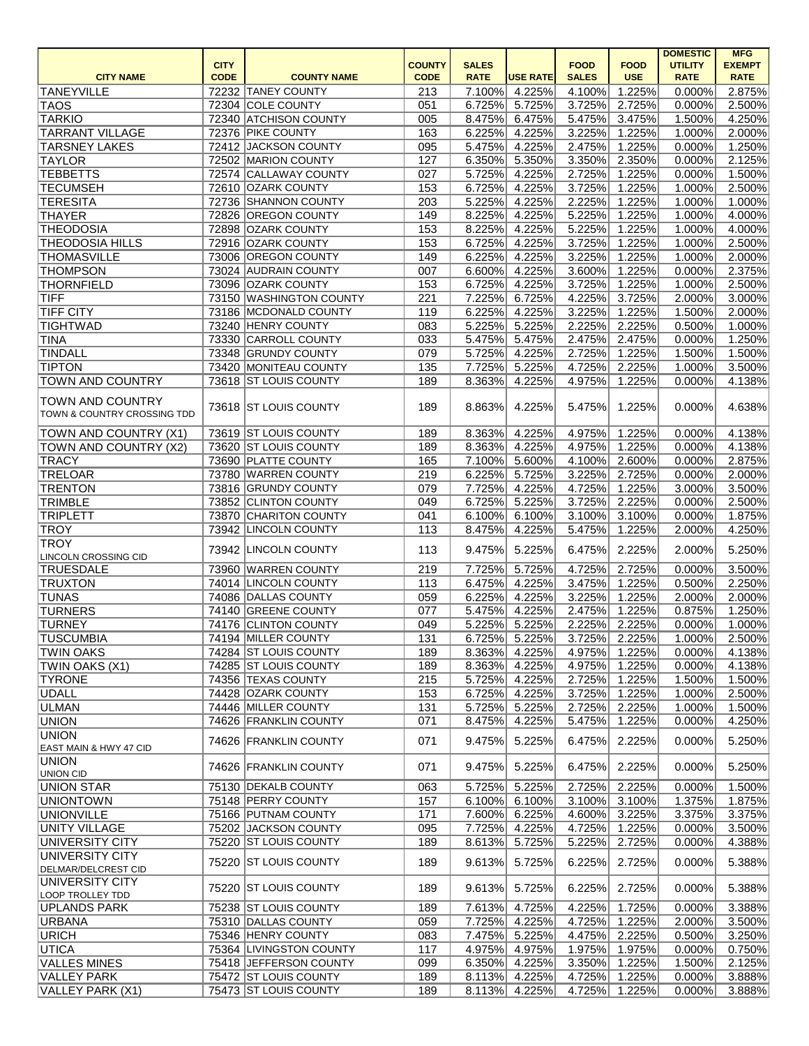|                                                        |             |                                           |               |                  |                  |                  |                  | <b>DOMESTIC</b>  | <b>MFG</b>       |
|--------------------------------------------------------|-------------|-------------------------------------------|---------------|------------------|------------------|------------------|------------------|------------------|------------------|
|                                                        | <b>CITY</b> |                                           | <b>COUNTY</b> | <b>SALES</b>     |                  | <b>FOOD</b>      | <b>FOOD</b>      | <b>UTILITY</b>   | <b>EXEMPT</b>    |
| <b>CITY NAME</b>                                       | <b>CODE</b> | <b>COUNTY NAME</b>                        | <b>CODE</b>   | <b>RATE</b>      | <b>USE RATE</b>  | <b>SALES</b>     | <b>USE</b>       | <b>RATE</b>      | <b>RATE</b>      |
| <b>TANEYVILLE</b>                                      |             | 72232 TANEY COUNTY                        | 213           | 7.100%           | 4.225%           | 4.100%           | 1.225%           | 0.000%           | 2.875%           |
| <b>TAOS</b>                                            |             | 72304 COLE COUNTY                         | 051           | 6.725%           | 5.725%           | 3.725%           | 2.725%           | 0.000%           | 2.500%           |
| <b>TARKIO</b>                                          |             | 72340 ATCHISON COUNTY                     | 005           | 8.475%           | 6.475%           | 5.475%           | 3.475%           | 1.500%           | 4.250%           |
| <b>TARRANT VILLAGE</b>                                 |             | 72376 PIKE COUNTY                         | 163           | 6.225%           | 4.225%           | 3.225%           | 1.225%           | 1.000%           | 2.000%           |
| <b>TARSNEY LAKES</b>                                   |             | 72412 JACKSON COUNTY                      | 095           | 5.475%           | 4.225%           | 2.475%           | 1.225%           | 0.000%           | 1.250%           |
| <b>TAYLOR</b>                                          |             | 72502 MARION COUNTY                       | 127           | 6.350%           | 5.350%           | 3.350%           | 2.350%           | 0.000%           | 2.125%           |
| <b>TEBBETTS</b>                                        |             | 72574 CALLAWAY COUNTY                     | 027           | 5.725%           | 4.225%           | 2.725%           | 1.225%           | 0.000%           | 1.500%           |
| <b>TECUMSEH</b>                                        |             | 72610 OZARK COUNTY                        | 153           | 6.725%           | 4.225%           | 3.725%           | 1.225%<br>1.225% | 1.000%           | 2.500%           |
| <b>TERESITA</b>                                        |             | 72736 SHANNON COUNTY                      | 203           | 5.225%           | 4.225%           | 2.225%           |                  | 1.000%           | 1.000%           |
| <b>THAYER</b>                                          |             | 72826 OREGON COUNTY<br>72898 OZARK COUNTY | 149           | 8.225%           | 4.225%           | 5.225%           | 1.225%           | 1.000%           | 4.000%           |
| <b>THEODOSIA</b>                                       |             | 72916 OZARK COUNTY                        | 153           | 8.225%           | 4.225%           | 5.225%           | 1.225%           | 1.000%           | 4.000%           |
| <b>THEODOSIA HILLS</b><br><b>THOMASVILLE</b>           |             | 73006 OREGON COUNTY                       | 153<br>149    | 6.725%<br>6.225% | 4.225%<br>4.225% | 3.725%<br>3.225% | 1.225%<br>1.225% | 1.000%<br>1.000% | 2.500%<br>2.000% |
| <b>THOMPSON</b>                                        |             | 73024 AUDRAIN COUNTY                      | 007           | 6.600%           | 4.225%           | 3.600%           | 1.225%           | 0.000%           | 2.375%           |
| <b>THORNFIELD</b>                                      |             | 73096 OZARK COUNTY                        | 153           | 6.725%           | 4.225%           | 3.725%           | 1.225%           | 1.000%           | 2.500%           |
| <b>TIFF</b>                                            |             | 73150 WASHINGTON COUNTY                   | 221           | 7.225%           | 6.725%           | 4.225%           | 3.725%           | 2.000%           | 3.000%           |
| <b>TIFF CITY</b>                                       |             | 73186 MCDONALD COUNTY                     | 119           | 6.225%           | 4.225%           | 3.225%           | 1.225%           | 1.500%           | 2.000%           |
| <b>TIGHTWAD</b>                                        |             | 73240 HENRY COUNTY                        | 083           | 5.225%           | 5.225%           | 2.225%           | 2.225%           | 0.500%           | 1.000%           |
| <b>TINA</b>                                            |             | 73330 CARROLL COUNTY                      | 033           | 5.475%           | 5.475%           | 2.475%           | 2.475%           | 0.000%           | 1.250%           |
| <b>TINDALL</b>                                         |             | 73348 GRUNDY COUNTY                       | 079           | 5.725%           | 4.225%           | 2.725%           | 1.225%           | 1.500%           | 1.500%           |
| <b>TIPTON</b>                                          |             | 73420 MONITEAU COUNTY                     | 135           | 7.725%           | 5.225%           | 4.725%           | 2.225%           | 1.000%           | 3.500%           |
|                                                        |             |                                           | 189           |                  |                  |                  |                  |                  |                  |
| <b>TOWN AND COUNTRY</b>                                |             | 73618 ST LOUIS COUNTY                     |               | 8.363%           | 4.225%           | 4.975%           | 1.225%           | 0.000%           | 4.138%           |
| <b>TOWN AND COUNTRY</b><br>TOWN & COUNTRY CROSSING TDD |             | 73618 ST LOUIS COUNTY                     | 189           | 8.863%           | 4.225%           | 5.475%           | 1.225%           | 0.000%           | 4.638%           |
| TOWN AND COUNTRY (X1)                                  |             | 73619 ST LOUIS COUNTY                     | 189           | 8.363%           | 4.225%           | 4.975%           | 1.225%           | 0.000%           | 4.138%           |
| TOWN AND COUNTRY (X2)                                  |             | 73620 ST LOUIS COUNTY                     | 189           | 8.363%           | 4.225%           | 4.975%           | 1.225%           | 0.000%           | 4.138%           |
| <b>TRACY</b>                                           |             | 73690 PLATTE COUNTY                       | 165           | 7.100%           | 5.600%           | 4.100%           | 2.600%           | 0.000%           | 2.875%           |
| <b>TRELOAR</b>                                         |             | 73780 WARREN COUNTY                       | 219           | 6.225%           | 5.725%           | 3.225%           | 2.725%           | 0.000%           | 2.000%           |
| <b>TRENTON</b>                                         |             | 73816 GRUNDY COUNTY                       | 079           | 7.725%           | 4.225%           | 4.725%           | 1.225%           | 3.000%           | 3.500%           |
| <b>TRIMBLE</b>                                         |             | 73852 CLINTON COUNTY                      | 049           | 6.725%           | 5.225%           | 3.725%           | 2.225%           | 0.000%           | 2.500%           |
| <b>TRIPLETT</b>                                        |             | 73870 CHARITON COUNTY                     | 041           | 6.100%           | 6.100%           | 3.100%           | 3.100%           | 0.000%           | 1.875%           |
| <b>TROY</b>                                            |             | 73942 LINCOLN COUNTY                      | 113           | 8.475%           | 4.225%           | 5.475%           | 1.225%           | 2.000%           | 4.250%           |
| <b>TROY</b><br>LINCOLN CROSSING CID                    |             | 73942 LINCOLN COUNTY                      | 113           | 9.475%           | 5.225%           | 6.475%           | 2.225%           | 2.000%           | 5.250%           |
| <b>TRUESDALE</b>                                       |             | 73960 WARREN COUNTY                       | 219           | 7.725%           | 5.725%           |                  | 4.725% 2.725%    | 0.000%           | 3.500%           |
| <b>TRUXTON</b>                                         |             | 74014 LINCOLN COUNTY                      | 113           | 6.475%           | 4.225%           | 3.475%           | 1.225%           | 0.500%           | 2.250%           |
| <b>TUNAS</b>                                           |             | 74086 DALLAS COUNTY                       | 059           | 6.225%           | 4.225%           | 3.225%           | 1.225%           | 2.000%           | 2.000%           |
| <b>TURNERS</b>                                         |             | 74140 GREENE COUNTY                       | 077           | 5.475%           | 4.225%           | 2.475%           | 1.225%           | 0.875%           | 1.250%           |
| <b>TURNEY</b>                                          |             | 74176 CLINTON COUNTY                      | 049           | 5.225%           | 5.225%           | 2.225%           | 2.225%           | 0.000%           | 1.000%           |
| <b>TUSCUMBIA</b>                                       |             | 74194 MILLER COUNTY                       | 131           | 6.725%           | 5.225%           | 3.725%           | 2.225%           | 1.000%           | 2.500%           |
| <b>TWIN OAKS</b>                                       |             | 74284 ST LOUIS COUNTY                     | 189           | 8.363%           | 4.225%           | 4.975%           | 1.225%           | 0.000%           | 4.138%           |
| TWIN OAKS (X1)                                         |             | 74285 ST LOUIS COUNTY                     | 189           | 8.363%           | 4.225%           | 4.975%           | 1.225%           | 0.000%           | 4.138%           |
| <b>TYRONE</b>                                          |             | 74356 TEXAS COUNTY                        | 215           | 5.725%           | 4.225%           | 2.725%           | 1.225%           | 1.500%           | 1.500%           |
| UDALL                                                  |             | 74428 OZARK COUNTY                        | 153           | 6.725%           | 4.225%           | 3.725%           | 1.225%           | 1.000%           | 2.500%           |
| ULMAN                                                  |             | 74446 MILLER COUNTY                       | 131           | 5.725%           | 5.225%           | 2.725%           | 2.225%           | 1.000%           | 1.500%           |
| <b>UNION</b>                                           |             | 74626 FRANKLIN COUNTY                     | 071           | 8.475%           | 4.225%           | 5.475%           | 1.225%           | 0.000%           | 4.250%           |
| <b>UNION</b>                                           |             |                                           |               |                  |                  |                  |                  |                  |                  |
| EAST MAIN & HWY 47 CID<br><b>UNION</b>                 |             | 74626 FRANKLIN COUNTY                     | 071           | 9.475%           | 5.225%           | 6.475%           | 2.225%           | 0.000%           | 5.250%           |
| UNION CID                                              |             | 74626 FRANKLIN COUNTY                     | 071           | 9.475%           | 5.225%           | 6.475%           | 2.225%           | 0.000%           | 5.250%           |
| <b>UNION STAR</b>                                      |             | 75130 DEKALB COUNTY                       | 063           | 5.725%           | 5.225%           | 2.725%           | 2.225%           | 0.000%           | 1.500%           |
| <b>UNIONTOWN</b>                                       |             | 75148 PERRY COUNTY                        | 157           | 6.100%           | 6.100%           | 3.100%           | 3.100%           | 1.375%           | 1.875%           |
| <b>UNIONVILLE</b>                                      |             | 75166 PUTNAM COUNTY                       | 171           | 7.600%           | 6.225%           | 4.600%           | 3.225%           | 3.375%           | 3.375%           |
| <b>UNITY VILLAGE</b>                                   |             | 75202 JACKSON COUNTY                      | 095           | 7.725%           | 4.225%           | 4.725%           | 1.225%           | 0.000%           | 3.500%           |
| UNIVERSITY CITY                                        |             | 75220 ST LOUIS COUNTY                     | 189           | 8.613%           | 5.725%           | 5.225%           | 2.725%           | 0.000%           | 4.388%           |
| UNIVERSITY CITY<br>DELMAR/DELCREST CID                 |             | 75220 ST LOUIS COUNTY                     | 189           | 9.613%           | 5.725%           | 6.225%           | 2.725%           | 0.000%           | 5.388%           |
| UNIVERSITY CITY<br>LOOP TROLLEY TDD                    |             | 75220 ST LOUIS COUNTY                     | 189           | 9.613%           | 5.725%           | 6.225%           | 2.725%           | 0.000%           | 5.388%           |
| <b>UPLANDS PARK</b>                                    |             | 75238 ST LOUIS COUNTY                     | 189           | 7.613%           | 4.725%           | 4.225%           | 1.725%           | 0.000%           | 3.388%           |
| URBANA                                                 |             | 75310 DALLAS COUNTY                       | 059           | 7.725%           | 4.225%           | 4.725%           | 1.225%           | 2.000%           | 3.500%           |
| <b>URICH</b>                                           |             | 75346 HENRY COUNTY                        | 083           | 7.475%           | 5.225%           | 4.475%           | 2.225%           | 0.500%           | 3.250%           |
| UTICA                                                  |             | 75364 LIVINGSTON COUNTY                   | 117           | 4.975%           | 4.975%           | 1.975%           | 1.975%           | 0.000%           | 0.750%           |
| <b>VALLES MINES</b>                                    |             | 75418 JEFFERSON COUNTY                    | 099           | 6.350%           | 4.225%           | 3.350%           | 1.225%           | $1.500\%$        | 2.125%           |
| VALLEY PARK                                            |             | 75472 ST LOUIS COUNTY                     | 189           | 8.113%           | 4.225%           | 4.725%           | 1.225%           | 0.000%           | 3.888%           |
| VALLEY PARK (X1)                                       |             | 75473 ST LOUIS COUNTY                     | 189           | 8.113%           | 4.225%           | 4.725%           | 1.225%           | 0.000%           | 3.888%           |
|                                                        |             |                                           |               |                  |                  |                  |                  |                  |                  |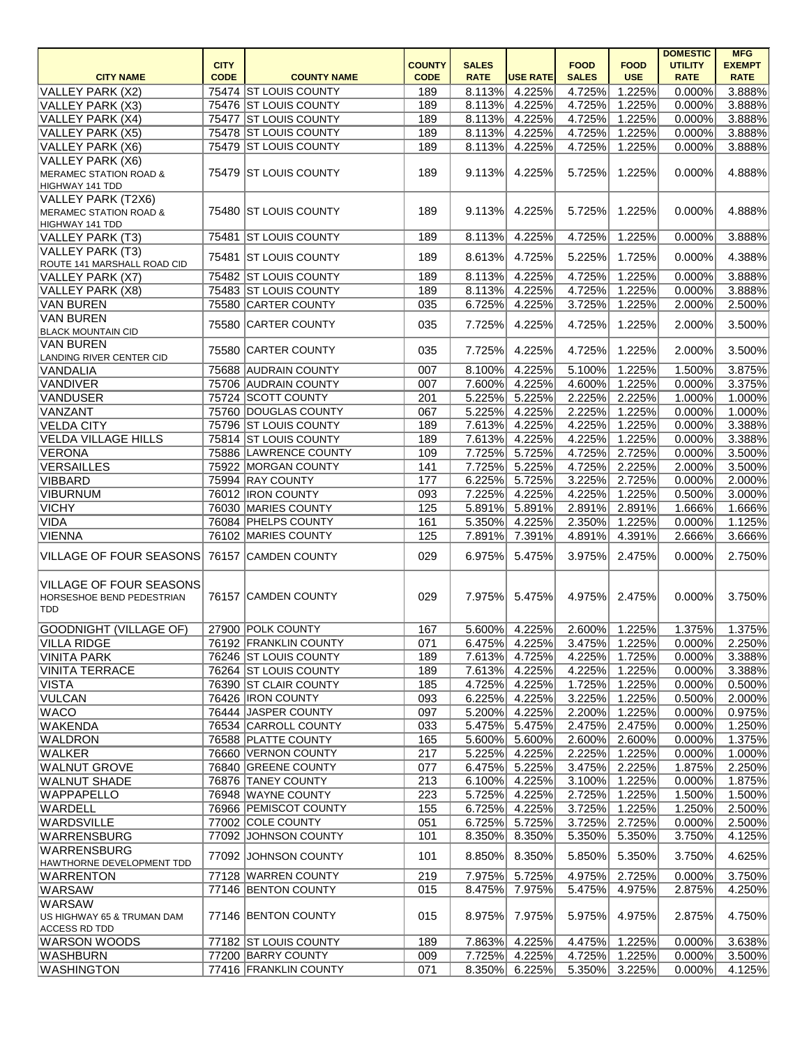|                                             |             |                       |               |              |                 |              |                      | <b>DOMESTIC</b> | <b>MFG</b>    |
|---------------------------------------------|-------------|-----------------------|---------------|--------------|-----------------|--------------|----------------------|-----------------|---------------|
|                                             | <b>CITY</b> |                       | <b>COUNTY</b> | <b>SALES</b> |                 | <b>FOOD</b>  | <b>FOOD</b>          | <b>UTILITY</b>  | <b>EXEMPT</b> |
| <b>CITY NAME</b>                            | <b>CODE</b> | <b>COUNTY NAME</b>    | <b>CODE</b>   | <b>RATE</b>  | <b>USE RATE</b> | <b>SALES</b> | <b>USE</b>           | <b>RATE</b>     | <b>RATE</b>   |
| <b>VALLEY PARK (X2)</b>                     |             | 75474 ST LOUIS COUNTY | 189           | 8.113%       | 4.225%          | 4.725%       | 1.225%               | 0.000%          | 3.888%        |
| VALLEY PARK (X3)                            |             | 75476 ST LOUIS COUNTY | 189           | 8.113%       | 4.225%          | 4.725%       | 1.225%               | 0.000%          | 3.888%        |
| VALLEY PARK (X4)                            |             | 75477 ST LOUIS COUNTY | 189           | 8.113%       | 4.225%          | 4.725%       | $\overline{1.225\%}$ | 0.000%          | 3.888%        |
| VALLEY PARK (X5)                            |             | 75478 ST LOUIS COUNTY | 189           |              | 8.113% 4.225%   | 4.725%       | 1.225%               | 0.000%          | 3.888%        |
| VALLEY PARK (X6)                            |             | 75479 ST LOUIS COUNTY | 189           | 8.113%       | 4.225%          | 4.725%       | 1.225%               | 0.000%          | 3.888%        |
| VALLEY PARK (X6)                            |             |                       |               |              |                 |              |                      |                 |               |
| MERAMEC STATION ROAD &                      |             | 75479 ST LOUIS COUNTY | 189           | 9.113%       | 4.225%          | 5.725%       | 1.225%               | 0.000%          | 4.888%        |
| HIGHWAY 141 TDD                             |             |                       |               |              |                 |              |                      |                 |               |
| VALLEY PARK (T2X6)                          |             |                       |               |              |                 |              |                      |                 |               |
| MERAMEC STATION ROAD &                      |             | 75480 ST LOUIS COUNTY | 189           | 9.113%       | 4.225%          | 5.725%       | 1.225%               | 0.000%          | 4.888%        |
| HIGHWAY 141 TDD                             |             |                       |               |              |                 |              |                      |                 |               |
| VALLEY PARK (T3)                            |             | 75481 ST LOUIS COUNTY | 189           | 8.113%       | 4.225%          | 4.725%       | 1.225%               | 0.000%          | 3.888%        |
| VALLEY PARK (T3)                            |             |                       |               |              |                 |              |                      |                 |               |
| ROUTE 141 MARSHALL ROAD CID                 |             | 75481 ST LOUIS COUNTY | 189           | 8.613%       | 4.725%          | 5.225%       | 1.725%               | 0.000%          | 4.388%        |
| VALLEY PARK (X7)                            |             | 75482 ST LOUIS COUNTY | 189           | 8.113%       | 4.225%          | 4.725%       | 1.225%               | 0.000%          | 3.888%        |
| <b>VALLEY PARK (X8)</b>                     |             | 75483 ST LOUIS COUNTY | 189           | 8.113%       | 4.225%          | 4.725%       | 1.225%               | 0.000%          | 3.888%        |
| <b>VAN BUREN</b>                            |             | 75580 CARTER COUNTY   | 035           | 6.725%       |                 |              |                      | 2.000%          | 2.500%        |
|                                             |             |                       |               |              | 4.225%          | 3.725%       | 1.225%               |                 |               |
| <b>VAN BUREN</b>                            |             | 75580 CARTER COUNTY   | 035           | 7.725%       | 4.225%          | 4.725%       | 1.225%               | 2.000%          | 3.500%        |
| <b>BLACK MOUNTAIN CID</b>                   |             |                       |               |              |                 |              |                      |                 |               |
| VAN BUREN                                   |             | 75580 CARTER COUNTY   | 035           | 7.725%       | 4.225%          | 4.725%       | 1.225%               | 2.000%          | 3.500%        |
| LANDING RIVER CENTER CID                    |             |                       |               |              |                 |              |                      |                 |               |
| VANDALIA                                    |             | 75688 AUDRAIN COUNTY  | 007           | 8.100%       | 4.225%          | 5.100%       | 1.225%               | 1.500%          | 3.875%        |
| VANDIVER                                    |             | 75706 AUDRAIN COUNTY  | 007           | 7.600%       | 4.225%          | 4.600%       | 1.225%               | 0.000%          | 3.375%        |
| VANDUSER                                    |             | 75724 SCOTT COUNTY    | 201           | 5.225%       | 5.225%          | 2.225%       | 2.225%               | 1.000%          | 1.000%        |
| VANZANT                                     |             | 75760 DOUGLAS COUNTY  | 067           | 5.225%       | 4.225%          | 2.225%       | 1.225%               | 0.000%          | 1.000%        |
| <b>VELDA CITY</b>                           |             | 75796 ST LOUIS COUNTY | 189           | 7.613%       | 4.225%          | 4.225%       | 1.225%               | 0.000%          | 3.388%        |
| <b>VELDA VILLAGE HILLS</b>                  |             | 75814 ST LOUIS COUNTY | 189           | 7.613%       | 4.225%          | 4.225%       | 1.225%               | 0.000%          | 3.388%        |
| VERONA                                      |             | 75886 LAWRENCE COUNTY | 109           | 7.725%       | 5.725%          | 4.725%       | 2.725%               | 0.000%          | 3.500%        |
| VERSAILLES                                  |             | 75922 MORGAN COUNTY   | 141           | 7.725%       | 5.225%          | 4.725%       | 2.225%               | 2.000%          | 3.500%        |
| VIBBARD                                     |             | 75994 RAY COUNTY      | 177           | 6.225%       | 5.725%          | 3.225%       | $\overline{2.725\%}$ | 0.000%          | 2.000%        |
| <b>VIBURNUM</b>                             |             | 76012  IRON COUNTY    | 093           | 7.225%       | 4.225%          | 4.225%       | 1.225%               | 0.500%          | 3.000%        |
| <b>VICHY</b>                                |             | 76030 MARIES COUNTY   | 125           | 5.891%       | 5.891%          | 2.891%       | 2.891%               | 1.666%          | 1.666%        |
| VIDA                                        |             | 76084 PHELPS COUNTY   | 161           | 5.350%       | 4.225%          | 2.350%       | 1.225%               | 0.000%          | 1.125%        |
|                                             |             |                       | 125           | 7.891%       |                 |              | 4.391%               | 2.666%          | 3.666%        |
| VIENNA                                      |             | 76102 MARIES COUNTY   |               |              | 7.391%          | 4.891%       |                      |                 |               |
| VILLAGE OF FOUR SEASONS 76157 CAMDEN COUNTY |             |                       | 029           |              | 6.975% 5.475%   |              | 3.975% 2.475%        | 0.000%          | 2.750%        |
|                                             |             |                       |               |              |                 |              |                      |                 |               |
| VILLAGE OF FOUR SEASONS                     |             |                       |               |              |                 |              |                      |                 |               |
| HORSESHOE BEND PEDESTRIAN                   |             | 76157 CAMDEN COUNTY   | 029           | 7.975%       | 5.475%          | 4.975%       | 2.475%               | 0.000%          | 3.750%        |
| <b>TDD</b>                                  |             |                       |               |              |                 |              |                      |                 |               |
|                                             |             |                       |               |              |                 |              |                      |                 |               |
| <b>GOODNIGHT (VILLAGE OF)</b>               |             | 27900 POLK COUNTY     | 167           | 5.600%       | 4.225%          | 2.600%       | 1.225%               | 1.375%          | 1.375%        |
| <b>VILLA RIDGE</b>                          |             | 76192 FRANKLIN COUNTY | 071           | 6.475%       | 4.225%          | 3.475%       | 1.225%               | 0.000%          | 2.250%        |
| <b>VINITA PARK</b>                          |             | 76246 ST LOUIS COUNTY | 189           | 7.613%       | 4.725%          | 4.225%       | 1.725%               | 0.000%          | 3.388%        |
| <b>VINITA TERRACE</b>                       |             | 76264 ST LOUIS COUNTY | 189           | 7.613%       | 4.225%          | 4.225%       | 1.225%               | 0.000%          | 3.388%        |
| <b>VISTA</b>                                |             | 76390 ST CLAIR COUNTY | 185           | 4.725%       | 4.225%          | 1.725%       | 1.225%               | 0.000%          | 0.500%        |
| VULCAN                                      |             | 76426 IRON COUNTY     | 093           | 6.225%       | 4.225%          | 3.225%       | 1.225%               | 0.500%          | 2.000%        |
| <b>WACO</b>                                 |             | 76444 JASPER COUNTY   | 097           | 5.200%       | 4.225%          | 2.200%       | 1.225%               | 0.000%          | 0.975%        |
| WAKENDA                                     |             | 76534 CARROLL COUNTY  | 033           | 5.475%       | 5.475%          | 2.475%       | 2.475%               | 0.000%          | 1.250%        |
| WALDRON                                     |             | 76588 PLATTE COUNTY   | 165           | 5.600%       | 5.600%          | 2.600%       | 2.600%               | 0.000%          | 1.375%        |
| WALKER                                      |             | 76660 VERNON COUNTY   | 217           | 5.225%       | 4.225%          | 2.225%       | 1.225%               | 0.000%          | 1.000%        |
| <b>WALNUT GROVE</b>                         |             | 76840 GREENE COUNTY   | 077           |              |                 |              |                      |                 |               |
|                                             |             |                       |               | 6.475%       | 5.225%          | 3.475%       | 2.225%               | 1.875%          | 2.250%        |
| <b>WALNUT SHADE</b>                         |             | 76876 TANEY COUNTY    | 213           | 6.100%       | 4.225%          | 3.100%       | 1.225%               | 0.000%          | 1.875%        |
| <b>WAPPAPELLO</b>                           |             | 76948 WAYNE COUNTY    | 223           | 5.725%       | 4.225%          | 2.725%       | 1.225%               | 1.500%          | 1.500%        |
| WARDELL                                     |             | 76966 PEMISCOT COUNTY | 155           | 6.725%       | 4.225%          | 3.725%       | 1.225%               | 1.250%          | 2.500%        |
| <b>WARDSVILLE</b>                           |             | 77002 COLE COUNTY     | 051           | 6.725%       | 5.725%          | 3.725%       | 2.725%               | 0.000%          | 2.500%        |
| WARRENSBURG                                 |             | 77092 JOHNSON COUNTY  | 101           | 8.350%       | 8.350%          | 5.350%       | 5.350%               | 3.750%          | 4.125%        |
| <b>WARRENSBURG</b>                          |             | 77092 JOHNSON COUNTY  | 101           | 8.850%       | 8.350%          | 5.850%       | 5.350%               | 3.750%          | 4.625%        |
| HAWTHORNE DEVELOPMENT TDD                   |             |                       |               |              |                 |              |                      |                 |               |
| <b>WARRENTON</b>                            |             | 77128 WARREN COUNTY   | 219           | 7.975%       | 5.725%          | 4.975%       | 2.725%               | 0.000%          | 3.750%        |
| WARSAW                                      |             | 77146 BENTON COUNTY   | 015           | 8.475%       | 7.975%          | 5.475%       | 4.975%               | 2.875%          | 4.250%        |
| <b>WARSAW</b>                               |             |                       |               |              |                 |              |                      |                 |               |
| US HIGHWAY 65 & TRUMAN DAM                  |             | 77146 BENTON COUNTY   | 015           | 8.975%       | 7.975%          | 5.975%       | 4.975%               | 2.875%          | 4.750%        |
| ACCESS RD TDD                               |             |                       |               |              |                 |              |                      |                 |               |
| <b>WARSON WOODS</b>                         |             | 77182 ST LOUIS COUNTY | 189           | 7.863%       | 4.225%          | 4.475%       | 1.225%               | 0.000%          | 3.638%        |
| WASHBURN                                    |             | 77200 BARRY COUNTY    | 009           | 7.725%       | 4.225%          | 4.725%       | 1.225%               | 0.000%          | 3.500%        |
| <b>WASHINGTON</b>                           |             | 77416 FRANKLIN COUNTY | 071           | 8.350%       | 6.225%          | 5.350%       | 3.225%               | 0.000%          | 4.125%        |
|                                             |             |                       |               |              |                 |              |                      |                 |               |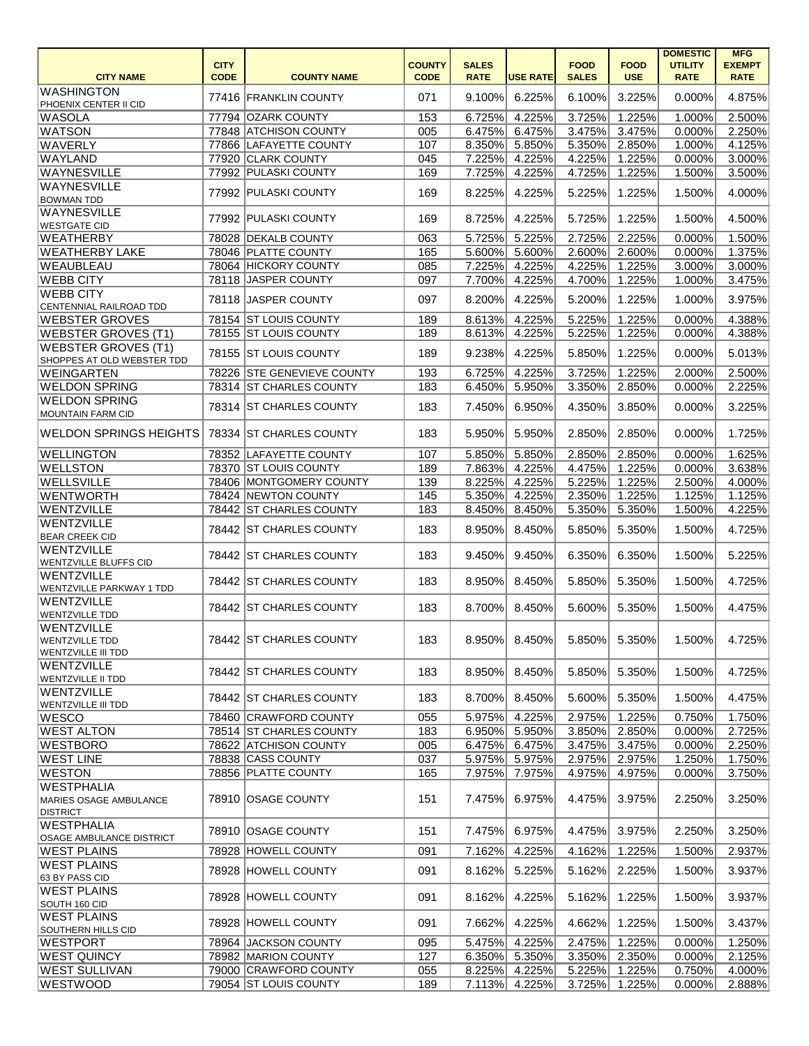| <b>CITY NAME</b>                                                        | <b>CITY</b><br><b>CODE</b> | <b>COUNTY NAME</b>         | <b>COUNTY</b><br><b>CODE</b> | <b>SALES</b><br><b>RATE</b> | <b>USE RATE</b>  | <b>FOOD</b><br><b>SALES</b> | <b>FOOD</b><br><b>USE</b> | <b>DOMESTIC</b><br><b>UTILITY</b><br><b>RATE</b> | <b>MFG</b><br><b>EXEMPT</b><br><b>RATE</b> |
|-------------------------------------------------------------------------|----------------------------|----------------------------|------------------------------|-----------------------------|------------------|-----------------------------|---------------------------|--------------------------------------------------|--------------------------------------------|
| <b>WASHINGTON</b><br>PHOENIX CENTER II CID                              |                            | 77416 FRANKLIN COUNTY      | 071                          | 9.100%                      | 6.225%           | 6.100%                      | 3.225%                    | 0.000%                                           | 4.875%                                     |
| WASOLA                                                                  |                            | 77794 OZARK COUNTY         | 153                          | 6.725%                      | 4.225%           | 3.725%                      | 1.225%                    | 1.000%                                           | 2.500%                                     |
| <b>WATSON</b>                                                           |                            | 77848 ATCHISON COUNTY      | 005                          | 6.475%                      | 6.475%           | 3.475%                      | 3.475%                    | 0.000%                                           | 2.250%                                     |
| WAVERLY                                                                 |                            | 77866 LAFAYETTE COUNTY     | 107                          | 8.350%                      | 5.850%           | 5.350%                      | 2.850%                    | 1.000%                                           | 4.125%                                     |
| <b>WAYLAND</b>                                                          |                            | 77920 CLARK COUNTY         | 045                          | 7.225%                      | 4.225%           | 4.225%                      | 1.225%                    | 0.000%                                           | 3.000%                                     |
| <b>WAYNESVILLE</b>                                                      |                            | 77992 PULASKI COUNTY       | 169                          | 7.725%                      | 4.225%           | 4.725%                      | 1.225%                    | 1.500%                                           | 3.500%                                     |
| <b>WAYNESVILLE</b>                                                      |                            |                            |                              |                             |                  |                             |                           |                                                  |                                            |
| <b>BOWMAN TDD</b>                                                       |                            | 77992 PULASKI COUNTY       | 169                          | 8.225%                      | 4.225%           | 5.225%                      | 1.225%                    | 1.500%                                           | 4.000%                                     |
| <b>WAYNESVILLE</b><br><b>WESTGATE CID</b>                               |                            | 77992 PULASKI COUNTY       | 169                          | 8.725%                      | 4.225%           | 5.725%                      | 1.225%                    | 1.500%                                           | 4.500%                                     |
| WEATHERBY                                                               |                            | 78028 DEKALB COUNTY        | 063                          | 5.725%                      | 5.225%           | 2.725%                      | 2.225%                    | 0.000%                                           | 1.500%                                     |
| <b>WEATHERBY LAKE</b>                                                   |                            | 78046 PLATTE COUNTY        | 165                          | 5.600%                      | 5.600%           | 2.600%                      | 2.600%                    | 0.000%                                           | 1.375%                                     |
| WEAUBLEAU                                                               |                            | 78064 HICKORY COUNTY       | 085                          | 7.225%                      | 4.225%           | 4.225%                      | 1.225%                    | 3.000%                                           | 3.000%                                     |
| <b>WEBB CITY</b>                                                        |                            | 78118 JASPER COUNTY        | 097                          | 7.700%                      | 4.225%           | 4.700%                      | 1.225%                    | 1.000%                                           | 3.475%                                     |
| <b>WEBB CITY</b>                                                        |                            |                            |                              |                             |                  |                             |                           |                                                  |                                            |
| CENTENNIAL RAILROAD TDD                                                 |                            | 78118 JASPER COUNTY        | 097                          | 8.200%                      | 4.225%           | 5.200%                      | 1.225%                    | 1.000%                                           | 3.975%                                     |
| <b>WEBSTER GROVES</b>                                                   |                            | 78154 ST LOUIS COUNTY      | 189                          | 8.613%                      | 4.225%           | 5.225%                      | 1.225%                    | 0.000%                                           | 4.388%                                     |
| <b>WEBSTER GROVES (T1)</b>                                              |                            | 78155 ST LOUIS COUNTY      | 189                          | 8.613%                      | 4.225%           | 5.225%                      | 1.225%                    | 0.000%                                           | 4.388%                                     |
| WEBSTER GROVES (T1)<br>SHOPPES AT OLD WEBSTER TDD                       |                            | 78155 ST LOUIS COUNTY      | 189                          | 9.238%                      | 4.225%           | 5.850%                      | 1.225%                    | 0.000%                                           | 5.013%                                     |
| WEINGARTEN                                                              |                            | 78226 STE GENEVIEVE COUNTY | 193                          | 6.725%                      | 4.225%           | 3.725%                      | 1.225%                    | 2.000%                                           | 2.500%                                     |
| <b>WELDON SPRING</b>                                                    |                            | 78314 ST CHARLES COUNTY    | 183                          | 6.450%                      | 5.950%           | 3.350%                      | 2.850%                    | 0.000%                                           | 2.225%                                     |
|                                                                         |                            |                            |                              |                             |                  |                             |                           |                                                  |                                            |
| <b>WELDON SPRING</b><br>MOUNTAIN FARM CID                               |                            | 78314 ST CHARLES COUNTY    | 183                          | 7.450%                      | 6.950%           | 4.350%                      | 3.850%                    | 0.000%                                           | 3.225%                                     |
| <b>WELDON SPRINGS HEIGHTS</b>                                           |                            | 78334 ST CHARLES COUNTY    | 183                          | 5.950%                      | 5.950%           | 2.850%                      | 2.850%                    | 0.000%                                           | 1.725%                                     |
| <b>WELLINGTON</b>                                                       |                            | 78352 LAFAYETTE COUNTY     | 107                          | 5.850%                      | 5.850%           | 2.850%                      | 2.850%                    | 0.000%                                           | 1.625%                                     |
| <b>WELLSTON</b>                                                         |                            | 78370 ST LOUIS COUNTY      | 189                          | 7.863%                      | 4.225%           | 4.475%                      | 1.225%                    | 0.000%                                           | 3.638%                                     |
| <b>WELLSVILLE</b>                                                       |                            | 78406 MONTGOMERY COUNTY    | 139                          | 8.225%                      | 4.225%           | 5.225%                      | 1.225%                    | 2.500%                                           | 4.000%                                     |
| <b>WENTWORTH</b>                                                        |                            | 78424 NEWTON COUNTY        | 145                          | 5.350%                      | 4.225%           | 2.350%                      | 1.225%                    | 1.125%                                           | 1.125%                                     |
| WENTZVILLE                                                              |                            | 78442 ST CHARLES COUNTY    | 183                          | 8.450%                      | 8.450%           | 5.350%                      | 5.350%                    | 1.500%                                           | 4.225%                                     |
|                                                                         |                            |                            |                              |                             |                  |                             |                           |                                                  |                                            |
| WENTZVILLE<br><b>BEAR CREEK CID</b>                                     |                            | 78442 ST CHARLES COUNTY    | 183                          | 8.950%                      | 8.450%           | 5.850%                      | 5.350%                    | 1.500%                                           | 4.725%                                     |
| WENTZVILLE<br><b>WENTZVILLE BLUFFS CID</b>                              |                            | 78442 ST CHARLES COUNTY    | 183                          |                             | $9.450\%$ 9.450% | 6.350%                      | 6.350%                    | 1.500%                                           | 5.225%                                     |
| WENTZVILLE<br>WENTZVILLE PARKWAY 1 TDD                                  |                            | 78442 ST CHARLES COUNTY    | 183                          | 8.950%                      | 8.450%           | 5.850%                      | 5.350%                    | 1.500%                                           | 4.725%                                     |
| WENTZVILLE<br><b>WENTZVILLE TDD</b>                                     |                            | 78442 ST CHARLES COUNTY    | 183                          | 8.700%                      | 8.450%           | 5.600%                      | 5.350%                    | 1.500%                                           | 4.475%                                     |
| <b>WENTZVILLE</b><br><b>WENTZVILLE TDD</b><br><b>WENTZVILLE III TDD</b> |                            | 78442 ST CHARLES COUNTY    | 183                          | 8.950%                      | 8.450%           | 5.850%                      | 5.350%                    | 1.500%                                           | 4.725%                                     |
| WENTZVILLE<br><b>WENTZVILLE II TDD</b>                                  |                            | 78442 ST CHARLES COUNTY    | 183                          | 8.950%                      | 8.450%           | 5.850%                      | 5.350%                    | 1.500%                                           | 4.725%                                     |
| WENTZVILLE<br><b>WENTZVILLE III TDD</b>                                 |                            | 78442 ST CHARLES COUNTY    | 183                          | 8.700%                      | 8.450%           | 5.600%                      | 5.350%                    | 1.500%                                           | 4.475%                                     |
| WESCO                                                                   |                            | 78460 CRAWFORD COUNTY      | 055                          | 5.975%                      | 4.225%           | 2.975%                      | 1.225%                    | 0.750%                                           | 1.750%                                     |
| <b>WEST ALTON</b>                                                       |                            | 78514 ST CHARLES COUNTY    | 183                          | 6.950%                      | 5.950%           | 3.850%                      | 2.850%                    | 0.000%                                           | 2.725%                                     |
|                                                                         |                            |                            |                              |                             |                  |                             |                           |                                                  |                                            |
| <b>WESTBORO</b>                                                         |                            | 78622 ATCHISON COUNTY      | 005                          | 6.475%                      | 6.475%           | 3.475%                      | 3.475%                    | 0.000%                                           | 2.250%                                     |
| <b>WEST LINE</b>                                                        |                            | 78838 CASS COUNTY          | 037                          | 5.975%                      | 5.975%           | 2.975%                      | 2.975%                    | 1.250%                                           | 1.750%                                     |
| <b>WESTON</b>                                                           |                            | 78856 PLATTE COUNTY        | 165                          | 7.975%                      | 7.975%           | 4.975%                      | 4.975%                    | 0.000%                                           | 3.750%                                     |
| <b>WESTPHALIA</b><br>MARIES OSAGE AMBULANCE<br><b>DISTRICT</b>          |                            | 78910 OSAGE COUNTY         | 151                          | 7.475%                      | 6.975%           | 4.475%                      | 3.975%                    | 2.250%                                           | 3.250%                                     |
| <b>WESTPHALIA</b><br>OSAGE AMBULANCE DISTRICT                           |                            | 78910 OSAGE COUNTY         | 151                          | 7.475%                      | 6.975%           | 4.475%                      | 3.975%                    | 2.250%                                           | 3.250%                                     |
| <b>WEST PLAINS</b>                                                      |                            | 78928 HOWELL COUNTY        | 091                          | 7.162%                      | 4.225%           | 4.162%                      | 1.225%                    | 1.500%                                           | 2.937%                                     |
| <b>WEST PLAINS</b><br>63 BY PASS CID                                    |                            | 78928 HOWELL COUNTY        | 091                          | 8.162%                      | 5.225%           | 5.162%                      | 2.225%                    | 1.500%                                           | 3.937%                                     |
| <b>WEST PLAINS</b><br>SOUTH 160 CID                                     |                            | 78928 HOWELL COUNTY        | 091                          | 8.162%                      | 4.225%           | 5.162%                      | 1.225%                    | 1.500%                                           | 3.937%                                     |
| <b>WEST PLAINS</b><br><b>SOUTHERN HILLS CID</b>                         |                            | 78928 HOWELL COUNTY        | 091                          | 7.662%                      | 4.225%           | 4.662%                      | 1.225%                    | 1.500%                                           | 3.437%                                     |
| <b>WESTPORT</b>                                                         |                            | 78964 JACKSON COUNTY       | 095                          | 5.475%                      | 4.225%           | 2.475%                      | 1.225%                    | 0.000%                                           | 1.250%                                     |
| <b>WEST QUINCY</b>                                                      |                            | 78982 MARION COUNTY        | 127                          | 6.350%                      | 5.350%           | 3.350%                      | 2.350%                    | 0.000%                                           | 2.125%                                     |
| <b>WEST SULLIVAN</b>                                                    |                            | 79000 CRAWFORD COUNTY      | 055                          | 8.225%                      | 4.225%           | 5.225%                      | 1.225%                    | 0.750%                                           | 4.000%                                     |
| WESTWOOD                                                                |                            | 79054 ST LOUIS COUNTY      | 189                          | 7.113%                      | 4.225%           | 3.725%                      | 1.225%                    | 0.000%                                           | 2.888%                                     |
|                                                                         |                            |                            |                              |                             |                  |                             |                           |                                                  |                                            |